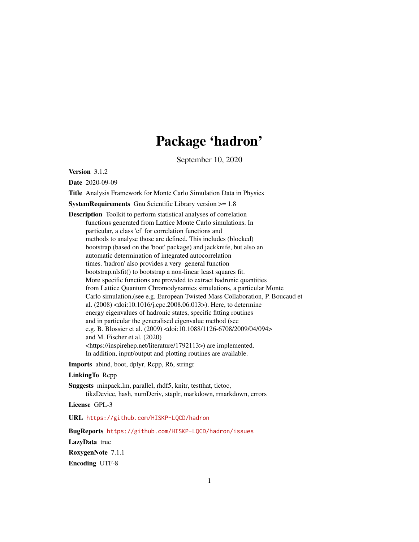# Package 'hadron'

September 10, 2020

<span id="page-0-0"></span>Version 3.1.2

Date 2020-09-09

Title Analysis Framework for Monte Carlo Simulation Data in Physics

SystemRequirements Gnu Scientific Library version >= 1.8

Description Toolkit to perform statistical analyses of correlation functions generated from Lattice Monte Carlo simulations. In particular, a class 'cf' for correlation functions and methods to analyse those are defined. This includes (blocked) bootstrap (based on the 'boot' package) and jackknife, but also an automatic determination of integrated autocorrelation times. 'hadron' also provides a very general function bootstrap.nlsfit() to bootstrap a non-linear least squares fit. More specific functions are provided to extract hadronic quantities from Lattice Quantum Chromodynamics simulations, a particular Monte Carlo simulation,(see e.g. European Twisted Mass Collaboration, P. Boucaud et al. (2008) <doi:10.1016/j.cpc.2008.06.013>). Here, to determine energy eigenvalues of hadronic states, specific fitting routines and in particular the generalised eigenvalue method (see e.g. B. Blossier et al. (2009) <doi:10.1088/1126-6708/2009/04/094> and M. Fischer et al. (2020) <https://inspirehep.net/literature/1792113>) are implemented. In addition, input/output and plotting routines are available.

Imports abind, boot, dplyr, Rcpp, R6, stringr

#### LinkingTo Rcpp

Suggests minpack.lm, parallel, rhdf5, knitr, testthat, tictoc, tikzDevice, hash, numDeriv, staplr, markdown, rmarkdown, errors

License GPL-3

URL <https://github.com/HISKP-LQCD/hadron>

BugReports <https://github.com/HISKP-LQCD/hadron/issues>

LazyData true

RoxygenNote 7.1.1

Encoding UTF-8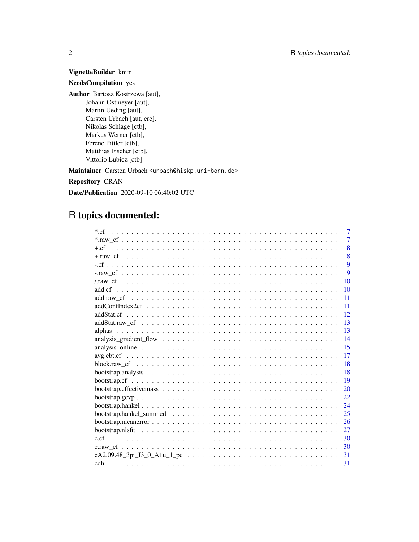# VignetteBuilder knitr

# NeedsCompilation yes

Author Bartosz Kostrzewa [aut], Johann Ostmeyer [aut], Martin Ueding [aut], Carsten Urbach [aut, cre], Nikolas Schlage [ctb], Markus Werner [ctb], Ferenc Pittler [ctb], Matthias Fischer [ctb], Vittorio Lubicz [ctb]

Maintainer Carsten Urbach <urbach@hiskp.uni-bonn.de>

Repository CRAN

Date/Publication 2020-09-10 06:40:02 UTC

# R topics documented:

| $*$ cf<br>$\tau$ |
|------------------|
| $\overline{7}$   |
| 8                |
| 8                |
| $\mathbf Q$      |
| 9                |
| 10               |
| 10               |
| 11               |
| 11               |
| 12               |
| 13               |
| 13               |
| 14               |
| 15               |
| 17               |
| 18               |
| 18               |
| 19               |
| 20               |
| 22               |
| 24               |
| 25               |
| 26               |
| 27               |
| 30               |
| 30               |
| 31               |
|                  |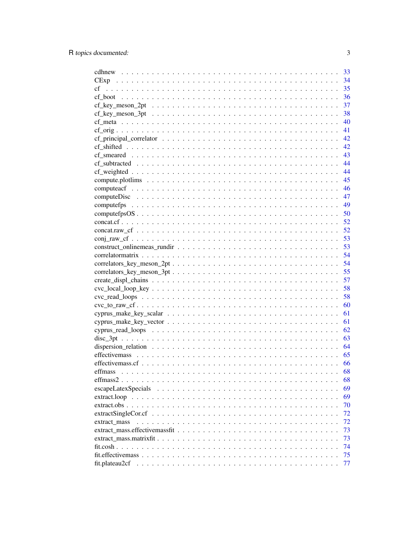|                                                                                                                             | 33   |
|-----------------------------------------------------------------------------------------------------------------------------|------|
|                                                                                                                             | 34   |
| cf                                                                                                                          | 35   |
|                                                                                                                             | 36   |
| $cf_{\text{key\_meson\_2pt}}$                                                                                               | 37   |
|                                                                                                                             | 38   |
|                                                                                                                             | -40  |
|                                                                                                                             | 41   |
|                                                                                                                             | - 42 |
|                                                                                                                             |      |
|                                                                                                                             | 43   |
|                                                                                                                             | 44   |
|                                                                                                                             | 44   |
|                                                                                                                             | 45   |
|                                                                                                                             | 46   |
|                                                                                                                             | 47   |
|                                                                                                                             | 49   |
|                                                                                                                             | 50   |
|                                                                                                                             | 52   |
|                                                                                                                             | 52   |
|                                                                                                                             | 53   |
|                                                                                                                             | 53   |
|                                                                                                                             | 54   |
|                                                                                                                             | 54   |
|                                                                                                                             | 55   |
|                                                                                                                             | 57   |
|                                                                                                                             | 58   |
|                                                                                                                             | 58   |
|                                                                                                                             | 60   |
|                                                                                                                             | 61   |
|                                                                                                                             | 61   |
|                                                                                                                             | 62   |
|                                                                                                                             | 63   |
|                                                                                                                             | 64   |
|                                                                                                                             | 65   |
|                                                                                                                             | 66   |
|                                                                                                                             | 68   |
|                                                                                                                             | 68   |
|                                                                                                                             | 69   |
| $extract. loop \dots \dots \dots \dots \dots \dots \dots \dots \dots \dots \dots \dots \dots \dots \dots \dots \dots \dots$ | 69   |
|                                                                                                                             | 70   |
| $extractSingleCor.cf \dots \dots \dots \dots \dots \dots \dots \dots \dots \dots \dots \dots \dots \dots \dots \dots$       | 72   |
|                                                                                                                             | 72   |
| extract mass                                                                                                                | 73   |
|                                                                                                                             | 73   |
|                                                                                                                             | 74   |
|                                                                                                                             |      |
|                                                                                                                             | 75   |
| fit.plateau2cf                                                                                                              | 77   |

 $\overline{3}$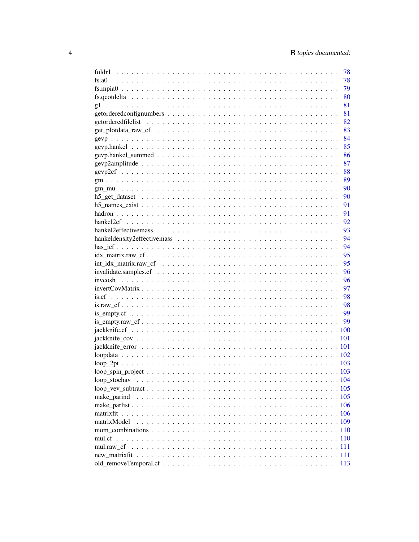|                                                                                                                    | 78   |
|--------------------------------------------------------------------------------------------------------------------|------|
|                                                                                                                    | 78   |
|                                                                                                                    | 79   |
|                                                                                                                    | 80   |
|                                                                                                                    | 81   |
|                                                                                                                    | 81   |
|                                                                                                                    | 82   |
|                                                                                                                    | 83   |
|                                                                                                                    | 84   |
|                                                                                                                    | 85   |
|                                                                                                                    | 86   |
|                                                                                                                    | 87   |
|                                                                                                                    | 88   |
|                                                                                                                    | 89   |
|                                                                                                                    | - 90 |
|                                                                                                                    | - 90 |
|                                                                                                                    | 91   |
|                                                                                                                    | 91   |
|                                                                                                                    | 92   |
|                                                                                                                    | 93   |
|                                                                                                                    | 94   |
|                                                                                                                    | 94   |
|                                                                                                                    | 95   |
| $int_idx_matrix raw_c f \dots \dots \dots \dots \dots \dots \dots \dots \dots \dots \dots \dots \dots \dots \dots$ | 95   |
|                                                                                                                    | 96   |
|                                                                                                                    | 96   |
|                                                                                                                    | 97   |
|                                                                                                                    | 98   |
|                                                                                                                    |      |
|                                                                                                                    |      |
|                                                                                                                    |      |
|                                                                                                                    |      |
|                                                                                                                    |      |
|                                                                                                                    |      |
|                                                                                                                    |      |
|                                                                                                                    |      |
|                                                                                                                    |      |
| loop stochav                                                                                                       |      |
|                                                                                                                    |      |
| make parind                                                                                                        |      |
|                                                                                                                    |      |
|                                                                                                                    |      |
| matrixModel                                                                                                        |      |
|                                                                                                                    |      |
|                                                                                                                    |      |
| mul.raw cf                                                                                                         |      |
|                                                                                                                    |      |
|                                                                                                                    |      |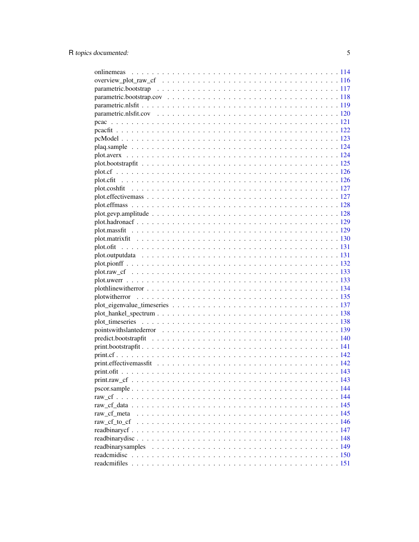| raw_cf_meta |  |
|-------------|--|
|             |  |
|             |  |
|             |  |
|             |  |
|             |  |
|             |  |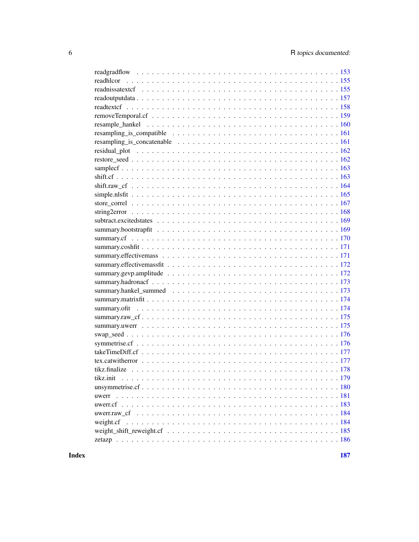| tikz.init |
|-----------|
|           |
| uwerr     |
|           |
|           |
|           |
|           |
|           |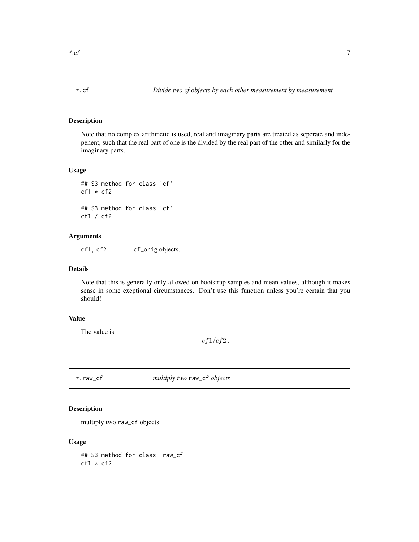# <span id="page-6-0"></span>Description

Note that no complex arithmetic is used, real and imaginary parts are treated as seperate and indepenent, such that the real part of one is the divided by the real part of the other and similarly for the imaginary parts.

# Usage

```
## S3 method for class 'cf'
cf1 * cf2## S3 method for class 'cf'
cf1 / cf2
```
#### Arguments

cf1, cf2 cf\_orig objects.

# Details

Note that this is generally only allowed on bootstrap samples and mean values, although it makes sense in some exeptional circumstances. Don't use this function unless you're certain that you should!

# Value

The value is

 $cf1/cf2$ .

\*.raw\_cf *multiply two* raw\_cf *objects*

# Description

multiply two raw\_cf objects

#### Usage

## S3 method for class 'raw\_cf'  $cf1 * cf2$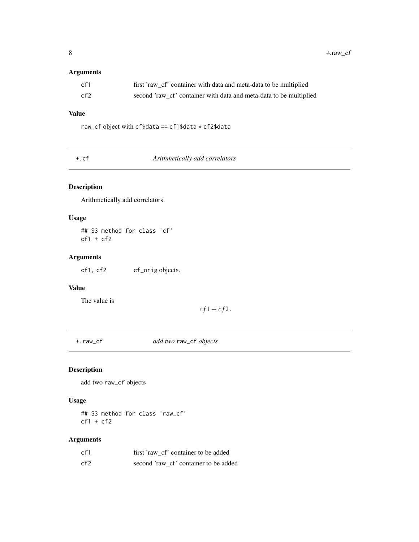# <span id="page-7-0"></span>Arguments

| cf1 | first 'raw_cf' container with data and meta-data to be multiplied  |
|-----|--------------------------------------------------------------------|
| cf2 | second 'raw_cf' container with data and meta-data to be multiplied |

# Value

raw\_cf object with cf\$data == cf1\$data \* cf2\$data

+.cf *Arithmetically add correlators*

# Description

Arithmetically add correlators

# Usage

## S3 method for class 'cf'  $cf1 + cf2$ 

# Arguments

cf1, cf2 cf\_orig objects.

# Value

The value is

 $cf1 + cf2$ .

+.raw\_cf *add two* raw\_cf *objects*

# Description

add two raw\_cf objects

# Usage

## S3 method for class 'raw\_cf'  $cf1 + cf2$ 

| cf1  | first 'raw cf' container to be added  |
|------|---------------------------------------|
| cf2. | second 'raw cf' container to be added |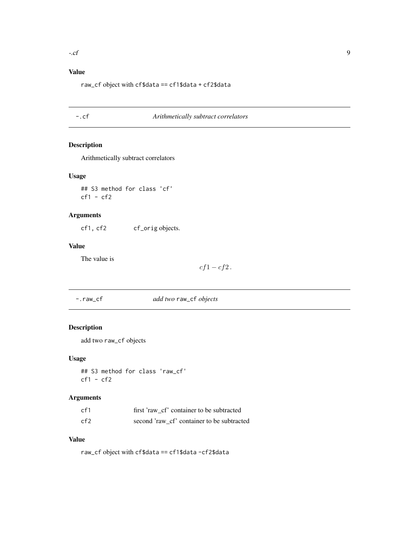# <span id="page-8-0"></span>Value

raw\_cf object with cf\$data == cf1\$data + cf2\$data

-.cf *Arithmetically subtract correlators*

# Description

Arithmetically subtract correlators

# Usage

## S3 method for class 'cf'  $cf1 - cf2$ 

# Arguments

cf1, cf2 cf\_orig objects.

# Value

The value is

 $cf1 - cf2$ .

-.raw\_cf *add two* raw\_cf *objects*

# Description

add two raw\_cf objects

# Usage

## S3 method for class 'raw\_cf' cf1 - cf2

# Arguments

| cf1  | first 'raw cf' container to be subtracted  |
|------|--------------------------------------------|
| cf2. | second 'raw cf' container to be subtracted |

# Value

raw\_cf object with cf\$data == cf1\$data -cf2\$data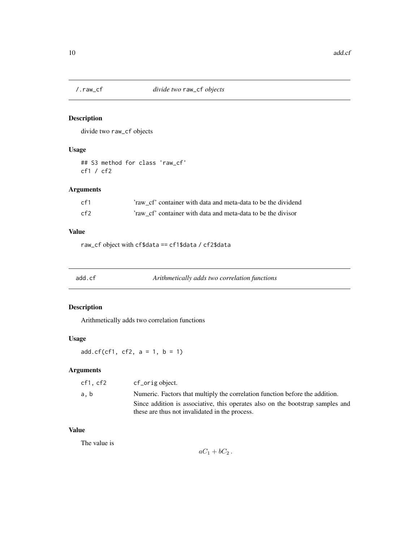<span id="page-9-0"></span>

# Description

divide two raw\_cf objects

# Usage

## S3 method for class 'raw\_cf' cf1 / cf2

# Arguments

| cf1 | 'raw cf' container with data and meta-data to be the dividend |
|-----|---------------------------------------------------------------|
| cf2 | 'raw cf' container with data and meta-data to be the divisor  |

# Value

raw\_cf object with cf\$data == cf1\$data / cf2\$data

add.cf *Arithmetically adds two correlation functions*

# Description

Arithmetically adds two correlation functions

# Usage

 $add.cf(cf1, cf2, a = 1, b = 1)$ 

# Arguments

| cf1.cf2 | cf_orig object.                                                                |
|---------|--------------------------------------------------------------------------------|
| a.b     | Numeric. Factors that multiply the correlation function before the addition.   |
|         | Since addition is associative, this operates also on the bootstrap samples and |
|         | these are thus not invalidated in the process.                                 |

# Value

The value is

 $aC_1 + bC_2$ .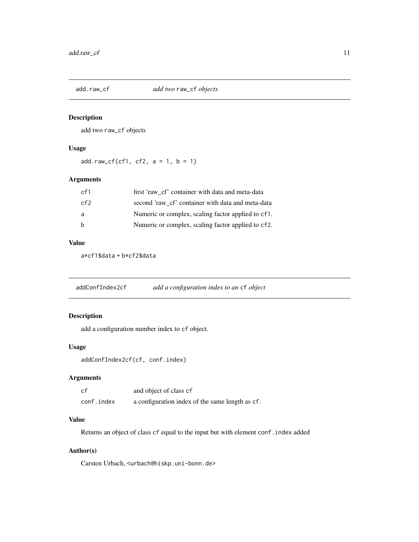<span id="page-10-0"></span>

# Description

add two raw\_cf objects

# Usage

 $add.raw_c f(cf1, cf2, a = 1, b = 1)$ 

# Arguments

| cf <sub>1</sub> | first 'raw cf' container with data and meta-data   |
|-----------------|----------------------------------------------------|
| cf2             | second 'raw cf' container with data and meta-data  |
| a               | Numeric or complex, scaling factor applied to cf1. |
| <sub>b</sub>    | Numeric or complex, scaling factor applied to cf2. |
|                 |                                                    |

## Value

a\*cf1\$data + b\*cf2\$data

addConfIndex2cf *add a configuration index to an* cf *object*

# Description

add a configuration number index to cf object.

# Usage

addConfIndex2cf(cf, conf.index)

# Arguments

| cf         | and object of class cf                          |
|------------|-------------------------------------------------|
| conf.index | a configuration index of the same length as cf. |

# Value

Returns an object of class cf equal to the input but with element conf.index added

# Author(s)

Carsten Urbach, <urbach@hiskp.uni-bonn.de>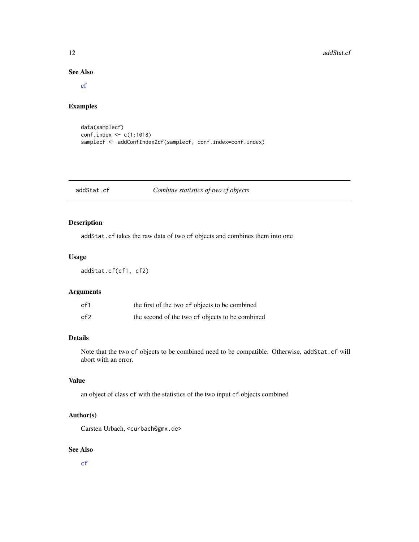#### <span id="page-11-0"></span>12 addStat.cf

# See Also

[cf](#page-34-1)

# Examples

```
data(samplecf)
conf.index <- c(1:1018)
samplecf <- addConfIndex2cf(samplecf, conf.index=conf.index)
```
# addStat.cf *Combine statistics of two cf objects*

# Description

addStat.cf takes the raw data of two cf objects and combines them into one

# Usage

addStat.cf(cf1, cf2)

# Arguments

| cf1 | the first of the two cf objects to be combined  |
|-----|-------------------------------------------------|
| cf2 | the second of the two cf objects to be combined |

# Details

Note that the two cf objects to be combined need to be compatible. Otherwise, addStat.cf will abort with an error.

# Value

an object of class cf with the statistics of the two input cf objects combined

# Author(s)

Carsten Urbach, <curbach@gmx.de>

# See Also

[cf](#page-34-1)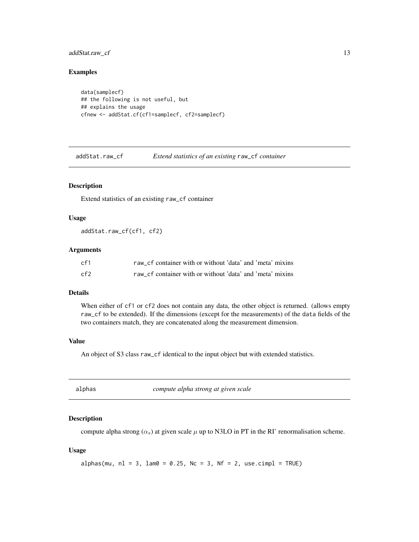# <span id="page-12-0"></span>addStat.raw\_cf 13

#### Examples

```
data(samplecf)
## the following is not useful, but
## explains the usage
cfnew <- addStat.cf(cf1=samplecf, cf2=samplecf)
```
addStat.raw\_cf *Extend statistics of an existing* raw\_cf *container*

#### Description

Extend statistics of an existing raw\_cf container

#### Usage

addStat.raw\_cf(cf1, cf2)

# Arguments

| cf1 | raw cf container with or without 'data' and 'meta' mixins |
|-----|-----------------------------------------------------------|
| cf2 | raw cf container with or without 'data' and 'meta' mixins |

# Details

When either of cf1 or cf2 does not contain any data, the other object is returned. (allows empty raw\_cf to be extended). If the dimensions (except for the measurements) of the data fields of the two containers match, they are concatenated along the measurement dimension.

#### Value

An object of S3 class raw\_cf identical to the input object but with extended statistics.

| alphas<br>compute alpha strong at given scale |  |
|-----------------------------------------------|--|
|-----------------------------------------------|--|

# Description

compute alpha strong  $(\alpha_s)$  at given scale  $\mu$  up to N3LO in PT in the RI' renormalisation scheme.

```
alphas(mu, nl = 3, lam0 = 0.25, Nc = 3, Nf = 2, use.cimpl = TRUE)
```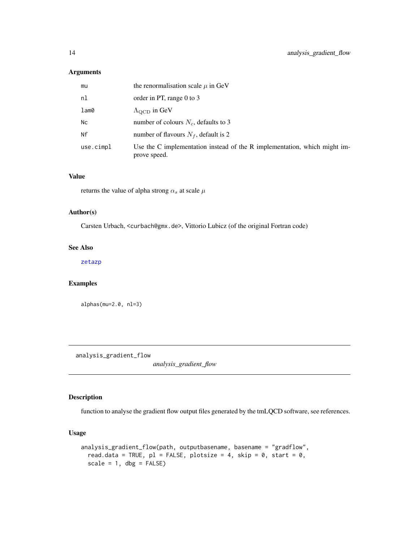# <span id="page-13-0"></span>Arguments

| mu        | the renormalisation scale $\mu$ in GeV                                                    |
|-----------|-------------------------------------------------------------------------------------------|
| nl        | order in PT, range 0 to 3                                                                 |
| lam0      | $\Lambda_{\text{QCD}}$ in GeV                                                             |
| Nc        | number of colours $N_c$ , defaults to 3                                                   |
| Nf        | number of flavours $N_f$ , default is 2                                                   |
| use.cimpl | Use the C implementation instead of the R implementation, which might im-<br>prove speed. |

# Value

returns the value of alpha strong  $\alpha_s$  at scale  $\mu$ 

#### Author(s)

Carsten Urbach, <curbach@gmx.de>, Vittorio Lubicz (of the original Fortran code)

# See Also

[zetazp](#page-185-1)

# Examples

alphas(mu=2.0, nl=3)

analysis\_gradient\_flow

*analysis\_gradient\_flow*

# Description

function to analyse the gradient flow output files generated by the tmLQCD software, see references.

```
analysis_gradient_flow(path, outputbasename, basename = "gradflow",
 read.data = TRUE, p1 = FALSE, plotsize = 4, skip = 0, start = 0,
 scale = 1, dbg = FALSE)
```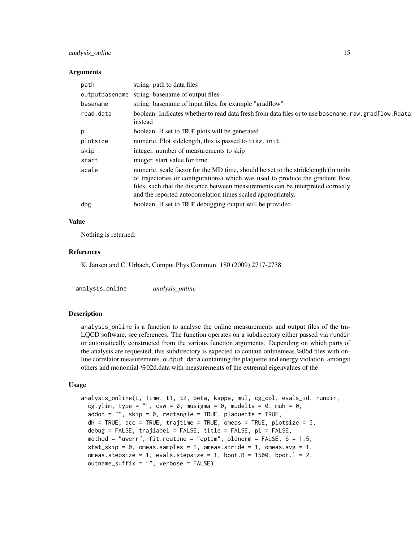#### <span id="page-14-0"></span>analysis\_online 15

#### **Arguments**

| path           | string. path to data files                                                                                                                                                                                                                                                                                               |
|----------------|--------------------------------------------------------------------------------------------------------------------------------------------------------------------------------------------------------------------------------------------------------------------------------------------------------------------------|
| outputbasename | string. basename of output files                                                                                                                                                                                                                                                                                         |
| basename       | string. basename of input files, for example "gradflow"                                                                                                                                                                                                                                                                  |
| read.data      | boolean. Indicates whether to read data fresh from data files or to use basename. raw. gradflow. Rdata<br>instead                                                                                                                                                                                                        |
| pl             | boolean. If set to TRUE plots will be generated                                                                                                                                                                                                                                                                          |
| plotsize       | numeric. Plot sidelength, this is passed to tikz. init.                                                                                                                                                                                                                                                                  |
| skip           | integer, number of measurements to skip                                                                                                                                                                                                                                                                                  |
| start          | integer, start value for time                                                                                                                                                                                                                                                                                            |
| scale          | numeric. scale factor for the MD time, should be set to the stride length (in units<br>of trajectories or configurations) which was used to produce the gradient flow<br>files, such that the distance between measurements can be interpreted correctly<br>and the reported autocorrelation times scaled appropriately. |
| dbg            | boolean. If set to TRUE debugging output will be provided.                                                                                                                                                                                                                                                               |

#### Value

Nothing is returned.

# References

K. Jansen and C. Urbach, Comput.Phys.Commun. 180 (2009) 2717-2738

analysis\_online *analysis\_online*

#### **Description**

analysis\_online is a function to analyse the online measurements and output files of the tm-LQCD software, see references. The function operates on a subdirectory either passed via rundir or automatically constructed from the various function arguments. Depending on which parts of the analysis are requested, this subdirectory is expected to contain onlinemeas.%06d files with online correlator measurements, output. data containing the plaquette and energy violation, amongst others and monomial-%02d.data with measurements of the extremal eigenvalues of the

```
analysis_online(L, Time, t1, t2, beta, kappa, mul, cg_col, evals_id, rundir,
  cg.ylim, type = "", csw = \theta, musigma = \theta, mudelta = \theta, muh = \theta,
  addon = "", skip = 0, rectangle = TRUE, plaquette = TRUE,dH = TRUE, acc = TRUE, trajtime = TRUE, omeas = TRUE, plotsize = 5,
  debug = FALSE, trajlabel = FALSE, title = FALSE, p1 = FALSE,
  method = "uwerr", fit.routine = "optim", oldnorm = FALSE, S = 1.5,
  stat_skip = 0, omeas.samples = 1, omeas.stride = 1, omeas.avg = 1,
  omeas.stepsize = 1, evals.stepsize = 1, boot.R = 1500, boot.l = 2,
  outname_suffix = "", verbose = FALSE)
```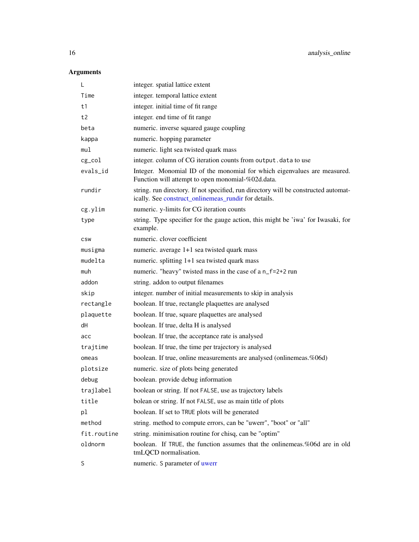| L           | integer. spatial lattice extent                                                                                                             |
|-------------|---------------------------------------------------------------------------------------------------------------------------------------------|
| Time        | integer. temporal lattice extent                                                                                                            |
| t1          | integer. initial time of fit range                                                                                                          |
| t2          | integer. end time of fit range                                                                                                              |
| beta        | numeric. inverse squared gauge coupling                                                                                                     |
| kappa       | numeric. hopping parameter                                                                                                                  |
| mul         | numeric. light sea twisted quark mass                                                                                                       |
| $cg\_col$   | integer. column of CG iteration counts from output. data to use                                                                             |
| evals_id    | Integer. Monomial ID of the monomial for which eigenvalues are measured.<br>Function will attempt to open monomial-%02d.data.               |
| rundir      | string. run directory. If not specified, run directory will be constructed automat-<br>ically. See construct_onlinemeas_rundir for details. |
| cg.ylim     | numeric. y-limits for CG iteration counts                                                                                                   |
| type        | string. Type specifier for the gauge action, this might be 'iwa' for Iwasaki, for<br>example.                                               |
| <b>CSW</b>  | numeric. clover coefficient                                                                                                                 |
| musigma     | numeric. average 1+1 sea twisted quark mass                                                                                                 |
| mudelta     | numeric. splitting 1+1 sea twisted quark mass                                                                                               |
| muh         | numeric. "heavy" twisted mass in the case of a n_f=2+2 run                                                                                  |
| addon       | string. addon to output filenames                                                                                                           |
| skip        | integer. number of initial measurements to skip in analysis                                                                                 |
| rectangle   | boolean. If true, rectangle plaquettes are analysed                                                                                         |
| plaquette   | boolean. If true, square plaquettes are analysed                                                                                            |
| dH          | boolean. If true, delta H is analysed                                                                                                       |
| acc         | boolean. If true, the acceptance rate is analysed                                                                                           |
| trajtime    | boolean. If true, the time per trajectory is analysed                                                                                       |
| omeas       | boolean. If true, online measurements are analysed (onlinemeas.%06d)                                                                        |
| plotsize    | numeric. size of plots being generated                                                                                                      |
| debug       | boolean. provide debug information                                                                                                          |
| trajlabel   | boolean or string. If not FALSE, use as trajectory labels                                                                                   |
| title       | bolean or string. If not FALSE, use as main title of plots                                                                                  |
| pl          | boolean. If set to TRUE plots will be generated                                                                                             |
| method      | string. method to compute errors, can be "uwerr", "boot" or "all"                                                                           |
| fit.routine | string. minimisation routine for chisq, can be "optim"                                                                                      |
| oldnorm     | boolean. If TRUE, the function assumes that the onlinemeas.%06d are in old<br>tmLQCD normalisation.                                         |
| S           | numeric. S parameter of uwerr                                                                                                               |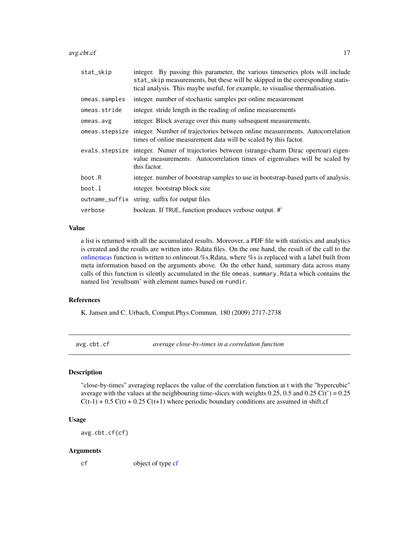<span id="page-16-0"></span>avg.cbt.cf 17

| stat_skip     | integer. By passing this parameter, the various timeseries plots will include<br>stat_skip measurements, but these will be skipped in the corresponding statis-<br>tical analysis. This maybe useful, for example, to visualise thermalisation. |
|---------------|-------------------------------------------------------------------------------------------------------------------------------------------------------------------------------------------------------------------------------------------------|
| omeas.samples | integer, number of stochastic samples per online measurement                                                                                                                                                                                    |
| omeas.stride  | integer, stride length in the reading of online measurements                                                                                                                                                                                    |
| omeas.avg     | integer. Block average over this many subsequent measurements.                                                                                                                                                                                  |
|               | omeas stepsize integer. Number of trajectories between online measurements. Autocorrelation<br>times of online measurement data will be scaled by this factor.                                                                                  |
|               | evals stepsize integer. Numer of trajectories between (strange-charm Dirac opertoar) eigen-<br>value measurements. Autocorrelation times of eigenvalues will be scaled by<br>this factor.                                                       |
| boot.R        | integer, number of bootstrap samples to use in bootstrap-based parts of analysis.                                                                                                                                                               |
| boot.l        | integer. bootstrap block size                                                                                                                                                                                                                   |
|               | outname_suffix string. suffix for output files                                                                                                                                                                                                  |
| verbose       | boolean. If TRUE, function produces verbose output. #'                                                                                                                                                                                          |

# Value

a list is returned with all the accumulated results. Moreover, a PDF file with statistics and analytics is created and the results are written into .Rdata files. On the one hand, the result of the call to the [onlinemeas](#page-113-1) function is written to onlineout.%s.Rdata, where %s is replaced with a label built from meta information based on the arguments above. On the other hand, summary data across many calls of this function is silently accumulated in the file omeas.summary.Rdata which contains the named list 'resultsum' with element names based on rundir.

#### References

K. Jansen and C. Urbach, Comput.Phys.Commun. 180 (2009) 2717-2738

avg.cbt.cf *average close-by-times in a correlation function*

# Description

"close-by-times" averaging replaces the value of the correlation function at t with the "hypercubic" average with the values at the neighbouring time-slices with weights 0.25, 0.5 and 0.25  $C(t') = 0.25$  $C(t-1) + 0.5 C(t) + 0.25 C(t+1)$  where periodic boundary conditions are assumed in shift.cf

#### Usage

avg.cbt.cf(cf)

#### Arguments

cf object of type [cf](#page-34-1)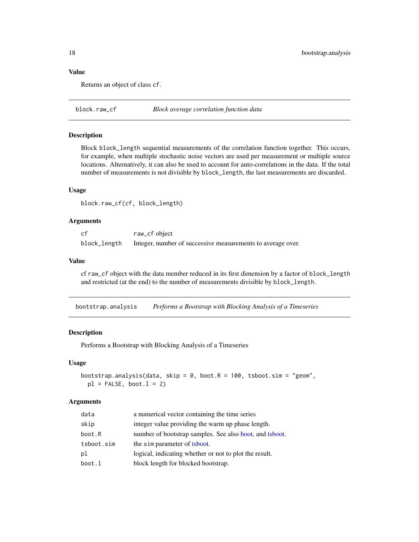# Value

Returns an object of class cf.

block.raw\_cf *Block average correlation function data*

# Description

Block block\_length sequential measurements of the correlation function together. This occurs, for example, when multiple stochastic noise vectors are used per measurement or multiple source locations. Alternatively, it can also be used to account for auto-correlations in the data. If the total number of measurements is not divisible by block\_length, the last measurements are discarded.

#### Usage

block.raw\_cf(cf, block\_length)

### Arguments

| cf           | raw_cf object                                               |
|--------------|-------------------------------------------------------------|
| block_length | Integer, number of successive measurements to average over. |

#### Value

cf raw\_cf object with the data member reduced in its first dimension by a factor of block\_length and restricted (at the end) to the number of measurements divisible by block\_length.

bootstrap.analysis *Performs a Bootstrap with Blocking Analysis of a Timeseries*

#### Description

Performs a Bootstrap with Blocking Analysis of a Timeseries

#### Usage

```
bootstrap.analysis(data, skip = 0, boot.R = 100, tsboot.sim = "geom",
 pl = FALSE, boot.1 = 2)
```

| data       | a numerical vector containing the time series           |
|------------|---------------------------------------------------------|
| skip       | integer value providing the warm up phase length.       |
| boot.R     | number of bootstrap samples. See also boot, and tsboot. |
| tsboot.sim | the simparameter of tsboot.                             |
| pl         | logical, indicating whether or not to plot the result.  |
| boot.l     | block length for blocked bootstrap.                     |

<span id="page-17-0"></span>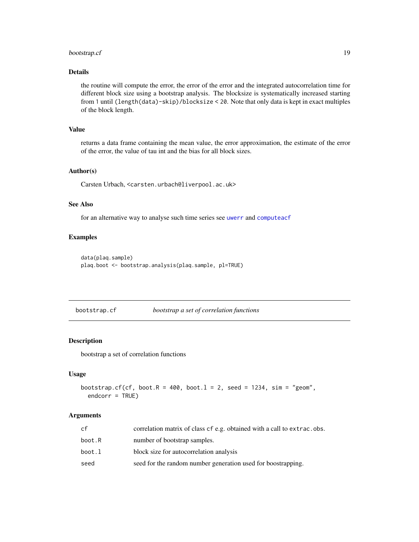# <span id="page-18-0"></span>bootstrap.cf 19

# Details

the routine will compute the error, the error of the error and the integrated autocorrelation time for different block size using a bootstrap analysis. The blocksize is systematically increased starting from 1 until (length(data)-skip)/blocksize < 20. Note that only data is kept in exact multiples of the block length.

#### Value

returns a data frame containing the mean value, the error approximation, the estimate of the error of the error, the value of tau int and the bias for all block sizes.

## Author(s)

Carsten Urbach, <carsten.urbach@liverpool.ac.uk>

#### See Also

for an alternative way to analyse such time series see [uwerr](#page-180-1) and [computeacf](#page-45-1)

# Examples

```
data(plaq.sample)
plaq.boot <- bootstrap.analysis(plaq.sample, pl=TRUE)
```
<span id="page-18-1"></span>bootstrap.cf *bootstrap a set of correlation functions*

#### Description

bootstrap a set of correlation functions

#### Usage

```
bootstrap.cf(cf, boot.R = 400, boot.1 = 2, seed = 1234, sim = "geom",
  endcorr = TRUE)
```

| cf     | correlation matrix of class cf e.g. obtained with a call to extrac.obs. |
|--------|-------------------------------------------------------------------------|
| boot.R | number of bootstrap samples.                                            |
| boot.l | block size for autocorrelation analysis                                 |
| seed   | seed for the random number generation used for boostrapping.            |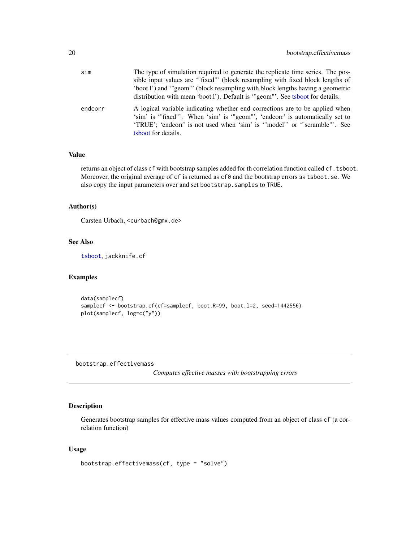<span id="page-19-0"></span>

| sim     | The type of simulation required to generate the replicate time series. The pos-<br>sible input values are "fixed" (block resampling with fixed block lengths of<br>'boot.l') and '"geom"' (block resampling with block lengths having a geometric<br>distribution with mean 'boot.l'). Default is "geom"'. See tsboot for details. |
|---------|------------------------------------------------------------------------------------------------------------------------------------------------------------------------------------------------------------------------------------------------------------------------------------------------------------------------------------|
| endcorr | A logical variable indicating whether end corrections are to be applied when<br>'sim' is '"fixed"'. When 'sim' is '"geom"', 'endcorr' is automatically set to<br>'TRUE'; 'endcorr' is not used when 'sim' is '"model"' or '"scramble"'. See<br>tsboot for details.                                                                 |

# Value

returns an object of class cf with bootstrap samples added for th correlation function called cf.tsboot. Moreover, the original average of cf is returned as cf0 and the bootstrap errors as tsboot.se. We also copy the input parameters over and set bootstrap.samples to TRUE.

# Author(s)

Carsten Urbach, <curbach@gmx.de>

#### See Also

[tsboot](#page-0-0), jackknife.cf

#### Examples

```
data(samplecf)
samplecf <- bootstrap.cf(cf=samplecf, boot.R=99, boot.l=2, seed=1442556)
plot(samplecf, log=c("y"))
```
bootstrap.effectivemass

*Computes effective masses with bootstrapping errors*

# Description

Generates bootstrap samples for effective mass values computed from an object of class cf (a correlation function)

```
bootstrap.effectivemass(cf, type = "solve")
```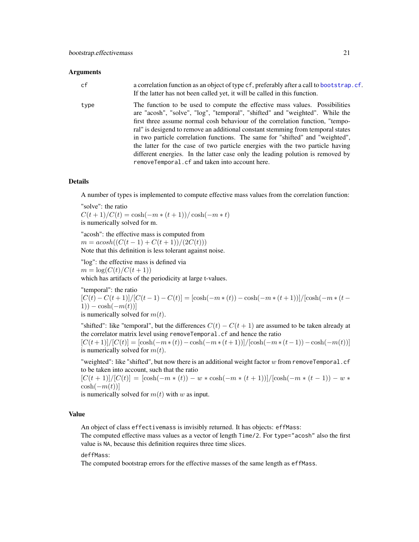#### **Arguments**

| cf   | a correlation function as an object of type cf, preferably after a call to bootstrap. cf.<br>If the latter has not been called yet, it will be called in this function.                                                                                                                                                                                                                                                                                                                                                                                                                                                               |
|------|---------------------------------------------------------------------------------------------------------------------------------------------------------------------------------------------------------------------------------------------------------------------------------------------------------------------------------------------------------------------------------------------------------------------------------------------------------------------------------------------------------------------------------------------------------------------------------------------------------------------------------------|
| type | The function to be used to compute the effective mass values. Possibilities<br>are "acosh", "solve", "log", "temporal", "shifted" and "weighted". While the<br>first three assume normal cosh behaviour of the correlation function, "tempo-<br>ral" is desigend to remove an additional constant stemming from temporal states<br>in two particle correlation functions. The same for "shifted" and "weighted",<br>the latter for the case of two particle energies with the two particle having<br>different energies. In the latter case only the leading polution is removed by<br>removeTemporal.cf and taken into account here. |

#### Details

A number of types is implemented to compute effective mass values from the correlation function:

"solve": the ratio

 $C(t+1)/C(t) = \cosh(-m * (t+1))/\cosh(-m * t)$ is numerically solved for m.

"acosh": the effective mass is computed from  $m = acosh((C(t-1) + C(t+1))/(2C(t)))$ Note that this definition is less tolerant against noise.

"log": the effective mass is defined via  $m = \log(C(t)/C(t + 1))$ which has artifacts of the periodicity at large t-values.

"temporal": the ratio  $[C(t) - C(t+1)]/[C(t-1) - C(t)] = [\cosh(-m*(t)) - \cosh(-m*(t+1))] / [\cosh(-m*(t+1))]$ 1)) –  $\cosh(-m(t))$ ] is numerically solved for  $m(t)$ .

"shifted": like "temporal", but the differences  $C(t) - C(t+1)$  are assumed to be taken already at the correlator matrix level using removeTemporal.cf and hence the ratio  $[C(t+1)]/[C(t)] = [\cosh(-m*(t)) - \cosh(-m*(t+1))]/[\cosh(-m*(t-1)) - \cosh(-m(t))]$ 

"weighted": like "shifted", but now there is an additional weight factor  $w$  from removeTemporal.cf to be taken into account, such that the ratio

 $[C(t+1)]/[C(t)] = [\cosh(-m * (t)) - w * \cosh(-m * (t+1))]/[\cosh(-m * (t-1)) - w *$  $\cosh(-m(t))]$ 

is numerically solved for  $m(t)$  with w as input.

is numerically solved for  $m(t)$ .

# Value

An object of class effectivemass is invisibly returned. It has objects: effMass:

The computed effective mass values as a vector of length Time/2. For type="acosh" also the first value is NA, because this definition requires three time slices.

deffMass:

The computed bootstrap errors for the effective masses of the same length as effMass.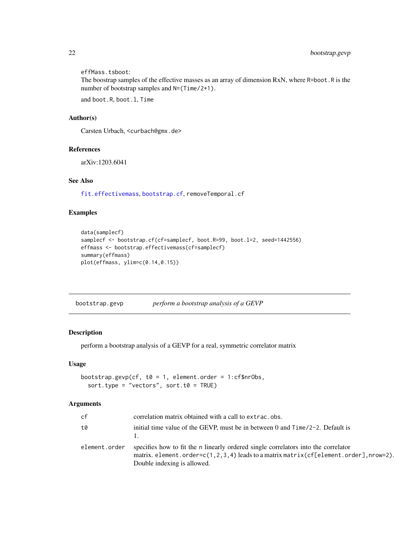<span id="page-21-0"></span>effMass.tsboot:

The boostrap samples of the effective masses as an array of dimension RxN, where R=boot.R is the number of bootstrap samples and  $N=(Time/2+1)$ .

and boot.R, boot.l, Time

# Author(s)

Carsten Urbach, <curbach@gmx.de>

# References

arXiv:1203.6041

# See Also

[fit.effectivemass](#page-74-1), [bootstrap.cf](#page-18-1), removeTemporal.cf

# Examples

```
data(samplecf)
samplecf <- bootstrap.cf(cf=samplecf, boot.R=99, boot.l=2, seed=1442556)
effmass <- bootstrap.effectivemass(cf=samplecf)
summary(effmass)
plot(effmass, ylim=c(0.14,0.15))
```
bootstrap.gevp *perform a bootstrap analysis of a GEVP*

# Description

perform a bootstrap analysis of a GEVP for a real, symmetric correlator matrix

#### Usage

```
bootstrap.gevp(cf, t0 = 1, element.order = 1:cf$nrObs,
  sort.type = "vectors", sort.t0 = TRUE)
```

| cf            | correlation matrix obtained with a call to extrac.obs.                                                                                                                                                         |
|---------------|----------------------------------------------------------------------------------------------------------------------------------------------------------------------------------------------------------------|
| t0            | initial time value of the GEVP, must be in between 0 and $Time/2-2$ . Default is                                                                                                                               |
| element.order | specifies how to fit the n linearly ordered single correlators into the correlator<br>matrix. element.order= $c(1,2,3,4)$ leads to a matrix matrix (cf[element.order], nrow=2).<br>Double indexing is allowed. |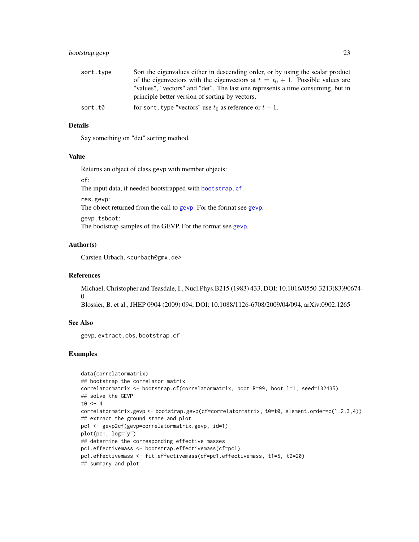# bootstrap.gevp 23

| sort.type | Sort the eigenvalues either in descending order, or by using the scalar product  |
|-----------|----------------------------------------------------------------------------------|
|           | of the eigenvectors with the eigenvectors at $t = t_0 + 1$ . Possible values are |
|           | "values", "vectors" and "det". The last one represents a time consuming, but in  |
|           | principle better version of sorting by vectors.                                  |
| sort.t0   | for sort, type "vectors" use $t_0$ as reference or $t-1$ .                       |

# Details

Say something on "det" sorting method.

#### Value

Returns an object of class gevp with member objects:

cf:

The input data, if needed bootstrapped with [bootstrap.cf](#page-18-1).

res.gevp:

The object returned from the call to [gevp](#page-83-1). For the format see [gevp](#page-83-1).

gevp.tsboot:

The bootstrap samples of the GEVP. For the format see [gevp](#page-83-1).

# Author(s)

Carsten Urbach, <curbach@gmx.de>

# References

Michael, Christopher and Teasdale, I., Nucl.Phys.B215 (1983) 433, DOI: 10.1016/0550-3213(83)90674-  $\Omega$ 

Blossier, B. et al., JHEP 0904 (2009) 094, DOI: 10.1088/1126-6708/2009/04/094, arXiv:0902.1265

# See Also

gevp, extract.obs, bootstrap.cf

#### Examples

```
data(correlatormatrix)
## bootstrap the correlator matrix
correlatormatrix <- bootstrap.cf(correlatormatrix, boot.R=99, boot.l=1, seed=132435)
## solve the GEVP
t0 < -4correlatormatrix.gevp <- bootstrap.gevp(cf=correlatormatrix, t0=t0, element.order=c(1,2,3,4))
## extract the ground state and plot
pc1 <- gevp2cf(gevp=correlatormatrix.gevp, id=1)
plot(pc1, log="y")
## determine the corresponding effective masses
pc1.effectivemass <- bootstrap.effectivemass(cf=pc1)
pc1.effectivemass <- fit.effectivemass(cf=pc1.effectivemass, t1=5, t2=20)
## summary and plot
```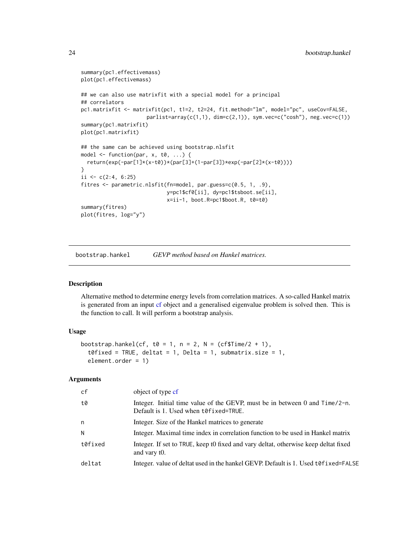```
summary(pc1.effectivemass)
plot(pc1.effectivemass)
## we can also use matrixfit with a special model for a principal
## correlators
pc1.matrixfit <- matrixfit(pc1, t1=2, t2=24, fit.method="lm", model="pc", useCov=FALSE,
                     parlist=array(c(1,1), dim=c(2,1)), sym.vec=c("cosh"), neg.vec=c(1))summary(pc1.matrixfit)
plot(pc1.matrixfit)
## the same can be achieved using bootstrap.nlsfit
model \leq function(par, x, t0, ...) {
  return(exp(-par[1]*(x-t0))*(par[3]+(1-par[3])*exp(-par[2]*(x-t0))))
}
ii \leq c(2:4, 6:25)fitres <- parametric.nlsfit(fn=model, par.guess=c(0.5, 1, .9),
                            y=pc1$cf0[ii], dy=pc1$tsboot.se[ii],
                            x=ii-1, boot.R=pc1$boot.R, t0=t0)
summary(fitres)
plot(fitres, log="y")
```
<span id="page-23-1"></span>bootstrap.hankel *GEVP method based on Hankel matrices.*

#### Description

Alternative method to determine energy levels from correlation matrices. A so-called Hankel matrix is generated from an input [cf](#page-34-1) object and a generalised eigenvalue problem is solved then. This is the function to call. It will perform a bootstrap analysis.

# Usage

```
bootstrap.hankel(cf, t0 = 1, n = 2, N = (cf $Time/2 + 1),
  t0fixed = TRUE, deltat = 1, Delta = 1, submatrix.size = 1,
  element.order = 1)
```

| cf      | object of type cf                                                                                                    |
|---------|----------------------------------------------------------------------------------------------------------------------|
| t0      | Integer. Initial time value of the GEVP, must be in between 0 and Time/2-n.<br>Default is 1. Used when t0fixed=TRUE. |
| n       | Integer. Size of the Hankel matrices to generate                                                                     |
| N       | Integer. Maximal time index in correlation function to be used in Hankel matrix                                      |
| t0fixed | Integer. If set to TRUE, keep t0 fixed and vary deltat, otherwise keep deltat fixed<br>and vary t0.                  |
| deltat  | Integer. value of deltat used in the hankel GEVP. Default is 1. Used to fixed=FALSE                                  |
|         |                                                                                                                      |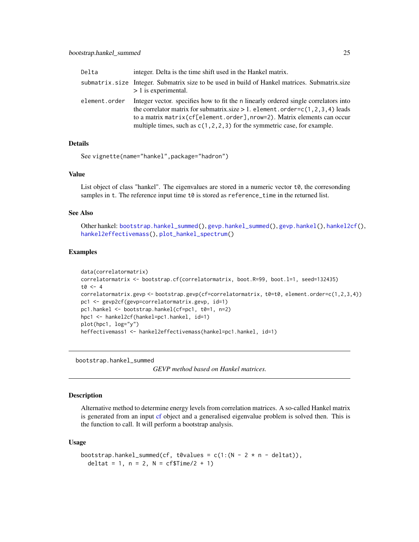<span id="page-24-0"></span>

| Delta         | integer. Delta is the time shift used in the Hankel matrix.                                                                                                                                                                                                                                                                           |
|---------------|---------------------------------------------------------------------------------------------------------------------------------------------------------------------------------------------------------------------------------------------------------------------------------------------------------------------------------------|
|               | submatrix, size Integer. Submatrix size to be used in build of Hankel matrices. Submatrix, size<br>$> 1$ is experimental.                                                                                                                                                                                                             |
| element.order | Integer vector, specifies how to fit the n linearly ordered single correlators into<br>the correlator matrix for submatrix size $> 1$ . element . order=c(1,2,3,4) leads<br>to a matrix matrix (cf[element.order], nrow=2). Matrix elements can occur<br>multiple times, such as $c(1, 2, 2, 3)$ for the symmetric case, for example. |

# Details

```
See vignette(name="hankel",package="hadron")
```
# Value

List object of class "hankel". The eigenvalues are stored in a numeric vector  $t\theta$ , the corresonding samples in t. The reference input time  $t \theta$  is stored as reference\_time in the returned list.

#### See Also

Other hankel: [bootstrap.hankel\\_summed\(](#page-24-1)), [gevp.hankel\\_summed\(](#page-85-1)), [gevp.hankel\(](#page-84-1)), [hankel2cf\(](#page-91-1)), [hankel2effectivemass\(](#page-92-1)), [plot\\_hankel\\_spectrum\(](#page-137-1))

# Examples

```
data(correlatormatrix)
correlatormatrix <- bootstrap.cf(correlatormatrix, boot.R=99, boot.l=1, seed=132435)
t0 < -4correlatormatrix.gevp <- bootstrap.gevp(cf=correlatormatrix, t0=t0, element.order=c(1,2,3,4))
pc1 <- gevp2cf(gevp=correlatormatrix.gevp, id=1)
pc1.hankel <- bootstrap.hankel(cf=pc1, t0=1, n=2)
hpc1 <- hankel2cf(hankel=pc1.hankel, id=1)
plot(hpc1, log="y")
heffectivemass1 <- hankel2effectivemass(hankel=pc1.hankel, id=1)
```
<span id="page-24-1"></span>bootstrap.hankel\_summed

```
GEVP method based on Hankel matrices.
```
#### Description

Alternative method to determine energy levels from correlation matrices. A so-called Hankel matrix is generated from an input [cf](#page-34-1) object and a generalised eigenvalue problem is solved then. This is the function to call. It will perform a bootstrap analysis.

```
bootstrap.hankel_summed(cf, t0values = c(1:(N - 2 * n - delta)),
  deltat = 1, n = 2, N = cffime/2 + 1)
```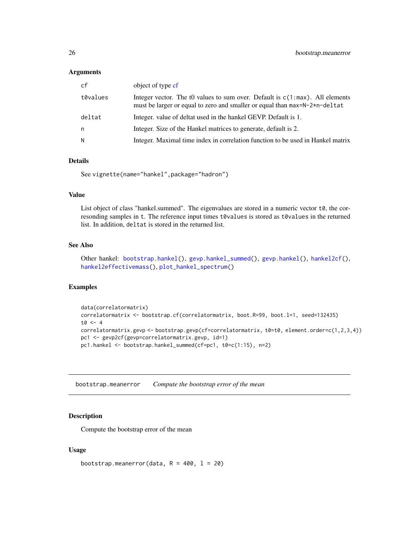#### <span id="page-25-0"></span>**Arguments**

| cf       | object of type cf                                                                                                                                             |
|----------|---------------------------------------------------------------------------------------------------------------------------------------------------------------|
| t0values | Integer vector. The t0 values to sum over. Default is $c(1:max)$ . All elements<br>must be larger or equal to zero and smaller or equal than max=N-2*n-deltat |
| deltat   | Integer. value of deltat used in the hankel GEVP. Default is 1.                                                                                               |
| n        | Integer. Size of the Hankel matrices to generate, default is 2.                                                                                               |
| N        | Integer. Maximal time index in correlation function to be used in Hankel matrix                                                                               |

# Details

See vignette(name="hankel",package="hadron")

#### Value

List object of class "hankel.summed". The eigenvalues are stored in a numeric vector  $t\theta$ , the corresonding samples in t. The reference input times t0values is stored as t0values in the returned list. In addition, deltat is stored in the returned list.

# See Also

Other hankel: [bootstrap.hankel\(](#page-23-1)), [gevp.hankel\\_summed\(](#page-85-1)), [gevp.hankel\(](#page-84-1)), [hankel2cf\(](#page-91-1)), [hankel2effectivemass\(](#page-92-1)), [plot\\_hankel\\_spectrum\(](#page-137-1))

#### Examples

```
data(correlatormatrix)
correlatormatrix <- bootstrap.cf(correlatormatrix, boot.R=99, boot.l=1, seed=132435)
t0 <- 4
correlatormatrix.gevp <- bootstrap.gevp(cf=correlatormatrix, t0=t0, element.order=c(1,2,3,4))
pc1 <- gevp2cf(gevp=correlatormatrix.gevp, id=1)
pc1.hankel <- bootstrap.hankel_summed(cf=pc1, t0=c(1:15), n=2)
```
bootstrap.meanerror *Compute the bootstrap error of the mean*

#### Description

Compute the bootstrap error of the mean

#### Usage

bootstrap.meanerror(data,  $R = 400$ ,  $l = 20$ )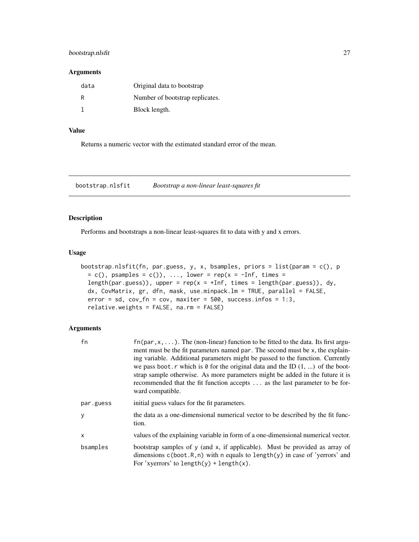# <span id="page-26-0"></span>bootstrap.nlsfit 27

#### Arguments

| data | Original data to bootstrap      |
|------|---------------------------------|
| R    | Number of bootstrap replicates. |
|      | Block length.                   |

# Value

Returns a numeric vector with the estimated standard error of the mean.

bootstrap.nlsfit *Bootstrap a non-linear least-squares fit*

# Description

Performs and bootstraps a non-linear least-squares fit to data with y and x errors.

#### Usage

```
bootstrap.nlsfit(fn, par.guess, y, x, bsamples, priors = list(param = c(), p
 = c(), psamples = c(), ..., lower = rep(x = -Inf, times =length(par.guess)), upper = rep(x = +Inf, times = length(par.guess)), dy,
  dx, CovMatrix, gr, dfn, mask, use.minpack.lm = TRUE, parallel = FALSE,
  error = sd, cov_fn = cov, maxiter = 500, success. infos = 1:3,
  relative.weights = FALSE, na.rm = FALSE)
```

| fn        | $f_n(\text{par}, x, \ldots)$ . The (non-linear) function to be fitted to the data. Its first argu-<br>ment must be the fit parameters named par. The second must be x, the explain-<br>ing variable. Additional parameters might be passed to the function. Currently<br>we pass boot. r which is $\theta$ for the original data and the ID $(1, \ldots)$ of the boot-<br>strap sample otherwise. As more parameters might be added in the future it is<br>recommended that the fit function accepts  as the last parameter to be for-<br>ward compatible. |
|-----------|------------------------------------------------------------------------------------------------------------------------------------------------------------------------------------------------------------------------------------------------------------------------------------------------------------------------------------------------------------------------------------------------------------------------------------------------------------------------------------------------------------------------------------------------------------|
| par.guess | initial guess values for the fit parameters.                                                                                                                                                                                                                                                                                                                                                                                                                                                                                                               |
| y         | the data as a one-dimensional numerical vector to be described by the fit func-<br>tion.                                                                                                                                                                                                                                                                                                                                                                                                                                                                   |
| X         | values of the explaining variable in form of a one-dimensional numerical vector.                                                                                                                                                                                                                                                                                                                                                                                                                                                                           |
| bsamples  | bootstrap samples of y (and x, if applicable). Must be provided as array of<br>dimensions $c(boot.R, n)$ with n equals to length $(y)$ in case of 'yerrors' and<br>For 'xyerrors' to length(y) + length(x).                                                                                                                                                                                                                                                                                                                                                |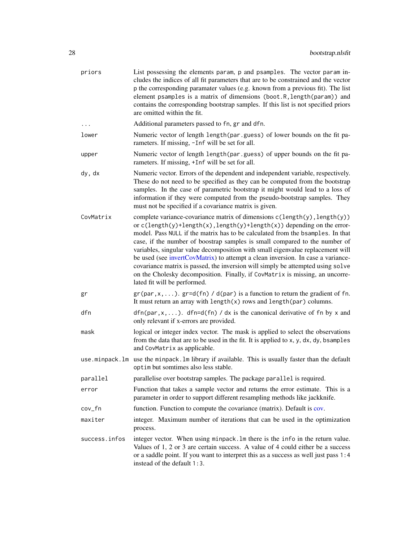| priors        | List possessing the elements param, p and psamples. The vector param in-<br>cludes the indices of all fit parameters that are to be constrained and the vector<br>p the corresponding paramater values (e.g. known from a previous fit). The list<br>element psamples is a matrix of dimensions (boot.R, length(param)) and<br>contains the corresponding bootstrap samples. If this list is not specified priors<br>are omitted within the fit.                                                                                                                                                                                                                                                  |
|---------------|---------------------------------------------------------------------------------------------------------------------------------------------------------------------------------------------------------------------------------------------------------------------------------------------------------------------------------------------------------------------------------------------------------------------------------------------------------------------------------------------------------------------------------------------------------------------------------------------------------------------------------------------------------------------------------------------------|
| $\cdots$      | Additional parameters passed to fn, gr and dfn.                                                                                                                                                                                                                                                                                                                                                                                                                                                                                                                                                                                                                                                   |
| lower         | Numeric vector of length length (par.guess) of lower bounds on the fit pa-<br>rameters. If missing, -Inf will be set for all.                                                                                                                                                                                                                                                                                                                                                                                                                                                                                                                                                                     |
| upper         | Numeric vector of length length (par.guess) of upper bounds on the fit pa-<br>rameters. If missing, +Inf will be set for all.                                                                                                                                                                                                                                                                                                                                                                                                                                                                                                                                                                     |
| dy, dx        | Numeric vector. Errors of the dependent and independent variable, respectively.<br>These do not need to be specified as they can be computed from the bootstrap<br>samples. In the case of parametric bootstrap it might would lead to a loss of<br>information if they were computed from the pseudo-bootstrap samples. They<br>must not be specified if a covariance matrix is given.                                                                                                                                                                                                                                                                                                           |
| CovMatrix     | complete variance-covariance matrix of dimensions c(length(y), length(y))<br>or $c(length(y) + length(x), length(y) + length(x))$ depending on the error-<br>model. Pass NULL if the matrix has to be calculated from the bsamples. In that<br>case, if the number of boostrap samples is small compared to the number of<br>variables, singular value decomposition with small eigenvalue replacement will<br>be used (see invertCovMatrix) to attempt a clean inversion. In case a variance-<br>covariance matrix is passed, the inversion will simply be attempted using solve<br>on the Cholesky decomposition. Finally, if CovMatrix is missing, an uncorre-<br>lated fit will be performed. |
| gr            | $gr(par, x, \ldots)$ . $gr=d(fn) / d(par)$ is a function to return the gradient of fn.<br>It must return an array with $length(x)$ rows and $length(par)$ columns.                                                                                                                                                                                                                                                                                                                                                                                                                                                                                                                                |
| dfn           | $dfn(par, x, \ldots)$ . dfn=d(fn) / dx is the canonical derivative of fn by x and<br>only relevant if x-errors are provided.                                                                                                                                                                                                                                                                                                                                                                                                                                                                                                                                                                      |
| mask          | logical or integer index vector. The mask is applied to select the observations<br>from the data that are to be used in the fit. It is applied to x, y, dx, dy, bsamples<br>and CovMatrix as applicable.                                                                                                                                                                                                                                                                                                                                                                                                                                                                                          |
|               | use minpack. Im use the minpack. Im library if available. This is usually faster than the default<br>optim but somtimes also less stable.                                                                                                                                                                                                                                                                                                                                                                                                                                                                                                                                                         |
| parallel      | parallelise over bootstrap samples. The package parallel is required.                                                                                                                                                                                                                                                                                                                                                                                                                                                                                                                                                                                                                             |
| error         | Function that takes a sample vector and returns the error estimate. This is a<br>parameter in order to support different resampling methods like jackknife.                                                                                                                                                                                                                                                                                                                                                                                                                                                                                                                                       |
| cov_fn        | function. Function to compute the covariance (matrix). Default is cov.                                                                                                                                                                                                                                                                                                                                                                                                                                                                                                                                                                                                                            |
| maxiter       | integer. Maximum number of iterations that can be used in the optimization<br>process.                                                                                                                                                                                                                                                                                                                                                                                                                                                                                                                                                                                                            |
| success.infos | integer vector. When using minpack. Im there is the info in the return value.<br>Values of 1, 2 or 3 are certain success. A value of 4 could either be a success<br>or a saddle point. If you want to interpret this as a success as well just pass 1:4<br>instead of the default 1:3.                                                                                                                                                                                                                                                                                                                                                                                                            |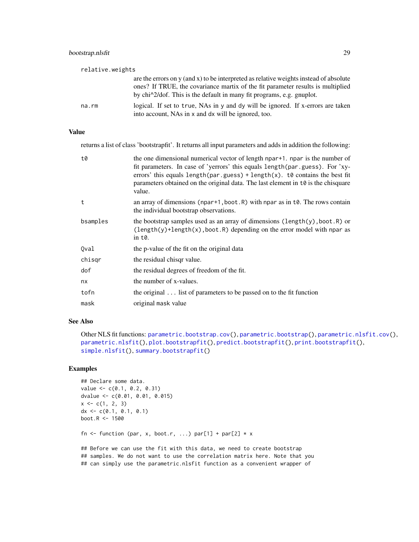| relative.weights |                                                                                                                                                                                                                                                                                        |
|------------------|----------------------------------------------------------------------------------------------------------------------------------------------------------------------------------------------------------------------------------------------------------------------------------------|
|                  | are the errors on $y$ (and $x$ ) to be interpreted as relative weights instead of absolute<br>ones? If TRUE, the covariance martix of the fit parameter results is multiplied<br>by chi <sup><math>\lambda</math></sup> 2/dof. This is the default in many fit programs, e.g. gnuplot. |
| na.rm            | logical. If set to true, NAs in y and dy will be ignored. If x-errors are taken<br>into account, NAs in x and dx will be ignored, too.                                                                                                                                                 |

# Value

returns a list of class 'bootstrapfit'. It returns all input parameters and adds in addition the following:

| t0       | the one dimensional numerical vector of length npar <sup>+1</sup> . npar is the number of<br>fit parameters. In case of 'yerrors' this equals length (par.guess). For 'xy-<br>errors' this equals length(par.guess) + length(x). t0 contains the best fit<br>parameters obtained on the original data. The last element in $t\theta$ is the chisquare<br>value. |
|----------|-----------------------------------------------------------------------------------------------------------------------------------------------------------------------------------------------------------------------------------------------------------------------------------------------------------------------------------------------------------------|
| t        | an array of dimensions (npar+1, boot.R) with npar as in $t\theta$ . The rows contain<br>the individual bootstrap observations.                                                                                                                                                                                                                                  |
| bsamples | the bootstrap samples used as an array of dimensions (length(y), boot.R) or<br>$\text{length}(y)$ +length $(x)$ , boot. R) depending on the error model with npar as<br>in t0.                                                                                                                                                                                  |
| Qval     | the p-value of the fit on the original data                                                                                                                                                                                                                                                                                                                     |
| chisgr   | the residual chisqr value.                                                                                                                                                                                                                                                                                                                                      |
| dof      | the residual degrees of freedom of the fit.                                                                                                                                                                                                                                                                                                                     |
| nx       | the number of x-values.                                                                                                                                                                                                                                                                                                                                         |
| tofn     | the original  list of parameters to be passed on to the fit function                                                                                                                                                                                                                                                                                            |
| mask     | original mask value                                                                                                                                                                                                                                                                                                                                             |

#### See Also

Other NLS fit functions: [parametric.bootstrap.cov\(](#page-117-1)), [parametric.bootstrap\(](#page-116-1)), [parametric.nlsfit.cov\(](#page-119-1)), [parametric.nlsfit\(](#page-118-1)), [plot.bootstrapfit\(](#page-124-1)), [predict.bootstrapfit\(](#page-139-1)), [print.bootstrapfit\(](#page-140-1)), [simple.nlsfit\(](#page-164-1)), [summary.bootstrapfit\(](#page-168-1))

# Examples

```
## Declare some data.
value <- c(0.1, 0.2, 0.31)
dvalue <- c(0.01, 0.01, 0.015)
x \leftarrow c(1, 2, 3)dx \leq c(0.1, 0.1, 0.1)boot.R <- 1500
```
fn <- function (par, x, boot.r, ...)  $par[1] + par[2] * x$ 

## Before we can use the fit with this data, we need to create bootstrap ## samples. We do not want to use the correlation matrix here. Note that you ## can simply use the parametric.nlsfit function as a convenient wrapper of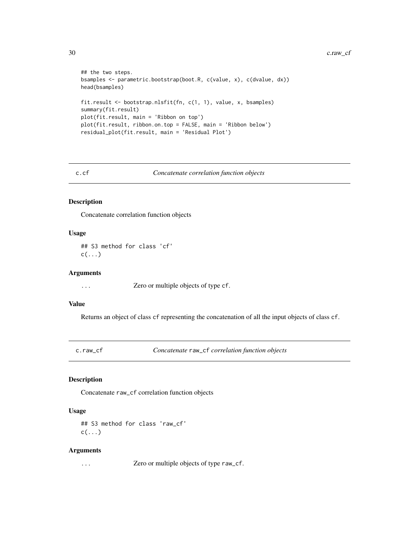```
## the two steps.
bsamples <- parametric.bootstrap(boot.R, c(value, x), c(dvalue, dx))
head(bsamples)
fit.result <- bootstrap.nlsfit(fn, c(1, 1), value, x, bsamples)
summary(fit.result)
plot(fit.result, main = 'Ribbon on top')
plot(fit.result, ribbon.on.top = FALSE, main = 'Ribbon below')
residual_plot(fit.result, main = 'Residual Plot')
```
#### c.cf *Concatenate correlation function objects*

#### Description

Concatenate correlation function objects

# Usage

## S3 method for class 'cf'  $c(\ldots)$ 

#### Arguments

... Zero or multiple objects of type cf.

#### Value

Returns an object of class cf representing the concatenation of all the input objects of class cf.

c.raw\_cf *Concatenate* raw\_cf *correlation function objects*

# Description

Concatenate raw\_cf correlation function objects

# Usage

## S3 method for class 'raw\_cf'  $c(\ldots)$ 

#### Arguments

... Zero or multiple objects of type raw\_cf.

<span id="page-29-0"></span>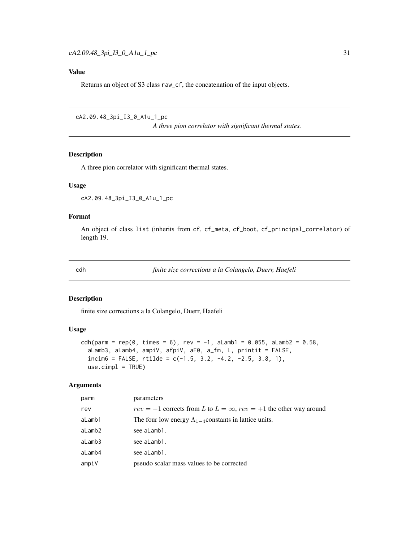# <span id="page-30-0"></span>Value

Returns an object of S3 class raw\_cf, the concatenation of the input objects.

```
cA2.09.48_3pi_I3_0_A1u_1_pc
```
*A three pion correlator with significant thermal states.*

# Description

A three pion correlator with significant thermal states.

#### Usage

cA2.09.48\_3pi\_I3\_0\_A1u\_1\_pc

#### Format

An object of class list (inherits from cf, cf\_meta, cf\_boot, cf\_principal\_correlator) of length 19.

cdh *finite size corrections a la Colangelo, Duerr, Haefeli*

#### Description

finite size corrections a la Colangelo, Duerr, Haefeli

#### Usage

```
cdh(param = rep(0, times = 6), rev = -1, alamb1 = 0.055, alamb2 = 0.58,aLamb3, aLamb4, ampiV, afpiV, aF0, a_fm, L, printit = FALSE,
  incim6 = FALSE, rtilde = c(-1.5, 3.2, -4.2, -2.5, 3.8, 1),use.cimpl = TRUE)
```

| parm   | parameters                                                                   |
|--------|------------------------------------------------------------------------------|
| rev    | $rev = -1$ corrects from L to $L = \infty$ , $rev = +1$ the other way around |
| aLamb1 | The four low energy $\Lambda_{1-4}$ constants in lattice units.              |
| aLamb2 | see aLamb1.                                                                  |
| aLamb3 | see aLamb1.                                                                  |
| aLamb4 | see aLamb1.                                                                  |
| ampiV  | pseudo scalar mass values to be corrected                                    |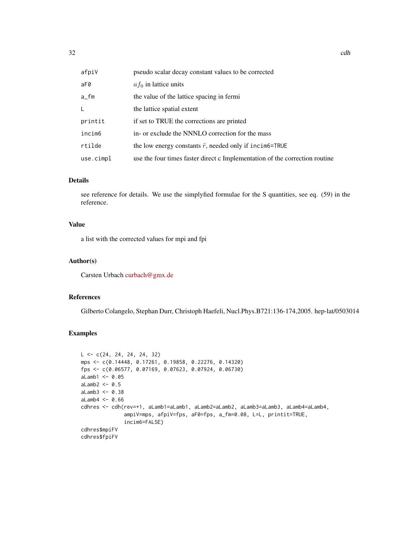| afpiV     | pseudo scalar decay constant values to be corrected                         |
|-----------|-----------------------------------------------------------------------------|
| aF0       | $af_0$ in lattice units                                                     |
| a_fm      | the value of the lattice spacing in fermi                                   |
| L         | the lattice spatial extent                                                  |
| printit   | if set to TRUE the corrections are printed                                  |
| incim6    | in- or exclude the NNNLO correction for the mass                            |
| rtilde    | the low energy constants $\tilde{r}$ , needed only if incimes-TRUE          |
| use.cimpl | use the four times faster direct c Implementation of the correction routine |

# Details

see reference for details. We use the simplyfied formulae for the S quantities, see eq. (59) in the reference.

# Value

a list with the corrected values for mpi and fpi

# Author(s)

Carsten Urbach [curbach@gmx.de](mailto:curbach@gmx.de)

# References

Gilberto Colangelo, Stephan Durr, Christoph Haefeli, Nucl.Phys.B721:136-174,2005. hep-lat/0503014

# Examples

```
L \leq -c(24, 24, 24, 24, 32)mps <- c(0.14448, 0.17261, 0.19858, 0.22276, 0.14320)
fps <- c(0.06577, 0.07169, 0.07623, 0.07924, 0.06730)
alamb1 < -0.05aLamb2 < -0.5aLamb3 < -0.38aLamb4 < -0.66cdhres <- cdh(rev=+1, aLamb1=aLamb1, aLamb2=aLamb2, aLamb3=aLamb3, aLamb4=aLamb4,
              ampiV=mps, afpiV=fps, aF0=fps, a_fm=0.08, L=L, printit=TRUE,
              incim6=FALSE)
cdhres$mpiFV
cdhres$fpiFV
```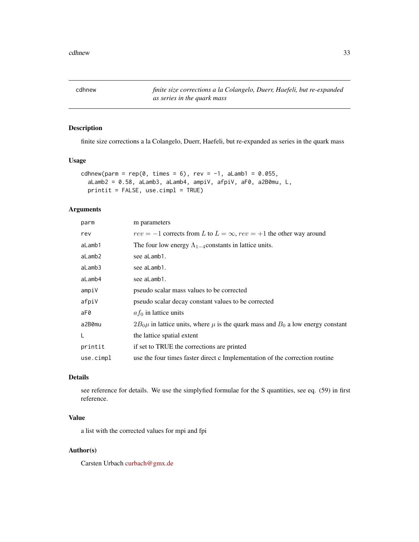<span id="page-32-0"></span>cdhnew *finite size corrections a la Colangelo, Duerr, Haefeli, but re-expanded as series in the quark mass*

# Description

finite size corrections a la Colangelo, Duerr, Haefeli, but re-expanded as series in the quark mass

#### Usage

```
cdhnew(parm = rep(0, times = 6), rev = -1, aLamb1 = 0.055,
 aLamb2 = 0.58, aLamb3, aLamb4, ampiV, afpiV, aF0, a2B0mu, L,
 printit = FALSE, use.cimpl = TRUE)
```
# Arguments

| parm      | m parameters                                                                              |
|-----------|-------------------------------------------------------------------------------------------|
| rev       | $rev = -1$ corrects from L to $L = \infty$ , $rev = +1$ the other way around              |
| aLamb1    | The four low energy $\Lambda_{1-4}$ constants in lattice units.                           |
| aLamb2    | see aLamb1.                                                                               |
| aLamb3    | see aLamb1.                                                                               |
| aLamb4    | see aLamb1.                                                                               |
| ampiV     | pseudo scalar mass values to be corrected                                                 |
| afpiV     | pseudo scalar decay constant values to be corrected                                       |
| aF0       | $af_0$ in lattice units                                                                   |
| a2B0mu    | $2B_0\mu$ in lattice units, where $\mu$ is the quark mass and $B_0$ a low energy constant |
| L         | the lattice spatial extent                                                                |
| printit   | if set to TRUE the corrections are printed                                                |
| use.cimpl | use the four times faster direct c Implementation of the correction routine               |
|           |                                                                                           |

# Details

see reference for details. We use the simplyfied formulae for the S quantities, see eq. (59) in first reference.

# Value

a list with the corrected values for mpi and fpi

# Author(s)

Carsten Urbach [curbach@gmx.de](mailto:curbach@gmx.de)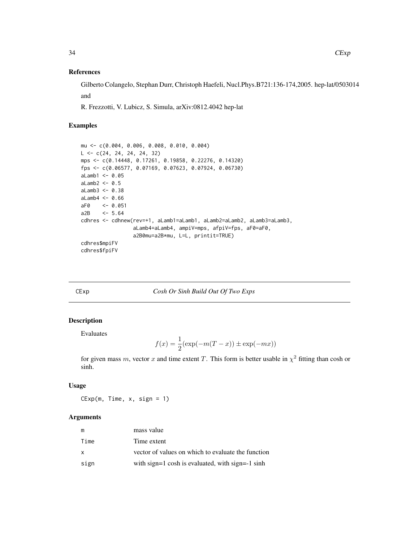#### References

Gilberto Colangelo, Stephan Durr, Christoph Haefeli, Nucl.Phys.B721:136-174,2005. hep-lat/0503014 and

R. Frezzotti, V. Lubicz, S. Simula, arXiv:0812.4042 hep-lat

#### Examples

```
mu <- c(0.004, 0.006, 0.008, 0.010, 0.004)
L \leftarrow c(24, 24, 24, 24, 32)mps <- c(0.14448, 0.17261, 0.19858, 0.22276, 0.14320)
fps <- c(0.06577, 0.07169, 0.07623, 0.07924, 0.06730)
alamb1 < -0.05aLamb2 < -0.5aLamb3 <- 0.38
aLamb4 < -0.66aF0 <- 0.051
a2B <- 5.64
cdhres <- cdhnew(rev=+1, aLamb1=aLamb1, aLamb2=aLamb2, aLamb3=aLamb3,
                 aLamb4=aLamb4, ampiV=mps, afpiV=fps, aF0=aF0,
                 a2B0mu=a2B*mu, L=L, printit=TRUE)
cdhres$mpiFV
cdhres$fpiFV
```
CExp *Cosh Or Sinh Build Out Of Two Exps*

# Description

Evaluates

$$
f(x) = \frac{1}{2}(\exp(-m(T - x)) \pm \exp(-mx))
$$

for given mass m, vector x and time extent T. This form is better usable in  $\chi^2$  fitting than cosh or sinh.

#### Usage

 $CExp(m, Time, x, sign = 1)$ 

| m    | mass value                                         |
|------|----------------------------------------------------|
| Time | Time extent                                        |
| X    | vector of values on which to evaluate the function |
| sign | with sign=1 cosh is evaluated, with sign=-1 sinh   |

<span id="page-33-0"></span>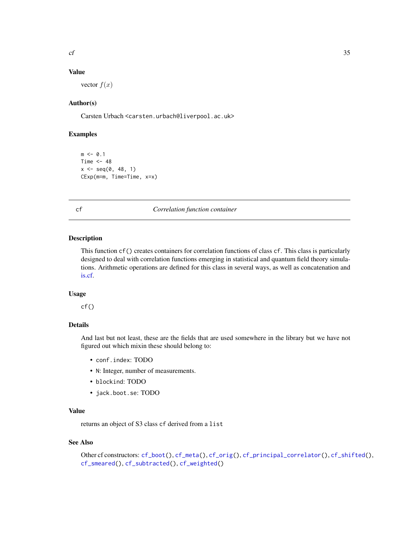# <span id="page-34-0"></span>Value

vector  $f(x)$ 

# Author(s)

Carsten Urbach <carsten.urbach@liverpool.ac.uk>

# Examples

```
m < -0.1Time <-48x \leq - seq(0, 48, 1)
CExp(m=m, Time=Time, x=x)
```
#### <span id="page-34-1"></span>cf *Correlation function container*

# Description

This function cf() creates containers for correlation functions of class cf. This class is particularly designed to deal with correlation functions emerging in statistical and quantum field theory simulations. Arithmetic operations are defined for this class in several ways, as well as concatenation and [is.cf.](#page-97-1)

# Usage

 $cf()$ 

#### Details

And last but not least, these are the fields that are used somewhere in the library but we have not figured out which mixin these should belong to:

- conf.index: TODO
- N: Integer, number of measurements.
- blockind: TODO
- jack.boot.se: TODO

# Value

returns an object of S3 class cf derived from a list

# See Also

```
Other cf constructors: cf_boot(), cf_meta(), cf_orig(), cf_principal_correlator(), cf_shifted(),
cf_smeared(), cf_subtracted(), cf_weighted()
```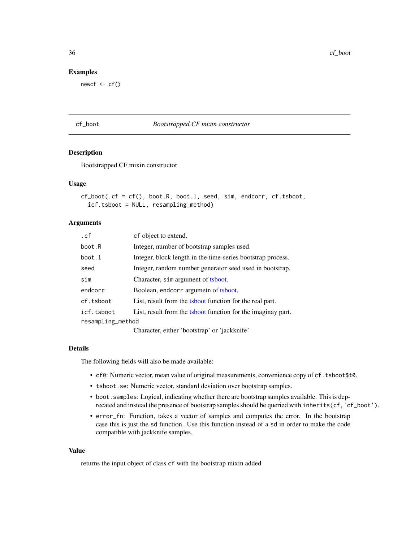36 cf\_boot

#### Examples

newcf  $\leq$  cf()

# <span id="page-35-1"></span>cf\_boot *Bootstrapped CF mixin constructor*

# Description

Bootstrapped CF mixin constructor

#### Usage

```
cf\_boot(.cf = cf(), boot.R, boot.1, seed, sim, endcorr, cf.tsboot,
  icf.tsboot = NULL, resampling_method)
```
# Arguments

| .cf               | cf object to extend.                                         |  |
|-------------------|--------------------------------------------------------------|--|
| boot.R            | Integer, number of bootstrap samples used.                   |  |
| boot.1            | Integer, block length in the time-series bootstrap process.  |  |
| seed              | Integer, random number generator seed used in bootstrap.     |  |
| sim               | Character, sim argument of tsboot.                           |  |
| endcorr           | Boolean, endcorr argumeth of tsboot.                         |  |
| cf.tsboot         | List, result from the tsboot function for the real part.     |  |
| icf.tsboot        | List, result from the tsboot function for the imaginay part. |  |
| resampling_method |                                                              |  |
|                   |                                                              |  |

Character, either 'bootstrap' or 'jackknife'

#### Details

The following fields will also be made available:

- cf0: Numeric vector, mean value of original measurements, convenience copy of cf.tsboot\$t0.
- tsboot.se: Numeric vector, standard deviation over bootstrap samples.
- boot.samples: Logical, indicating whether there are bootstrap samples available. This is deprecated and instead the presence of bootstrap samples should be queried with inherits(cf,'cf\_boot').
- error\_fn: Function, takes a vector of samples and computes the error. In the bootstrap case this is just the sd function. Use this function instead of a sd in order to make the code compatible with jackknife samples.

# Value

returns the input object of class cf with the bootstrap mixin added

<span id="page-35-0"></span>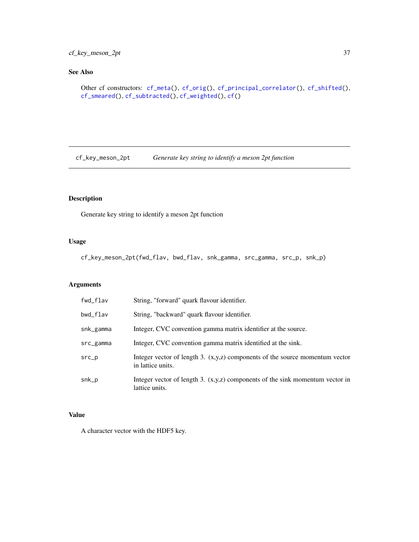# cf\_key\_meson\_2pt 37

# See Also

```
Other cf constructors: cf_meta(), cf_orig(), cf_principal_correlator(), cf_shifted(),
cf_smeared(), cf_subtracted(), cf_weighted(), cf()
```
cf\_key\_meson\_2pt *Generate key string to identify a meson 2pt function*

# Description

Generate key string to identify a meson 2pt function

### Usage

cf\_key\_meson\_2pt(fwd\_flav, bwd\_flav, snk\_gamma, src\_gamma, src\_p, snk\_p)

### Arguments

| fwd_flav  | String, "forward" quark flavour identifier.                                                           |
|-----------|-------------------------------------------------------------------------------------------------------|
| bwd_flav  | String, "backward" quark flavour identifier.                                                          |
| snk_gamma | Integer, CVC convention gamma matrix identifier at the source.                                        |
| src_gamma | Integer, CVC convention gamma matrix identified at the sink.                                          |
| $src_p$   | Integer vector of length 3. $(x, y, z)$ components of the source momentum vector<br>in lattice units. |
| snk_p     | Integer vector of length 3. $(x, y, z)$ components of the sink momentum vector in<br>lattice units.   |

# Value

A character vector with the HDF5 key.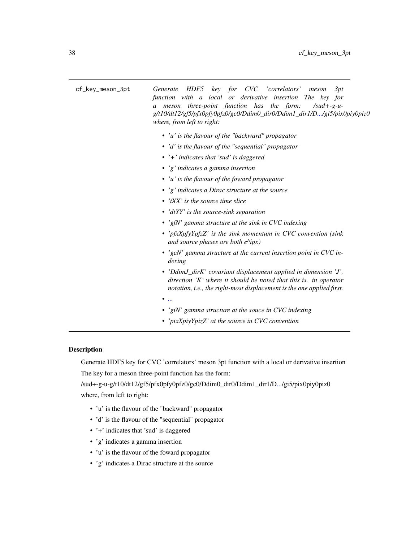cf\_key\_meson\_3pt *Generate HDF5 key for CVC 'correlators' meson 3pt function with a local or derivative insertion The key for a meson three-point function has the form: /sud+-g-ug/t10/dt12/gf5/pfx0pfy0pfz0/gc0/Ddim0\_dir0/Ddim1\_dir1/[D.../](#page-0-0)gi5/pix0piy0piz0 where, from left to right: • 'u' is the flavour of the "backward" propagator • 'd' is the flavour of the "sequential" propagator • '+' indicates that 'sud' is daggered • 'g' indicates a gamma insertion • 'u' is the flavour of the foward propagator • 'g' indicates a Dirac structure at the source • 'tXX' is the source time slice • 'dtYY' is the source-sink separation • 'gfN' gamma structure at the sink in CVC indexing • 'pfxXpfyYpfzZ' is the sink momentum in CVC convention (sink and source phases are both e^ipx) • 'gcN' gamma structure at the current insertion point in CVC indexing • 'DdimJ\_dirK' covariant displacement applied in dimension 'J', direction 'K' where it should be noted that this is. in operator notation, i.e., the right-most displacement is the one applied first. • [...](#page-0-0) • 'giN' gamma structure at the souce in CVC indexing • 'pixXpiyYpizZ' at the source in CVC convention*

# Description

Generate HDF5 key for CVC 'correlators' meson 3pt function with a local or derivative insertion The key for a meson three-point function has the form:

/sud+-g-u-g/t10/dt12/gf5/pfx0pfy0pfz0/gc0/Ddim0\_dir0/Ddim1\_dir1/[D.../](#page-0-0)gi5/pix0piy0piz0 where, from left to right:

- 'u' is the flavour of the "backward" propagator
- 'd' is the flavour of the "sequential" propagator
- '+' indicates that 'sud' is daggered
- 'g' indicates a gamma insertion
- 'u' is the flavour of the foward propagator
- 'g' indicates a Dirac structure at the source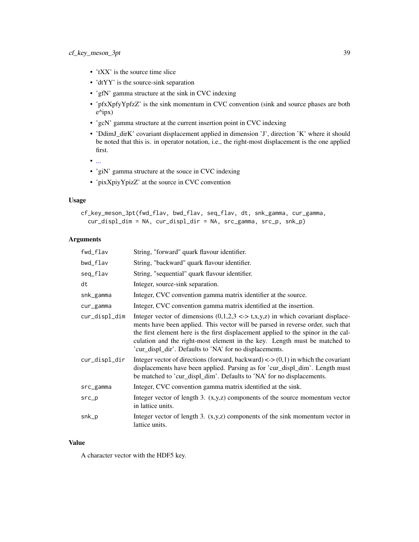- 'tXX' is the source time slice
- 'dtYY' is the source-sink separation
- 'gfN' gamma structure at the sink in CVC indexing
- 'pfxXpfyYpfzZ' is the sink momentum in CVC convention (sink and source phases are both e^ipx)
- 'gcN' gamma structure at the current insertion point in CVC indexing
- 'DdimJ\_dirK' covariant displacement applied in dimension 'J', direction 'K' where it should be noted that this is. in operator notation, i.e., the right-most displacement is the one applied first.
- $\bullet$  [...](#page-0-0)
- 'giN' gamma structure at the souce in CVC indexing
- 'pixXpiyYpizZ' at the source in CVC convention

#### Usage

```
cf_key_meson_3pt(fwd_flav, bwd_flav, seq_flav, dt, snk_gamma, cur_gamma,
  cur_displ_dim = NA, cur_displ_dir = NA, src_gamma, src_p, snk_p)
```
# Arguments

| fwd_flav      | String, "forward" quark flavour identifier.                                                                                                                                                                                                                                                                                                                                                                |
|---------------|------------------------------------------------------------------------------------------------------------------------------------------------------------------------------------------------------------------------------------------------------------------------------------------------------------------------------------------------------------------------------------------------------------|
| bwd_flav      | String, "backward" quark flavour identifier.                                                                                                                                                                                                                                                                                                                                                               |
| seq_flav      | String, "sequential" quark flavour identifier.                                                                                                                                                                                                                                                                                                                                                             |
| dt            | Integer, source-sink separation.                                                                                                                                                                                                                                                                                                                                                                           |
| snk_gamma     | Integer, CVC convention gamma matrix identifier at the source.                                                                                                                                                                                                                                                                                                                                             |
| cur_gamma     | Integer, CVC convention gamma matrix identified at the insertion.                                                                                                                                                                                                                                                                                                                                          |
| cur_displ_dim | Integer vector of dimensions $(0,1,2,3 \leq z \leq t,x,y,z)$ in which covariant displace-<br>ments have been applied. This vector will be parsed in reverse order, such that<br>the first element here is the first displacement applied to the spinor in the cal-<br>culation and the right-most element in the key. Length must be matched to<br>'cur_displ_dir'. Defaults to 'NA' for no displacements. |
| cur_displ_dir | Integer vector of directions (forward, backward) $\langle 0,1 \rangle$ in which the covariant<br>displacements have been applied. Parsing as for 'cur_displ_dim'. Length must<br>be matched to 'cur_displ_dim'. Defaults to 'NA' for no displacements.                                                                                                                                                     |
| src_gamma     | Integer, CVC convention gamma matrix identified at the sink.                                                                                                                                                                                                                                                                                                                                               |
| $src\_p$      | Integer vector of length 3. $(x, y, z)$ components of the source momentum vector<br>in lattice units.                                                                                                                                                                                                                                                                                                      |
| snk_p         | Integer vector of length 3. $(x, y, z)$ components of the sink momentum vector in<br>lattice units.                                                                                                                                                                                                                                                                                                        |

### Value

A character vector with the HDF5 key.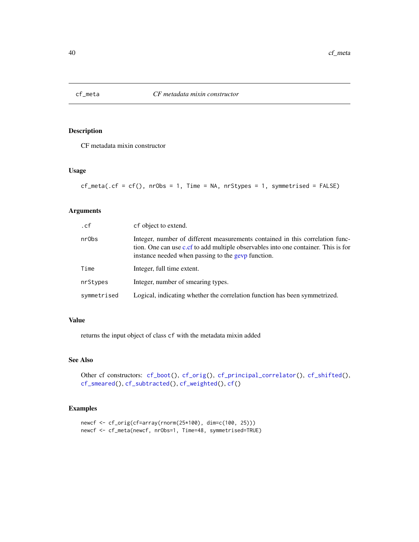<span id="page-39-0"></span>

CF metadata mixin constructor

### Usage

```
cf_meta(cf = cf(), nrobs = 1, Time = NA, nrstypes = 1, symmetriced = FALSE)
```
# Arguments

| .cf         | cf object to extend.                                                                                                                                                                                                      |
|-------------|---------------------------------------------------------------------------------------------------------------------------------------------------------------------------------------------------------------------------|
| nrObs       | Integer, number of different measurements contained in this correlation func-<br>tion. One can use c.cf to add multiple observables into one container. This is for<br>instance needed when passing to the gevp function. |
| Time        | Integer, full time extent.                                                                                                                                                                                                |
| nrStypes    | Integer, number of smearing types.                                                                                                                                                                                        |
| symmetrised | Logical, indicating whether the correlation function has been symmetrized.                                                                                                                                                |

## Value

returns the input object of class cf with the metadata mixin added

### See Also

```
Other cf constructors: cf_boot(), cf_orig(), cf_principal_correlator(), cf_shifted(),
cf_smeared(), cf_subtracted(), cf_weighted(), cf()
```
# Examples

```
newcf <- cf_orig(cf=array(rnorm(25*100), dim=c(100, 25)))
newcf <- cf_meta(newcf, nrObs=1, Time=48, symmetrised=TRUE)
```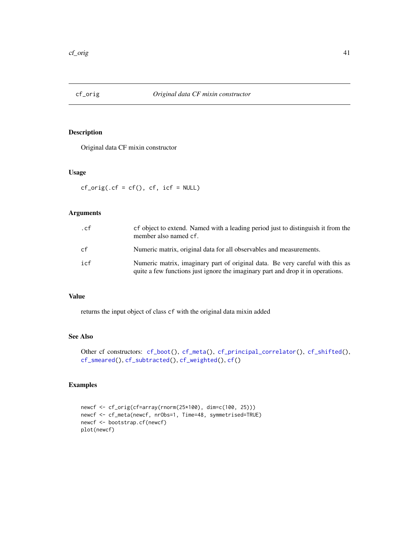<span id="page-40-0"></span>

Original data CF mixin constructor

# Usage

 $cf\_orig(.cf = cf(), cf, icf = NULL)$ 

### Arguments

| .cf | of object to extend. Named with a leading period just to distinguish it from the<br>member also named cf.                                                        |
|-----|------------------------------------------------------------------------------------------------------------------------------------------------------------------|
| cf  | Numeric matrix, original data for all observables and measurements.                                                                                              |
| icf | Numeric matrix, imaginary part of original data. Be very careful with this as<br>quite a few functions just ignore the imaginary part and drop it in operations. |

### Value

returns the input object of class cf with the original data mixin added

# See Also

```
Other cf constructors: cf_boot(), cf_meta(), cf_principal_correlator(), cf_shifted(),
cf_smeared(), cf_subtracted(), cf_weighted(), cf()
```
# Examples

```
newcf <- cf_orig(cf=array(rnorm(25*100), dim=c(100, 25)))
newcf <- cf_meta(newcf, nrObs=1, Time=48, symmetrised=TRUE)
newcf <- bootstrap.cf(newcf)
plot(newcf)
```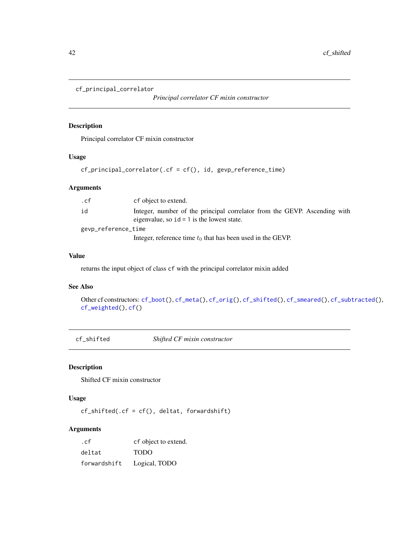```
cf_principal_correlator
```
*Principal correlator CF mixin constructor*

# Description

Principal correlator CF mixin constructor

### Usage

cf\_principal\_correlator(.cf = cf(), id, gevp\_reference\_time)

### Arguments

| .cf                 | cf object to extend.                                                                                                      |  |
|---------------------|---------------------------------------------------------------------------------------------------------------------------|--|
| id                  | Integer, number of the principal correlator from the GEVP. Ascending with<br>eigenvalue, so $id = 1$ is the lowest state. |  |
| gevp_reference_time |                                                                                                                           |  |
|                     | Integer, reference time $t_0$ that has been used in the GEVP.                                                             |  |

# Value

returns the input object of class cf with the principal correlator mixin added

# See Also

```
Other cf constructors: cf_boot(), cf_meta(), cf_orig(), cf_shifted(), cf_smeared(), cf_subtracted(),
cf_weighted(), cf()
```
<span id="page-41-1"></span>cf\_shifted *Shifted CF mixin constructor*

# Description

Shifted CF mixin constructor

# Usage

 $cf\_shifted(.cf = cf(), delta, forwardshift)$ 

| .cf          | cf object to extend. |
|--------------|----------------------|
| deltat       | <b>TODO</b>          |
| forwardshift | Logical, TODO        |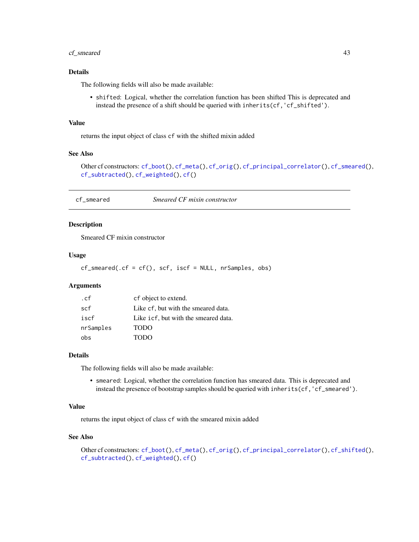### cf\_smeared 43

### Details

The following fields will also be made available:

• shifted: Logical, whether the correlation function has been shifted This is deprecated and instead the presence of a shift should be queried with inherits(cf,'cf\_shifted').

#### Value

returns the input object of class cf with the shifted mixin added

# See Also

Other cf constructors: [cf\\_boot\(](#page-35-0)), [cf\\_meta\(](#page-39-0)), [cf\\_orig\(](#page-40-0)), [cf\\_principal\\_correlator\(](#page-41-0)), [cf\\_smeared\(](#page-42-0)), [cf\\_subtracted\(](#page-43-0)), [cf\\_weighted\(](#page-43-1)), [cf\(](#page-34-0))

<span id="page-42-0"></span>cf\_smeared *Smeared CF mixin constructor*

### Description

Smeared CF mixin constructor

### Usage

 $cf\_smeared(.cf = cf(), scf, iscf = NULL, nrSamples, obs)$ 

# Arguments

| .cf       | cf object to extend.                 |
|-----------|--------------------------------------|
| scf       | Like cf, but with the smeared data.  |
| iscf      | Like icf, but with the smeared data. |
| nrSamples | <b>TODO</b>                          |
| obs       | TODO                                 |

#### Details

The following fields will also be made available:

• smeared: Logical, whether the correlation function has smeared data. This is deprecated and instead the presence of bootstrap samples should be queried with inherits(cf,'cf\_smeared').

### Value

returns the input object of class cf with the smeared mixin added

### See Also

Other cf constructors: [cf\\_boot\(](#page-35-0)), [cf\\_meta\(](#page-39-0)), [cf\\_orig\(](#page-40-0)), [cf\\_principal\\_correlator\(](#page-41-0)), [cf\\_shifted\(](#page-41-1)), [cf\\_subtracted\(](#page-43-0)), [cf\\_weighted\(](#page-43-1)), [cf\(](#page-34-0))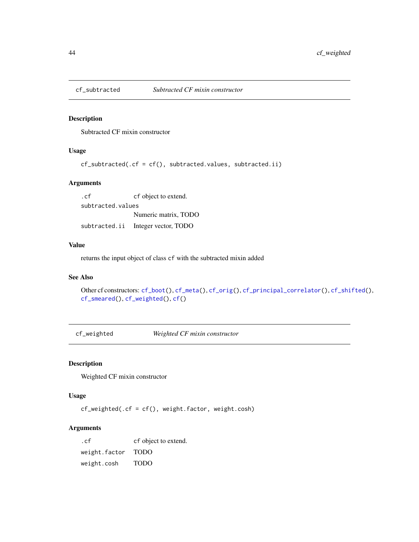<span id="page-43-0"></span>

Subtracted CF mixin constructor

# Usage

 $cf\_subtracted(.cf = cf(), subtrated.values, subtrated.ii)$ 

## Arguments

. cf cf object to extend. subtracted.values Numeric matrix, TODO subtracted.ii Integer vector, TODO

### Value

returns the input object of class cf with the subtracted mixin added

### See Also

```
Other cf constructors: cf_boot(), cf_meta(), cf_orig(), cf_principal_correlator(), cf_shifted(),
cf_smeared(), cf_weighted(), cf()
```
<span id="page-43-1"></span>cf\_weighted *Weighted CF mixin constructor*

#### Description

Weighted CF mixin constructor

# Usage

cf\_weighted(.cf = cf(), weight.factor, weight.cosh)

#### Arguments

. cf cf object to extend. weight.factor TODO weight.cosh TODO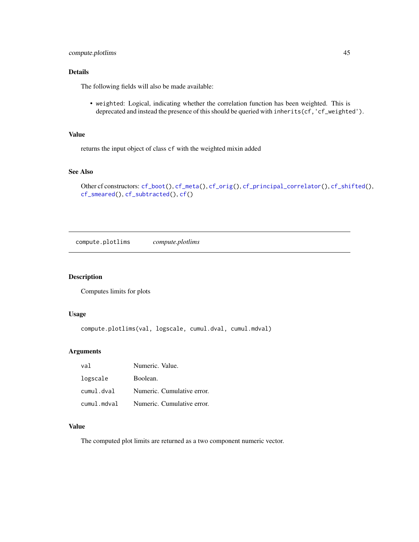# Details

The following fields will also be made available:

• weighted: Logical, indicating whether the correlation function has been weighted. This is deprecated and instead the presence of this should be queried with inherits(cf, 'cf\_weighted').

### Value

returns the input object of class cf with the weighted mixin added

### See Also

```
Other cf constructors: cf_boot(), cf_meta(), cf_orig(), cf_principal_correlator(), cf_shifted(),
cf_smeared(), cf_subtracted(), cf()
```
compute.plotlims *compute.plotlims*

### Description

Computes limits for plots

#### Usage

compute.plotlims(val, logscale, cumul.dval, cumul.mdval)

### Arguments

| val         | Numeric. Value.            |
|-------------|----------------------------|
| logscale    | Boolean.                   |
| cumul.dval  | Numeric. Cumulative error. |
| cumul.mdval | Numeric. Cumulative error. |

### Value

The computed plot limits are returned as a two component numeric vector.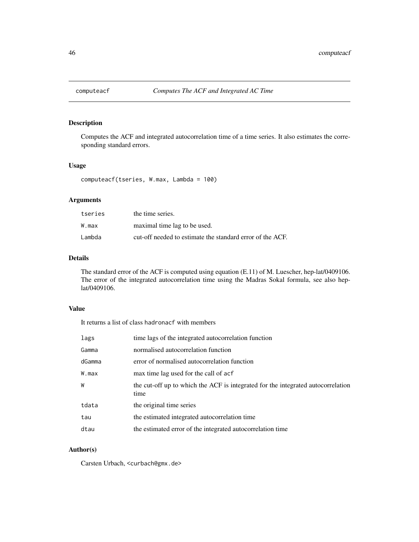Computes the ACF and integrated autocorrelation time of a time series. It also estimates the corresponding standard errors.

## Usage

computeacf(tseries, W.max, Lambda = 100)

# Arguments

| tseries | the time series.                                          |
|---------|-----------------------------------------------------------|
| W.max   | maximal time lag to be used.                              |
| Lambda  | cut-off needed to estimate the standard error of the ACF. |

### Details

The standard error of the ACF is computed using equation (E.11) of M. Luescher, hep-lat/0409106. The error of the integrated autocorrelation time using the Madras Sokal formula, see also heplat/0409106.

### Value

It returns a list of class hadronacf with members

| lags   | time lags of the integrated autocorrelation function                                     |
|--------|------------------------------------------------------------------------------------------|
| Gamma  | normalised autocorrelation function                                                      |
| dGamma | error of normalised autocorrelation function                                             |
| W.max  | max time lag used for the call of acf                                                    |
| W      | the cut-off up to which the ACF is integrated for the integrated autocorrelation<br>time |
| tdata  | the original time series                                                                 |
| tau    | the estimated integrated autocorrelation time                                            |
| dtau   | the estimated error of the integrated autocorrelation time                               |

# Author(s)

Carsten Urbach, <curbach@gmx.de>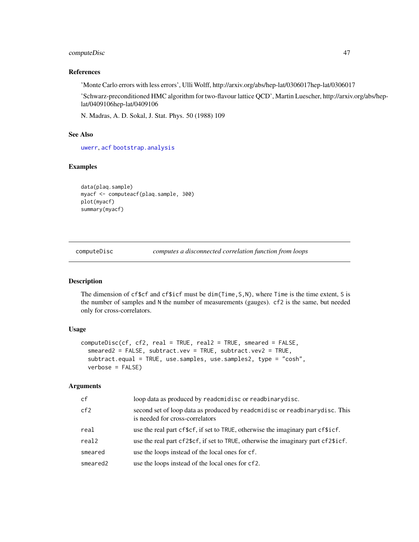### computeDisc 47

## References

'Monte Carlo errors with less errors', Ulli Wolff, http://arxiv.org/abs/hep-lat/0306017hep-lat/0306017

'Schwarz-preconditioned HMC algorithm for two-flavour lattice QCD', Martin Luescher, http://arxiv.org/abs/heplat/0409106hep-lat/0409106

N. Madras, A. D. Sokal, J. Stat. Phys. 50 (1988) 109

# See Also

[uwerr](#page-180-0), [acf](#page-0-0) [bootstrap.analysis](#page-17-0)

## Examples

```
data(plaq.sample)
myacf <- computeacf(plaq.sample, 300)
plot(myacf)
summary(myacf)
```
computeDisc *computes a disconnected correlation function from loops*

#### Description

The dimension of cf\$cf and cf\$icf must be dim(Time,S,N), where Time is the time extent, S is the number of samples and N the number of measurements (gauges). cf2 is the same, but needed only for cross-correlators.

### Usage

```
computeDisc(cf, cf2, real = TRUE, real2 = TRUE, smeared = FALSE,
  smeared2 = FALSE, subtract.vev = TRUE, subtract.vev2 = TRUE,
  subtract.equal = TRUE, use.samples, use.samples2, type = "cosh",
 verbose = FALSE)
```

| cf       | loop data as produced by readcmidisc or readbinarydisc.                                                       |
|----------|---------------------------------------------------------------------------------------------------------------|
| cf2      | second set of loop data as produced by readcmidisc or readbinarydisc. This<br>is needed for cross-correlators |
| real     | use the real part cf\$cf, if set to TRUE, otherwise the imaginary part cf\$icf.                               |
| real2    | use the real part cf2\$cf, if set to TRUE, otherwise the imaginary part cf2\$icf.                             |
| smeared  | use the loops instead of the local ones for cf.                                                               |
| smeared2 | use the loops instead of the local ones for cf2.                                                              |
|          |                                                                                                               |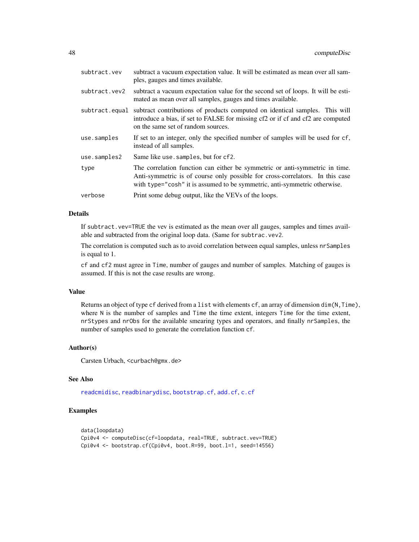| subtract.vev   | subtract a vacuum expectation value. It will be estimated as mean over all sam-<br>ples, gauges and times available.                                                                                                                      |
|----------------|-------------------------------------------------------------------------------------------------------------------------------------------------------------------------------------------------------------------------------------------|
| subtract.vev2  | subtract a vacuum expectation value for the second set of loops. It will be esti-<br>mated as mean over all samples, gauges and times available.                                                                                          |
| subtract.equal | subtract contributions of products computed on identical samples. This will<br>introduce a bias, if set to FALSE for missing cf2 or if of and cf2 are computed<br>on the same set of random sources.                                      |
| use.samples    | If set to an integer, only the specified number of samples will be used for cf,<br>instead of all samples.                                                                                                                                |
| use.samples2   | Same like use. samples, but for cf2.                                                                                                                                                                                                      |
| type           | The correlation function can either be symmetric or anti-symmetric in time.<br>Anti-symmetric is of course only possible for cross-correlators. In this case<br>with type="cosh" it is assumed to be symmetric, anti-symmetric otherwise. |
| verbose        | Print some debug output, like the VEVs of the loops.                                                                                                                                                                                      |

### Details

If subtract.vev=TRUE the vev is estimated as the mean over all gauges, samples and times available and subtracted from the original loop data. (Same for subtrac.vev2.

The correlation is computed such as to avoid correlation between equal samples, unless nrSamples is equal to 1.

cf and cf2 must agree in Time, number of gauges and number of samples. Matching of gauges is assumed. If this is not the case results are wrong.

### Value

Returns an object of type cf derived from a list with elements cf, an array of dimension dim(N,Time), where N is the number of samples and Time the time extent, integers Time for the time extent, nrStypes and nrObs for the available smearing types and operators, and finally nrSamples, the number of samples used to generate the correlation function cf.

#### Author(s)

Carsten Urbach, <curbach@gmx.de>

## See Also

[readcmidisc](#page-149-0), [readbinarydisc](#page-147-0), [bootstrap.cf](#page-18-0), [add.cf](#page-9-0), [c.cf](#page-29-0)

# Examples

```
data(loopdata)
Cpi0v4 <- computeDisc(cf=loopdata, real=TRUE, subtract.vev=TRUE)
Cpi0v4 <- bootstrap.cf(Cpi0v4, boot.R=99, boot.l=1, seed=14556)
```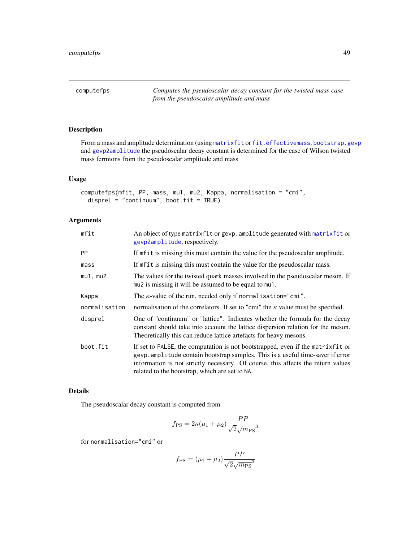computefps *Computes the pseudoscalar decay constant for the twisted mass case from the pseudoscalar amplitude and mass*

# Description

From a mass and amplitude determination (using [matrixfit](#page-105-0) or [fit.effectivemass](#page-74-0), [bootstrap.gevp](#page-21-0) and [gevp2amplitude](#page-86-0) the pseudoscalar decay constant is determined for the case of Wilson twisted mass fermions from the pseudoscalar amplitude and mass

### Usage

```
computefps(mfit, PP, mass, mu1, mu2, Kappa, normalisation = "cmi",
  disprel = "continuum", boot.fit = TRUE)
```
# Arguments

| mfit          | An object of type matrixfit or gevp. amplitude generated with matrixfit or<br>gevp2amplitude, respectively.                                                                                                                                                                                             |  |
|---------------|---------------------------------------------------------------------------------------------------------------------------------------------------------------------------------------------------------------------------------------------------------------------------------------------------------|--|
| <b>PP</b>     | If mfit is missing this must contain the value for the pseudoscalar amplitude.                                                                                                                                                                                                                          |  |
| mass          | If metal is missing this must contain the value for the pseudoscalar mass.                                                                                                                                                                                                                              |  |
| $mu1$ , $mu2$ | The values for the twisted quark masses involved in the pseudoscalar meson. If<br>mu2 is missing it will be assumed to be equal to mu1.                                                                                                                                                                 |  |
| Kappa         | The $\kappa$ -value of the run, needed only if normalisation="cmi".                                                                                                                                                                                                                                     |  |
| normalisation | normalisation of the correlators. If set to "cmi" the $\kappa$ value must be specified.                                                                                                                                                                                                                 |  |
| disprel       | One of "continuum" or "lattice". Indicates whether the formula for the decay<br>constant should take into account the lattice dispersion relation for the meson.<br>Theoretically this can reduce lattice artefacts for heavy mesons.                                                                   |  |
| boot.fit      | If set to FALSE, the computation is not bootstrapped, even if the matrixfit or<br>gevp. amplitude contain bootstrap samples. This is a useful time-saver if error<br>information is not strictly necessary. Of course, this affects the return values<br>related to the bootstrap, which are set to NA. |  |

#### Details

The pseudoscalar decay constant is computed from

$$
f_{\rm PS} = 2\kappa(\mu_1 + \mu_2) \frac{PP}{\sqrt{2}\sqrt{m_{\rm PS}^3}}
$$

for normalisation="cmi" or

$$
f_{\rm PS} = (\mu_1 + \mu_2) \frac{PP}{\sqrt{2\sqrt{m_{\rm PS}}}^3}
$$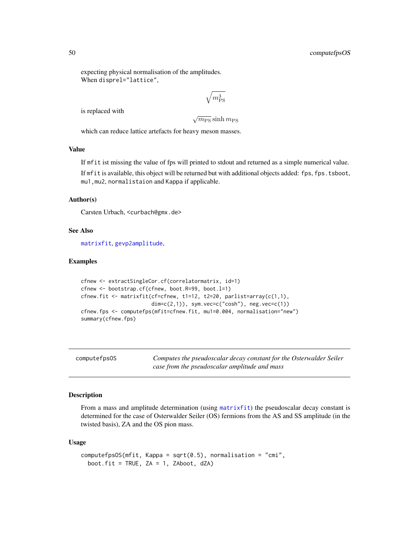expecting physical normalisation of the amplitudes. When disprel="lattice",

$$
\sqrt{m_\mathrm{PS}^3}
$$

is replaced with

 $\sqrt{m_{\rm PS}}$  sinh  $m_{\rm PS}$ 

which can reduce lattice artefacts for heavy meson masses.

### Value

If mfit ist missing the value of fps will printed to stdout and returned as a simple numerical value.

If mfit is available, this object will be returned but with additional objects added: fps, fps.tsboot, mu1,mu2, normalistaion and Kappa if applicable.

### Author(s)

Carsten Urbach, <curbach@gmx.de>

## See Also

[matrixfit](#page-105-0), [gevp2amplitude](#page-86-0),

# Examples

```
cfnew <- extractSingleCor.cf(correlatormatrix, id=1)
cfnew <- bootstrap.cf(cfnew, boot.R=99, boot.l=1)
cfnew.fit <- matrixfit(cf=cfnew, t1=12, t2=20, parlist=array(c(1,1),
                       dim=c(2,1)), sym.vec=c("cosh"), neg.vec=c(1))
cfnew.fps <- computefps(mfit=cfnew.fit, mu1=0.004, normalisation="new")
summary(cfnew.fps)
```
computefpsOS *Computes the pseudoscalar decay constant for the Osterwalder Seiler case from the pseudoscalar amplitude and mass*

# Description

From a mass and amplitude determination (using [matrixfit](#page-105-0)) the pseudoscalar decay constant is determined for the case of Osterwalder Seiler (OS) fermions from the AS and SS amplitude (in the twisted basis), ZA and the OS pion mass.

#### Usage

```
computefpsOS(mfit, Kappa = sqrt(0.5), normalisation = "cmi",boot.fit = TRUE, ZA = 1, ZAboot, dZA)
```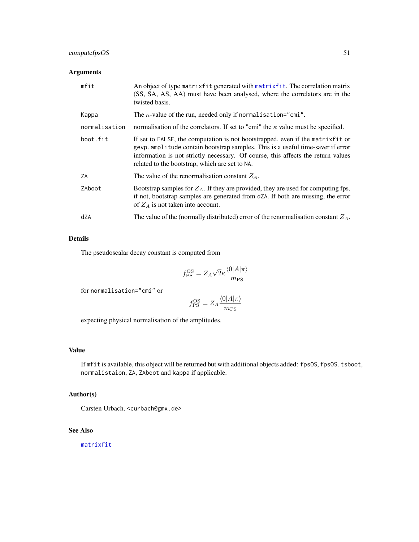# computefpsOS 51

# Arguments

| mfit          | An object of type matrix fit generated with matrix fit. The correlation matrix<br>(SS, SA, AS, AA) must have been analysed, where the correlators are in the<br>twisted basis.                                                                                                                          |  |
|---------------|---------------------------------------------------------------------------------------------------------------------------------------------------------------------------------------------------------------------------------------------------------------------------------------------------------|--|
| Kappa         | The $\kappa$ -value of the run, needed only if normalisation="cmi".                                                                                                                                                                                                                                     |  |
| normalisation | normalisation of the correlators. If set to "cmi" the $\kappa$ value must be specified.                                                                                                                                                                                                                 |  |
| boot.fit      | If set to FALSE, the computation is not bootstrapped, even if the matrixfit or<br>gevp. amplitude contain bootstrap samples. This is a useful time-saver if error<br>information is not strictly necessary. Of course, this affects the return values<br>related to the bootstrap, which are set to NA. |  |
| ΖA            | The value of the renormalisation constant $Z_A$ .                                                                                                                                                                                                                                                       |  |
| ZAboot        | Bootstrap samples for $Z_A$ . If they are provided, they are used for computing fps,<br>if not, bootstrap samples are generated from dZA. If both are missing, the error<br>of $Z_A$ is not taken into account.                                                                                         |  |
| dZA           | The value of the (normally distributed) error of the renormalisation constant $Z_A$ .                                                                                                                                                                                                                   |  |

# Details

The pseudoscalar decay constant is computed from

$$
f_{\rm PS}^{\rm OS} = Z_A \sqrt{2\kappa} \frac{\langle 0 | A | \pi \rangle}{m_{\rm PS}}
$$

for normalisation="cmi" or

$$
f_{\rm PS}^{\rm OS} = Z_A \frac{\langle 0 | A | \pi \rangle}{m_{\rm PS}}
$$

expecting physical normalisation of the amplitudes.

# Value

If mfit is available, this object will be returned but with additional objects added: fpsOS, fpsOS.tsboot, normalistaion, ZA, ZAboot and kappa if applicable.

# Author(s)

Carsten Urbach, <curbach@gmx.de>

# See Also

[matrixfit](#page-105-0)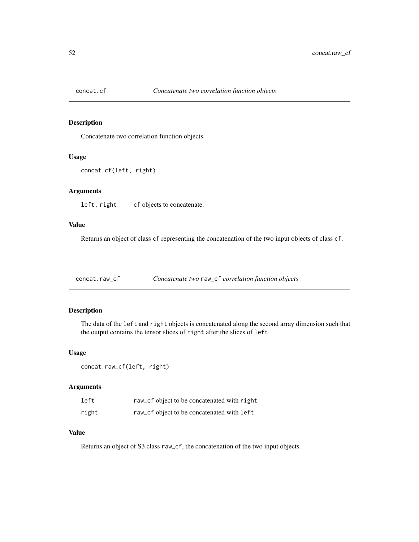Concatenate two correlation function objects

#### Usage

```
concat.cf(left, right)
```
# Arguments

left, right cf objects to concatenate.

### Value

Returns an object of class cf representing the concatenation of the two input objects of class cf.

concat.raw\_cf *Concatenate two* raw\_cf *correlation function objects*

# Description

The data of the left and right objects is concatenated along the second array dimension such that the output contains the tensor slices of right after the slices of left

#### Usage

```
concat.raw_cf(left, right)
```
### Arguments

| left  | raw_cf object to be concatenated with right |
|-------|---------------------------------------------|
| right | raw_cf object to be concatenated with left  |

## Value

Returns an object of S3 class raw\_cf, the concatenation of the two input objects.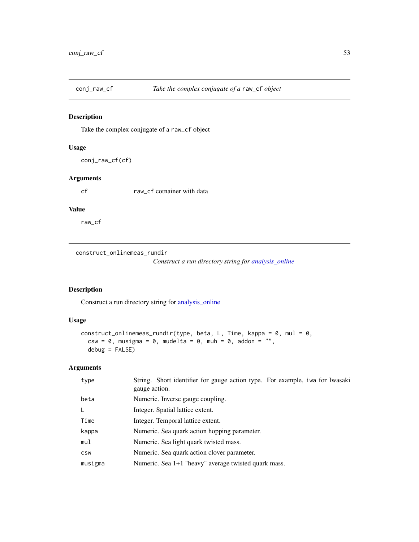Take the complex conjugate of a raw\_cf object

### Usage

conj\_raw\_cf(cf)

## Arguments

cf raw\_cf cotnainer with data

### Value

raw\_cf

construct\_onlinemeas\_rundir

*Construct a run directory string for [analysis\\_online](#page-14-0)*

# Description

Construct a run directory string for [analysis\\_online](#page-14-0)

# Usage

```
construct_onlinemeas_rundir(type, beta, L, Time, kappa = 0, mul = 0,
 csw = 0, musigma = 0, mudelta = 0, muh = 0, addon = "",
 debug = FALSE)
```

| type       | String. Short identifier for gauge action type. For example, iwa for Iwasaki<br>gauge action. |
|------------|-----------------------------------------------------------------------------------------------|
| beta       | Numeric. Inverse gauge coupling.                                                              |
| L          | Integer. Spatial lattice extent.                                                              |
| Time       | Integer. Temporal lattice extent.                                                             |
| kappa      | Numeric. Sea quark action hopping parameter.                                                  |
| mul        | Numeric. Sea light quark twisted mass.                                                        |
| <b>CSW</b> | Numeric. Sea quark action clover parameter.                                                   |
| musigma    | Numeric. Sea 1+1 "heavy" average twisted quark mass.                                          |
|            |                                                                                               |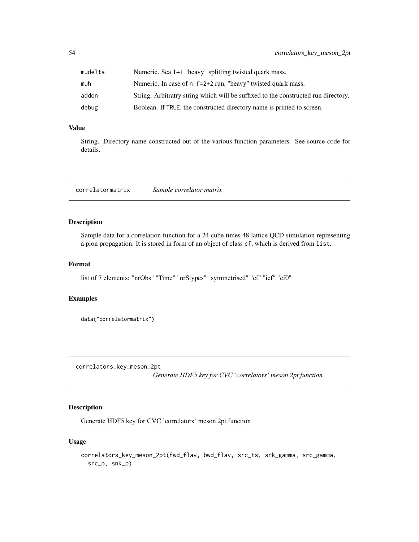| mudelta | Numeric. Sea 1+1 "heavy" splitting twisted quark mass.                             |
|---------|------------------------------------------------------------------------------------|
| muh     | Numeric. In case of n_f=2+2 run, "heavy" twisted quark mass.                       |
| addon   | String. Arbitratry string which will be suffixed to the constructed run directory. |
| debug   | Boolean. If TRUE, the constructed directory name is printed to screen.             |

# Value

String. Directory name constructed out of the various function parameters. See source code for details.

correlatormatrix *Sample correlator matrix*

# Description

Sample data for a correlation function for a 24 cube times 48 lattice QCD simulation representing a pion propagation. It is stored in form of an object of class cf, which is derived from list.

## Format

list of 7 elements: "nrObs" "Time" "nrStypes" "symmetrised" "cf" "icf" "cf0"

## Examples

```
data("correlatormatrix")
```
correlators\_key\_meson\_2pt

*Generate HDF5 key for CVC 'correlators' meson 2pt function*

# Description

Generate HDF5 key for CVC 'correlators' meson 2pt function

#### Usage

```
correlators_key_meson_2pt(fwd_flav, bwd_flav, src_ts, snk_gamma, src_gamma,
  src_p, snk_p)
```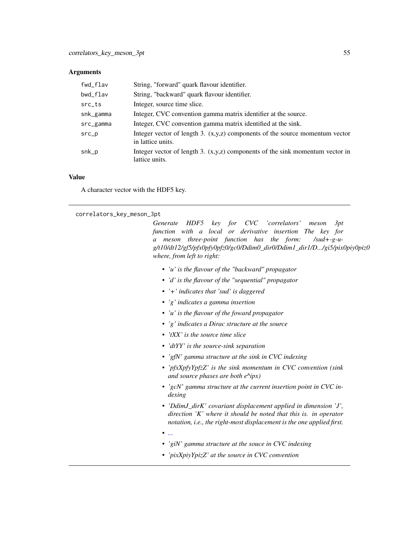#### **Arguments**

| fwd_flav           | String, "forward" quark flavour identifier.                                                         |
|--------------------|-----------------------------------------------------------------------------------------------------|
| bwd_flav           | String, "backward" quark flavour identifier.                                                        |
| $src_{\text{-}}ts$ | Integer, source time slice.                                                                         |
| snk_gamma          | Integer, CVC convention gamma matrix identifier at the source.                                      |
| src_gamma          | Integer, CVC convention gamma matrix identified at the sink.                                        |
| $src_p$            | Integer vector of length 3. $(x,y,z)$ components of the source momentum vector<br>in lattice units. |
| snk_p              | Integer vector of length 3. $(x,y,z)$ components of the sink momentum vector in<br>lattice units.   |

### Value

A character vector with the HDF5 key.

correlators\_key\_meson\_3pt

*Generate HDF5 key for CVC 'correlators' meson 3pt function with a local or derivative insertion The key for a meson three-point function has the form: /sud+-g-ug/t10/dt12/gf5/pfx0pfy0pfz0/gc0/Ddim0\_dir0/Ddim1\_dir1/[D.../](#page-0-0)gi5/pix0piy0piz0 where, from left to right:*

- *• 'u' is the flavour of the "backward" propagator*
- *• 'd' is the flavour of the "sequential" propagator*
- *• '+' indicates that 'sud' is daggered*
- *• 'g' indicates a gamma insertion*
- *• 'u' is the flavour of the foward propagator*
- *• 'g' indicates a Dirac structure at the source*
- *• 'tXX' is the source time slice*
- *• 'dtYY' is the source-sink separation*
- *• 'gfN' gamma structure at the sink in CVC indexing*
- *• 'pfxXpfyYpfzZ' is the sink momentum in CVC convention (sink and source phases are both e^ipx)*
- *• 'gcN' gamma structure at the current insertion point in CVC indexing*
- *• 'DdimJ\_dirK' covariant displacement applied in dimension 'J', direction 'K' where it should be noted that this is. in operator notation, i.e., the right-most displacement is the one applied first.*
- *• [...](#page-0-0)*
- *• 'giN' gamma structure at the souce in CVC indexing*
- *• 'pixXpiyYpizZ' at the source in CVC convention*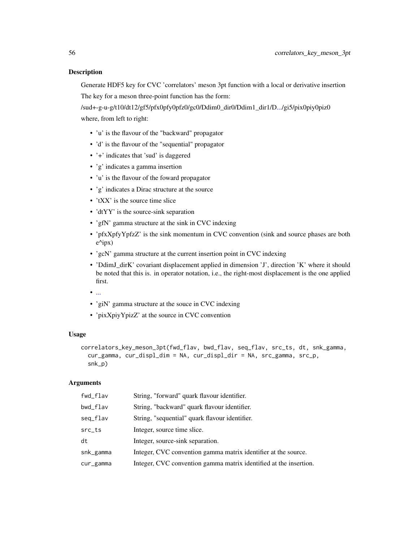Generate HDF5 key for CVC 'correlators' meson 3pt function with a local or derivative insertion The key for a meson three-point function has the form:

/sud+-g-u-g/t10/dt12/gf5/pfx0pfy0pfz0/gc0/Ddim0\_dir0/Ddim1\_dir1/[D.../](#page-0-0)gi5/pix0piy0piz0 where, from left to right:

- 'u' is the flavour of the "backward" propagator
- 'd' is the flavour of the "sequential" propagator
- '+' indicates that 'sud' is daggered
- 'g' indicates a gamma insertion
- 'u' is the flavour of the foward propagator
- 'g' indicates a Dirac structure at the source
- 'tXX' is the source time slice
- 'dtYY' is the source-sink separation
- 'gfN' gamma structure at the sink in CVC indexing
- 'pfxXpfyYpfzZ' is the sink momentum in CVC convention (sink and source phases are both e^ipx)
- 'gcN' gamma structure at the current insertion point in CVC indexing
- 'DdimJ\_dirK' covariant displacement applied in dimension 'J', direction 'K' where it should be noted that this is. in operator notation, i.e., the right-most displacement is the one applied first.
- [...](#page-0-0)
- 'giN' gamma structure at the souce in CVC indexing
- 'pixXpiyYpizZ' at the source in CVC convention

#### Usage

```
correlators_key_meson_3pt(fwd_flav, bwd_flav, seq_flav, src_ts, dt, snk_gamma,
 cur_gamma, cur_displ_dim = NA, cur_displ_dir = NA, src_gamma, src_p,
  snk_p)
```

| fwd_flav           | String, "forward" quark flavour identifier.                       |
|--------------------|-------------------------------------------------------------------|
| bwd_flav           | String, "backward" quark flavour identifier.                      |
| seq_flav           | String, "sequential" quark flavour identifier.                    |
| $src_{\text{-}}ts$ | Integer, source time slice.                                       |
| dt                 | Integer, source-sink separation.                                  |
| snk_gamma          | Integer, CVC convention gamma matrix identifier at the source.    |
| cur_gamma          | Integer, CVC convention gamma matrix identified at the insertion. |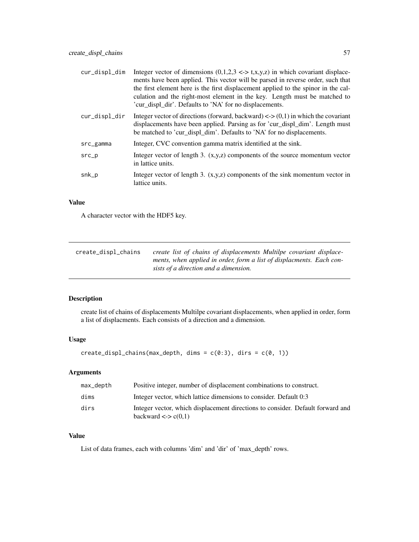| cur_displ_dim | Integer vector of dimensions $(0,1,2,3 \leq z \leq t,x,y,z)$ in which covariant displace-<br>ments have been applied. This vector will be parsed in reverse order, such that<br>the first element here is the first displacement applied to the spinor in the cal-<br>culation and the right-most element in the key. Length must be matched to<br>'cur_displ_dir'. Defaults to 'NA' for no displacements. |
|---------------|------------------------------------------------------------------------------------------------------------------------------------------------------------------------------------------------------------------------------------------------------------------------------------------------------------------------------------------------------------------------------------------------------------|
| cur_displ_dir | Integer vector of directions (forward, backward) $\langle 0,1 \rangle$ in which the covariant<br>displacements have been applied. Parsing as for 'cur_displ_dim'. Length must<br>be matched to 'cur_displ_dim'. Defaults to 'NA' for no displacements.                                                                                                                                                     |
| src_gamma     | Integer, CVC convention gamma matrix identified at the sink.                                                                                                                                                                                                                                                                                                                                               |
| $src_p$       | Integer vector of length 3. $(x,y,z)$ components of the source momentum vector<br>in lattice units.                                                                                                                                                                                                                                                                                                        |
| snk_p         | Integer vector of length 3. $(x,y,z)$ components of the sink momentum vector in<br>lattice units.                                                                                                                                                                                                                                                                                                          |

### Value

A character vector with the HDF5 key.

| create_displ_chains | create list of chains of displacements Multilpe covariant displace-  |
|---------------------|----------------------------------------------------------------------|
|                     | ments, when applied in order, form a list of displacments. Each con- |
|                     | sists of a direction and a dimension.                                |

# Description

create list of chains of displacements Multilpe covariant displacements, when applied in order, form a list of displacments. Each consists of a direction and a dimension.

### Usage

```
create\_display(max\_depth, \text{ dims} = c(0:3), \text{ dirs} = c(0, 1))
```
# Arguments

| max_depth | Positive integer, number of displacement combinations to construct.                                              |
|-----------|------------------------------------------------------------------------------------------------------------------|
| dims      | Integer vector, which lattice dimensions to consider. Default 0:3                                                |
| dirs      | Integer vector, which displacement directions to consider. Default forward and<br>backward $\langle 0,1 \rangle$ |

### Value

List of data frames, each with columns 'dim' and 'dir' of 'max\_depth' rows.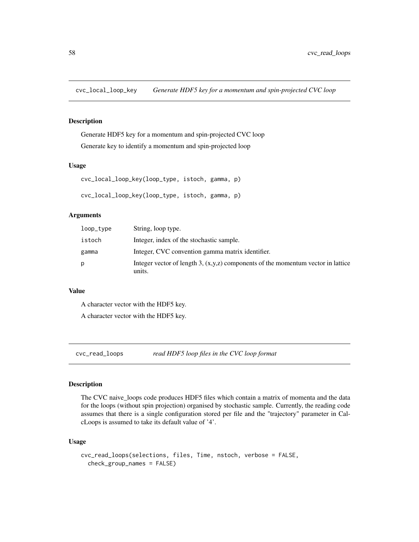cvc\_local\_loop\_key *Generate HDF5 key for a momentum and spin-projected CVC loop*

# Description

Generate HDF5 key for a momentum and spin-projected CVC loop Generate key to identify a momentum and spin-projected loop

### Usage

```
cvc_local_loop_key(loop_type, istoch, gamma, p)
cvc_local_loop_key(loop_type, istoch, gamma, p)
```
### Arguments

| loop_type | String, loop type.                                                                           |
|-----------|----------------------------------------------------------------------------------------------|
| istoch    | Integer, index of the stochastic sample.                                                     |
| gamma     | Integer, CVC convention gamma matrix identifier.                                             |
| p         | Integer vector of length 3, $(x,y,z)$ components of the momentum vector in lattice<br>units. |

#### Value

A character vector with the HDF5 key.

A character vector with the HDF5 key.

cvc\_read\_loops *read HDF5 loop files in the CVC loop format*

# Description

The CVC naive\_loops code produces HDF5 files which contain a matrix of momenta and the data for the loops (without spin projection) organised by stochastic sample. Currently, the reading code assumes that there is a single configuration stored per file and the "trajectory" parameter in CalcLoops is assumed to take its default value of '4'.

#### Usage

```
cvc_read_loops(selections, files, Time, nstoch, verbose = FALSE,
  check_group_names = FALSE)
```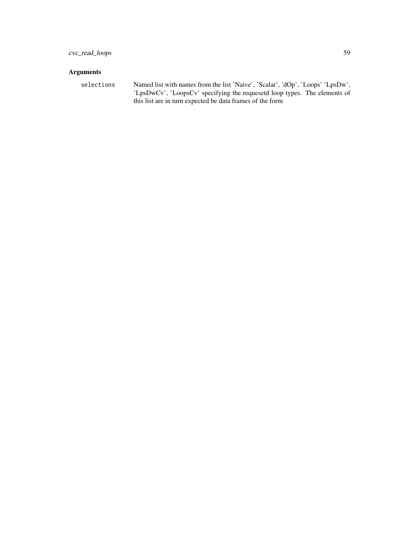# Arguments

selections Named list with names from the list 'Naive', 'Scalar', 'dOp', 'Loops' 'LpsDw', 'LpsDwCv', 'LoopsCv' specifying the requesetd loop types. The elements of this list are in turn expected be data frames of the form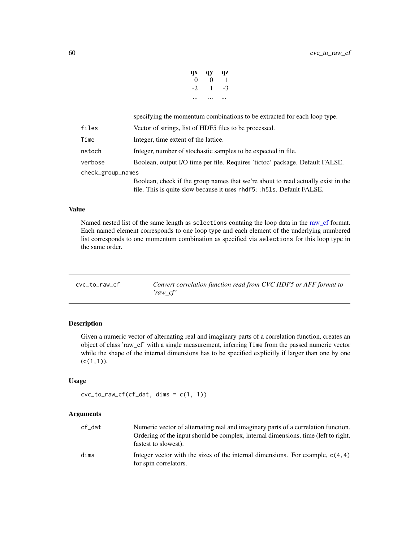| qx | qy       | qz |
|----|----------|----|
| 0  | $\Omega$ | 1  |
| -2 | 1        | -3 |
|    |          |    |

specifying the momentum combinations to be extracted for each loop type.

| files             | Vector of strings, list of HDF5 files to be processed.                           |
|-------------------|----------------------------------------------------------------------------------|
| Time              | Integer, time extent of the lattice.                                             |
| nstoch            | Integer, number of stochastic samples to be expected in file.                    |
| verbose           | Boolean, output I/O time per file. Requires 'tictoc' package. Default FALSE.     |
| check_group_names |                                                                                  |
|                   | Boolean, check if the group names that we're about to read actually exist in the |
|                   | file. This is quite slow because it uses rhdf5::h51s. Default FALSE.             |

### Value

Named nested list of the same length as selections containg the loop data in the [raw\\_cf](#page-143-0) format. Each named element corresponds to one loop type and each element of the underlying numbered list corresponds to one momentum combination as specified via selections for this loop type in the same order.

| cyc to raw cf | Convert correlation function read from CVC HDF5 or AFF format to |
|---------------|------------------------------------------------------------------|
|               | 'raw cf'                                                         |

## Description

Given a numeric vector of alternating real and imaginary parts of a correlation function, creates an object of class 'raw\_cf' with a single measurement, inferring Time from the passed numeric vector while the shape of the internal dimensions has to be specified explicitly if larger than one by one  $(c(1,1)).$ 

#### Usage

```
ccc_to_raw_cff(cf_data, dims = c(1, 1))
```

| cf dat | Numeric vector of alternating real and imaginary parts of a correlation function.<br>Ordering of the input should be complex, internal dimensions, time (left to right,<br>fastest to slowest). |
|--------|-------------------------------------------------------------------------------------------------------------------------------------------------------------------------------------------------|
| dims   | Integer vector with the sizes of the internal dimensions. For example, $c(4,4)$<br>for spin correlators.                                                                                        |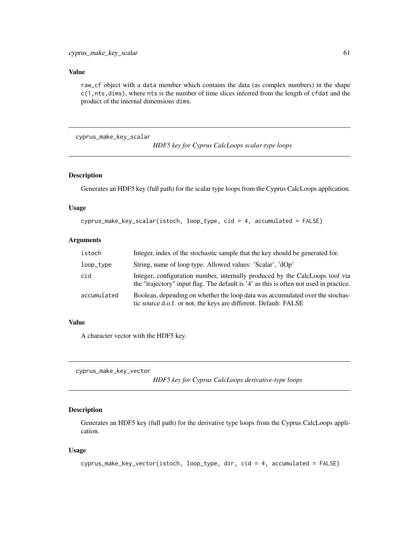# Value

raw\_cf object with a data member which contains the data (as complex numbers) in the shape c(1,nts,dims), where nts is the number of time slices inferred from the length of cfdat and the product of the internal dimensions dims.

cyprus\_make\_key\_scalar

*HDF5 key for Cyprus CalcLoops scalar-type loops*

#### Description

Generates an HDF5 key (full path) for the scalar type loops from the Cyprus CalcLoops application.

## Usage

```
cyprus_make_key_scalar(istoch, loop_type, cid = 4, accumulated = FALSE)
```
### Arguments

| istoch      | Integer, index of the stochastic sample that the key should be generated for.                                                                                          |
|-------------|------------------------------------------------------------------------------------------------------------------------------------------------------------------------|
| loop_type   | String, name of loop type. Allowed values: 'Scalar', 'dOp'                                                                                                             |
| cid         | Integer, configuration number, internally produced by the CalcLoops tool via<br>the "trajectory" input flag. The default is '4' as this is often not used in practice. |
| accumulated | Boolean, depending on whether the loop data was accumulated over the stochas-<br>tic source d.o.f. or not, the keys are different. Default: FALSE                      |

## Value

A character vector with the HDF5 key.

cyprus\_make\_key\_vector

*HDF5 key for Cyprus CalcLoops derivative-type loops*

# Description

Generates an HDF5 key (full path) for the derivative type loops from the Cyprus CalcLoops application.

### Usage

```
cyprus_make_key_vector(istoch, loop_type, dir, cid = 4, accumulated = FALSE)
```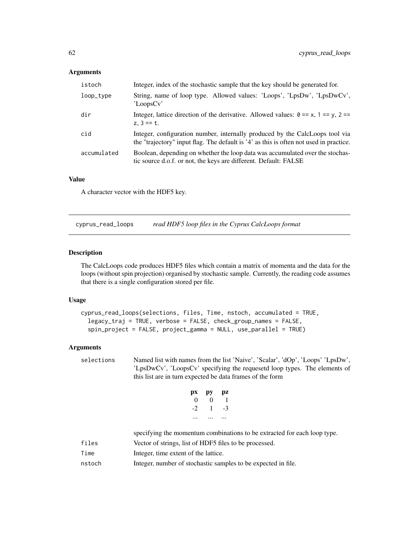# Arguments

| istoch      | Integer, index of the stochastic sample that the key should be generated for.                                                                                          |
|-------------|------------------------------------------------------------------------------------------------------------------------------------------------------------------------|
| loop_type   | String, name of loop type. Allowed values: 'Loops', 'LpsDw', 'LpsDwCv',<br>'LoopsCv'                                                                                   |
| dir         | Integer, lattice direction of the derivative. Allowed values: $\theta = x$ , $1 = y$ , $2 = z$<br>z. $3 == t$ .                                                        |
| cid         | Integer, configuration number, internally produced by the CalcLoops tool via<br>the "trajectory" input flag. The default is '4' as this is often not used in practice. |
| accumulated | Boolean, depending on whether the loop data was accumulated over the stochas-<br>tic source d.o.f. or not, the keys are different. Default: FALSE                      |

### Value

A character vector with the HDF5 key.

cyprus\_read\_loops *read HDF5 loop files in the Cyprus CalcLoops format*

## Description

The CalcLoops code produces HDF5 files which contain a matrix of momenta and the data for the loops (without spin projection) organised by stochastic sample. Currently, the reading code assumes that there is a single configuration stored per file.

#### Usage

```
cyprus_read_loops(selections, files, Time, nstoch, accumulated = TRUE,
  legacy_traj = TRUE, verbose = FALSE, check_group_names = FALSE,
  spin_project = FALSE, project_gamma = NULL, use_parallel = TRUE)
```
### Arguments

selections Named list with names from the list 'Naive', 'Scalar', 'dOp', 'Loops' 'LpsDw', 'LpsDwCv', 'LoopsCv' specifying the requesetd loop types. The elements of this list are in turn expected be data frames of the form

| pх | рy       | рz |
|----|----------|----|
| 0  | $\Omega$ | 1  |
| -2 | 1        | -3 |
|    |          |    |

|        | specifying the momentum combinations to be extracted for each loop type. |
|--------|--------------------------------------------------------------------------|
| files  | Vector of strings, list of HDF5 files to be processed.                   |
| Time   | Integer, time extent of the lattice.                                     |
| nstoch | Integer, number of stochastic samples to be expected in file.            |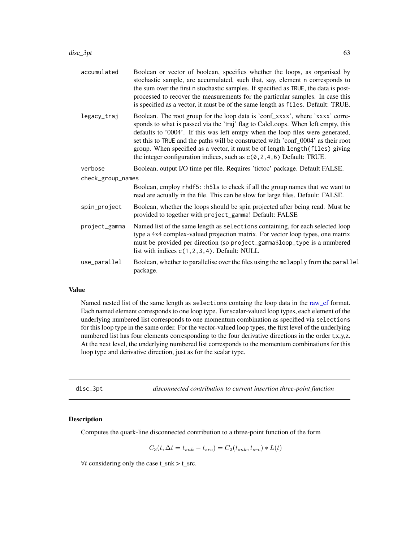| accumulated       | Boolean or vector of boolean, specifies whether the loops, as organised by<br>stochastic sample, are accumulated, such that, say, element n corresponds to<br>the sum over the first n stochastic samples. If specified as TRUE, the data is post-<br>processed to recover the measurements for the particular samples. In case this<br>is specified as a vector, it must be of the same length as files. Default: TRUE.                                                                               |  |
|-------------------|--------------------------------------------------------------------------------------------------------------------------------------------------------------------------------------------------------------------------------------------------------------------------------------------------------------------------------------------------------------------------------------------------------------------------------------------------------------------------------------------------------|--|
| legacy_traj       | Boolean. The root group for the loop data is 'conf_xxxx', where 'xxxx' corre-<br>sponds to what is passed via the 'traj' flag to CalcLoops. When left empty, this<br>defaults to '0004'. If this was left emtpy when the loop files were generated,<br>set this to TRUE and the paths will be constructed with 'conf_0004' as their root<br>group. When specified as a vector, it must be of length length (files) giving<br>the integer configuration indices, such as $c(0, 2, 4, 6)$ Default: TRUE. |  |
| verbose           | Boolean, output I/O time per file. Requires 'tictoc' package. Default FALSE.                                                                                                                                                                                                                                                                                                                                                                                                                           |  |
| check_group_names |                                                                                                                                                                                                                                                                                                                                                                                                                                                                                                        |  |
|                   | Boolean, employ rhdf5::h51s to check if all the group names that we want to<br>read are actually in the file. This can be slow for large files. Default: FALSE.                                                                                                                                                                                                                                                                                                                                        |  |
| spin_project      | Boolean, whether the loops should be spin projected after being read. Must be<br>provided to together with project_gamma! Default: FALSE                                                                                                                                                                                                                                                                                                                                                               |  |
| project_gamma     | Named list of the same length as selections containing, for each selected loop<br>type a 4x4 complex-valued projection matrix. For vector loop types, one matrix<br>must be provided per direction (so project_gamma\$loop_type is a numbered<br>list with indices $c(1, 2, 3, 4)$ . Default: NULL                                                                                                                                                                                                     |  |
| use_parallel      | Boolean, whether to parallelise over the files using the mclapply from the parallel<br>package.                                                                                                                                                                                                                                                                                                                                                                                                        |  |

# Value

Named nested list of the same length as selections containg the loop data in the [raw\\_cf](#page-143-0) format. Each named element corresponds to one loop type. For scalar-valued loop types, each element of the underlying numbered list corresponds to one momentum combination as specified via selections for this loop type in the same order. For the vector-valued loop types, the first level of the underlying numbered list has four elements corresponding to the four derivative directions in the order t,x,y,z. At the next level, the underlying numbered list corresponds to the momentum combinations for this loop type and derivative direction, just as for the scalar type.

disc\_3pt *disconnected contribution to current insertion three-point function*

#### Description

Computes the quark-line disconnected contribution to a three-point function of the form

$$
C_3(t, \Delta t = t_{snk} - t_{src}) = C_2(t_{snk}, t_{src}) * L(t)
$$

 $\forall t$  considering only the case t\_snk > t\_src.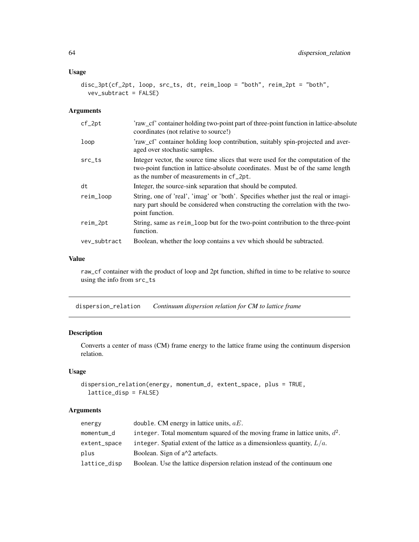.

## Usage

```
disc_3pt(cf_2pt, loop, src_ts, dt, reim_loop = "both", reim_2pt = "both",
 vev_subtract = FALSE)
```
## Arguments

| $cf_2pt$           | 'raw_cf' container holding two-point part of three-point function in lattice-absolute<br>coordinates (not relative to source!)                                                                                 |
|--------------------|----------------------------------------------------------------------------------------------------------------------------------------------------------------------------------------------------------------|
| loop               | 'raw_cf' container holding loop contribution, suitably spin-projected and aver-<br>aged over stochastic samples.                                                                                               |
| $src_{\text{-}}ts$ | Integer vector, the source time slices that were used for the computation of the<br>two-point function in lattice-absolute coordinates. Must be of the same length<br>as the number of measurements in cf_2pt. |
| dt                 | Integer, the source-sink separation that should be computed.                                                                                                                                                   |
| reim_loop          | String, one of 'real', 'imag' or 'both'. Specifies whether just the real or imagi-<br>nary part should be considered when constructing the correlation with the two-<br>point function.                        |
| reim_2pt           | String, same as reim_loop but for the two-point contribution to the three-point<br>function.                                                                                                                   |
| vev_subtract       | Boolean, whether the loop contains a vev which should be subtracted.                                                                                                                                           |

### Value

raw\_cf container with the product of loop and 2pt function, shifted in time to be relative to source using the info from src\_ts

dispersion\_relation *Continuum dispersion relation for CM to lattice frame*

# Description

Converts a center of mass (CM) frame energy to the lattice frame using the continuum dispersion relation.

### Usage

```
dispersion_relation(energy, momentum_d, extent_space, plus = TRUE,
 lattice_disp = FALSE)
```

| double. CM energy in lattice units, $aE$ .                                  |
|-----------------------------------------------------------------------------|
| integer. Total momentum squared of the moving frame in lattice units, $d^2$ |
| integer. Spatial extent of the lattice as a dimensionless quantity, $L/a$ . |
| Boolean. Sign of a <sup><math>\lambda</math>2</sup> artefacts.              |
| Boolean. Use the lattice dispersion relation instead of the continuum one   |
|                                                                             |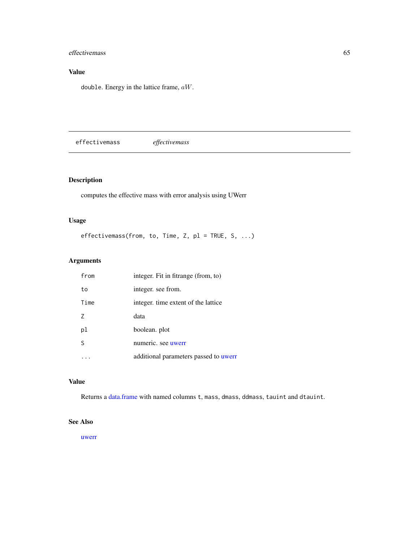# effectivemass 65

# Value

double. Energy in the lattice frame, aW.

effectivemass *effectivemass*

# Description

computes the effective mass with error analysis using UWerr

# Usage

```
effectivemass(from, to, Time, Z, pl = TRUE, S, ...)
```
# Arguments

| from | integer. Fit in fitrange (from, to)   |
|------|---------------------------------------|
| to   | integer, see from.                    |
| Time | integer, time extent of the lattice   |
| 7    | data                                  |
| pl   | boolean. plot                         |
| S    | numeric. see uwerr                    |
|      | additional parameters passed to uwerr |

# Value

Returns a [data.frame](#page-0-0) with named columns t, mass, dmass, ddmass, tauint and dtauint.

# See Also

[uwerr](#page-180-0)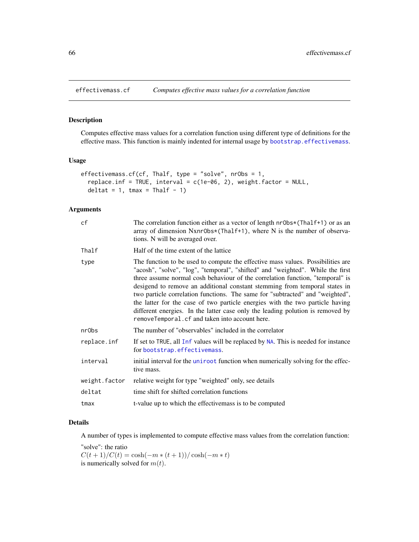Computes effective mass values for a correlation function using different type of definitions for the effective mass. This function is mainly indented for internal usage by [bootstrap.effectivemass](#page-19-0).

### Usage

```
effectivemass.cf(cf, Thalf, type = "solve", nrObs = 1,
  replace.inf = TRUE, interval = c(1e-06, 2), weight.factor = NULL,
 deltat = 1, tmax = Thalf - 1)
```
# Arguments

| cf            | The correlation function either as a vector of length $nrObs*(Thalf+1)$ or as an<br>array of dimension Nxnr0bs*(Thalf+1), where N is the number of observa-<br>tions. N will be averaged over.                                                                                                                                                                                                                                                                                                                                                                                                                                         |
|---------------|----------------------------------------------------------------------------------------------------------------------------------------------------------------------------------------------------------------------------------------------------------------------------------------------------------------------------------------------------------------------------------------------------------------------------------------------------------------------------------------------------------------------------------------------------------------------------------------------------------------------------------------|
| Thalf         | Half of the time extent of the lattice                                                                                                                                                                                                                                                                                                                                                                                                                                                                                                                                                                                                 |
| type          | The function to be used to compute the effective mass values. Possibilities are<br>"acosh", "solve", "log", "temporal", "shifted" and "weighted". While the first<br>three assume normal cosh behaviour of the correlation function, "temporal" is<br>desigend to remove an additional constant stemming from temporal states in<br>two particle correlation functions. The same for "subtracted" and "weighted",<br>the latter for the case of two particle energies with the two particle having<br>different energies. In the latter case only the leading polution is removed by<br>removeTemporal.cf and taken into account here. |
| nr0bs         | The number of "observables" included in the correlator                                                                                                                                                                                                                                                                                                                                                                                                                                                                                                                                                                                 |
| replace.inf   | If set to TRUE, all Inf values will be replaced by NA. This is needed for instance<br>for bootstrap.effectivemass.                                                                                                                                                                                                                                                                                                                                                                                                                                                                                                                     |
| interval      | initial interval for the uniroot function when numerically solving for the effec-<br>tive mass.                                                                                                                                                                                                                                                                                                                                                                                                                                                                                                                                        |
| weight.factor | relative weight for type "weighted" only, see details                                                                                                                                                                                                                                                                                                                                                                                                                                                                                                                                                                                  |
| deltat        | time shift for shifted correlation functions                                                                                                                                                                                                                                                                                                                                                                                                                                                                                                                                                                                           |
| tmax          | t-value up to which the effective mass is to be computed                                                                                                                                                                                                                                                                                                                                                                                                                                                                                                                                                                               |

# Details

A number of types is implemented to compute effective mass values from the correlation function:

"solve": the ratio  $C(t + 1)/C(t) = \cosh(-m * (t + 1))/\cosh(-m * t)$ is numerically solved for  $m(t)$ .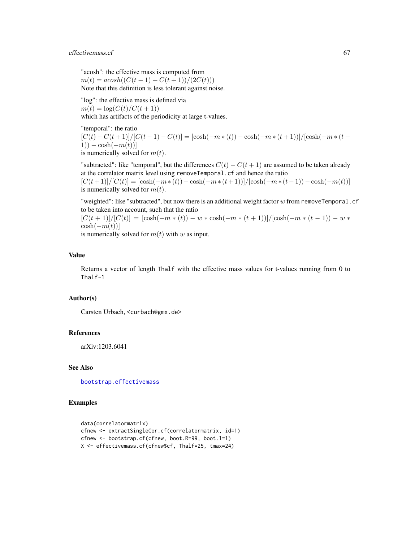## effectivemass.cf 67

"acosh": the effective mass is computed from  $m(t) = acosh((C(t-1) + C(t+1))/(2C(t)))$ Note that this definition is less tolerant against noise.

"log": the effective mass is defined via  $m(t) = \log(C(t)/C(t+1))$ which has artifacts of the periodicity at large t-values.

"temporal": the ratio  $[C(t) - C(t+1)]/[C(t-1) - C(t)] = [\cosh(-m*(t)) - \cosh(-m*(t+1))]/[\cosh(-m*(t-1))]$ 1)) – cosh $(-m(t))$ ] is numerically solved for  $m(t)$ .

"subtracted": like "temporal", but the differences  $C(t) - C(t+1)$  are assumed to be taken already at the correlator matrix level using removeTemporal.cf and hence the ratio  $[C(t+1)]/[C(t)] = [\cosh(-m*(t)) - \cosh(-m*(t+1))]/[\cosh(-m*(t-1)) - \cosh(-m(t))]$ is numerically solved for  $m(t)$ .

"weighted": like "subtracted", but now there is an additional weight factor  $w$  from removeTemporal.cf to be taken into account, such that the ratio

 $[C(t+1)]/[C(t)] = [\cosh(-m*(t)) - w*\cosh(-m*(t+1))]/[\cosh(-m*(t-1)) - w*$  $\cosh(-m(t))]$ 

is numerically solved for  $m(t)$  with w as input.

### Value

Returns a vector of length Thalf with the effective mass values for t-values running from 0 to Thalf-1

#### Author(s)

Carsten Urbach, <curbach@gmx.de>

#### References

arXiv:1203.6041

### See Also

[bootstrap.effectivemass](#page-19-0)

### Examples

```
data(correlatormatrix)
cfnew <- extractSingleCor.cf(correlatormatrix, id=1)
cfnew <- bootstrap.cf(cfnew, boot.R=99, boot.l=1)
X <- effectivemass.cf(cfnew$cf, Thalf=25, tmax=24)
```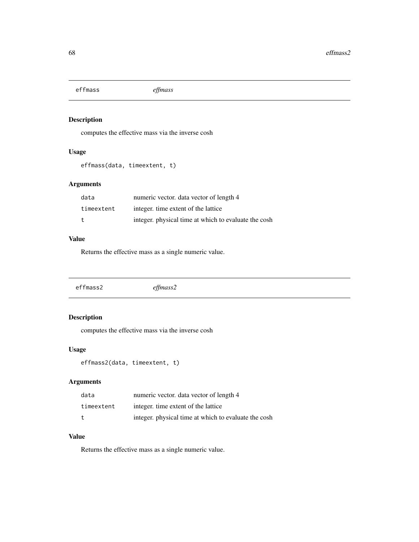effmass *effmass*

# Description

computes the effective mass via the inverse cosh

# Usage

effmass(data, timeextent, t)

# Arguments

| data       | numeric vector, data vector of length 4              |
|------------|------------------------------------------------------|
| timeextent | integer, time extent of the lattice                  |
| t.         | integer, physical time at which to evaluate the cosh |

# Value

Returns the effective mass as a single numeric value.

|  | effmass2 | eff mass2 |  |  |
|--|----------|-----------|--|--|
|--|----------|-----------|--|--|

# Description

computes the effective mass via the inverse cosh

# Usage

effmass2(data, timeextent, t)

# Arguments

| data       | numeric vector, data vector of length 4              |
|------------|------------------------------------------------------|
| timeextent | integer, time extent of the lattice                  |
| t.         | integer, physical time at which to evaluate the cosh |

# Value

Returns the effective mass as a single numeric value.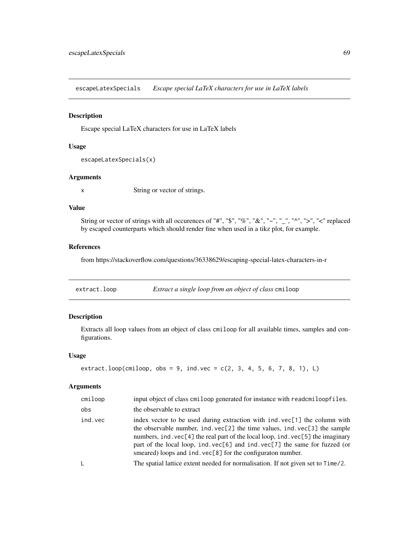escapeLatexSpecials *Escape special LaTeX characters for use in LaTeX labels*

#### Description

Escape special LaTeX characters for use in LaTeX labels

# Usage

```
escapeLatexSpecials(x)
```
## Arguments

x String or vector of strings.

### Value

String or vector of strings with all occurences of "#", "\$", "%", "&", "~", "\_", "^", ">", "<" replaced by escaped counterparts which should render fine when used in a tikz plot, for example.

#### References

from https://stackoverflow.com/questions/36338629/escaping-special-latex-characters-in-r

extract.loop *Extract a single loop from an object of class* cmiloop

# Description

Extracts all loop values from an object of class cmiloop for all available times, samples and configurations.

#### Usage

```
extract. loop(cmiloop, obs = 9, ind.vec = c(2, 3, 4, 5, 6, 7, 8, 1), L)
```

| cmiloop | input object of class cmiloop generated for instance with readcmiloopfiles.                                                                                                                                                                                                                                                                                                                      |
|---------|--------------------------------------------------------------------------------------------------------------------------------------------------------------------------------------------------------------------------------------------------------------------------------------------------------------------------------------------------------------------------------------------------|
| obs     | the observable to extract                                                                                                                                                                                                                                                                                                                                                                        |
| ind.vec | index vector to be used during extraction with ind. vec[1] the column with<br>the observable number, ind. vec[2] the time values, ind. vec[3] the sample<br>numbers, ind. vec[4] the real part of the local loop, ind. vec[5] the imaginary<br>part of the local loop, ind. $vec[6]$ and ind. $vec[7]$ the same for fuzzed (or<br>smeared) loops and ind. $vec[8]$ for the configuration number. |
| L       | The spatial lattice extent needed for normalisation. If not given set to Time/2.                                                                                                                                                                                                                                                                                                                 |
|         |                                                                                                                                                                                                                                                                                                                                                                                                  |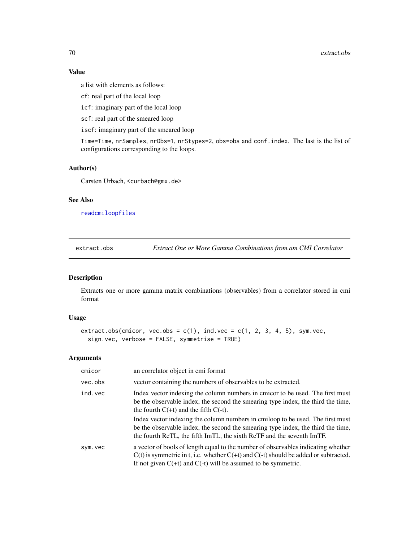# Value

a list with elements as follows:

cf: real part of the local loop

icf: imaginary part of the local loop

scf: real part of the smeared loop

iscf: imaginary part of the smeared loop

Time=Time, nrSamples, nrObs=1, nrStypes=2, obs=obs and conf.index. The last is the list of configurations corresponding to the loops.

### Author(s)

Carsten Urbach, <curbach@gmx.de>

# See Also

[readcmiloopfiles](#page-150-0)

extract.obs *Extract One or More Gamma Combinations from am CMI Correlator*

# Description

Extracts one or more gamma matrix combinations (observables) from a correlator stored in cmi format

# Usage

```
extract.obs(cmicor, vec.obs = c(1), ind.vec = c(1, 2, 3, 4, 5), sym.vec,
  sign.vec, verbose = FALSE, symmetrise = TRUE)
```

| cmicor  | an correlator object in cmi format                                                                                                                                                                                                                  |
|---------|-----------------------------------------------------------------------------------------------------------------------------------------------------------------------------------------------------------------------------------------------------|
| vec.obs | vector containing the numbers of observables to be extracted.                                                                                                                                                                                       |
| ind.vec | Index vector indexing the column numbers in cmicor to be used. The first must<br>be the observable index, the second the smearing type index, the third the time,<br>the fourth $C(+t)$ and the fifth $C(-t)$ .                                     |
|         | Index vector indexing the column numbers in cmiloop to be used. The first must<br>be the observable index, the second the smearing type index, the third the time,<br>the fourth ReTL, the fifth ImTL, the sixth ReTF and the seventh ImTF.         |
| sym.vec | a vector of bools of length equal to the number of observables indicating whether<br>$C(t)$ is symmetric in t, i.e. whether $C(+t)$ and $C(-t)$ should be added or subtracted.<br>If not given $C(+t)$ and $C(-t)$ will be assumed to be symmetric. |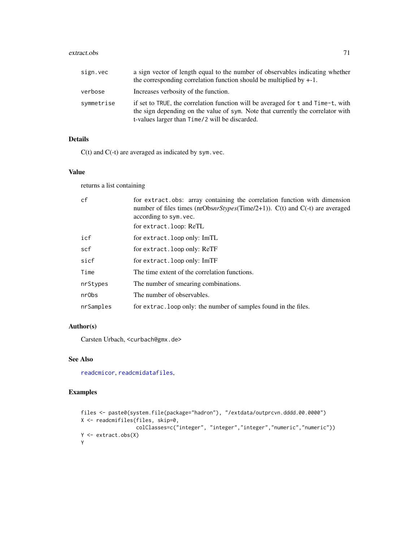#### extract.obs 71

| sign.vec   | a sign vector of length equal to the number of observables indicating whether<br>the corresponding correlation function should be multiplied by $+1$ .                                                                |
|------------|-----------------------------------------------------------------------------------------------------------------------------------------------------------------------------------------------------------------------|
| verbose    | Increases verbosity of the function.                                                                                                                                                                                  |
| symmetrise | if set to TRUE, the correlation function will be averaged for t and Time-t, with<br>the sign depending on the value of sym. Note that currently the correlator with<br>t-values larger than Time/2 will be discarded. |

# Details

 $C(t)$  and  $C(-t)$  are averaged as indicated by sym. vec.

## Value

returns a list containing

| cf        | for extract.obs: array containing the correlation function with dimension<br>number of files times (nrObs $nrStypes$ (Time/2+1)). C(t) and C(-t) are averaged<br>according to sym. vec.<br>for extract.loop: ReTL |
|-----------|-------------------------------------------------------------------------------------------------------------------------------------------------------------------------------------------------------------------|
| icf       | for extract. loop only: ImTL                                                                                                                                                                                      |
| scf       | for extract. loop only: ReTF                                                                                                                                                                                      |
| sicf      | for extract. loop only: ImTF                                                                                                                                                                                      |
| Time      | The time extent of the correlation functions.                                                                                                                                                                     |
| nrStypes  | The number of smearing combinations.                                                                                                                                                                              |
| nr0bs     | The number of observables.                                                                                                                                                                                        |
| nrSamples | for extrac. Loop only: the number of samples found in the files.                                                                                                                                                  |

# Author(s)

Carsten Urbach, <curbach@gmx.de>

# See Also

[readcmicor](#page-150-0), [readcmidatafiles](#page-150-0),

# Examples

```
files <- paste0(system.file(package="hadron"), "/extdata/outprcvn.dddd.00.0000")
X <- readcmifiles(files, skip=0,
                  colClasses=c("integer", "integer","integer","numeric","numeric"))
Y <- extract.obs(X)
Y
```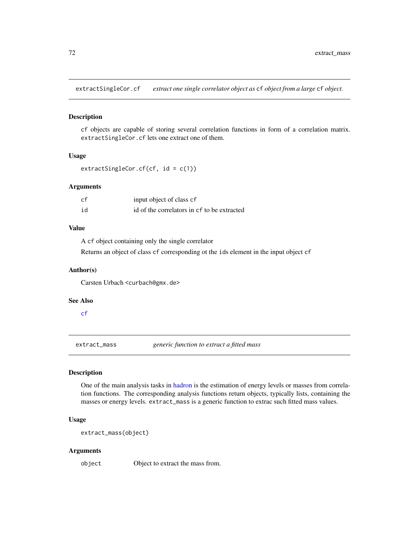extractSingleCor.cf *extract one single correlator object as* cf *object from a large* cf *object.*

#### Description

cf objects are capable of storing several correlation functions in form of a correlation matrix. extractSingleCor.cf lets one extract one of them.

#### Usage

```
extractSingleCor.cf(cf, id = c(1))
```
#### Arguments

| cf | input object of class cf                    |
|----|---------------------------------------------|
| id | id of the correlators in cf to be extracted |

# Value

A cf object containing only the single correlator

Returns an object of class cf corresponding ot the ids element in the input object cf

### Author(s)

Carsten Urbach <curbach@gmx.de>

### See Also

[cf](#page-34-0)

extract\_mass *generic function to extract a fitted mass*

## Description

One of the main analysis tasks in [hadron](#page-90-0) is the estimation of energy levels or masses from correlation functions. The corresponding analysis functions return objects, typically lists, containing the masses or energy levels. extract\_mass is a generic function to extrac such fitted mass values.

### Usage

extract\_mass(object)

#### Arguments

object Object to extract the mass from.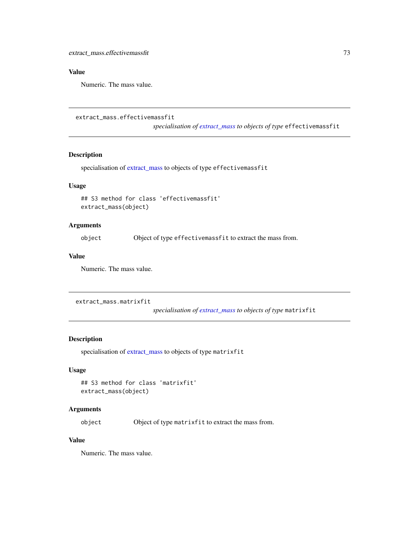# Value

Numeric. The mass value.

```
extract_mass.effectivemassfit
```
*specialisation of [extract\\_mass](#page-71-0) to objects of type* effectivemassfit

## Description

specialisation of [extract\\_mass](#page-71-0) to objects of type effectivemassfit

#### Usage

```
## S3 method for class 'effectivemassfit'
extract_mass(object)
```
## Arguments

object Object of type effectivemassfit to extract the mass from.

## Value

Numeric. The mass value.

```
extract_mass.matrixfit
```
*specialisation of [extract\\_mass](#page-71-0) to objects of type* matrixfit

# Description

specialisation of [extract\\_mass](#page-71-0) to objects of type matrixfit

## Usage

```
## S3 method for class 'matrixfit'
extract_mass(object)
```
## Arguments

object Object of type matrixfit to extract the mass from.

# Value

Numeric. The mass value.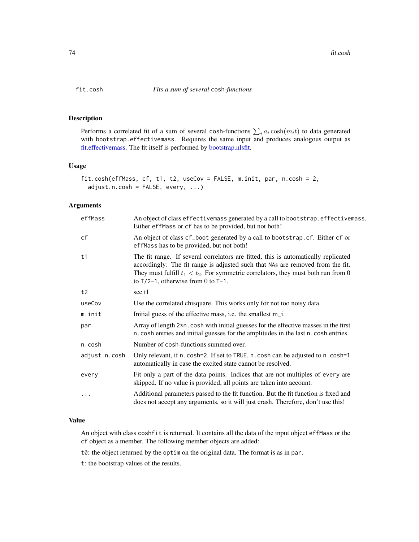Performs a correlated fit of a sum of several cosh-functions  $\sum_i a_i \cosh(m_i t)$  to data generated with bootstrap.effectivemass. Requires the same input and produces analogous output as [fit.effectivemass.](#page-74-0) The fit itself is performed by [bootstrap.nlsfit.](#page-26-0)

## Usage

```
fit.cosh(effMass, cf, t1, t2, useCov = FALSE, m.init, par, n.cosh = 2,
 adjust.n.cosh = FALSE, every, ...)
```
#### Arguments

| effMass       | An object of class effectivemass generated by a call to bootstrap. effectivemass.<br>Either effMass or cf has to be provided, but not both!                                                                                                                                                              |
|---------------|----------------------------------------------------------------------------------------------------------------------------------------------------------------------------------------------------------------------------------------------------------------------------------------------------------|
| cf            | An object of class cf_boot generated by a call to bootstrap.cf. Either cf or<br>effMass has to be provided, but not both!                                                                                                                                                                                |
| t1            | The fit range. If several correlators are fitted, this is automatically replicated<br>accordingly. The fit range is adjusted such that NAs are removed from the fit.<br>They must fulfill $t_1 < t_2$ . For symmetric correlators, they must both run from 0<br>to $T/2-1$ , otherwise from 0 to $T-1$ . |
| t2            | see t1                                                                                                                                                                                                                                                                                                   |
| useCov        | Use the correlated chisquare. This works only for not too noisy data.                                                                                                                                                                                                                                    |
| m.init        | Initial guess of the effective mass, i.e. the smallest m_i.                                                                                                                                                                                                                                              |
| par           | Array of length $2*n$ . cosh with initial guesses for the effective masses in the first<br>n. cosh entries and initial guesses for the amplitudes in the last n. cosh entries.                                                                                                                           |
| n.cosh        | Number of cosh-functions summed over.                                                                                                                                                                                                                                                                    |
| adjust.n.cosh | Only relevant, if n. cosh=2. If set to TRUE, n. cosh can be adjusted to n. cosh=1<br>automatically in case the excited state cannot be resolved.                                                                                                                                                         |
| every         | Fit only a part of the data points. Indices that are not multiples of every are<br>skipped. If no value is provided, all points are taken into account.                                                                                                                                                  |
| $\cdots$      | Additional parameters passed to the fit function. But the fit function is fixed and<br>does not accept any arguments, so it will just crash. Therefore, don't use this!                                                                                                                                  |

#### Value

An object with class coshfit is returned. It contains all the data of the input object effMass or the cf object as a member. The following member objects are added:

t0: the object returned by the optim on the original data. The format is as in par.

t: the bootstrap values of the results.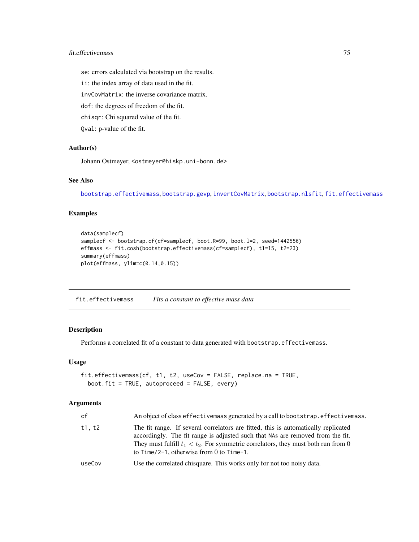## fit.effectivemass 75

se: errors calculated via bootstrap on the results.

ii: the index array of data used in the fit.

invCovMatrix: the inverse covariance matrix.

dof: the degrees of freedom of the fit.

chisqr: Chi squared value of the fit.

Qval: p-value of the fit.

#### Author(s)

Johann Ostmeyer, <ostmeyer@hiskp.uni-bonn.de>

## See Also

[bootstrap.effectivemass](#page-19-0), [bootstrap.gevp](#page-21-0), [invertCovMatrix](#page-96-0), [bootstrap.nlsfit](#page-26-0), [fit.effectivemass](#page-74-0)

## Examples

```
data(samplecf)
samplecf <- bootstrap.cf(cf=samplecf, boot.R=99, boot.l=2, seed=1442556)
effmass <- fit.cosh(bootstrap.effectivemass(cf=samplecf), t1=15, t2=23)
summary(effmass)
plot(effmass, ylim=c(0.14,0.15))
```
<span id="page-74-0"></span>fit.effectivemass *Fits a constant to effective mass data*

## Description

Performs a correlated fit of a constant to data generated with bootstrap.effectivemass.

## Usage

```
fit.effectivemass(cf, t1, t2, useCov = FALSE, replace.na = TRUE,
 boot.fit = TRUE, autoproceed = FALSE, every)
```
#### Arguments

| t1, t2<br>to $Time/2-1$ , otherwise from 0 to $Time-1$ .<br>Use the correlated chisquare. This works only for not too noisy data.<br>useCov | cf | An object of class effective mass generated by a call to bootstrap. effective mass.                                                                                                                                                                          |
|---------------------------------------------------------------------------------------------------------------------------------------------|----|--------------------------------------------------------------------------------------------------------------------------------------------------------------------------------------------------------------------------------------------------------------|
|                                                                                                                                             |    | The fit range. If several correlators are fitted, this is automatically replicated<br>accordingly. The fit range is adjusted such that NAs are removed from the fit.<br>They must fulfill $t_1 < t_2$ . For symmetric correlators, they must both run from 0 |
|                                                                                                                                             |    |                                                                                                                                                                                                                                                              |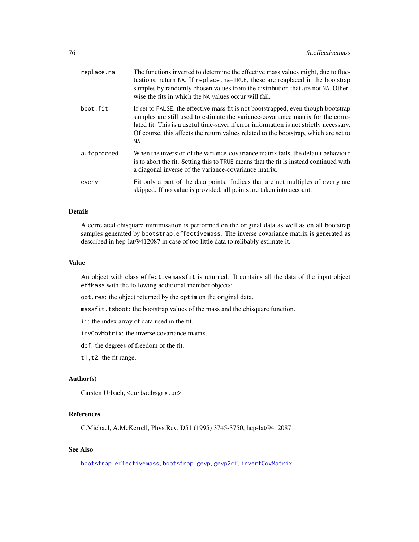| replace.na  | The functions inverted to determine the effective mass values might, due to fluc-<br>tuations, return NA. If replace na=TRUE, these are reaplaced in the bootstrap<br>samples by randomly chosen values from the distribution that are not NA. Other-<br>wise the fits in which the NA values occur will fail.                                                  |
|-------------|-----------------------------------------------------------------------------------------------------------------------------------------------------------------------------------------------------------------------------------------------------------------------------------------------------------------------------------------------------------------|
| boot.fit    | If set to FALSE, the effective mass fit is not bootstrapped, even though bootstrap<br>samples are still used to estimate the variance-covariance matrix for the corre-<br>lated fit. This is a useful time-saver if error information is not strictly necessary.<br>Of course, this affects the return values related to the bootstrap, which are set to<br>NA. |
| autoproceed | When the inversion of the variance-covariance matrix fails, the default behaviour<br>is to abort the fit. Setting this to TRUE means that the fit is instead continued with<br>a diagonal inverse of the variance-covariance matrix.                                                                                                                            |
| every       | Fit only a part of the data points. Indices that are not multiples of every are<br>skipped. If no value is provided, all points are taken into account.                                                                                                                                                                                                         |

#### Details

A correlated chisquare minimisation is performed on the original data as well as on all bootstrap samples generated by bootstrap.effectivemass. The inverse covariance matrix is generated as described in hep-lat/9412087 in case of too little data to relibably estimate it.

#### Value

An object with class effectivemassfit is returned. It contains all the data of the input object effMass with the following additional member objects:

opt.res: the object returned by the optim on the original data.

massfit.tsboot: the bootstrap values of the mass and the chisquare function.

ii: the index array of data used in the fit.

invCovMatrix: the inverse covariance matrix.

dof: the degrees of freedom of the fit.

t1,t2: the fit range.

#### Author(s)

Carsten Urbach, <curbach@gmx.de>

## References

C.Michael, A.McKerrell, Phys.Rev. D51 (1995) 3745-3750, hep-lat/9412087

# See Also

[bootstrap.effectivemass](#page-19-0), [bootstrap.gevp](#page-21-0), [gevp2cf](#page-87-0), [invertCovMatrix](#page-96-0)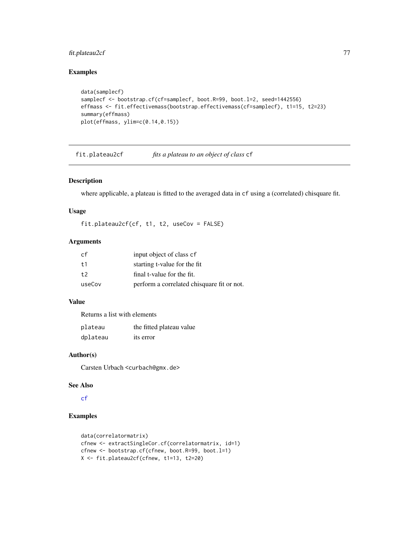## fit.plateau2cf 77

# Examples

```
data(samplecf)
samplecf <- bootstrap.cf(cf=samplecf, boot.R=99, boot.l=2, seed=1442556)
effmass <- fit.effectivemass(bootstrap.effectivemass(cf=samplecf), t1=15, t2=23)
summary(effmass)
plot(effmass, ylim=c(0.14,0.15))
```
fit.plateau2cf *fits a plateau to an object of class* cf

## Description

where applicable, a plateau is fitted to the averaged data in cf using a (correlated) chisquare fit.

### Usage

fit.plateau2cf(cf, t1, t2, useCov = FALSE)

## Arguments

| .cf    | input object of class of                   |
|--------|--------------------------------------------|
| $+1$   | starting t-value for the fit               |
| $t$ .  | final t-value for the fit.                 |
| useCov | perform a correlated chisquare fit or not. |

## Value

Returns a list with elements

| plateau  | the fitted plateau value |
|----------|--------------------------|
| dplateau | its error                |

# Author(s)

Carsten Urbach <curbach@gmx.de>

#### See Also

[cf](#page-34-0)

# Examples

```
data(correlatormatrix)
cfnew <- extractSingleCor.cf(correlatormatrix, id=1)
cfnew <- bootstrap.cf(cfnew, boot.R=99, boot.l=1)
X <- fit.plateau2cf(cfnew, t1=13, t2=20)
```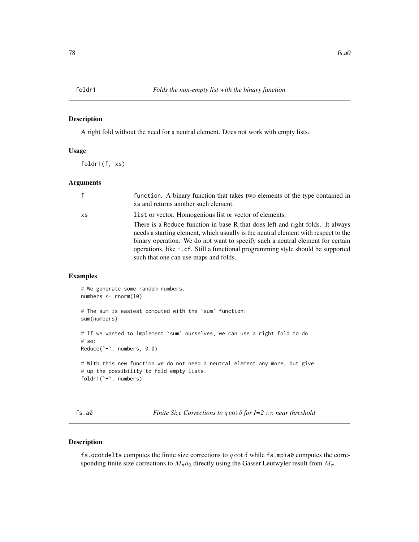A right fold without the need for a neutral element. Does not work with empty lists.

## Usage

foldr1(f, xs)

#### Arguments

|    | function. A binary function that takes two elements of the type contained in<br>xs and returns another such element.                                                                                                                                                                                                                                                               |
|----|------------------------------------------------------------------------------------------------------------------------------------------------------------------------------------------------------------------------------------------------------------------------------------------------------------------------------------------------------------------------------------|
| XS | list or vector. Homogenious list or vector of elements.                                                                                                                                                                                                                                                                                                                            |
|    | There is a Reduce function in base R that does left and right folds. It always<br>needs a starting element, which usually is the neutral element with respect to the<br>binary operation. We do not want to specify such a neutral element for certain<br>operations, like +.cf. Still a functional programming style should be supported<br>such that one can use maps and folds. |

#### Examples

```
# We generate some random numbers.
numbers <- rnorm(10)
# The sum is easiest computed with the `sum` function:
sum(numbers)
# If we wanted to implement `sum` ourselves, we can use a right fold to do
# so:
Reduce(`+`, numbers, 0.0)
# With this new function we do not need a neutral element any more, but give
# up the possibility to fold empty lists.
foldr1(`+`, numbers)
```
fs.a0 *Finite Size Corrections to* q cot δ *for I=2* ππ *near threshold*

#### Description

fs.qcotdelta computes the finite size corrections to  $q \cot \delta$  while fs.mpia0 computes the corresponding finite size corrections to  $M_{\pi}a_0$  directly using the Gasser Leutwyler result from  $M_{\pi}$ .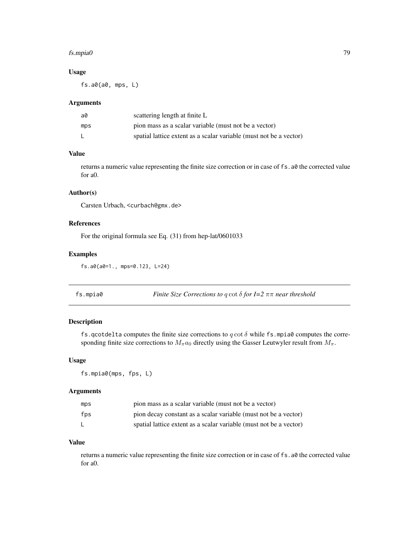#### fs.mpia0 79

## Usage

fs.a0(a0, mps, L)

## Arguments

| a0  | scattering length at finite L                                      |
|-----|--------------------------------------------------------------------|
| mps | pion mass as a scalar variable (must not be a vector)              |
|     | spatial lattice extent as a scalar variable (must not be a vector) |

## Value

returns a numeric value representing the finite size correction or in case of fs.a0 the corrected value for a0.

## Author(s)

Carsten Urbach, <curbach@gmx.de>

# References

For the original formula see Eq. (31) from hep-lat/0601033

## Examples

```
fs.a0(a0=1., mps=0.123, L=24)
```

| fs.mpia0 | Finite Size Corrections to q cot $\delta$ for I=2 $\pi\pi$ near threshold |  |
|----------|---------------------------------------------------------------------------|--|
|----------|---------------------------------------------------------------------------|--|

# Description

fs.qcotdelta computes the finite size corrections to  $q \cot \delta$  while fs.mpia0 computes the corresponding finite size corrections to  $M_{\pi}a_0$  directly using the Gasser Leutwyler result from  $M_{\pi}$ .

## Usage

fs.mpia0(mps, fps, L)

## Arguments

| mps | pion mass as a scalar variable (must not be a vector)              |
|-----|--------------------------------------------------------------------|
| fps | pion decay constant as a scalar variable (must not be a vector)    |
|     | spatial lattice extent as a scalar variable (must not be a vector) |

#### Value

returns a numeric value representing the finite size correction or in case of fs.a0 the corrected value for a0.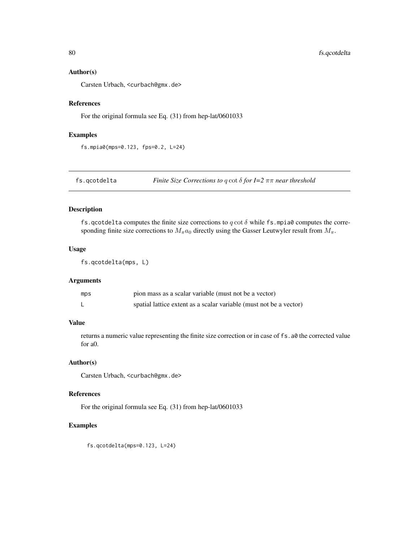#### Author(s)

Carsten Urbach, <curbach@gmx.de>

## References

For the original formula see Eq. (31) from hep-lat/0601033

## Examples

fs.mpia0(mps=0.123, fps=0.2, L=24)

fs.qcotdelta *Finite Size Corrections to* q cot δ *for I=2* ππ *near threshold*

# Description

fs.qcotdelta computes the finite size corrections to  $q \cot \delta$  while fs.mpia0 computes the corresponding finite size corrections to  $M_{\pi}a_0$  directly using the Gasser Leutwyler result from  $M_{\pi}$ .

#### Usage

```
fs.qcotdelta(mps, L)
```
## Arguments

| mps | pion mass as a scalar variable (must not be a vector)              |
|-----|--------------------------------------------------------------------|
|     | spatial lattice extent as a scalar variable (must not be a vector) |

# Value

returns a numeric value representing the finite size correction or in case of fs.a0 the corrected value for a0.

#### Author(s)

Carsten Urbach, <curbach@gmx.de>

#### References

For the original formula see Eq. (31) from hep-lat/0601033

# Examples

fs.qcotdelta(mps=0.123, L=24)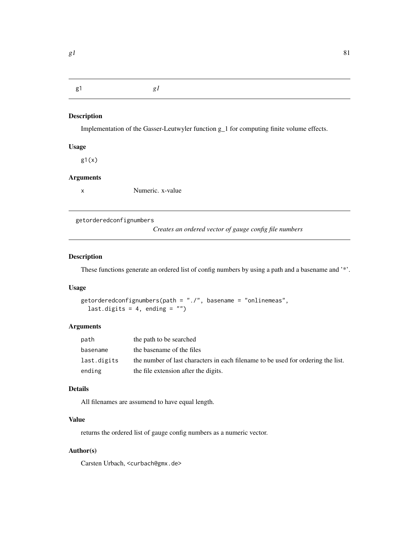g1 *g1*

# Description

Implementation of the Gasser-Leutwyler function g\_1 for computing finite volume effects.

## Usage

 $g1(x)$ 

# Arguments

x Numeric. x-value

getorderedconfignumbers

*Creates an ordered vector of gauge config file numbers*

## Description

These functions generate an ordered list of config numbers by using a path and a basename and '\*'.

#### Usage

```
getorderedconfignumbers(path = "./", basename = "onlinemeas",
  last.digits = 4, ending = ")
```
## Arguments

| path        | the path to be searched                                                          |
|-------------|----------------------------------------------------------------------------------|
| basename    | the basename of the files                                                        |
| last.digits | the number of last characters in each filename to be used for ordering the list. |
| ending      | the file extension after the digits.                                             |

## Details

All filenames are assumend to have equal length.

## Value

returns the ordered list of gauge config numbers as a numeric vector.

## Author(s)

Carsten Urbach, <curbach@gmx.de>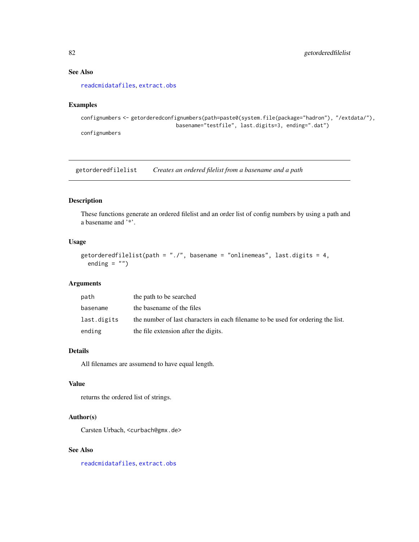## See Also

[readcmidatafiles](#page-150-0), [extract.obs](#page-69-0)

## Examples

```
confignumbers <- getorderedconfignumbers(path=paste0(system.file(package="hadron"), "/extdata/"),
                               basename="testfile", last.digits=3, ending=".dat")
confignumbers
```
getorderedfilelist *Creates an ordered filelist from a basename and a path*

## Description

These functions generate an ordered filelist and an order list of config numbers by using a path and a basename and '\*'.

#### Usage

```
getorderedfilelist(path = "./", basename = "onlinemeas", last.digits = 4,
  ending = "")
```
#### Arguments

| path        | the path to be searched                                                          |
|-------------|----------------------------------------------------------------------------------|
| basename    | the basename of the files                                                        |
| last.digits | the number of last characters in each filename to be used for ordering the list. |
| ending      | the file extension after the digits.                                             |

## Details

All filenames are assumend to have equal length.

## Value

returns the ordered list of strings.

## Author(s)

Carsten Urbach, <curbach@gmx.de>

#### See Also

[readcmidatafiles](#page-150-0), [extract.obs](#page-69-0)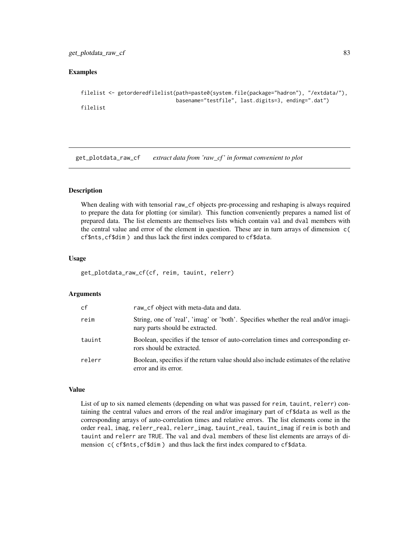## Examples

```
filelist <- getorderedfilelist(path=paste0(system.file(package="hadron"), "/extdata/"),
                               basename="testfile", last.digits=3, ending=".dat")
filelist
```
get\_plotdata\_raw\_cf *extract data from 'raw\_cf ' in format convenient to plot*

## Description

When dealing with with tensorial raw\_cf objects pre-processing and reshaping is always required to prepare the data for plotting (or similar). This function conveniently prepares a named list of prepared data. The list elements are themselves lists which contain val and dval members with the central value and error of the element in question. These are in turn arrays of dimension c( cf\$nts,cf\$dim ) and thus lack the first index compared to cf\$data.

#### Usage

```
get_plotdata_raw_cf(cf, reim, tauint, relerr)
```
#### Arguments

| cf     | raw_cf object with meta-data and data.                                                                               |
|--------|----------------------------------------------------------------------------------------------------------------------|
| reim   | String, one of 'real', 'imag' or 'both'. Specifies whether the real and/or imagi-<br>nary parts should be extracted. |
| tauint | Boolean, specifies if the tensor of auto-correlation times and corresponding er-<br>rors should be extracted.        |
| relerr | Boolean, specifies if the return value should also include estimates of the relative<br>error and its error.         |

#### Value

List of up to six named elements (depending on what was passed for reim, tauint, relerr) containing the central values and errors of the real and/or imaginary part of cf\$data as well as the corresponding arrays of auto-correlation times and relative errors. The list elements come in the order real, imag, relerr\_real, relerr\_imag, tauint\_real, tauint\_imag if reim is both and tauint and relerr are TRUE. The val and dval members of these list elements are arrays of dimension c(cf\$nts,cf\$dim) and thus lack the first index compared to cf\$data.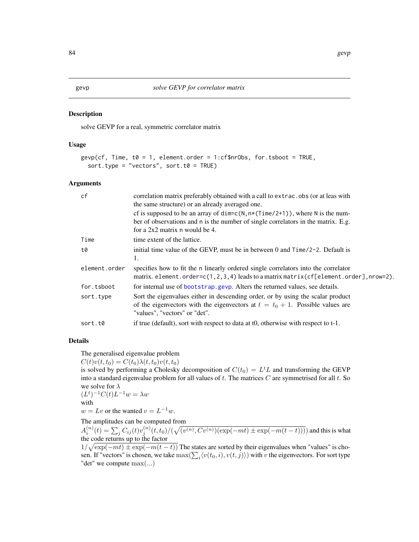<span id="page-83-0"></span>solve GEVP for a real, symmetric correlator matrix

#### Usage

```
gevp(cf, Time, t0 = 1, element.order = 1:cf$nrObs, for.tsboot = TRUE,sort.type = "vectors", sort.t0 = TRUE)
```
#### Arguments

| cf            | correlation matrix preferably obtained with a call to extrac. obs (or at leas with<br>the same structure) or an already averaged one.                                                                      |
|---------------|------------------------------------------------------------------------------------------------------------------------------------------------------------------------------------------------------------|
|               | cf is supposed to be an array of $dim = c(N, n*(Time/2+1))$ , where N is the num-<br>ber of observations and n is the number of single correlators in the matrix. E.g.<br>for a $2x2$ matrix n would be 4. |
| Time          | time extent of the lattice.                                                                                                                                                                                |
| t0            | initial time value of the GEVP, must be in between 0 and $Time/2-2$ . Default is<br>1.                                                                                                                     |
| element.order | specifies how to fit the n linearly ordered single correlators into the correlator<br>matrix. element.order= $c(1,2,3,4)$ leads to a matrix matrix (cf[element.order], nrow=2).                            |
| for.tsboot    | for internal use of bootstrap.gevp. Alters the returned values, see details.                                                                                                                               |
| sort.type     | Sort the eigenvalues either in descending order, or by using the scalar product<br>of the eigenvectors with the eigenvectors at $t = t_0 + 1$ . Possible values are<br>"values", "vectors" or "det".       |
| sort.t0       | if true (default), sort with respect to data at t0, otherwise with respect to t-1.                                                                                                                         |

#### Details

The generalised eigenvalue problem

 $C(t)v(t, t_0) = C(t_0)\lambda(t, t_0)v(t, t_0)$ 

is solved by performing a Cholesky decomposition of  $C(t_0) = L^t L$  and transforming the GEVP into a standard eigenvalue problem for all values of  $t$ . The matrices  $C$  are symmetrised for all  $t$ . So we solve for  $\lambda$  $(L^{t})^{-1}C(t)L^{-1}w = \lambda w$ 

$$
\begin{array}{ll}\n(L) & C(t)L & w = \\
\text{with} & \end{array}
$$

 $w = Lv$  or the wanted  $v = L^{-1}w$ .

The amplitudes can be computed from

 $A_i^{(n)}(t)=\sum_j C_{ij}(t)v_j^{(n)}(t,t_0)/(\sqrt{(v^{(n)},Cv^{(n)})(\exp(-mt)\pm\exp(-m(t-t))))})$  and this is what the code returns up to the factor

 $1/\sqrt{\exp(-mt) \pm \exp(-m(t-t))}$  The states are sorted by their eigenvalues when "values" is chosen. If "vectors" is chosen, we take  $\max(\sum_i \langle v(t_0,i), v(t,j) \rangle)$  with  $v$  the eigenvectors. For sort type "det" we compute max(...)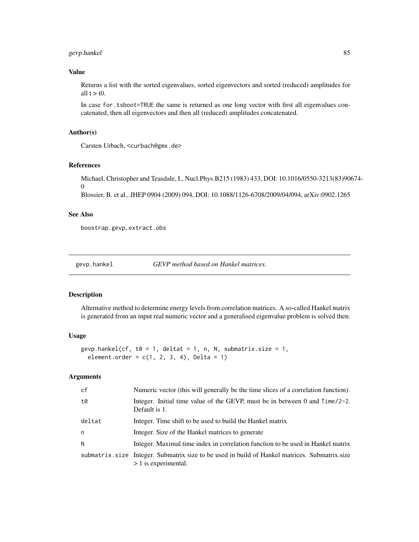## gevp.hankel 85

## Value

Returns a list with the sorted eigenvalues, sorted eigenvectors and sorted (reduced) amplitudes for all  $t > t0$ .

In case for. tsboot=TRUE the same is returned as one long vector with first all eigenvalues concatenated, then all eigenvectors and then all (reduced) amplitudes concatenated.

# Author(s)

Carsten Urbach, <curbach@gmx.de>

#### References

Michael, Christopher and Teasdale, I., Nucl.Phys.B215 (1983) 433, DOI: 10.1016/0550-3213(83)90674-  $\Omega$ 

Blossier, B. et al., JHEP 0904 (2009) 094, DOI: 10.1088/1126-6708/2009/04/094, arXiv:0902.1265

## See Also

boostrap.gevp, extract.obs

<span id="page-84-0"></span>

gevp.hankel *GEVP method based on Hankel matrices.*

#### Description

Alternative method to determine energy levels from correlation matrices. A so-called Hankel matrix is generated from an input real numeric vector and a generalised eigenvalue problem is solved then.

#### Usage

```
gevp.hankel(cf, t0 = 1, deltat = 1, n, N, submatrix.size = 1,
  element.order = c(1, 2, 3, 4), Delta = 1)
```
## Arguments

| cf     | Numeric vector (this will generally be the time slices of a correlation function).                                        |
|--------|---------------------------------------------------------------------------------------------------------------------------|
| t0     | Integer. Initial time value of the GEVP, must be in between 0 and $Time/2-2$ .<br>Default is 1.                           |
| deltat | Integer. Time shift to be used to build the Hankel matrix                                                                 |
| n      | Integer. Size of the Hankel matrices to generate                                                                          |
| N      | Integer. Maximal time index in correlation function to be used in Hankel matrix                                           |
|        | submatrix, size Integer. Submatrix size to be used in build of Hankel matrices. Submatrix, size<br>$> 1$ is experimental. |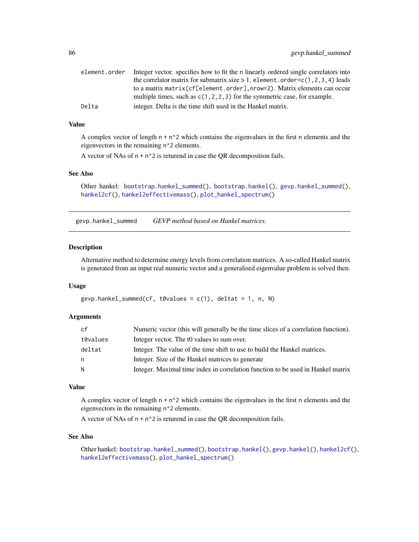| element.order | Integer vector, specifies how to fit the n linearly ordered single correlators into |
|---------------|-------------------------------------------------------------------------------------|
|               | the correlator matrix for submatrix size $> 1$ . element . order=c(1,2,3,4) leads   |
|               | to a matrix matrix (cf[element.order], nrow=2). Matrix elements can occur           |
|               | multiple times, such as $c(1, 2, 2, 3)$ for the symmetric case, for example.        |
| Delta         | integer. Delta is the time shift used in the Hankel matrix.                         |

## Value

A complex vector of length  $n + n^2$  which contains the eigenvalues in the first n elements and the eigenvectors in the remaining n^2 elements.

A vector of NAs of  $n + n^2$  is returend in case the QR decomposition fails.

### See Also

```
bootstrap.hankel_summed(bootstrap.hankel(gevp.hankel_summed(),
hankel2cf(), hankel2effectivemass(), plot_hankel_spectrum()
```
<span id="page-85-0"></span>gevp.hankel\_summed *GEVP method based on Hankel matrices.*

#### Description

Alternative method to determine energy levels from correlation matrices. A so-called Hankel matrix is generated from an input real numeric vector and a generalised eigenvalue problem is solved then.

#### Usage

```
gevp.hankel_summed(cf, t0values = c(1), deltat = 1, n, N)
```
## Arguments

| cf       | Numeric vector (this will generally be the time slices of a correlation function). |
|----------|------------------------------------------------------------------------------------|
| t0values | Integer vector. The to values to sum over.                                         |
| deltat   | Integer. The value of the time shift to use to build the Hankel matrices.          |
| n        | Integer. Size of the Hankel matrices to generate                                   |
| N        | Integer. Maximal time index in correlation function to be used in Hankel matrix    |

## Value

A complex vector of length  $n + n^2$  which contains the eigenvalues in the first n elements and the eigenvectors in the remaining n^2 elements.

A vector of NAs of  $n + n^2$  is returend in case the QR decomposition fails.

## See Also

Other hankel: [bootstrap.hankel\\_summed\(](#page-24-0)), [bootstrap.hankel\(](#page-23-0)), [gevp.hankel\(](#page-84-0)), [hankel2cf\(](#page-91-0)), [hankel2effectivemass\(](#page-92-0)), [plot\\_hankel\\_spectrum\(](#page-137-0))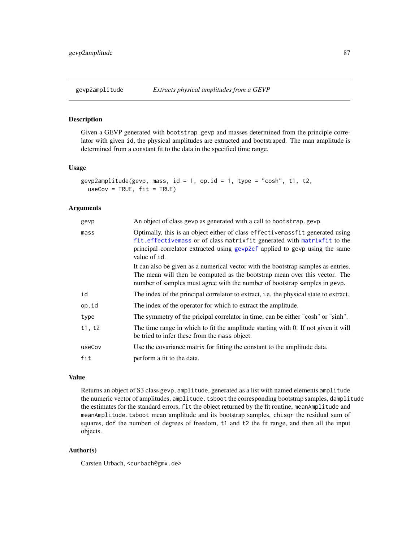Given a GEVP generated with bootstrap.gevp and masses determined from the principle correlator with given id, the physical amplitudes are extracted and bootstraped. The man amplitude is determined from a constant fit to the data in the specified time range.

#### Usage

```
gevp2amplitude(gevp, mass, id = 1, op.id = 1, type = "cosh", t1, t2,
 useCov = TRUE, fit = TRUE)
```
## Arguments

| gevp   | An object of class gevp as generated with a call to bootstrap.gevp.                                                                                                                                                                                        |
|--------|------------------------------------------------------------------------------------------------------------------------------------------------------------------------------------------------------------------------------------------------------------|
| mass   | Optimally, this is an object either of class effective mass fit generated using<br>fit. effectivemass or of class matrixfit generated with matrixfit to the<br>principal correlator extracted using gevp2cf applied to gevp using the same<br>value of id. |
|        | It can also be given as a numerical vector with the bootstrap samples as entries.<br>The mean will then be computed as the bootstrap mean over this vector. The<br>number of samples must agree with the number of bootstrap samples in gevp.              |
| id     | The index of the principal correlator to extract, i.e. the physical state to extract.                                                                                                                                                                      |
| op.id  | The index of the operator for which to extract the amplitude.                                                                                                                                                                                              |
| type   | The symmetry of the pricipal correlator in time, can be either "cosh" or "sinh".                                                                                                                                                                           |
| t1, t2 | The time range in which to fit the amplitude starting with 0. If not given it will<br>be tried to infer these from the mass object.                                                                                                                        |
| useCov | Use the covariance matrix for fitting the constant to the amplitude data.                                                                                                                                                                                  |
| fit    | perform a fit to the data.                                                                                                                                                                                                                                 |

## Value

Returns an object of S3 class gevp. amplitude, generated as a list with named elements amplitude the numeric vector of amplitudes, amplitude.tsboot the corresponding bootstrap samples, damplitude the estimates for the standard errors, fit the object returned by the fit routine, meanAmplitude and meanAmplitude.tsboot mean amplitude and its bootstrap samples, chisqr the residual sum of squares, dof the numberi of degrees of freedom, t1 and t2 the fit range, and then all the input objects.

## Author(s)

Carsten Urbach, <curbach@gmx.de>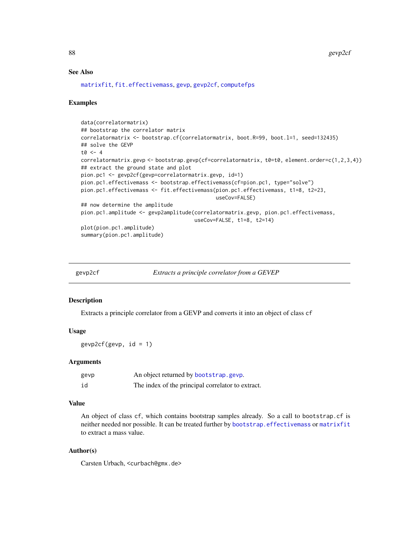#### See Also

[matrixfit](#page-105-0), [fit.effectivemass](#page-74-0), [gevp](#page-83-0), [gevp2cf](#page-87-0), [computefps](#page-48-0)

#### Examples

```
data(correlatormatrix)
## bootstrap the correlator matrix
correlatormatrix <- bootstrap.cf(correlatormatrix, boot.R=99, boot.l=1, seed=132435)
## solve the GEVP
t0 < -4correlatormatrix.gevp <- bootstrap.gevp(cf=correlatormatrix, t0=t0, element.order=c(1,2,3,4))
## extract the ground state and plot
pion.pc1 <- gevp2cf(gevp=correlatormatrix.gevp, id=1)
pion.pc1.effectivemass <- bootstrap.effectivemass(cf=pion.pc1, type="solve")
pion.pc1.effectivemass <- fit.effectivemass(pion.pc1.effectivemass, t1=8, t2=23,
                                            useCov=FALSE)
## now determine the amplitude
pion.pc1.amplitude <- gevp2amplitude(correlatormatrix.gevp, pion.pc1.effectivemass,
                                     useCov=FALSE, t1=8, t2=14)
plot(pion.pc1.amplitude)
summary(pion.pc1.amplitude)
```
<span id="page-87-0"></span>

| gevp2c. |  |
|---------|--|
|         |  |

Extracts a principle correlator from a GEVEP

#### Description

Extracts a principle correlator from a GEVP and converts it into an object of class cf

#### Usage

gevp2cf(gevp,  $id = 1$ )

#### Arguments

| gevp | An object returned by bootstrap.gevp.             |
|------|---------------------------------------------------|
| id   | The index of the principal correlator to extract. |

## Value

An object of class cf, which contains bootstrap samples already. So a call to bootstrap.cf is neither needed nor possible. It can be treated further by [bootstrap.effectivemass](#page-19-0) or [matrixfit](#page-105-0) to extract a mass value.

#### Author(s)

Carsten Urbach, <curbach@gmx.de>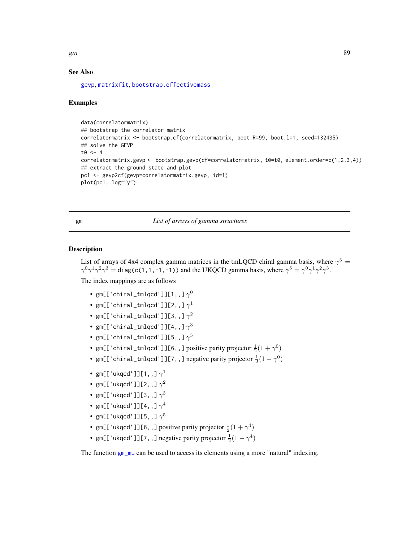$g$ m 89

## See Also

[gevp](#page-83-0), [matrixfit](#page-105-0), [bootstrap.effectivemass](#page-19-0)

#### Examples

```
data(correlatormatrix)
## bootstrap the correlator matrix
correlatormatrix <- bootstrap.cf(correlatormatrix, boot.R=99, boot.l=1, seed=132435)
## solve the GEVP
t0 < -4correlatormatrix.gevp <- bootstrap.gevp(cf=correlatormatrix, t0=t0, element.order=c(1,2,3,4))
## extract the ground state and plot
pc1 <- gevp2cf(gevp=correlatormatrix.gevp, id=1)
plot(pc1, log="y")
```
<span id="page-88-0"></span>gm *List of arrays of gamma structures*

#### Description

List of arrays of 4x4 complex gamma matrices in the tmLQCD chiral gamma basis, where  $\gamma^5 =$  $\gamma^0\gamma^1\gamma^2\gamma^3 = \text{diag}(c(1,1,-1,-1))$  and the UKQCD gamma basis, where  $\gamma^5 = \gamma^0\gamma^1\gamma^2\gamma^3$ .

The index mappings are as follows

- gm[['chiral\_tmlqcd']][1,,]  $\gamma^0$
- gm[['chiral\_tmlqcd']][2,,] $\gamma^1$
- gm[['chiral\_tmlqcd']][3,,]  $\gamma^2$
- gm[['chiral\_tmlqcd']][4,,]  $\gamma^3$
- gm[['chiral\_tmlqcd']][5,,]  $\gamma^5$
- gm[['chiral\_tmlqcd']][6,,] positive parity projector  $\frac{1}{2}(1+\gamma^0)$
- gm[['chiral\_tmlqcd']][7,,] negative parity projector  $\frac{1}{2}(1-\gamma^0)$
- gm[['ukqcd']][1,,]  $\gamma^1$
- gm[['ukqcd']][2,,]  $\gamma^2$
- gm[['ukqcd']][3,,]  $\gamma^3$
- gm[['ukqcd']][4,,]  $\gamma^4$
- gm[['ukqcd']][5,,]  $\gamma^5$
- gm[['ukqcd']][6,,] positive parity projector  $\frac{1}{2}(1+\gamma^4)$
- gm[['ukqcd']][7,,] negative parity projector  $\frac{1}{2}(1-\gamma^4)$

The function [gm\\_mu](#page-89-0) can be used to access its elements using a more "natural" indexing.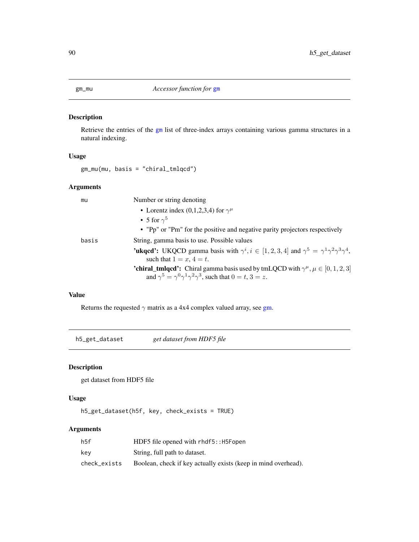<span id="page-89-0"></span>

Retrieve the entries of the [gm](#page-88-0) list of three-index arrays containing various gamma structures in a natural indexing.

#### Usage

gm\_mu(mu, basis = "chiral\_tmlqcd")

## Arguments

| mu    | Number or string denoting                                                                                                                                                                      |
|-------|------------------------------------------------------------------------------------------------------------------------------------------------------------------------------------------------|
|       | • Lorentz index (0,1,2,3,4) for $\gamma^{\mu}$                                                                                                                                                 |
|       | • 5 for $\gamma^5$                                                                                                                                                                             |
|       | • "Pp" or "Pm" for the positive and negative parity projectors respectively                                                                                                                    |
| basis | String, gamma basis to use. Possible values                                                                                                                                                    |
|       | <b>'ukqcd':</b> UKQCD gamma basis with $\gamma^i, i \in [1, 2, 3, 4]$ and $\gamma^5 = \gamma^1 \gamma^2 \gamma^3 \gamma^4$ ,<br>such that $1 = x, 4 = t$ .                                     |
|       | <b>'chiral_tmlqcd':</b> Chiral gamma basis used by tmLQCD with $\gamma^{\mu}$ , $\mu \in [0, 1, 2, 3]$<br>and $\gamma^5 = \gamma^0 \gamma^1 \gamma^2 \gamma^3$ , such that $0 = t$ , $3 = z$ . |
|       |                                                                                                                                                                                                |

## Value

Returns the requested  $\gamma$  matrix as a 4x4 complex valued array, see [gm.](#page-88-0)

h5\_get\_dataset *get dataset from HDF5 file*

## Description

get dataset from HDF5 file

## Usage

h5\_get\_dataset(h5f, key, check\_exists = TRUE)

# Arguments

| h5f          | HDF5 file opened with rhdf5:: H5Fopen                          |
|--------------|----------------------------------------------------------------|
| kev          | String, full path to dataset.                                  |
| check exists | Boolean, check if key actually exists (keep in mind overhead). |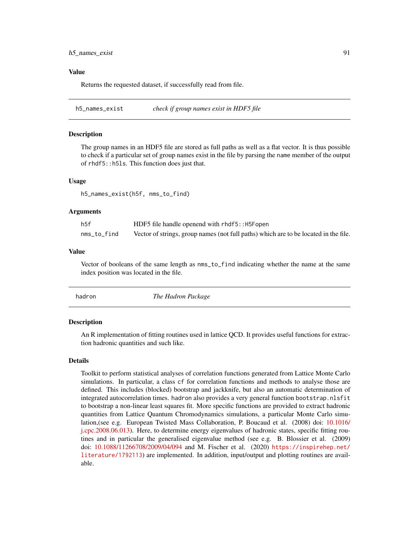#### Value

Returns the requested dataset, if successfully read from file.

h5\_names\_exist *check if group names exist in HDF5 file*

#### Description

The group names in an HDF5 file are stored as full paths as well as a flat vector. It is thus possible to check if a particular set of group names exist in the file by parsing the name member of the output of rhdf5::h5ls. This function does just that.

#### Usage

h5\_names\_exist(h5f, nms\_to\_find)

### Arguments

| h5f         | HDF5 file handle openend with rhdf5:: H5Fopen                                        |
|-------------|--------------------------------------------------------------------------------------|
| nms_to_find | Vector of strings, group names (not full paths) which are to be located in the file. |

#### Value

Vector of booleans of the same length as nms\_to\_find indicating whether the name at the same index position was located in the file.

| The Hadron Package<br>hadron |
|------------------------------|
|                              |

## Description

An R implementation of fitting routines used in lattice QCD. It provides useful functions for extraction hadronic quantities and such like.

#### Details

Toolkit to perform statistical analyses of correlation functions generated from Lattice Monte Carlo simulations. In particular, a class cf for correlation functions and methods to analyse those are defined. This includes (blocked) bootstrap and jackknife, but also an automatic determination of integrated autocorrelation times. hadron also provides a very general function bootstrap.nlsfit to bootstrap a non-linear least squares fit. More specific functions are provided to extract hadronic quantities from Lattice Quantum Chromodynamics simulations, a particular Monte Carlo simulation,(see e.g. European Twisted Mass Collaboration, P. Boucaud et al. (2008) doi: [10.1016/](https://doi.org/10.1016/j.cpc.2008.06.013) [j.cpc.2008.06.013\)](https://doi.org/10.1016/j.cpc.2008.06.013). Here, to determine energy eigenvalues of hadronic states, specific fitting routines and in particular the generalised eigenvalue method (see e.g. B. Blossier et al. (2009) doi: [10.1088/11266708/2009/04/094](https://doi.org/10.1088/1126-6708/2009/04/094) and M. Fischer et al. (2020) [https://inspirehep.net/](https://inspirehep.net/literature/1792113) [literature/1792113](https://inspirehep.net/literature/1792113)) are implemented. In addition, input/output and plotting routines are available.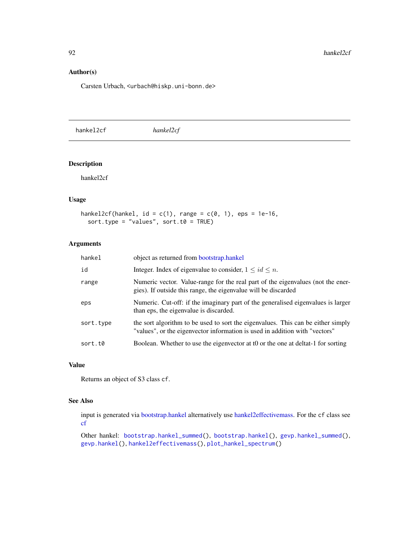## Author(s)

Carsten Urbach, <urbach@hiskp.uni-bonn.de>

<span id="page-91-0"></span>hankel2cf *hankel2cf*

#### Description

hankel2cf

## Usage

```
hankel2cf(hankel, id = c(1), range = c(0, 1), eps = 1e-16,
 sort.type = "values", sort.t0 = TRUE)
```
#### Arguments

| hankel    | object as returned from bootstrap.hankel                                                                                                                        |
|-----------|-----------------------------------------------------------------------------------------------------------------------------------------------------------------|
| id        | Integer. Index of eigenvalue to consider, $1 \le id \le n$ .                                                                                                    |
| range     | Numeric vector. Value-range for the real part of the eigenvalues (not the ener-<br>gies). If outside this range, the eigenvalue will be discarded               |
| eps       | Numeric. Cut-off: if the imaginary part of the generalised eigenvalues is larger<br>than eps, the eigenvalue is discarded.                                      |
| sort.type | the sort algorithm to be used to sort the eigenvalues. This can be either simply<br>"values", or the eigenvector information is used in addition with "vectors" |
| sort.t0   | Boolean. Whether to use the eigenvector at to or the one at deltat-1 for sorting                                                                                |

## Value

Returns an object of S3 class cf.

#### See Also

input is generated via [bootstrap.hankel](#page-23-0) alternatively use [hankel2effectivemass.](#page-92-0) For the cf class see [cf](#page-34-0)

Other hankel: [bootstrap.hankel\\_summed\(](#page-24-0)), [bootstrap.hankel\(](#page-23-0)), [gevp.hankel\\_summed\(](#page-85-0)), [gevp.hankel\(](#page-84-0)), [hankel2effectivemass\(](#page-92-0)), [plot\\_hankel\\_spectrum\(](#page-137-0))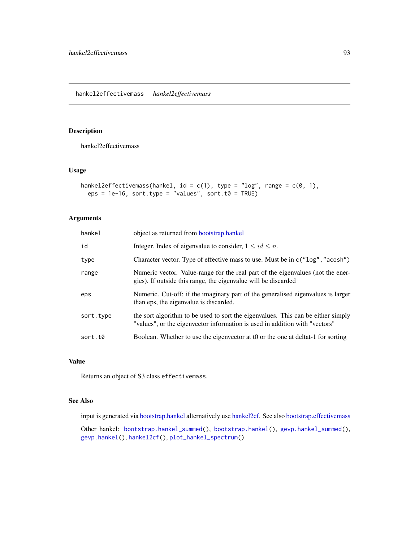<span id="page-92-0"></span>hankel2effectivemass

## Usage

```
hankel2effectivemass(hankel, id = c(1), type = "log", range = c(0, 1),
 eps = 1e-16, sort.type = "values", sort.t0 = TRUE)
```
## Arguments

| hankel    | object as returned from bootstrap.hankel                                                                                                                        |
|-----------|-----------------------------------------------------------------------------------------------------------------------------------------------------------------|
| id        | Integer. Index of eigenvalue to consider, $1 \le id \le n$ .                                                                                                    |
| type      | Character vector. Type of effective mass to use. Must be in $c("log", "acosh")$                                                                                 |
| range     | Numeric vector. Value-range for the real part of the eigenvalues (not the ener-<br>gies). If outside this range, the eigenvalue will be discarded               |
| eps       | Numeric. Cut-off: if the imaginary part of the generalised eigenvalues is larger<br>than eps, the eigenvalue is discarded.                                      |
| sort.type | the sort algorithm to be used to sort the eigenvalues. This can be either simply<br>"values", or the eigenvector information is used in addition with "vectors" |
| sort.t0   | Boolean. Whether to use the eigenvector at to or the one at deltat-1 for sorting                                                                                |

## Value

Returns an object of S3 class effectivemass.

## See Also

input is generated via [bootstrap.hankel](#page-23-0) alternatively use [hankel2cf.](#page-91-0) See also [bootstrap.effectivemass](#page-19-0)

Other hankel: [bootstrap.hankel\\_summed\(](#page-24-0)), [bootstrap.hankel\(](#page-23-0)), [gevp.hankel\\_summed\(](#page-85-0)), [gevp.hankel\(](#page-84-0)), [hankel2cf\(](#page-91-0)), [plot\\_hankel\\_spectrum\(](#page-137-0))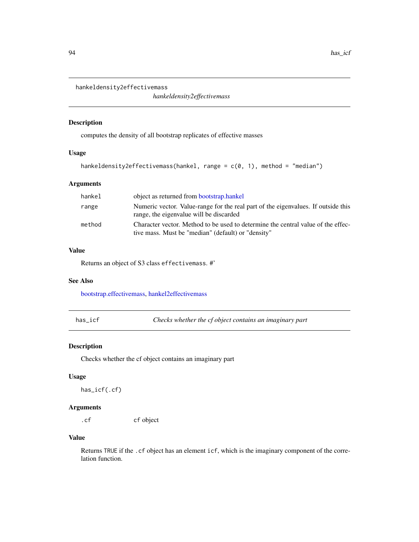```
hankeldensity2effectivemass
```
*hankeldensity2effectivemass*

## Description

computes the density of all bootstrap replicates of effective masses

#### Usage

```
hankeldensity2effectivemass(hankel, range = c(0, 1), method = "median")
```
## Arguments

| hankel | object as returned from bootstrap.hankel                                                                                               |
|--------|----------------------------------------------------------------------------------------------------------------------------------------|
| range  | Numeric vector. Value-range for the real part of the eigenvalues. If outside this<br>range, the eigenvalue will be discarded           |
| method | Character vector. Method to be used to determine the central value of the effec-<br>tive mass. Must be "median" (default) or "density" |

# Value

Returns an object of S3 class effectivemass. #'

## See Also

[bootstrap.effectivemass,](#page-19-0) [hankel2effectivemass](#page-92-0)

has\_icf *Checks whether the cf object contains an imaginary part*

# Description

Checks whether the cf object contains an imaginary part

## Usage

has\_icf(.cf)

# Arguments

.cf cf object

## Value

Returns TRUE if the .cf object has an element icf, which is the imaginary component of the correlation function.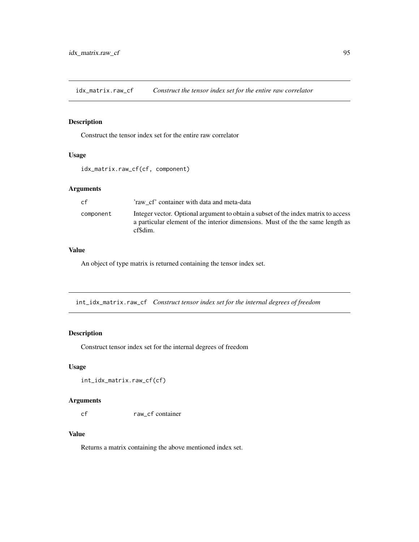idx\_matrix.raw\_cf *Construct the tensor index set for the entire raw correlator*

#### Description

Construct the tensor index set for the entire raw correlator

# Usage

```
idx_matrix.raw_cf(cf, component)
```
## Arguments

| cf        | 'raw cf' container with data and meta-data                                                                                                                                       |
|-----------|----------------------------------------------------------------------------------------------------------------------------------------------------------------------------------|
| component | Integer vector. Optional argument to obtain a subset of the index matrix to access<br>a particular element of the interior dimensions. Must of the the same length as<br>cfSdim. |

# Value

An object of type matrix is returned containing the tensor index set.

int\_idx\_matrix.raw\_cf *Construct tensor index set for the internal degrees of freedom*

## Description

Construct tensor index set for the internal degrees of freedom

## Usage

int\_idx\_matrix.raw\_cf(cf)

## Arguments

cf raw\_cf container

## Value

Returns a matrix containing the above mentioned index set.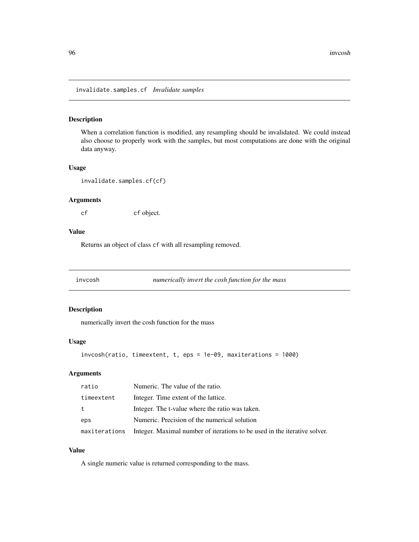invalidate.samples.cf *Invalidate samples*

#### Description

When a correlation function is modified, any resampling should be invalidated. We could instead also choose to properly work with the samples, but most computations are done with the original data anyway.

#### Usage

invalidate.samples.cf(cf)

## Arguments

cf cf object.

## Value

Returns an object of class cf with all resampling removed.

invcosh *numerically invert the cosh function for the mass*

#### Description

numerically invert the cosh function for the mass

## Usage

```
invcosh(ratio, timeextent, t, eps = 1e-09, maxiterations = 1000)
```
## Arguments

| ratio      | Numeric. The value of the ratio.                                                        |
|------------|-----------------------------------------------------------------------------------------|
| timeextent | Integer. Time extent of the lattice.                                                    |
| t          | Integer. The t-value where the ratio was taken.                                         |
| eps        | Numeric. Precision of the numerical solution                                            |
|            | maxiterations Integer. Maximal number of iterations to be used in the iterative solver. |

# Value

A single numeric value is returned corresponding to the mass.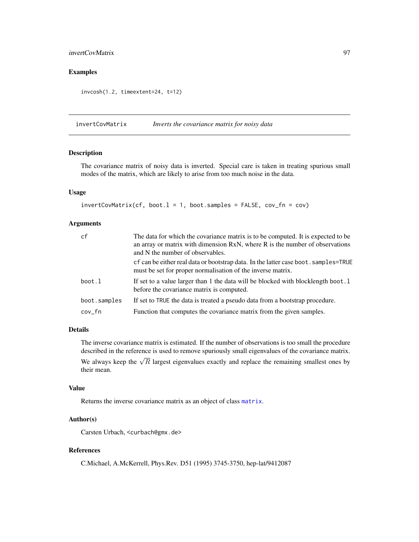## invertCovMatrix 97

# Examples

invcosh(1.2, timeextent=24, t=12)

<span id="page-96-0"></span>invertCovMatrix *Inverts the covariance matrix for noisy data*

## Description

The covariance matrix of noisy data is inverted. Special care is taken in treating spurious small modes of the matrix, which are likely to arise from too much noise in the data.

## Usage

```
invertCovMatrix(cf, boot.1 = 1, boot.samples = FALSE, cov_fn = cov)
```
#### Arguments

| cf           | The data for which the covariance matrix is to be computed. It is expected to be<br>an array or matrix with dimension RxN, where R is the number of observations<br>and N the number of observables. |
|--------------|------------------------------------------------------------------------------------------------------------------------------------------------------------------------------------------------------|
|              | of can be either real data or bootstrap data. In the latter case boot . samples=TRUE<br>must be set for proper normalisation of the inverse matrix.                                                  |
| boot.l       | If set to a value larger than 1 the data will be blocked with blocklength boot. 1<br>before the covariance matrix is computed.                                                                       |
| boot.samples | If set to TRUE the data is treated a pseudo data from a bootstrap procedure.                                                                                                                         |
| cov_fn       | Function that computes the covariance matrix from the given samples.                                                                                                                                 |

## Details

The inverse covariance matrix is estimated. If the number of observations is too small the procedure described in the reference is used to remove spuriously small eigenvalues of the covariance matrix. We always keep the  $\sqrt{R}$  largest eigenvalues exactly and replace the remaining smallest ones by their mean.

## Value

Returns the inverse covariance matrix as an object of class [matrix](#page-0-0).

#### Author(s)

Carsten Urbach, <curbach@gmx.de>

## References

C.Michael, A.McKerrell, Phys.Rev. D51 (1995) 3745-3750, hep-lat/9412087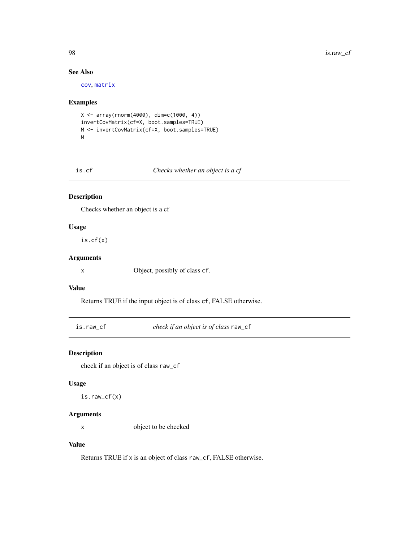# See Also

[cov](#page-0-0), [matrix](#page-0-0)

## Examples

```
X <- array(rnorm(4000), dim=c(1000, 4))
invertCovMatrix(cf=X, boot.samples=TRUE)
M <- invertCovMatrix(cf=X, boot.samples=TRUE)
M
```

#### Checks whether an object is a cf

## Description

Checks whether an object is a cf

#### Usage

is.cf(x)

## Arguments

x Object, possibly of class cf.

## Value

Returns TRUE if the input object is of class cf, FALSE otherwise.

is.raw\_cf *check if an object is of class* raw\_cf

## Description

check if an object is of class raw\_cf

## Usage

is.raw\_cf(x)

## Arguments

x object to be checked

## Value

Returns TRUE if x is an object of class raw\_cf, FALSE otherwise.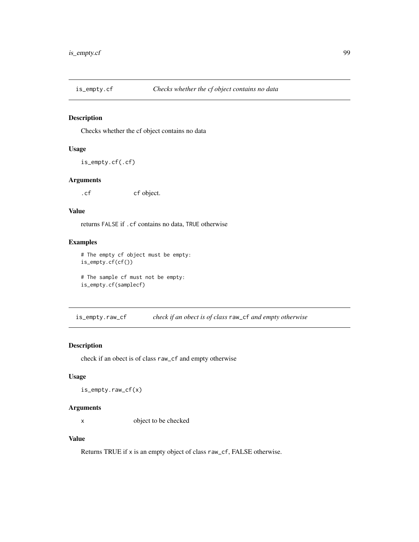Checks whether the cf object contains no data

## Usage

is\_empty.cf(.cf)

#### Arguments

.cf cf object.

## Value

returns FALSE if .cf contains no data, TRUE otherwise

## Examples

# The empty cf object must be empty: is\_empty.cf(cf())

# The sample cf must not be empty: is\_empty.cf(samplecf)

is\_empty.raw\_cf *check if an obect is of class* raw\_cf *and empty otherwise*

## Description

check if an obect is of class raw\_cf and empty otherwise

## Usage

is\_empty.raw\_cf(x)

## Arguments

x object to be checked

#### Value

Returns TRUE if x is an empty object of class raw\_cf, FALSE otherwise.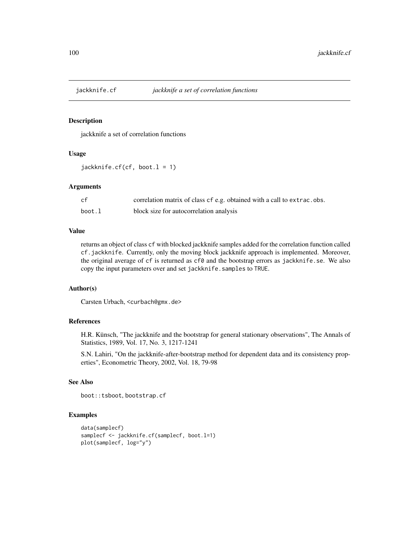jackknife a set of correlation functions

## Usage

jackknife.cf(cf, boot.l = 1)

#### Arguments

| cf     | correlation matrix of class of e.g. obtained with a call to extrac.obs. |
|--------|-------------------------------------------------------------------------|
| boot.l | block size for autocorrelation analysis                                 |

#### Value

returns an object of class cf with blocked jackknife samples added for the correlation function called cf.jackknife. Currently, only the moving block jackknife approach is implemented. Moreover, the original average of cf is returned as cf0 and the bootstrap errors as jackknife.se. We also copy the input parameters over and set jackknife.samples to TRUE.

## Author(s)

Carsten Urbach, <curbach@gmx.de>

#### References

H.R. Künsch, "The jackknife and the bootstrap for general stationary observations", The Annals of Statistics, 1989, Vol. 17, No. 3, 1217-1241

S.N. Lahiri, "On the jackknife-after-bootstrap method for dependent data and its consistency properties", Econometric Theory, 2002, Vol. 18, 79-98

# See Also

boot::tsboot, bootstrap.cf

#### Examples

```
data(samplecf)
samplecf <- jackknife.cf(samplecf, boot.l=1)
plot(samplecf, log="y")
```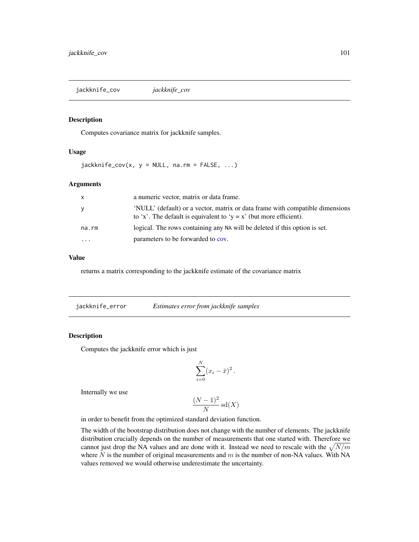jackknife\_cov *jackknife\_cov*

#### Description

Computes covariance matrix for jackknife samples.

#### Usage

 $jackknife\_cov(x, y = NULL, na.rm = FALSE, ...)$ 

#### Arguments

| X     | a numeric vector, matrix or data frame.                                                                                                             |
|-------|-----------------------------------------------------------------------------------------------------------------------------------------------------|
| У     | 'NULL' (default) or a vector, matrix or data frame with compatible dimensions<br>to 'x'. The default is equivalent to 'y = x' (but more efficient). |
| na.rm | logical. The rows containing any NA will be deleted if this option is set.                                                                          |
| .     | parameters to be forwarded to cov.                                                                                                                  |

#### Value

returns a matrix corresponding to the jackknife estimate of the covariance matrix

| jackknife_error | Estimates error from jackknife samples |  |
|-----------------|----------------------------------------|--|
|                 |                                        |  |

#### Description

Computes the jackknife error which is just

$$
\sum_{i=0}^N (x_i - \bar{x})^2.
$$

Internally we use

$$
\frac{(N-1)^2}{N}\operatorname{sd}(X)
$$

in order to benefit from the optimized standard deviation function.

The width of the bootstrap distribution does not change with the number of elements. The jackknife distribution crucially depends on the number of measurements that one started with. Therefore we cannot just drop the NA values and are done with it. Instead we need to rescale with the  $\sqrt{N/m}$ where  $N$  is the number of original measurements and  $m$  is the number of non-NA values. With NA values removed we would otherwise underestimate the uncertainty.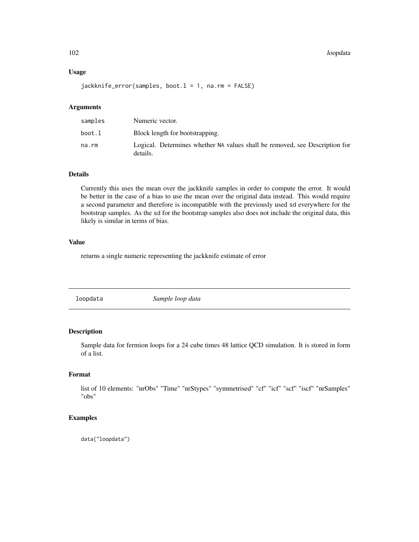## Usage

jackknife\_error(samples, boot.l = 1, na.rm = FALSE)

## Arguments

| samples | Numeric vector.                                                                         |
|---------|-----------------------------------------------------------------------------------------|
| boot.l  | Block length for bootstrapping.                                                         |
| na.rm   | Logical. Determines whether NA values shall be removed, see Description for<br>details. |

## Details

Currently this uses the mean over the jackknife samples in order to compute the error. It would be better in the case of a bias to use the mean over the original data instead. This would require a second parameter and therefore is incompatible with the previously used sd everywhere for the bootstrap samples. As the sd for the bootstrap samples also does not include the original data, this likely is similar in terms of bias.

## Value

returns a single numeric representing the jackknife estimate of error

loopdata *Sample loop data*

## Description

Sample data for fermion loops for a 24 cube times 48 lattice QCD simulation. It is stored in form of a list.

## Format

list of 10 elements: "nrObs" "Time" "nrStypes" "symmetrised" "cf" "icf" "scf" "iscf" "nrSamples" "obs"

## Examples

data("loopdata")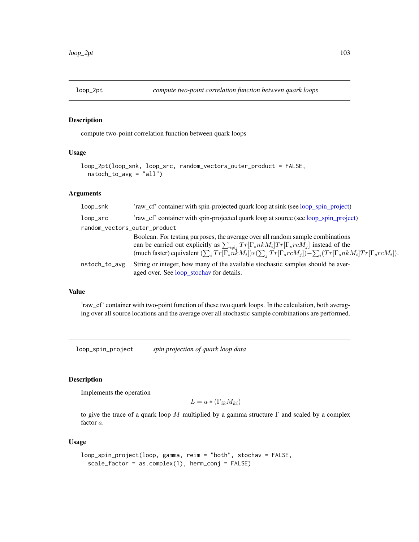compute two-point correlation function between quark loops

## Usage

```
loop_2pt(loop_snk, loop_src, random_vectors_outer_product = FALSE,
 nstoch_to_avg = "all")
```
#### Arguments

| loop_snk                     | 'raw_cf' container with spin-projected quark loop at sink (see loop_spin_project)                                                                                                                                                                          |
|------------------------------|------------------------------------------------------------------------------------------------------------------------------------------------------------------------------------------------------------------------------------------------------------|
| loop_src                     | 'raw_cf' container with spin-projected quark loop at source (see loop_spin_project)                                                                                                                                                                        |
| random_vectors_outer_product |                                                                                                                                                                                                                                                            |
|                              | Boolean. For testing purposes, the average over all random sample combinations                                                                                                                                                                             |
|                              | can be carried out explicitly as $\sum_{i \neq j} Tr[\Gamma_s n k M_i] Tr[\Gamma_s r c M_j]$ instead of the (much faster) equivalent $(\sum_i Tr[\Gamma_s n k M_i]) * (\sum_j Tr[\Gamma_s r c M_j]) - \sum_i (Tr[\Gamma_s n k M_i] Tr[\Gamma_s r c M_i]).$ |
|                              |                                                                                                                                                                                                                                                            |
| nstoch_to_avg                | String or integer, how many of the available stochastic samples should be aver-<br>aged over. See loop_stochav for details.                                                                                                                                |

#### Value

'raw\_cf' container with two-point function of these two quark loops. In the calculation, both averaging over all source locations and the average over all stochastic sample combinations are performed.

<span id="page-102-0"></span>loop\_spin\_project *spin projection of quark loop data*

## Description

Implements the operation

$$
L = a * (\Gamma_{ik} M_{ki})
$$

to give the trace of a quark loop M multiplied by a gamma structure  $\Gamma$  and scaled by a complex factor a.

## Usage

```
loop_spin_project(loop, gamma, reim = "both", stochav = FALSE,
  scale_factor = as.complex(1), herm_conj = FALSE)
```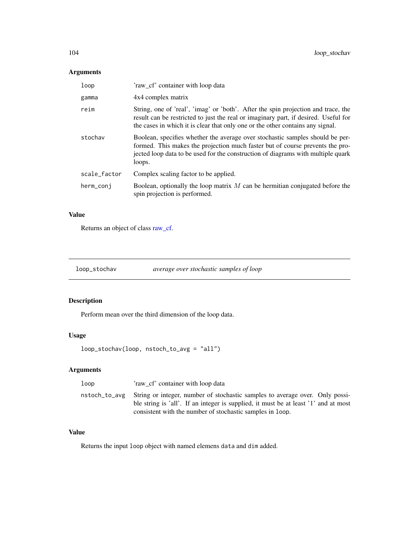# Arguments

| loop         | 'raw cf' container with loop data                                                                                                                                                                                                                            |
|--------------|--------------------------------------------------------------------------------------------------------------------------------------------------------------------------------------------------------------------------------------------------------------|
| gamma        | 4x4 complex matrix                                                                                                                                                                                                                                           |
| reim         | String, one of 'real', 'imag' or 'both'. After the spin projection and trace, the<br>result can be restricted to just the real or imaginary part, if desired. Useful for<br>the cases in which it is clear that only one or the other contains any signal.   |
| stochav      | Boolean, specifies whether the average over stochastic samples should be per-<br>formed. This makes the projection much faster but of course prevents the pro-<br>jected loop data to be used for the construction of diagrams with multiple quark<br>loops. |
| scale_factor | Complex scaling factor to be applied.                                                                                                                                                                                                                        |
| herm_conj    | Boolean, optionally the loop matrix $M$ can be hermitian conjugated before the<br>spin projection is performed.                                                                                                                                              |

# Value

Returns an object of class [raw\\_cf.](#page-143-0)

<span id="page-103-0"></span>loop\_stochav *average over stochastic samples of loop*

# Description

Perform mean over the third dimension of the loop data.

# Usage

```
loop_stochav(loop, nstoch_to_avg = "all")
```
# Arguments

| loop<br>'raw cf' container with loop data                                                                                                                                                                                                      |  |
|------------------------------------------------------------------------------------------------------------------------------------------------------------------------------------------------------------------------------------------------|--|
| nstoch_to_avg String or integer, number of stochastic samples to average over. Only possi-<br>ble string is 'all'. If an integer is supplied, it must be at least '1' and at most<br>consistent with the number of stochastic samples in loop. |  |

# Value

Returns the input loop object with named elemens data and dim added.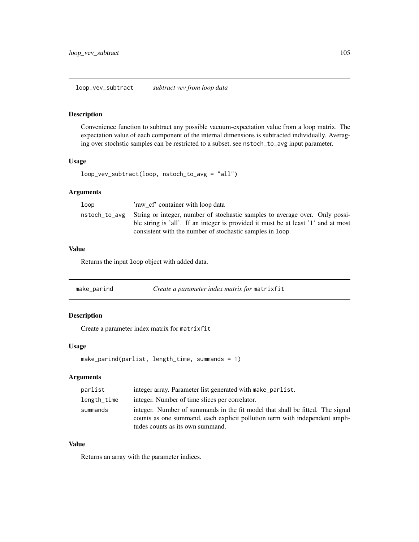loop\_vev\_subtract *subtract vev from loop data*

#### Description

Convenience function to subtract any possible vacuum-expectation value from a loop matrix. The expectation value of each component of the internal dimensions is subtracted individually. Averaging over stochstic samples can be restricted to a subset, see nstoch\_to\_avg input parameter.

## Usage

loop\_vev\_subtract(loop, nstoch\_to\_avg = "all")

## Arguments

| loop | 'raw cf' container with loop data                                                                                                                                                                                                             |
|------|-----------------------------------------------------------------------------------------------------------------------------------------------------------------------------------------------------------------------------------------------|
|      | nstoch_to_avg String or integer, number of stochastic samples to average over. Only possi-<br>ble string is 'all'. If an integer is provided it must be at least '1' and at most<br>consistent with the number of stochastic samples in loop. |

# Value

Returns the input loop object with added data.

| make_parind | Create a parameter index matrix for matrixfit |
|-------------|-----------------------------------------------|
|-------------|-----------------------------------------------|

# Description

Create a parameter index matrix for matrixfit

#### Usage

```
make_parind(parlist, length_time, summands = 1)
```
## Arguments

| parlist     | integer array. Parameter list generated with make_parlist.                    |
|-------------|-------------------------------------------------------------------------------|
| length_time | integer. Number of time slices per correlator.                                |
| summands    | integer. Number of summands in the fit model that shall be fitted. The signal |
|             | counts as one summand, each explicit pollution term with independent ampli-   |
|             | tudes counts as its own summand.                                              |

## Value

Returns an array with the parameter indices.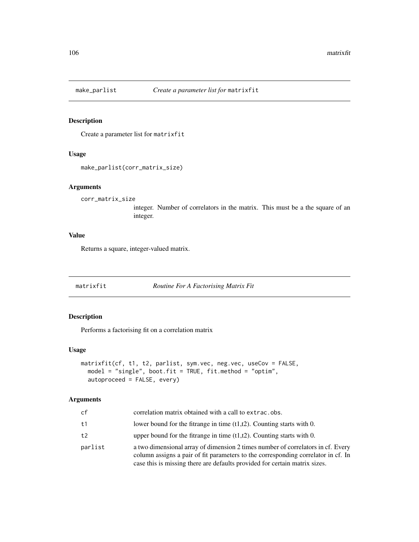Create a parameter list for matrixfit

## Usage

```
make_parlist(corr_matrix_size)
```
#### Arguments

```
corr_matrix_size
```
integer. Number of correlators in the matrix. This must be a the square of an integer.

## Value

Returns a square, integer-valued matrix.

<span id="page-105-0"></span>matrixfit *Routine For A Factorising Matrix Fit*

## Description

Performs a factorising fit on a correlation matrix

## Usage

```
matrixfit(cf, t1, t2, parlist, sym.vec, neg.vec, useCov = FALSE,
 model = "single", boot.fit = TRUE, fit.method = "optim",
  autoproceed = FALSE, every)
```
## Arguments

| cf      | correlation matrix obtained with a call to extrac.obs.                                                                                                                                                                                             |
|---------|----------------------------------------------------------------------------------------------------------------------------------------------------------------------------------------------------------------------------------------------------|
| t1      | lower bound for the fitrange in time $(t1,t2)$ . Counting starts with 0.                                                                                                                                                                           |
| t2      | upper bound for the fitrange in time $(t1,t2)$ . Counting starts with 0.                                                                                                                                                                           |
| parlist | a two dimensional array of dimension 2 times number of correlators in cf. Every<br>column assigns a pair of fit parameters to the corresponding correlator in cf. In<br>case this is missing there are defaults provided for certain matrix sizes. |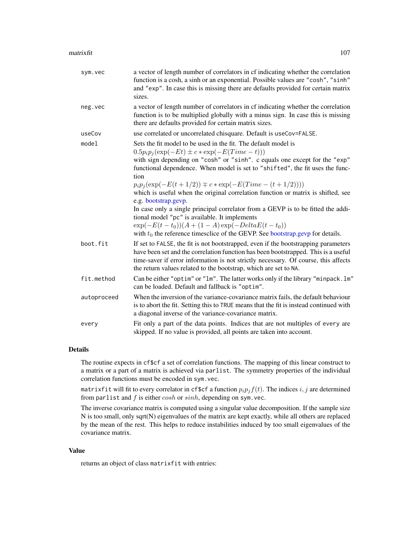| sym.vec     | a vector of length number of correlators in cf indicating whether the correlation<br>function is a cosh, a sinh or an exponential. Possible values are "cosh", "sinh"<br>and "exp". In case this is missing there are defaults provided for certain matrix<br>sizes.                                                                                                                                                                                                                                                                                                                                                                                                                                                                              |
|-------------|---------------------------------------------------------------------------------------------------------------------------------------------------------------------------------------------------------------------------------------------------------------------------------------------------------------------------------------------------------------------------------------------------------------------------------------------------------------------------------------------------------------------------------------------------------------------------------------------------------------------------------------------------------------------------------------------------------------------------------------------------|
| neg.vec     | a vector of length number of correlators in cf indicating whether the correlation<br>function is to be multiplied globally with a minus sign. In case this is missing<br>there are defaults provided for certain matrix sizes.                                                                                                                                                                                                                                                                                                                                                                                                                                                                                                                    |
| useCov      | use correlated or uncorrelated chisquare. Default is useCov=FALSE.                                                                                                                                                                                                                                                                                                                                                                                                                                                                                                                                                                                                                                                                                |
| model       | Sets the fit model to be used in the fit. The default model is<br>$0.5p_ip_j(\exp(-Et) \pm c*\exp(-E(Time - t)))$<br>with sign depending on "cosh" or "sinh". c equals one except for the "exp"<br>functional dependence. When model is set to "shifted", the fit uses the func-<br>tion<br>$p_i p_j(\exp(-E(t+1/2)) \mp c \cdot \exp(-E(Time - (t+1/2))))$<br>which is useful when the original correlation function or matrix is shifted, see<br>e.g. bootstrap.gevp.<br>In case only a single principal correlator from a GEVP is to be fitted the addi-<br>tional model "pc" is available. It implements<br>$\exp(-E(t-t_0))(A+(1-A)\exp(-DeltaE(t-t_0))$<br>with $t_0$ the reference timesclice of the GEVP. See bootstrap.gevp for details. |
| boot.fit    | If set to FALSE, the fit is not bootstrapped, even if the bootstrapping parameters<br>have been set and the correlation function has been bootstrapped. This is a useful<br>time-saver if error information is not strictly necessary. Of course, this affects<br>the return values related to the bootstrap, which are set to NA.                                                                                                                                                                                                                                                                                                                                                                                                                |
| fit.method  | Can be either "optim" or "lm". The latter works only if the library "minpack.lm"<br>can be loaded. Default and fallback is "optim".                                                                                                                                                                                                                                                                                                                                                                                                                                                                                                                                                                                                               |
| autoproceed | When the inversion of the variance-covariance matrix fails, the default behaviour<br>is to abort the fit. Setting this to TRUE means that the fit is instead continued with<br>a diagonal inverse of the variance-covariance matrix.                                                                                                                                                                                                                                                                                                                                                                                                                                                                                                              |
| every       | Fit only a part of the data points. Indices that are not multiples of every are<br>skipped. If no value is provided, all points are taken into account.                                                                                                                                                                                                                                                                                                                                                                                                                                                                                                                                                                                           |

# Details

The routine expects in cf\$cf a set of correlation functions. The mapping of this linear construct to a matrix or a part of a matrix is achieved via parlist. The symmetry properties of the individual correlation functions must be encoded in sym.vec.

matrixfit will fit to every correlator in cf\$cf a function  $p_i p_j f(t)$ . The indices i, j are determined from parlist and  $f$  is either  $cosh$  or  $sinh$ , depending on sym. vec.

The inverse covariance matrix is computed using a singular value decomposition. If the sample size N is too small, only sqrt(N) eigenvalues of the matrix are kept exactly, while all others are replaced by the mean of the rest. This helps to reduce instabilities induced by too small eigenvalues of the covariance matrix.

## Value

returns an object of class matrixfit with entries: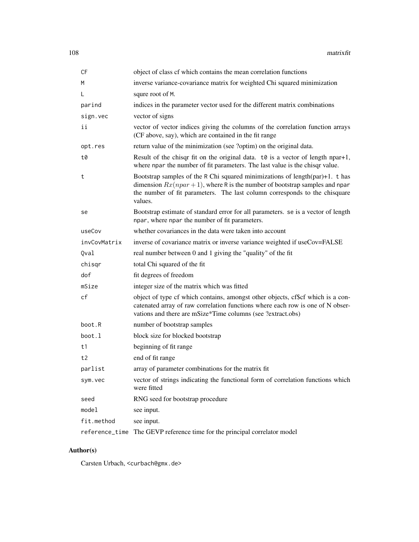| CF           | object of class cf which contains the mean correlation functions                                                                                                                                                                                          |
|--------------|-----------------------------------------------------------------------------------------------------------------------------------------------------------------------------------------------------------------------------------------------------------|
| M            | inverse variance-covariance matrix for weighted Chi squared minimization                                                                                                                                                                                  |
| L            | squre root of M.                                                                                                                                                                                                                                          |
| parind       | indices in the parameter vector used for the different matrix combinations                                                                                                                                                                                |
| sign.vec     | vector of signs                                                                                                                                                                                                                                           |
| ii           | vector of vector indices giving the columns of the correlation function arrays<br>(CF above, say), which are contained in the fit range                                                                                                                   |
| opt.res      | return value of the minimization (see ?optim) on the original data.                                                                                                                                                                                       |
| t0           | Result of the chisqr fit on the original data. $\tau \theta$ is a vector of length npar+1,<br>where npar the number of fit parameters. The last value is the chisqr value.                                                                                |
| t            | Bootstrap samples of the R Chi squared minimizations of length $(par)+1$ . t has<br>dimension $Rx(npar+1)$ , where R is the number of bootstrap samples and npar<br>the number of fit parameters. The last column corresponds to the chisquare<br>values. |
| se           | Bootstrap estimate of standard error for all parameters. se is a vector of length<br>npar, where npar the number of fit parameters.                                                                                                                       |
| useCov       | whether covariances in the data were taken into account                                                                                                                                                                                                   |
| invCovMatrix | inverse of covariance matrix or inverse variance weighted if useCov=FALSE                                                                                                                                                                                 |
| Qval         | real number between 0 and 1 giving the "quality" of the fit                                                                                                                                                                                               |
| chisgr       | total Chi squared of the fit                                                                                                                                                                                                                              |
| dof          | fit degrees of freedom                                                                                                                                                                                                                                    |
| mSize        | integer size of the matrix which was fitted                                                                                                                                                                                                               |
| cf           | object of type cf which contains, amongst other objects, cf\$cf which is a con-<br>catenated array of raw correlation functions where each row is one of N obser-<br>vations and there are mSize*Time columns (see ?extract.obs)                          |
| boot.R       | number of bootstrap samples                                                                                                                                                                                                                               |
| boot.l       | block size for blocked bootstrap                                                                                                                                                                                                                          |
| t1           | beginning of fit range                                                                                                                                                                                                                                    |
| t2           | end of fit range                                                                                                                                                                                                                                          |
| parlist      | array of parameter combinations for the matrix fit                                                                                                                                                                                                        |
| sym.vec      | vector of strings indicating the functional form of correlation functions which<br>were fitted                                                                                                                                                            |
| seed         | RNG seed for bootstrap procedure                                                                                                                                                                                                                          |
| model        | see input.                                                                                                                                                                                                                                                |
| fit.method   | see input.                                                                                                                                                                                                                                                |
|              | reference_time The GEVP reference time for the principal correlator model                                                                                                                                                                                 |

# Author(s)

Carsten Urbach, <curbach@gmx.de>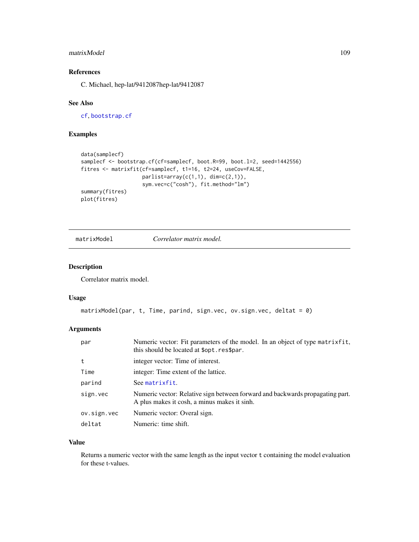#### matrixModel 109

# References

C. Michael, hep-lat/9412087hep-lat/9412087

#### See Also

[cf](#page-34-0), [bootstrap.cf](#page-18-0)

# Examples

```
data(samplecf)
samplecf <- bootstrap.cf(cf=samplecf, boot.R=99, boot.l=2, seed=1442556)
fitres <- matrixfit(cf=samplecf, t1=16, t2=24, useCov=FALSE,
                    parlist=array(c(1,1), dim=c(2,1)),
                    sym.vec=c("cosh"), fit.method="lm")
summary(fitres)
plot(fitres)
```
matrixModel *Correlator matrix model.*

#### Description

Correlator matrix model.

#### Usage

```
matrixModel(par, t, Time, parind, sign.vec, ov.sign.vec, deltat = 0)
```
## Arguments

| par         | Numeric vector: Fit parameters of the model. In an object of type matrixfit,<br>this should be located at \$opt.res\$par.     |
|-------------|-------------------------------------------------------------------------------------------------------------------------------|
| t           | integer vector: Time of interest.                                                                                             |
| Time        | integer: Time extent of the lattice.                                                                                          |
| parind      | See matrixfit.                                                                                                                |
| sign.vec    | Numeric vector: Relative sign between forward and backwards propagating part.<br>A plus makes it cosh, a minus makes it sinh. |
| ov.sign.vec | Numeric vector: Overal sign.                                                                                                  |
| deltat      | Numeric: time shift.                                                                                                          |

## Value

Returns a numeric vector with the same length as the input vector t containing the model evaluation for these t-values.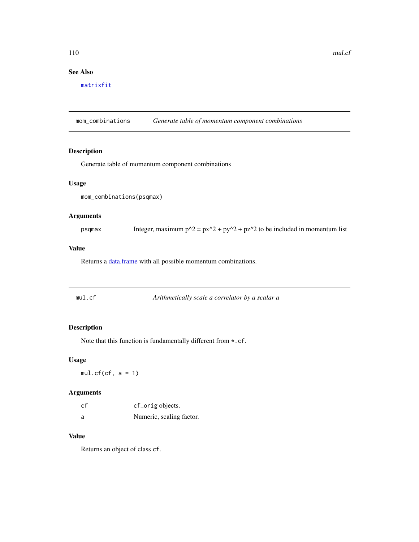110 mul.cf multiple material contract to the multiple multiple multiple multiple multiple multiple multiple multiple multiple multiple multiple multiple multiple multiple multiple multiple multiple multiple multiple multip

# See Also

[matrixfit](#page-105-0)

mom\_combinations *Generate table of momentum component combinations*

# Description

Generate table of momentum component combinations

#### Usage

```
mom_combinations(psqmax)
```
# Arguments

psqmax Integer, maximum  $p^2 = px^2 + py^2 + pz^2$  to be included in momentum list

# Value

Returns a [data.frame](#page-0-0) with all possible momentum combinations.

| mul.cf | Arithmetically scale a correlator by a scalar a |  |
|--------|-------------------------------------------------|--|
|        |                                                 |  |

# Description

Note that this function is fundamentally different from \*.cf.

# Usage

 $mul.cf(cf, a = 1)$ 

#### Arguments

| cf | cf_orig objects.         |
|----|--------------------------|
| a  | Numeric, scaling factor. |

## Value

Returns an object of class cf.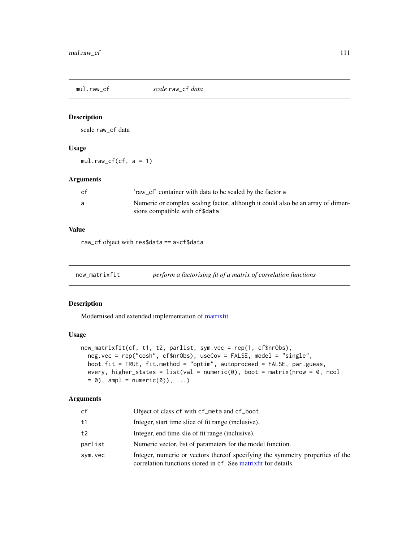# Description

scale raw\_cf data

#### Usage

 $mul.raw_cff(cf, a = 1)$ 

# Arguments

| cf | 'raw cf' container with data to be scaled by the factor a                                                         |
|----|-------------------------------------------------------------------------------------------------------------------|
|    | Numeric or complex scaling factor, although it could also be an array of dimen-<br>sions compatible with cf\$data |

## Value

raw\_cf object with res\$data == a\*cf\$data

new\_matrixfit *perform a factorising fit of a matrix of correlation functions*

#### Description

Modernised and extended implementation of [matrixfit](#page-105-0)

# Usage

```
new_matrixfit(cf, t1, t2, parlist, sym.vec = rep(1, cf$nrObs),
 neg.vec = rep("cosh", cf$nrObs), useCov = FALSE, model = "single",
 boot.fit = TRUE, fit.method = "optim", autoproceed = FALSE, par.guess,
 every, higher_states = list(val = numeric(0), boot = matrix(nrow = 0, ncol
 = 0), ampl = numeric(0)), ...)
```

| cf      | Object of class cf with cf_meta and cf_boot.                                                                                                     |
|---------|--------------------------------------------------------------------------------------------------------------------------------------------------|
| t 1     | Integer, start time slice of fit range (inclusive).                                                                                              |
| t2      | Integer, end time slie of fit range (inclusive).                                                                                                 |
| parlist | Numeric vector, list of parameters for the model function.                                                                                       |
| sym.vec | Integer, numeric or vectors thereof specifying the symmetry properties of the<br>correlation functions stored in cf. See matrix fit for details. |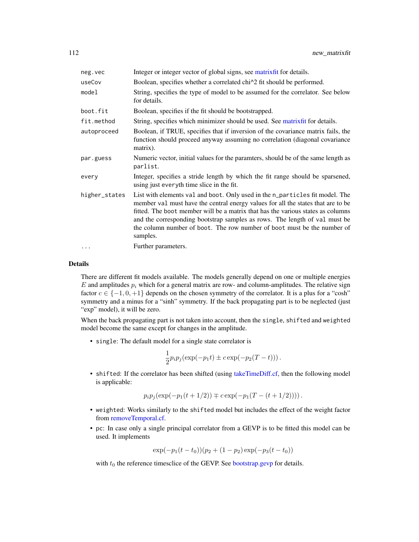| neg.vec       | Integer or integer vector of global signs, see matrix fit for details.                                                                                                                                                                                                                                                                                                                                                   |
|---------------|--------------------------------------------------------------------------------------------------------------------------------------------------------------------------------------------------------------------------------------------------------------------------------------------------------------------------------------------------------------------------------------------------------------------------|
| useCov        | Boolean, specifies whether a correlated chi <sup><math>\lambda</math></sup> 2 fit should be performed.                                                                                                                                                                                                                                                                                                                   |
| model         | String, specifies the type of model to be assumed for the correlator. See below<br>for details.                                                                                                                                                                                                                                                                                                                          |
| boot.fit      | Boolean, specifies if the fit should be bootstrapped.                                                                                                                                                                                                                                                                                                                                                                    |
| fit.method    | String, specifies which minimizer should be used. See matrix fit for details.                                                                                                                                                                                                                                                                                                                                            |
| autoproceed   | Boolean, if TRUE, specifies that if inversion of the covariance matrix fails, the<br>function should proceed anyway assuming no correlation (diagonal covariance<br>matrix).                                                                                                                                                                                                                                             |
| par.guess     | Numeric vector, initial values for the paramters, should be of the same length as<br>parlist.                                                                                                                                                                                                                                                                                                                            |
| every         | Integer, specifies a stride length by which the fit range should be sparsened,<br>using just everyth time slice in the fit.                                                                                                                                                                                                                                                                                              |
| higher_states | List with elements val and boot. Only used in the n_particles fit model. The<br>member val must have the central energy values for all the states that are to be<br>fitted. The boot member will be a matrix that has the various states as columns<br>and the corresponding bootstrap samples as rows. The length of val must be<br>the column number of boot. The row number of boot must be the number of<br>samples. |
| $\cdots$      | Further parameters.                                                                                                                                                                                                                                                                                                                                                                                                      |

#### Details

There are different fit models available. The models generally depend on one or multiple energies E and amplitudes  $p_i$  which for a general matrix are row- and column-amplitudes. The relative sign factor  $c \in \{-1, 0, +1\}$  depends on the chosen symmetry of the correlator. It is a plus for a "cosh" symmetry and a minus for a "sinh" symmetry. If the back propagating part is to be neglected (just "exp" model), it will be zero.

When the back propagating part is not taken into account, then the single, shifted and weighted model become the same except for changes in the amplitude.

• single: The default model for a single state correlator is

$$
\frac{1}{2}p_i p_j (\exp(-p_1 t) \pm c \exp(-p_2 (T-t))).
$$

• shifted: If the correlator has been shifted (using [takeTimeDiff.cf,](#page-176-0) then the following model is applicable:

$$
p_i p_j(\exp(-p_1(t+1/2)) \mp c \exp(-p_1(T-(t+1/2))))
$$
.

- weighted: Works similarly to the shifted model but includes the effect of the weight factor from [removeTemporal.cf.](#page-158-0)
- pc: In case only a single principal correlator from a GEVP is to be fitted this model can be used. It implements

$$
\exp(-p_1(t-t_0))(p_2+(1-p_2)\exp(-p_3(t-t_0))
$$

with  $t_0$  the reference timesclice of the GEVP. See [bootstrap.gevp](#page-21-0) for details.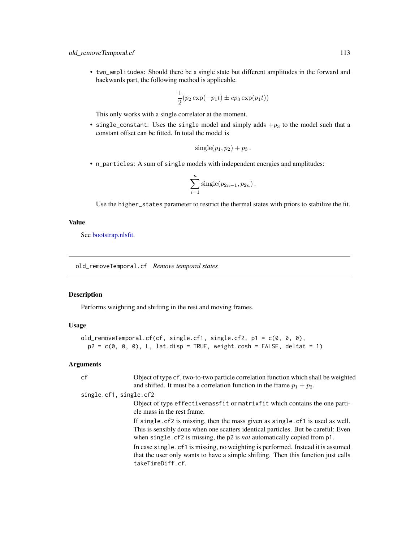• two\_amplitudes: Should there be a single state but different amplitudes in the forward and backwards part, the following method is applicable.

$$
\frac{1}{2}(p_2 \exp(-p_1 t) \pm c p_3 \exp(p_1 t))
$$

This only works with a single correlator at the moment.

• single\_constant: Uses the single model and simply adds  $+p_3$  to the model such that a constant offset can be fitted. In total the model is

$$
single(p_1, p_2) + p_3.
$$

• n\_particles: A sum of single models with independent energies and amplitudes:

$$
\sum_{i=1}^n \text{single}(p_{2n-1}, p_{2n}).
$$

Use the higher\_states parameter to restrict the thermal states with priors to stabilize the fit.

## Value

See [bootstrap.nlsfit.](#page-26-0)

old\_removeTemporal.cf *Remove temporal states*

## Description

Performs weighting and shifting in the rest and moving frames.

## Usage

```
old_removeTemporal.cf(cf, single.cf1, single.cf2, p1 = c(0, 0, 0),
 p2 = c(0, 0, 0), L, lat.disp = TRUE, weight.cosh = FALSE, deltat = 1)
```

| cf                     | Object of type cf, two-to-two particle correlation function which shall be weighted<br>and shifted. It must be a correlation function in the frame $p_1 + p_2$ .                                                                                                                                                                                                                                                                                             |
|------------------------|--------------------------------------------------------------------------------------------------------------------------------------------------------------------------------------------------------------------------------------------------------------------------------------------------------------------------------------------------------------------------------------------------------------------------------------------------------------|
| single.cf1, single.cf2 |                                                                                                                                                                                                                                                                                                                                                                                                                                                              |
|                        | Object of type effectivemassfit or matrixfit which contains the one parti-<br>cle mass in the rest frame.                                                                                                                                                                                                                                                                                                                                                    |
|                        | If single. cf2 is missing, then the mass given as single. cf1 is used as well.<br>This is sensibly done when one scatters identical particles. But be careful: Even<br>when single. $cf$ 2 is missing, the $p$ 2 is <i>not</i> automatically copied from $p$ 1.<br>In case single. cf1 is missing, no weighting is performed. Instead it is assumed<br>that the user only wants to have a simple shifting. Then this function just calls<br>takeTimeDiff.cf. |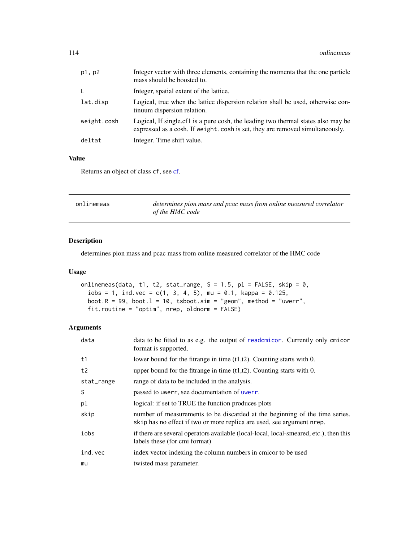| p1, p2      | Integer vector with three elements, containing the momenta that the one particle<br>mass should be boosted to.                                                     |
|-------------|--------------------------------------------------------------------------------------------------------------------------------------------------------------------|
| L.          | Integer, spatial extent of the lattice.                                                                                                                            |
| lat.disp    | Logical, true when the lattice dispersion relation shall be used, otherwise con-<br>tinuum dispersion relation.                                                    |
| weight.cosh | Logical, If single cf1 is a pure cosh, the leading two thermal states also may be<br>expressed as a cosh. If we ight.cosh is set, they are removed simultaneously. |
| deltat      | Integer. Time shift value.                                                                                                                                         |
|             |                                                                                                                                                                    |

# Value

Returns an object of class cf, see [cf.](#page-34-0)

| onlinemeas | determines pion mass and pcac mass from online measured correlator |
|------------|--------------------------------------------------------------------|
|            | of the HMC code                                                    |

# Description

determines pion mass and pcac mass from online measured correlator of the HMC code

## Usage

```
onlinemeas(data, t1, t2, stat_range, S = 1.5, p1 = FALSE, skip = 0,
  iobs = 1, ind.vec = c(1, 3, 4, 5), mu = 0.1, kappa = 0.125,
 boot.R = 99, boot.1 = 10, tsboot.sim = "geom", method = "uwerr",
 fit.routine = "optim", nrep, oldnorm = FALSE)
```

| data       | data to be fitted to as e.g. the output of reademicor. Currently only emicor<br>format is supported.                                                  |
|------------|-------------------------------------------------------------------------------------------------------------------------------------------------------|
| t1         | lower bound for the fitrange in time $(t1,t2)$ . Counting starts with 0.                                                                              |
| t2         | upper bound for the fitrange in time $(t1,t2)$ . Counting starts with 0.                                                                              |
| stat_range | range of data to be included in the analysis.                                                                                                         |
| S          | passed to uwerr, see documentation of uwerr.                                                                                                          |
| рl         | logical: if set to TRUE the function produces plots                                                                                                   |
| skip       | number of measurements to be discarded at the beginning of the time series.<br>skip has no effect if two or more replica are used, see argument nrep. |
| iobs       | if there are several operators available (local-local, local-smeared, etc.), then this<br>labels these (for cmi format)                               |
| ind.vec    | index vector indexing the column numbers in cmicor to be used                                                                                         |
| mu         | twisted mass parameter.                                                                                                                               |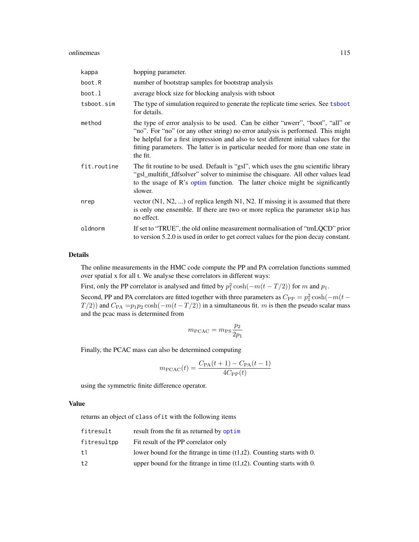#### onlinemeas 115

| kappa       | hopping parameter.                                                                                                                                                                                                                                                                                                                                        |
|-------------|-----------------------------------------------------------------------------------------------------------------------------------------------------------------------------------------------------------------------------------------------------------------------------------------------------------------------------------------------------------|
| boot.R      | number of bootstrap samples for bootstrap analysis                                                                                                                                                                                                                                                                                                        |
| boot.1      | average block size for blocking analysis with tsboot                                                                                                                                                                                                                                                                                                      |
| tsboot.sim  | The type of simulation required to generate the replicate time series. See tsboot<br>for details.                                                                                                                                                                                                                                                         |
| method      | the type of error analysis to be used. Can be either "uwerr", "boot", "all" or<br>"no". For "no" (or any other string) no error analysis is performed. This might<br>be helpful for a first impression and also to test different initial values for the<br>fitting parameters. The latter is in particular needed for more than one state in<br>the fit. |
| fit.routine | The fit routine to be used. Default is "gsl", which uses the gnu scientific library<br>"gsl_multifit_fdfsolver" solver to minimise the chisquare. All other values lead<br>to the usage of R's optim function. The latter choice might be significantly<br>slower.                                                                                        |
| nrep        | vector $(N1, N2, )$ of replica length N1, N2. If missing it is assumed that there<br>is only one ensemble. If there are two or more replica the parameter skip has<br>no effect.                                                                                                                                                                          |
| oldnorm     | If set to "TRUE", the old online measurement normalisation of "tmLQCD" prior<br>to version 5.2.0 is used in order to get correct values for the pion decay constant.                                                                                                                                                                                      |

#### Details

The online measurements in the HMC code compute the PP and PA correlation functions summed over spatial x for all t. We analyse these correlators in different ways:

First, only the PP correlator is analysed and fitted by  $p_1^2 \cosh(-m(t - T/2))$  for m and  $p_1$ .

Second, PP and PA correlators are fitted together with three parameters as  $C_{\rm PP} = p_1^2 \cosh(-m(t T(2)$ ) and  $C_{\text{PA}} = p_1 p_2 \cosh(-m(t - T/2))$  in a simultaneous fit. m is then the pseudo scalar mass and the pcac mass is determined from

$$
m_{\rm PCAC} = m_{\rm PS} \frac{p_2}{2p_1}
$$

Finally, the PCAC mass can also be determined computing

$$
m_{\text{PCAC}}(t) = \frac{C_{\text{PA}}(t+1) - C_{\text{PA}}(t-1)}{4C_{\text{PP}}(t)}
$$

using the symmetric finite difference operator.

## Value

returns an object of class ofit with the following items

| fitresult   | result from the fit as returned by optim                                 |
|-------------|--------------------------------------------------------------------------|
| fitresultpp | Fit result of the PP correlator only                                     |
| t 1         | lower bound for the fitrange in time $(t1,t2)$ . Counting starts with 0. |
| t2          | upper bound for the fit ange in time $(t1,t2)$ . Counting starts with 0. |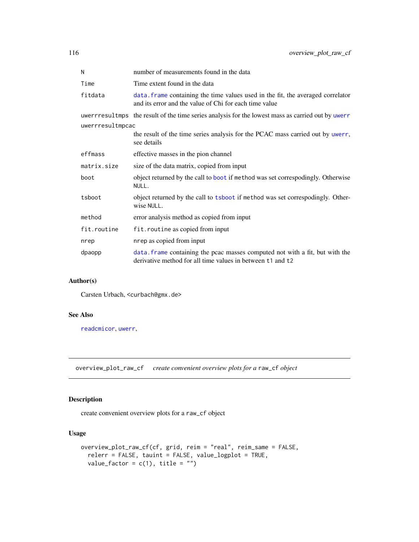| N                | number of measurements found in the data                                                                                                   |  |
|------------------|--------------------------------------------------------------------------------------------------------------------------------------------|--|
| Time             | Time extent found in the data                                                                                                              |  |
| fitdata          | data. frame containing the time values used in the fit, the averaged correlator<br>and its error and the value of Chi for each time value  |  |
|                  | uwerrresultmps the result of the time series analysis for the lowest mass as carried out by uwerr                                          |  |
| uwerrresultmpcac |                                                                                                                                            |  |
|                  | the result of the time series analysis for the PCAC mass carried out by uwerr,<br>see details                                              |  |
| effmass          | effective masses in the pion channel                                                                                                       |  |
| matrix.size      | size of the data matrix, copied from input                                                                                                 |  |
| boot             | object returned by the call to boot if method was set correspodingly. Otherwise<br>NULL.                                                   |  |
| tsboot           | object returned by the call to tsboot if method was set correspodingly. Other-<br>wise NULL.                                               |  |
| method           | error analysis method as copied from input                                                                                                 |  |
| fit.routine      | fit.routine as copied from input                                                                                                           |  |
| nrep             | nrep as copied from input                                                                                                                  |  |
| dpaopp           | data. frame containing the pcac masses computed not with a fit, but with the<br>derivative method for all time values in between t1 and t2 |  |

# Author(s)

Carsten Urbach, <curbach@gmx.de>

# See Also

[readcmicor](#page-150-0), [uwerr](#page-180-0),

overview\_plot\_raw\_cf *create convenient overview plots for a* raw\_cf *object*

# Description

create convenient overview plots for a raw\_cf object

# Usage

```
overview_plot_raw_cf(cf, grid, reim = "real", reim_same = FALSE,
 relerr = FALSE, tauint = FALSE, value_logplot = TRUE,
 value_factor = c(1), title = "")
```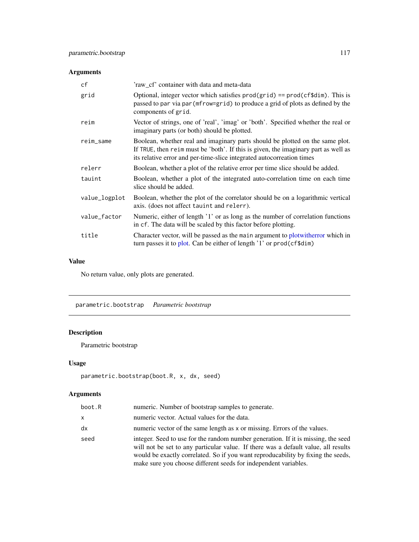# Arguments

| cf            | 'raw_cf' container with data and meta-data                                                                                                                                                                                                   |
|---------------|----------------------------------------------------------------------------------------------------------------------------------------------------------------------------------------------------------------------------------------------|
| grid          | Optional, integer vector which satisfies $prod(grid) == prod(cf\$ dim). This is<br>passed to par via par (mfrow=grid) to produce a grid of plots as defined by the<br>components of grid.                                                    |
| reim          | Vector of strings, one of 'real', 'imag' or 'both'. Specified whether the real or<br>imaginary parts (or both) should be plotted.                                                                                                            |
| reim_same     | Boolean, whether real and imaginary parts should be plotted on the same plot.<br>If TRUE, then reim must be 'both'. If this is given, the imaginary part as well as<br>its relative error and per-time-slice integrated autocorreation times |
| relerr        | Boolean, whether a plot of the relative error per time slice should be added.                                                                                                                                                                |
| tauint        | Boolean, whether a plot of the integrated auto-correlation time on each time<br>slice should be added.                                                                                                                                       |
| value_logplot | Boolean, whether the plot of the correlator should be on a logarithmic vertical<br>axis. (does not affect tauint and relerr).                                                                                                                |
| value_factor  | Numeric, either of length '1' or as long as the number of correlation functions<br>in cf. The data will be scaled by this factor before plotting.                                                                                            |
| title         | Character vector, will be passed as the main argument to plotwitherror which in<br>turn passes it to plot. Can be either of length $'1'$ or prod(cf\$dim)                                                                                    |

# Value

No return value, only plots are generated.

<span id="page-116-0"></span>parametric.bootstrap *Parametric bootstrap*

# Description

Parametric bootstrap

# Usage

```
parametric.bootstrap(boot.R, x, dx, seed)
```

| boot.R | numeric. Number of bootstrap samples to generate.                                                                                                                                                                                                                                                                              |
|--------|--------------------------------------------------------------------------------------------------------------------------------------------------------------------------------------------------------------------------------------------------------------------------------------------------------------------------------|
| x      | numeric vector. Actual values for the data.                                                                                                                                                                                                                                                                                    |
| dx     | numeric vector of the same length as x or missing. Errors of the values.                                                                                                                                                                                                                                                       |
| seed   | integer. Seed to use for the random number generation. If it is missing, the seed<br>will not be set to any particular value. If there was a default value, all results<br>would be exactly correlated. So if you want reproducability by fixing the seeds,<br>make sure you choose different seeds for independent variables. |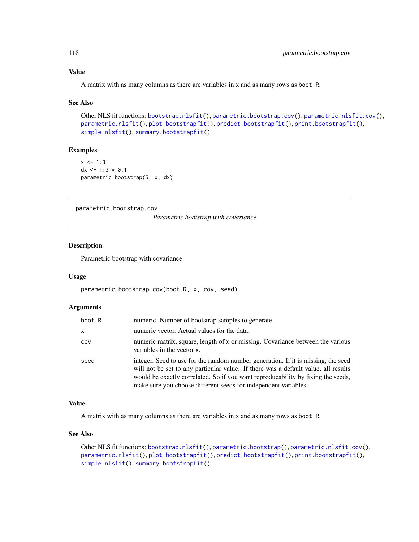## Value

A matrix with as many columns as there are variables in x and as many rows as boot.R.

#### See Also

```
Other NLS fit functions: bootstrap.nlsfit(), parametric.bootstrap.cov(), parametric.nlsfit.cov(),
parametric.nlsfit(), plot.bootstrapfit(), predict.bootstrapfit(), print.bootstrapfit(),
simple.nlsfit(), summary.bootstrapfit()
```
# Examples

```
x < -1:3dx <- 1:3 * 0.1
parametric.bootstrap(5, x, dx)
```
<span id="page-117-0"></span>parametric.bootstrap.cov

*Parametric bootstrap with covariance*

#### Description

Parametric bootstrap with covariance

#### Usage

```
parametric.bootstrap.cov(boot.R, x, cov, seed)
```
#### Arguments

| boot.R | numeric. Number of bootstrap samples to generate.                                                                                                                                                                                                                                                                              |
|--------|--------------------------------------------------------------------------------------------------------------------------------------------------------------------------------------------------------------------------------------------------------------------------------------------------------------------------------|
| x      | numeric vector. Actual values for the data.                                                                                                                                                                                                                                                                                    |
| cov    | numeric matrix, square, length of x or missing. Covariance between the various<br>variables in the vector x.                                                                                                                                                                                                                   |
| seed   | integer. Seed to use for the random number generation. If it is missing, the seed<br>will not be set to any particular value. If there was a default value, all results<br>would be exactly correlated. So if you want reproducability by fixing the seeds,<br>make sure you choose different seeds for independent variables. |

# Value

A matrix with as many columns as there are variables in x and as many rows as boot.R.

# See Also

```
Other NLS fit functions: bootstrap.nlsfit(), parametric.bootstrap(), parametric.nlsfit.cov(),
parametric.nlsfit(), plot.bootstrapfit(), predict.bootstrapfit(), print.bootstrapfit(),
simple.nlsfit(), summary.bootstrapfit()
```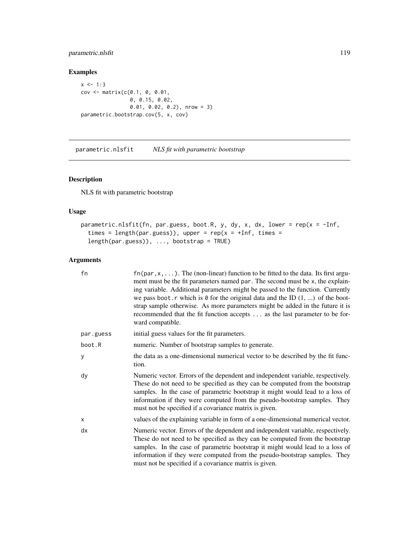# parametric.nlsfit 119

## Examples

```
x \le -1:3cov <- matrix(c(0.1, 0, 0.01,
                0, 0.15, 0.02,
                0.01, 0.02, 0.2), nrow = 3)
parametric.bootstrap.cov(5, x, cov)
```
<span id="page-118-0"></span>parametric.nlsfit *NLS fit with parametric bootstrap*

# Description

NLS fit with parametric bootstrap

## Usage

```
parametric.nlsfit(fn, par.guess, boot.R, y, dy, x, dx, lower = rep(x = -Inf,times = length(par.guess)), upper = rep(x = +Inf, times =length(par.guess)), ..., bootstrap = TRUE)
```

| fn        | $fn(par, x, \ldots)$ . The (non-linear) function to be fitted to the data. Its first argu-<br>ment must be the fit parameters named par. The second must be x, the explain-<br>ing variable. Additional parameters might be passed to the function. Currently<br>we pass boot. r which is $\theta$ for the original data and the ID $(1, \ldots)$ of the boot-<br>strap sample otherwise. As more parameters might be added in the future it is<br>recommended that the fit function accepts  as the last parameter to be for-<br>ward compatible. |
|-----------|----------------------------------------------------------------------------------------------------------------------------------------------------------------------------------------------------------------------------------------------------------------------------------------------------------------------------------------------------------------------------------------------------------------------------------------------------------------------------------------------------------------------------------------------------|
| par.guess | initial guess values for the fit parameters.                                                                                                                                                                                                                                                                                                                                                                                                                                                                                                       |
| boot.R    | numeric. Number of bootstrap samples to generate.                                                                                                                                                                                                                                                                                                                                                                                                                                                                                                  |
| У         | the data as a one-dimensional numerical vector to be described by the fit func-<br>tion.                                                                                                                                                                                                                                                                                                                                                                                                                                                           |
| dy        | Numeric vector. Errors of the dependent and independent variable, respectively.<br>These do not need to be specified as they can be computed from the bootstrap<br>samples. In the case of parametric bootstrap it might would lead to a loss of<br>information if they were computed from the pseudo-bootstrap samples. They<br>must not be specified if a covariance matrix is given.                                                                                                                                                            |
| X         | values of the explaining variable in form of a one-dimensional numerical vector.                                                                                                                                                                                                                                                                                                                                                                                                                                                                   |
| dx        | Numeric vector. Errors of the dependent and independent variable, respectively.<br>These do not need to be specified as they can be computed from the bootstrap<br>samples. In the case of parametric bootstrap it might would lead to a loss of<br>information if they were computed from the pseudo-bootstrap samples. They<br>must not be specified if a covariance matrix is given.                                                                                                                                                            |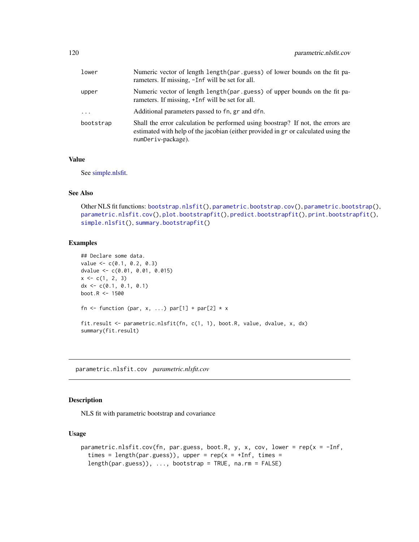| lower     | Numeric vector of length length (par.guess) of lower bounds on the fit pa-<br>rameters. If missing, -Inf will be set for all.                                                               |
|-----------|---------------------------------------------------------------------------------------------------------------------------------------------------------------------------------------------|
| upper     | Numeric vector of length length (par.guess) of upper bounds on the fit pa-<br>rameters. If missing, +Inf will be set for all.                                                               |
| $\cdots$  | Additional parameters passed to fn, gr and dfn.                                                                                                                                             |
| bootstrap | Shall the error calculation be performed using boostrap? If not, the errors are<br>estimated with help of the jacobian (either provided in gr or calculated using the<br>numDeriv-package). |

# Value

See [simple.nlsfit.](#page-164-0)

## See Also

```
Other NLS fit functions: bootstrap.nlsfit(), parametric.bootstrap.cov(), parametric.bootstrap(),
parametric.nlsfit.cov(), plot.bootstrapfit(), predict.bootstrapfit(), print.bootstrapfit(),
simple.nlsfit(), summary.bootstrapfit()
```
## Examples

```
## Declare some data.
value <- c(0.1, 0.2, 0.3)
dvalue <- c(0.01, 0.01, 0.015)
x \leftarrow c(1, 2, 3)dx \leq c(0.1, 0.1, 0.1)boot.R <- 1500
fn <- function (par, x, ...) par[1] + par[2] * xfit.result <- parametric.nlsfit(fn, c(1, 1), boot.R, value, dvalue, x, dx)
summary(fit.result)
```
<span id="page-119-0"></span>parametric.nlsfit.cov *parametric.nlsfit.cov*

#### Description

NLS fit with parametric bootstrap and covariance

#### Usage

```
parametric.nlsfit.cov(fn, par.guess, boot.R, y, x, cov, lower = rep(x = -Inf,times = length(par.guess)), upper = rep(x = +Inf, times =length(par.guess)), ..., bootstrap = TRUE, na.rm = FALSE)
```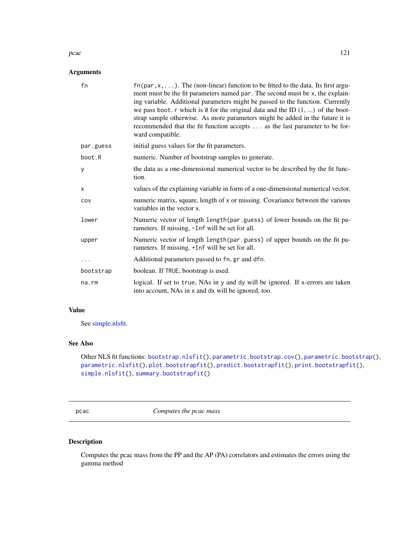#### pcac and the state of the state of the state of the state of the state of the state of the state of the state of the state of the state of the state of the state of the state of the state of the state of the state of the s

## Arguments

| fn        | $fn(par, x, \ldots)$ . The (non-linear) function to be fitted to the data. Its first argu-<br>ment must be the fit parameters named par. The second must be x, the explain-<br>ing variable. Additional parameters might be passed to the function. Currently<br>we pass boot. r which is $\theta$ for the original data and the ID $(1, \ldots)$ of the boot-<br>strap sample otherwise. As more parameters might be added in the future it is<br>recommended that the fit function accepts  as the last parameter to be for-<br>ward compatible. |
|-----------|----------------------------------------------------------------------------------------------------------------------------------------------------------------------------------------------------------------------------------------------------------------------------------------------------------------------------------------------------------------------------------------------------------------------------------------------------------------------------------------------------------------------------------------------------|
| par.guess | initial guess values for the fit parameters.                                                                                                                                                                                                                                                                                                                                                                                                                                                                                                       |
| boot.R    | numeric. Number of bootstrap samples to generate.                                                                                                                                                                                                                                                                                                                                                                                                                                                                                                  |
| y         | the data as a one-dimensional numerical vector to be described by the fit func-<br>tion.                                                                                                                                                                                                                                                                                                                                                                                                                                                           |
| x         | values of the explaining variable in form of a one-dimensional numerical vector.                                                                                                                                                                                                                                                                                                                                                                                                                                                                   |
| COV       | numeric matrix, square, length of x or missing. Covariance between the various<br>variables in the vector x.                                                                                                                                                                                                                                                                                                                                                                                                                                       |
| lower     | Numeric vector of length length (par.guess) of lower bounds on the fit pa-<br>rameters. If missing, -Inf will be set for all.                                                                                                                                                                                                                                                                                                                                                                                                                      |
| upper     | Numeric vector of length length (par.guess) of upper bounds on the fit pa-<br>rameters. If missing, +Inf will be set for all.                                                                                                                                                                                                                                                                                                                                                                                                                      |
| .         | Additional parameters passed to fn, gr and dfn.                                                                                                                                                                                                                                                                                                                                                                                                                                                                                                    |
| bootstrap | boolean. If TRUE, bootstrap is used.                                                                                                                                                                                                                                                                                                                                                                                                                                                                                                               |
| na.rm     | logical. If set to true, NAs in y and dy will be ignored. If x-errors are taken<br>into account, NAs in x and dx will be ignored, too.                                                                                                                                                                                                                                                                                                                                                                                                             |

# Value

See [simple.nlsfit.](#page-164-0)

# See Also

Other NLS fit functions: [bootstrap.nlsfit\(](#page-26-0)), [parametric.bootstrap.cov\(](#page-117-0)), [parametric.bootstrap\(](#page-116-0)), [parametric.nlsfit\(](#page-118-0)), [plot.bootstrapfit\(](#page-124-0)), [predict.bootstrapfit\(](#page-139-0)), [print.bootstrapfit\(](#page-140-0)), [simple.nlsfit\(](#page-164-0)), [summary.bootstrapfit\(](#page-168-0))

pcac *Computes the pcac mass*

# Description

Computes the pcac mass from the PP and the AP (PA) correlators and estimates the errors using the gamma method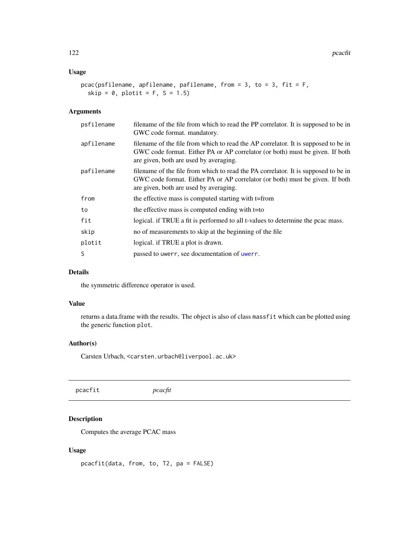#### Usage

```
pcac(psfilename, apfilename, pafilename, from = 3, to = 3, fit = F,
  skip = 0, plotit = F, S = 1.5)
```
#### Arguments

| psfilename | filename of the file from which to read the PP correlator. It is supposed to be in<br>GWC code format. mandatory.                                                                                            |  |
|------------|--------------------------------------------------------------------------------------------------------------------------------------------------------------------------------------------------------------|--|
| apfilename | filename of the file from which to read the AP correlator. It is supposed to be in<br>GWC code format. Either PA or AP correlator (or both) must be given. If both<br>are given, both are used by averaging. |  |
| pafilename | filename of the file from which to read the PA correlator. It is supposed to be in<br>GWC code format. Either PA or AP correlator (or both) must be given. If both<br>are given, both are used by averaging. |  |
| from       | the effective mass is computed starting with t=from                                                                                                                                                          |  |
| to         | the effective mass is computed ending with t=to                                                                                                                                                              |  |
| fit        | logical. if TRUE a fit is performed to all t-values to determine the pcac mass.                                                                                                                              |  |
| skip       | no of measurements to skip at the beginning of the file                                                                                                                                                      |  |
| plotit     | logical. if TRUE a plot is drawn.                                                                                                                                                                            |  |
| S          | passed to uwerr, see documentation of uwerr.                                                                                                                                                                 |  |

# Details

the symmetric difference operator is used.

## Value

returns a data.frame with the results. The object is also of class massfit which can be plotted using the generic function plot.

# Author(s)

Carsten Urbach, <carsten.urbach@liverpool.ac.uk>

pcacfit *pcacfit*

# Description

Computes the average PCAC mass

# Usage

pcacfit(data, from, to, T2, pa = FALSE)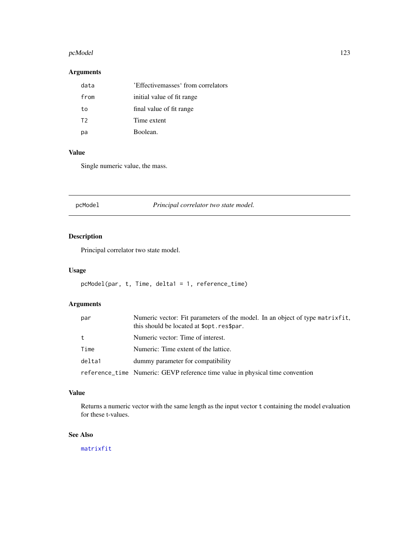#### pcModel 223

# Arguments

| data | 'Effectivemasses' from correlators |
|------|------------------------------------|
| from | initial value of fit range         |
| to   | final value of fit range           |
| T2   | Time extent                        |
| рa   | Boolean.                           |

# Value

Single numeric value, the mass.

pcModel *Principal correlator two state model.*

# Description

Principal correlator two state model.

# Usage

```
pcModel(par, t, Time, delta1 = 1, reference_time)
```
# Arguments

| par    | Numeric vector: Fit parameters of the model. In an object of type matrixfit,<br>this should be located at \$opt.res\$par. |  |
|--------|---------------------------------------------------------------------------------------------------------------------------|--|
| t      | Numeric vector: Time of interest.                                                                                         |  |
| Time   | Numeric: Time extent of the lattice.                                                                                      |  |
| delta1 | dummy parameter for compatibility                                                                                         |  |
|        | reference_time Numeric: GEVP reference time value in physical time convention                                             |  |

## Value

Returns a numeric vector with the same length as the input vector t containing the model evaluation for these t-values.

# See Also

[matrixfit](#page-105-0)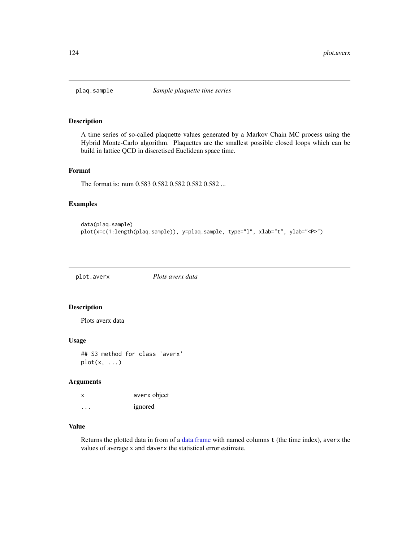# Description

A time series of so-called plaquette values generated by a Markov Chain MC process using the Hybrid Monte-Carlo algorithm. Plaquettes are the smallest possible closed loops which can be build in lattice QCD in discretised Euclidean space time.

#### Format

The format is: num 0.583 0.582 0.582 0.582 0.582 ...

#### Examples

```
data(plaq.sample)
plot(x=c(1:length(plaq.sample)), y=plaq.sample, type="l", xlab="t", ylab="<P>")
```
plot.averx *Plots averx data*

# Description

Plots averx data

#### Usage

## S3 method for class 'averx'  $plot(x, \ldots)$ 

# Arguments

| x                       | averx object |
|-------------------------|--------------|
| $\cdot$ $\cdot$ $\cdot$ | ignored      |

# Value

Returns the plotted data in from of a [data.frame](#page-0-0) with named columns t (the time index), averx the values of average x and daverx the statistical error estimate.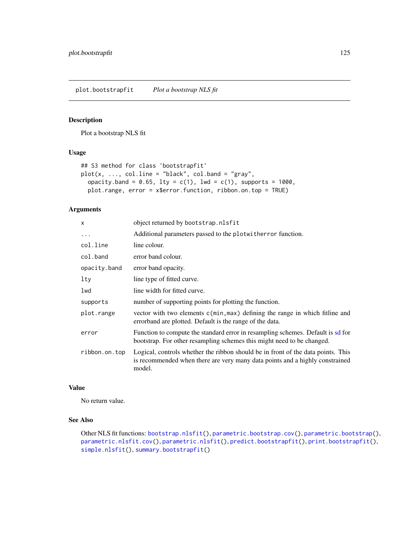<span id="page-124-0"></span>plot.bootstrapfit *Plot a bootstrap NLS fit*

# Description

Plot a bootstrap NLS fit

# Usage

```
## S3 method for class 'bootstrapfit'
plot(x, ..., coluine = "black", col.band = "gray",
 opacity.band = 0.65, lty = c(1), lwd = c(1), supports = 1000,
 plot.range, error = x$error.function, ribbon.on.top = TRUE)
```
# Arguments

| x             | object returned by bootstrap.nlsfit                                                                                                                                        |  |
|---------------|----------------------------------------------------------------------------------------------------------------------------------------------------------------------------|--|
| $\cdots$      | Additional parameters passed to the plotwither function.                                                                                                                   |  |
| col.line      | line colour.                                                                                                                                                               |  |
| col.band      | error band colour.                                                                                                                                                         |  |
| opacity.band  | error band opacity.                                                                                                                                                        |  |
| $1$ ty        | line type of fitted curve.                                                                                                                                                 |  |
| lwd           | line width for fitted curve.                                                                                                                                               |  |
| supports      | number of supporting points for plotting the function.                                                                                                                     |  |
| plot.range    | vector with two elements c(min, max) defining the range in which fitline and<br>errorband are plotted. Default is the range of the data.                                   |  |
| error         | Function to compute the standard error in resampling schemes. Default is sd for<br>bootstrap. For other resampling schemes this might need to be changed.                  |  |
| ribbon.on.top | Logical, controls whether the ribbon should be in front of the data points. This<br>is recommended when there are very many data points and a highly constrained<br>model. |  |

# Value

No return value.

# See Also

Other NLS fit functions: [bootstrap.nlsfit\(](#page-26-0)), [parametric.bootstrap.cov\(](#page-117-0)), [parametric.bootstrap\(](#page-116-0)), [parametric.nlsfit.cov\(](#page-119-0)), [parametric.nlsfit\(](#page-118-0)), [predict.bootstrapfit\(](#page-139-0)), [print.bootstrapfit\(](#page-140-0)), [simple.nlsfit\(](#page-164-0)), [summary.bootstrapfit\(](#page-168-0))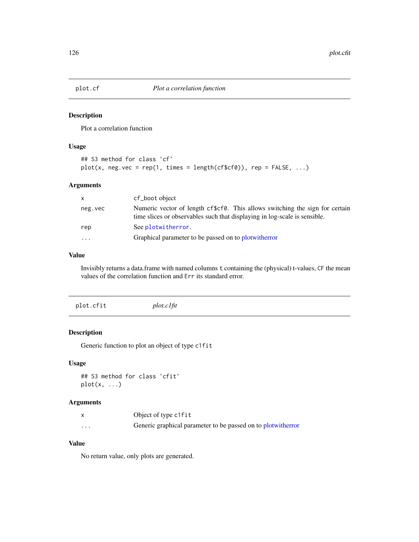#### Description

Plot a correlation function

# Usage

```
## S3 method for class 'cf'
plot(x, neg.vec = rep(1, times = length(cfscf0)), rep = FALSE, ...)
```
#### Arguments

| X        | cf_boot object                                                                                                                                            |
|----------|-----------------------------------------------------------------------------------------------------------------------------------------------------------|
| neg.vec  | Numeric vector of length cf\$cf0. This allows switching the sign for certain<br>time slices or observables such that displaying in log-scale is sensible. |
| rep      | See plotwitherror.                                                                                                                                        |
| $\cdots$ | Graphical parameter to be passed on to plot with error                                                                                                    |

#### Value

Invisibly returns a data.frame with named columns t containing the (physical) t-values, CF the mean values of the correlation function and Err its standard error.

<span id="page-125-0"></span>

| plot.cfit | $plot. c$ <i>lfit</i> |  |  |
|-----------|-----------------------|--|--|
|-----------|-----------------------|--|--|

# Description

Generic function to plot an object of type c1fit

#### Usage

```
## S3 method for class 'cfit'
plot(x, \ldots)
```
# Arguments

|          | Object of type c1fit                                           |
|----------|----------------------------------------------------------------|
| $\cdots$ | Generic graphical parameter to be passed on to plot with error |

# Value

No return value, only plots are generated.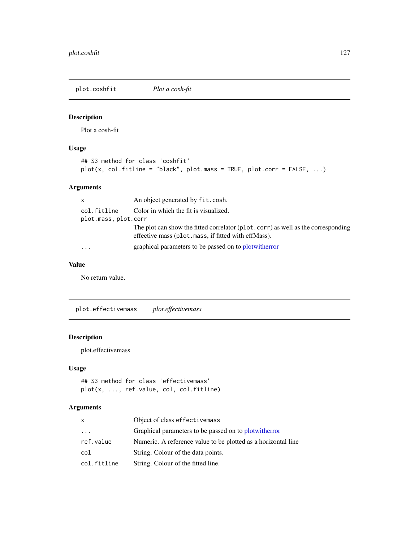plot.coshfit *Plot a cosh-fit*

# Description

Plot a cosh-fit

# Usage

```
## S3 method for class 'coshfit'
plot(x, col.fitline = "black", plot.mass = TRUE, plot.corr = FALSE, ...)
```
# Arguments

| $\mathsf{x}$         | An object generated by fit.cosh.                                                                                                        |
|----------------------|-----------------------------------------------------------------------------------------------------------------------------------------|
| col.fitline          | Color in which the fit is visualized.                                                                                                   |
| plot.mass, plot.corr |                                                                                                                                         |
|                      | The plot can show the fitted correlator (plot.corr) as well as the corresponding<br>effective mass (plot mass, if fitted with effMass). |
| $\cdots$             | graphical parameters to be passed on to plot with error                                                                                 |

# Value

No return value.

plot.effectivemass *plot.effectivemass*

# Description

plot.effectivemass

## Usage

```
## S3 method for class 'effectivemass'
plot(x, ..., ref.value, col, col.fitline)
```

| x           | Object of class effectivemass                                 |
|-------------|---------------------------------------------------------------|
| $\ddots$ .  | Graphical parameters to be passed on to plot with the root    |
| ref.value   | Numeric. A reference value to be plotted as a horizontal line |
| col         | String. Colour of the data points.                            |
| col.fitline | String. Colour of the fitted line.                            |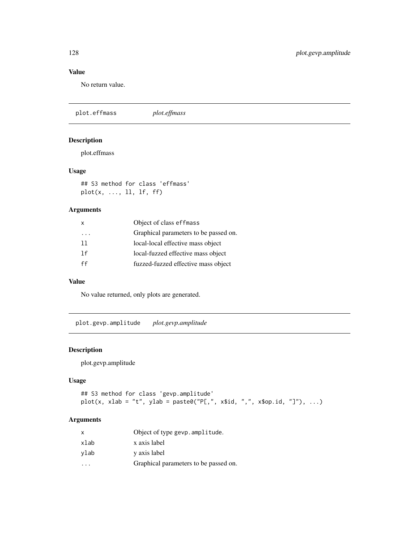# Value

No return value.

plot.effmass *plot.effmass*

# Description

plot.effmass

# Usage

## S3 method for class 'effmass' plot(x, ..., ll, lf, ff)

# Arguments

| X        | Object of class effmass               |
|----------|---------------------------------------|
| $\cdots$ | Graphical parameters to be passed on. |
| 11       | local-local effective mass object     |
| 1f       | local-fuzzed effective mass object    |
| ff       | fuzzed-fuzzed effective mass object   |

## Value

No value returned, only plots are generated.

plot.gevp.amplitude *plot.gevp.amplitude*

# Description

plot.gevp.amplitude

# Usage

```
## S3 method for class 'gevp.amplitude'
plot(x, xlab = "t", ylab = paste0("PL", x$id, ", x$op.id, "]"), ...)
```

| x                       | Object of type gevp. amplitude.       |
|-------------------------|---------------------------------------|
| xlab                    | x axis label                          |
| ylab                    | y axis label                          |
| $\cdot$ $\cdot$ $\cdot$ | Graphical parameters to be passed on. |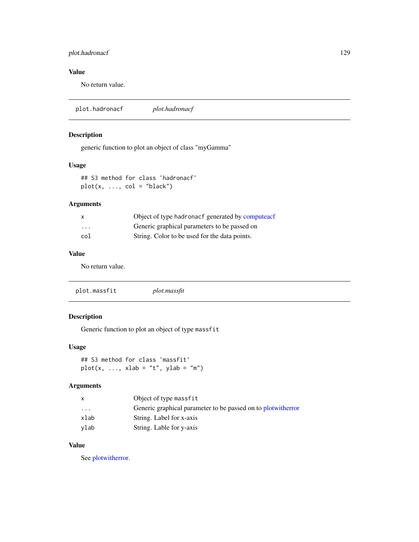# plot.hadronacf 129

# Value

No return value.

plot.hadronacf *plot.hadronacf*

# Description

generic function to plot an object of class "myGamma"

# Usage

## S3 method for class 'hadronacf'  $plot(x, ..., col = "black")$ 

## Arguments

| x                       | Object of type hadronacf generated by computeacf |
|-------------------------|--------------------------------------------------|
| $\cdot$ $\cdot$ $\cdot$ | Generic graphical parameters to be passed on     |
| col                     | String. Color to be used for the data points.    |

# Value

No return value.

| plot.massfit<br>plot.massfit |  |
|------------------------------|--|
|------------------------------|--|

# Description

Generic function to plot an object of type massfit

#### Usage

## S3 method for class 'massfit'  $plot(x, ..., xlab = "t", ylab = "m")$ 

#### Arguments

| X       | Object of type massfit                                         |
|---------|----------------------------------------------------------------|
| $\cdot$ | Generic graphical parameter to be passed on to plot with error |
| xlab    | String. Label for x-axis                                       |
| ylab    | String. Lable for y-axis                                       |

# Value

See [plotwitherror.](#page-134-0)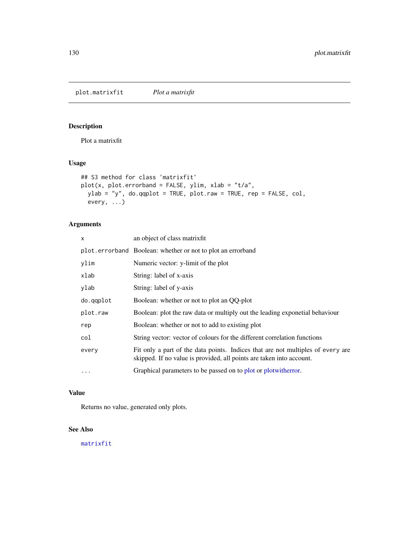plot.matrixfit *Plot a matrixfit*

# Description

Plot a matrixfit

# Usage

```
## S3 method for class 'matrixfit'
plot(x, plot_error = FALSE, ylim, xlab = "t/a",
  ylab = "y", do.qqplot = TRUE, plot.raw = TRUE, rep = FALSE, col,
  every, ...)
```
# Arguments

| X         | an object of class matrixfit                                                                                                                            |
|-----------|---------------------------------------------------------------------------------------------------------------------------------------------------------|
|           | plot.errorband Boolean: whether or not to plot an errorband                                                                                             |
| ylim      | Numeric vector: y-limit of the plot                                                                                                                     |
| xlab      | String: label of x-axis                                                                                                                                 |
| ylab      | String: label of y-axis                                                                                                                                 |
| do.qqplot | Boolean: whether or not to plot an QQ-plot                                                                                                              |
| plot.raw  | Boolean: plot the raw data or multiply out the leading exponetial behaviour                                                                             |
| rep       | Boolean: whether or not to add to existing plot                                                                                                         |
| col       | String vector: vector of colours for the different correlation functions                                                                                |
| every     | Fit only a part of the data points. Indices that are not multiples of every are<br>skipped. If no value is provided, all points are taken into account. |
| $\cdots$  | Graphical parameters to be passed on to plot or plot with error.                                                                                        |

# Value

Returns no value, generated only plots.

# See Also

## [matrixfit](#page-105-0)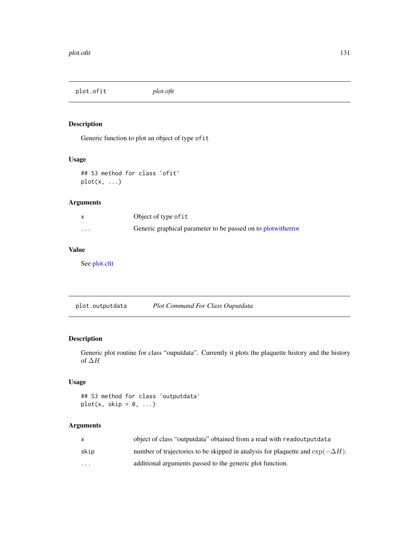plot.ofit *plot.ofit*

# Description

Generic function to plot an object of type ofit

# Usage

## S3 method for class 'ofit'  $plot(x, \ldots)$ 

# Arguments

|   | Object of type of it                                         |
|---|--------------------------------------------------------------|
| . | Generic graphical parameter to be passed on to plotwitherror |

# Value

See [plot.cfit](#page-125-0)

plot.outputdata *Plot Command For Class Ouputdata*

# Description

Generic plot routine for class "ouputdata". Currently it plots the plaquette history and the history of ∆H

# Usage

## S3 method for class 'outputdata'  $plot(x, skip = 0, ...)$ 

|                         | object of class "output data" obtained from a read with readout put data               |
|-------------------------|----------------------------------------------------------------------------------------|
| skip                    | number of trajectories to be skipped in analysis for plaquette and $\exp(-\Delta H)$ . |
| $\cdot$ $\cdot$ $\cdot$ | additional arguments passed to the generic plot function.                              |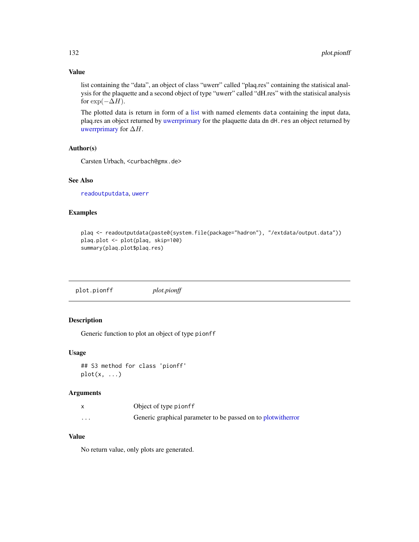## Value

list containing the "data", an object of class "uwerr" called "plaq.res" containing the statisical analysis for the plaquette and a second object of type "uwerr" called "dH.res" with the statisical analysis for  $\exp(-\Delta H)$ .

The plotted data is return in form of a [list](#page-0-0) with named elements data containing the input data, plaq.res an object returned by [uwerrprimary](#page-180-1) for the plaquette data dn dH.res an object returned by [uwerrprimary](#page-180-1) for  $\Delta H$ .

#### Author(s)

Carsten Urbach, <curbach@gmx.de>

# See Also

[readoutputdata](#page-156-0), [uwerr](#page-180-0)

## Examples

```
plaq <- readoutputdata(paste0(system.file(package="hadron"), "/extdata/output.data"))
plaq.plot <- plot(plaq, skip=100)
summary(plaq.plot$plaq.res)
```
plot.pionff *plot.pionff*

# Description

Generic function to plot an object of type pionff

#### Usage

```
## S3 method for class 'pionff'
plot(x, \ldots)
```
#### Arguments

|          | Object of type pionff                                          |
|----------|----------------------------------------------------------------|
| $\cdots$ | Generic graphical parameter to be passed on to plot with error |

# Value

No return value, only plots are generated.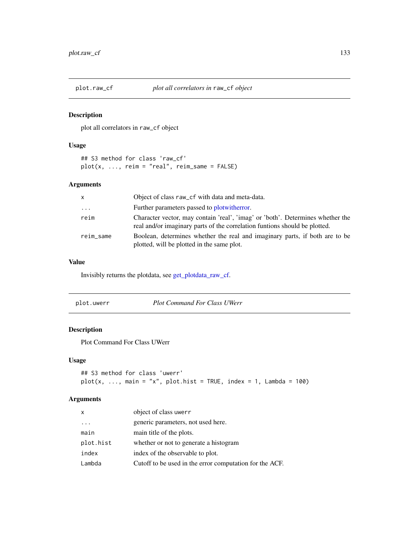## Description

plot all correlators in raw\_cf object

## Usage

```
## S3 method for class 'raw_cf'
plot(x, ..., return = "real", return\_same = FALSE)
```
# Arguments

| $\mathsf{x}$ | Object of class raw_cf with data and meta-data.                                                                                                              |
|--------------|--------------------------------------------------------------------------------------------------------------------------------------------------------------|
| $\cdots$     | Further parameters passed to plot with error.                                                                                                                |
| reim         | Character vector, may contain 'real', 'imag' or 'both'. Determines whether the<br>real and/or imaginary parts of the correlation funtions should be plotted. |
| reim_same    | Boolean, determines whether the real and imaginary parts, if both are to be<br>plotted, will be plotted in the same plot.                                    |

## Value

Invisibly returns the plotdata, see [get\\_plotdata\\_raw\\_cf.](#page-82-0)

| plot.uwerr | <b>Plot Command For Class UWerr</b> |  |
|------------|-------------------------------------|--|
|------------|-------------------------------------|--|

# Description

Plot Command For Class UWerr

# Usage

```
## S3 method for class 'uwerr'
plot(x, ..., main = "x", plot.hist = TRUE, index = 1, Lambda = 100)
```

| $\mathsf{x}$ | object of class uwerr                                   |
|--------------|---------------------------------------------------------|
|              | generic parameters, not used here.                      |
| main         | main title of the plots.                                |
| plot.hist    | whether or not to generate a histogram                  |
| index        | index of the observable to plot.                        |
| Lambda       | Cutoff to be used in the error computation for the ACF. |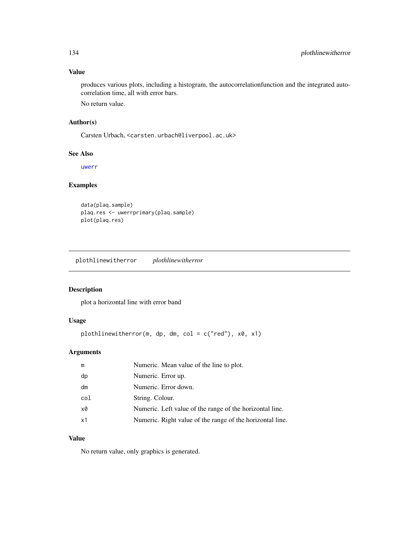# Value

produces various plots, including a histogram, the autocorrelationfunction and the integrated autocorrelation time, all with error bars.

No return value.

### Author(s)

Carsten Urbach, <carsten.urbach@liverpool.ac.uk>

## See Also

[uwerr](#page-180-0)

# Examples

data(plaq.sample) plaq.res <- uwerrprimary(plaq.sample) plot(plaq.res)

plothlinewitherror *plothlinewitherror*

# Description

plot a horizontal line with error band

# Usage

plothlinewitherror(m, dp, dm, col = c("red"), x0, x1)

# Arguments

| m   | Numeric. Mean value of the line to plot.                  |
|-----|-----------------------------------------------------------|
| dp  | Numeric. Error up.                                        |
| dm  | Numeric. Error down.                                      |
| col | String. Colour.                                           |
| x0  | Numeric. Left value of the range of the horizontal line.  |
| x1  | Numeric. Right value of the range of the horizontal line. |
|     |                                                           |

# Value

No return value, only graphics is generated.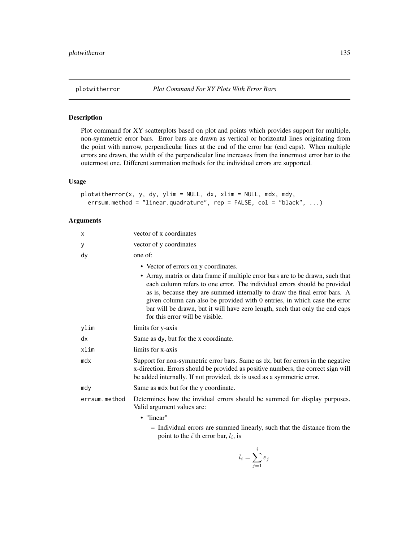# Description

Plot command for XY scatterplots based on plot and points which provides support for multiple, non-symmetric error bars. Error bars are drawn as vertical or horizontal lines originating from the point with narrow, perpendicular lines at the end of the error bar (end caps). When multiple errors are drawn, the width of the perpendicular line increases from the innermost error bar to the outermost one. Different summation methods for the individual errors are supported.

## Usage

```
plotwitherror(x, y, dy, ylim = NULL, dx, xlim = NULL, mdx, mdy,
 errsum.method = "linear.quadrature", rep = FALSE, col = "black", ...)
```
#### Arguments

| X             | vector of x coordinates                                                                                                                                                                                                                                                                                                                                                                                                                                                           |
|---------------|-----------------------------------------------------------------------------------------------------------------------------------------------------------------------------------------------------------------------------------------------------------------------------------------------------------------------------------------------------------------------------------------------------------------------------------------------------------------------------------|
| у             | vector of y coordinates                                                                                                                                                                                                                                                                                                                                                                                                                                                           |
| dy            | one of:                                                                                                                                                                                                                                                                                                                                                                                                                                                                           |
|               | • Vector of errors on y coordinates.<br>• Array, matrix or data frame if multiple error bars are to be drawn, such that<br>each column refers to one error. The individual errors should be provided<br>as is, because they are summed internally to draw the final error bars. A<br>given column can also be provided with 0 entries, in which case the error<br>bar will be drawn, but it will have zero length, such that only the end caps<br>for this error will be visible. |
| ylim          | limits for y-axis                                                                                                                                                                                                                                                                                                                                                                                                                                                                 |
| dx            | Same as dy, but for the x coordinate.                                                                                                                                                                                                                                                                                                                                                                                                                                             |
| xlim          | limits for x-axis                                                                                                                                                                                                                                                                                                                                                                                                                                                                 |
| mdx           | Support for non-symmetric error bars. Same as dx, but for errors in the negative<br>x-direction. Errors should be provided as positive numbers, the correct sign will<br>be added internally. If not provided, dx is used as a symmetric error.                                                                                                                                                                                                                                   |
| mdy           | Same as mdx but for the y coordinate.                                                                                                                                                                                                                                                                                                                                                                                                                                             |
| errsum.method | Determines how the invidual errors should be summed for display purposes.<br>Valid argument values are:                                                                                                                                                                                                                                                                                                                                                                           |
|               | • "linear"                                                                                                                                                                                                                                                                                                                                                                                                                                                                        |
|               | - Individual errors are summed linearly, such that the distance from the                                                                                                                                                                                                                                                                                                                                                                                                          |

– Individual errors are summed linearly, such that the distance from the point to the *i*'th error bar,  $l_i$ , is

$$
l_i = \sum_{j=1}^i e_j
$$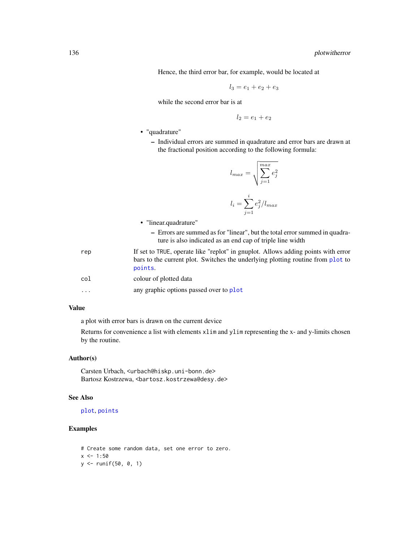Hence, the third error bar, for example, would be located at

$$
l_3 = e_1 + e_2 + e_3
$$

while the second error bar is at

$$
l_2 = e_1 + e_2
$$

- "quadrature"
	- Individual errors are summed in quadrature and error bars are drawn at the fractional position according to the following formula:

$$
l_{max} = \sqrt{\sum_{j=1}^{max} e_j^2}
$$

$$
l_i = \sum_{j=1}^{i} e_j^2 / l_{max}
$$

- "linear.quadrature"
	- Errors are summed as for "linear", but the total error summed in quadrature is also indicated as an end cap of triple line width
- rep If set to TRUE, operate like "replot" in gnuplot. Allows adding points with error bars to the current plot. Switches the underlying plotting routine from [plot](#page-0-0) to [points](#page-0-0).
- col colour of plotted data
- ... any graphic options passed over to [plot](#page-0-0)

# Value

a plot with error bars is drawn on the current device

Returns for convenience a list with elements xlim and ylim representing the x- and y-limits chosen by the routine.

# Author(s)

Carsten Urbach, <urbach@hiskp.uni-bonn.de> Bartosz Kostrzewa, <br/>bartosz.kostrzewa@desy.de>

### See Also

[plot](#page-0-0), [points](#page-0-0)

# Examples

```
# Create some random data, set one error to zero.
x < -1:50y <- runif(50, 0, 1)
```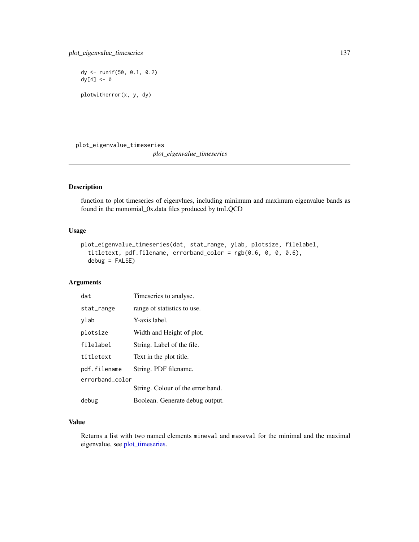dy <- runif(50, 0.1, 0.2) dy[4] <- 0 plotwitherror(x, y, dy)

plot\_eigenvalue\_timeseries

*plot\_eigenvalue\_timeseries*

# Description

function to plot timeseries of eigenvlues, including minimum and maximum eigenvalue bands as found in the monomial\_0x.data files produced by tmLQCD

# Usage

```
plot_eigenvalue_timeseries(dat, stat_range, ylab, plotsize, filelabel,
  titletext, pdf.filename, errorband_color = rgb(0.6, 0, 0, 0.6),
  debug = FALSE)
```
# Arguments

| dat             | Timeseries to analyse.            |  |
|-----------------|-----------------------------------|--|
| stat_range      | range of statistics to use.       |  |
| ylab            | Y-axis label.                     |  |
| plotsize        | Width and Height of plot.         |  |
| filelabel       | String. Label of the file.        |  |
| titletext       | Text in the plot title.           |  |
| pdf.filename    | String. PDF filename.             |  |
| errorband color |                                   |  |
|                 | String. Colour of the error band. |  |
| debug           | Boolean. Generate debug output.   |  |

# Value

Returns a list with two named elements mineval and maxeval for the minimal and the maximal eigenvalue, see [plot\\_timeseries.](#page-137-0)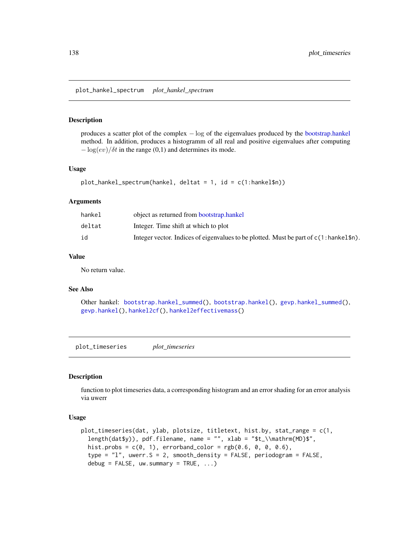plot\_hankel\_spectrum *plot\_hankel\_spectrum*

## Description

produces a scatter plot of the complex − log of the eigenvalues produced by the [bootstrap.hankel](#page-23-0) method. In addition, produces a histogramm of all real and positive eigenvalues after computing  $-\log(ev)/\delta t$  in the range (0,1) and determines its mode.

#### Usage

```
plot_hankel_spectrum(hankel, deltat = 1, id = c(1:hankel$n))
```
#### Arguments

| hankel | object as returned from bootstrap.hankel                                              |
|--------|---------------------------------------------------------------------------------------|
| deltat | Integer. Time shift at which to plot                                                  |
| id     | Integer vector. Indices of eigenvalues to be plotted. Must be part of c(1:hankel\$n). |

#### Value

No return value.

# See Also

Other hankel: [bootstrap.hankel\\_summed\(](#page-24-0)), [bootstrap.hankel\(](#page-23-0)), [gevp.hankel\\_summed\(](#page-85-0)), [gevp.hankel\(](#page-84-0)), [hankel2cf\(](#page-91-0)), [hankel2effectivemass\(](#page-92-0))

<span id="page-137-0"></span>plot\_timeseries *plot\_timeseries*

# Description

function to plot timeseries data, a corresponding histogram and an error shading for an error analysis via uwerr

#### Usage

```
plot_timeseries(dat, ylab, plotsize, titletext, hist.by, stat_range = c(1,
  length(dat$y)), pdf.filename, name = "", xlab = "$t_\\mathrm{MD}$",
  hist.probs = c(0, 1), errorband_color = rgb(0.6, 0, 0, 0.6),type = "l", uwerr.S = 2, smooth_density = FALSE, periodogram = FALSE,
  debug = FALSE, uw.summary = TRUE, ...
```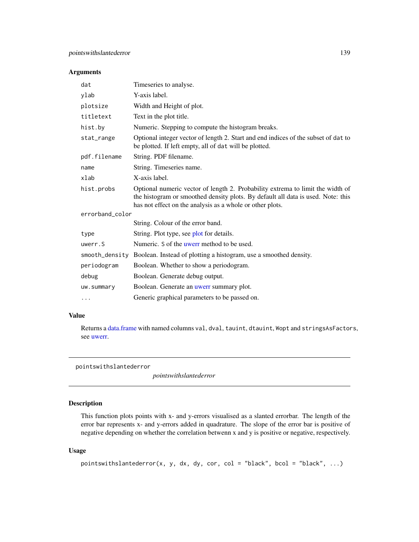#### Arguments

| dat             | Timeseries to analyse.                                                                                                                                                                                                          |
|-----------------|---------------------------------------------------------------------------------------------------------------------------------------------------------------------------------------------------------------------------------|
| ylab            | Y-axis label.                                                                                                                                                                                                                   |
| plotsize        | Width and Height of plot.                                                                                                                                                                                                       |
| titletext       | Text in the plot title.                                                                                                                                                                                                         |
| hist.by         | Numeric. Stepping to compute the histogram breaks.                                                                                                                                                                              |
| stat_range      | Optional integer vector of length 2. Start and end indices of the subset of dat to<br>be plotted. If left empty, all of dat will be plotted.                                                                                    |
| pdf.filename    | String. PDF filename.                                                                                                                                                                                                           |
| name            | String. Timeseries name.                                                                                                                                                                                                        |
| xlab            | X-axis label.                                                                                                                                                                                                                   |
| hist.probs      | Optional numeric vector of length 2. Probability extrema to limit the width of<br>the histogram or smoothed density plots. By default all data is used. Note: this<br>has not effect on the analysis as a whole or other plots. |
| errorband color |                                                                                                                                                                                                                                 |
|                 | String. Colour of the error band.                                                                                                                                                                                               |
| type            | String. Plot type, see plot for details.                                                                                                                                                                                        |
| uwerr.S         | Numeric. S of the uwerr method to be used.                                                                                                                                                                                      |
| smooth_density  | Boolean. Instead of plotting a histogram, use a smoothed density.                                                                                                                                                               |
| periodogram     | Boolean. Whether to show a periodogram.                                                                                                                                                                                         |
| debug           | Boolean. Generate debug output.                                                                                                                                                                                                 |
| uw.summary      | Boolean. Generate an <i>uwerr</i> summary plot.                                                                                                                                                                                 |
| $\cdots$        | Generic graphical parameters to be passed on.                                                                                                                                                                                   |

## Value

Returns a [data.frame](#page-0-0) with named columns val, dval, tauint, dtauint, Wopt and stringsAsFactors, see [uwerr.](#page-180-0)

pointswithslantederror

*pointswithslantederror*

# Description

This function plots points with x- and y-errors visualised as a slanted errorbar. The length of the error bar represents x- and y-errors added in quadrature. The slope of the error bar is positive of negative depending on whether the correlation betwenn x and y is positive or negative, respectively.

## Usage

```
pointswithslantederror(x, y, dx, dy, cor, col = "black", bcol = "black", ...)
```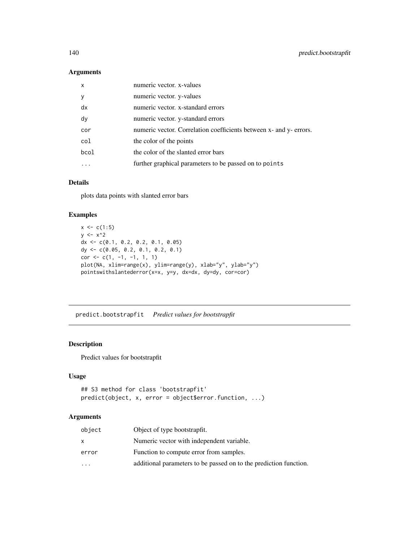# Arguments

| $\mathsf{x}$ | numeric vector. x-values                                           |
|--------------|--------------------------------------------------------------------|
| <b>V</b>     | numeric vector. y-values                                           |
| dx           | numeric vector. x-standard errors                                  |
| dy           | numeric vector. y-standard errors                                  |
| cor          | numeric vector. Correlation coefficients between x- and y- errors. |
| col          | the color of the points                                            |
| bcol         | the color of the slanted error bars                                |
|              | further graphical parameters to be passed on to points             |
|              |                                                                    |

# Details

plots data points with slanted error bars

# Examples

```
x \leq -c(1:5)y \le -x^2dx <- c(0.1, 0.2, 0.2, 0.1, 0.05)
dy <- c(0.05, 0.2, 0.1, 0.2, 0.1)
cor < -c(1, -1, -1, 1, 1)plot(NA, xlim=range(x), ylim=range(y), xlab="y", ylab="y")
pointswithslantederror(x=x, y=y, dx=dx, dy=dy, cor=cor)
```
<span id="page-139-0"></span>predict.bootstrapfit *Predict values for bootstrapfit*

# Description

Predict values for bootstrapfit

# Usage

```
## S3 method for class 'bootstrapfit'
predict(object, x, error = object$error.function, ...)
```

| object    | Object of type bootstrapfit.                                      |
|-----------|-------------------------------------------------------------------|
| x         | Numeric vector with independent variable.                         |
| error     | Function to compute error from samples.                           |
| $\ddotsc$ | additional parameters to be passed on to the prediction function. |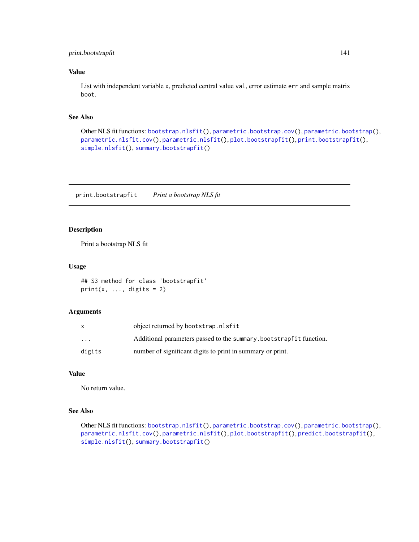# print.bootstrapfit 141

# Value

List with independent variable x, predicted central value val, error estimate err and sample matrix boot.

# See Also

```
Other NLS fit functions: bootstrap.nlsfit(), parametric.bootstrap.cov(), parametric.bootstrap(),
parametric.nlsfit.cov(), parametric.nlsfit(), plot.bootstrapfit(), print.bootstrapfit(),
simple.nlsfit(), summary.bootstrapfit()
```
<span id="page-140-0"></span>print.bootstrapfit *Print a bootstrap NLS fit*

# Description

Print a bootstrap NLS fit

#### Usage

```
## S3 method for class 'bootstrapfit'
print(x, ..., digits = 2)
```
## Arguments

|                         | object returned by bootstrap.nlsfit                                |
|-------------------------|--------------------------------------------------------------------|
| $\cdot$ $\cdot$ $\cdot$ | Additional parameters passed to the summary bootstrapfit function. |
| digits                  | number of significant digits to print in summary or print.         |

## Value

No return value.

# See Also

Other NLS fit functions: [bootstrap.nlsfit\(](#page-26-0)), [parametric.bootstrap.cov\(](#page-117-0)), [parametric.bootstrap\(](#page-116-0)), [parametric.nlsfit.cov\(](#page-119-0)), [parametric.nlsfit\(](#page-118-0)), [plot.bootstrapfit\(](#page-124-0)), [predict.bootstrapfit\(](#page-139-0)), [simple.nlsfit\(](#page-164-0)), [summary.bootstrapfit\(](#page-168-0))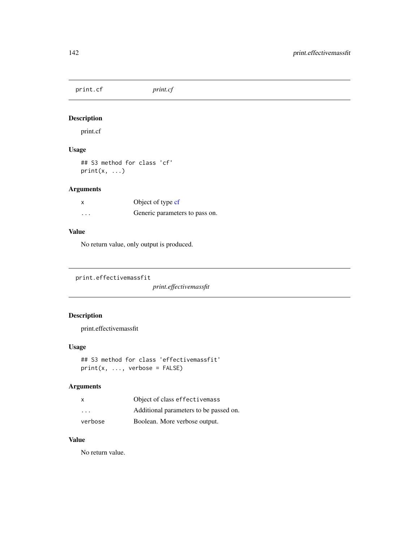print.cf *print.cf*

# Description

print.cf

# Usage

## S3 method for class 'cf'  $print(x, \ldots)$ 

# Arguments

|                         | Object of type cf              |  |  |  |
|-------------------------|--------------------------------|--|--|--|
| $\cdot$ $\cdot$ $\cdot$ | Generic parameters to pass on. |  |  |  |

## Value

No return value, only output is produced.

```
print.effectivemassfit
```
*print.effectivemassfit*

# Description

print.effectivemassfit

# Usage

```
## S3 method for class 'effectivemassfit'
print(x, ..., verbose = FALSE)
```
# Arguments

| X                       | Object of class effectivemass          |  |  |  |
|-------------------------|----------------------------------------|--|--|--|
| $\cdot$ $\cdot$ $\cdot$ | Additional parameters to be passed on. |  |  |  |
| verbose                 | Boolean. More verbose output.          |  |  |  |

# Value

No return value.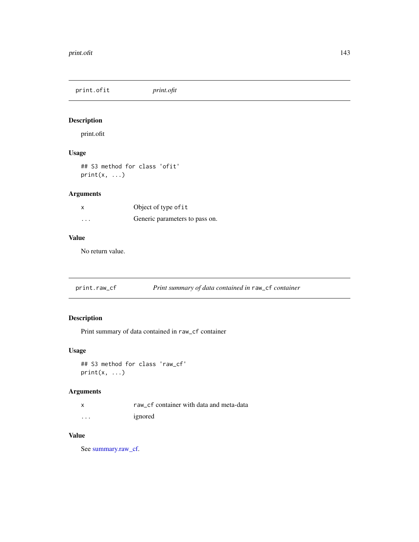print.ofit *print.ofit*

# Description

print.ofit

# Usage

## S3 method for class 'ofit'  $print(x, \ldots)$ 

# Arguments

|          | Object of type of it           |  |  |  |
|----------|--------------------------------|--|--|--|
| $\cdots$ | Generic parameters to pass on. |  |  |  |

# Value

No return value.

print.raw\_cf *Print summary of data contained in* raw\_cf *container*

# Description

Print summary of data contained in raw\_cf container

## Usage

```
## S3 method for class 'raw_cf'
print(x, \ldots)
```
# Arguments

|  | raw cf container with data and meta-data |  |  |  |
|--|------------------------------------------|--|--|--|
|  |                                          |  |  |  |

... ignored

# Value

See [summary.raw\\_cf.](#page-174-0)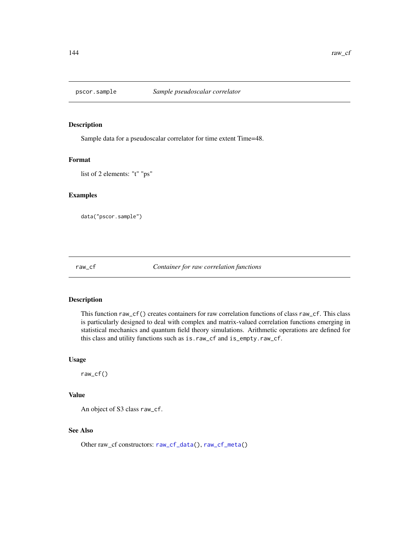## Description

Sample data for a pseudoscalar correlator for time extent Time=48.

#### Format

list of 2 elements: "t" "ps"

# Examples

data("pscor.sample")

raw\_cf *Container for raw correlation functions*

# Description

This function raw\_cf() creates containers for raw correlation functions of class raw\_cf. This class is particularly designed to deal with complex and matrix-valued correlation functions emerging in statistical mechanics and quantum field theory simulations. Arithmetic operations are defined for this class and utility functions such as is.raw\_cf and is\_empty.raw\_cf.

#### Usage

raw\_cf()

# Value

An object of S3 class raw\_cf.

## See Also

Other raw\_cf constructors: [raw\\_cf\\_data\(](#page-144-0)), [raw\\_cf\\_meta\(](#page-144-1))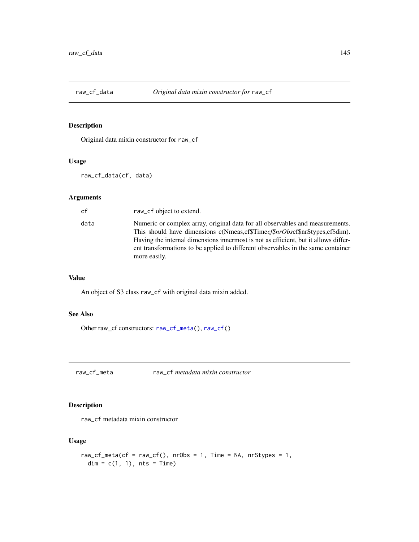<span id="page-144-1"></span>

# Description

Original data mixin constructor for raw\_cf

# Usage

raw\_cf\_data(cf, data)

# Arguments

| cf   | raw_cf object to extend.                                                                                                                                                                                                                                                                                                                                         |
|------|------------------------------------------------------------------------------------------------------------------------------------------------------------------------------------------------------------------------------------------------------------------------------------------------------------------------------------------------------------------|
| data | Numeric or complex array, original data for all observables and measurements.<br>This should have dimensions c(Nmeas.cf\$Time <i>cf\$nrObscf\$nrStypes.cf\$dim)</i> .<br>Having the internal dimensions innermost is not as efficient, but it allows differ-<br>ent transformations to be applied to different observables in the same container<br>more easily. |

# Value

An object of S3 class raw\_cf with original data mixin added.

# See Also

Other raw\_cf constructors: [raw\\_cf\\_meta\(](#page-144-0)), [raw\\_cf\(](#page-143-0))

<span id="page-144-0"></span>raw\_cf\_meta raw\_cf *metadata mixin constructor*

# Description

raw\_cf metadata mixin constructor

# Usage

```
raw_cf_meta(cf = raw_cf(), nrObs = 1, Time = NA, nrStypes = 1,
 dim = c(1, 1), nts = Time)
```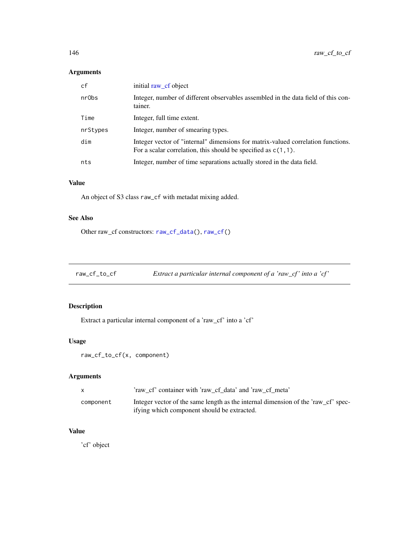# Arguments

| cf       | initial raw_cf object                                                                                                                                |
|----------|------------------------------------------------------------------------------------------------------------------------------------------------------|
| nr0bs    | Integer, number of different observables assembled in the data field of this con-<br>tainer.                                                         |
| Time     | Integer, full time extent.                                                                                                                           |
| nrStypes | Integer, number of smearing types.                                                                                                                   |
| dim      | Integer vector of "internal" dimensions for matrix-valued correlation functions.<br>For a scalar correlation, this should be specified as $c(1,1)$ . |
| nts      | Integer, number of time separations actually stored in the data field.                                                                               |

# Value

An object of S3 class raw\_cf with metadat mixing added.

# See Also

Other raw\_cf constructors: [raw\\_cf\\_data\(](#page-144-1)), [raw\\_cf\(](#page-143-0))

raw\_cf\_to\_cf *Extract a particular internal component of a 'raw\_cf ' into a 'cf '*

# Description

Extract a particular internal component of a 'raw\_cf' into a 'cf'

### Usage

```
raw_cf_to_cf(x, component)
```
# Arguments

|           | 'raw cf' container with 'raw cf data' and 'raw cf meta'                                                                           |
|-----------|-----------------------------------------------------------------------------------------------------------------------------------|
| component | Integer vector of the same length as the internal dimension of the 'raw_cf' spec-<br>if ying which component should be extracted. |

# Value

'cf' object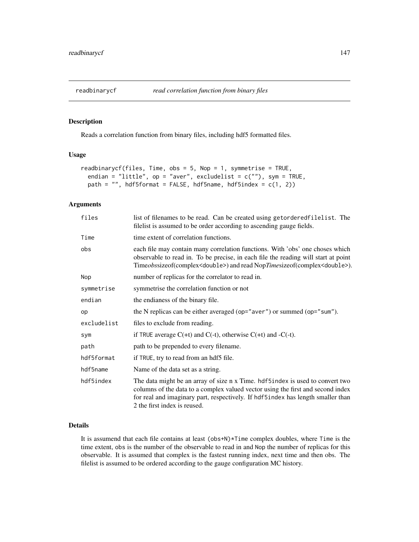<span id="page-146-0"></span>

### Description

Reads a correlation function from binary files, including hdf5 formatted files.

# Usage

```
readbinarycf(files, Time, obs = 5, Nop = 1, symmetrise = TRUE,
 endian = "little", op = "aver", excludelist = c(""), sym = TRUE,
 path = ", hdf5format = FALSE, hdf5name, hdf5index = c(1, 2))
```
# Arguments

| files       | list of filenames to be read. Can be created using getordered filelist. The<br>filelist is assumed to be order according to ascending gauge fields.                                                                                                                                 |  |  |  |  |  |
|-------------|-------------------------------------------------------------------------------------------------------------------------------------------------------------------------------------------------------------------------------------------------------------------------------------|--|--|--|--|--|
| Time        | time extent of correlation functions.                                                                                                                                                                                                                                               |  |  |  |  |  |
| obs         | each file may contain many correlation functions. With 'obs' one choses which<br>observable to read in. To be precise, in each file the reading will start at point<br>Timeobssizeof(complex <double>) and read NopTimesizeof(complex<double>).</double></double>                   |  |  |  |  |  |
| Nop         | number of replicas for the correlator to read in.                                                                                                                                                                                                                                   |  |  |  |  |  |
| symmetrise  | symmetrise the correlation function or not                                                                                                                                                                                                                                          |  |  |  |  |  |
| endian      | the endianess of the binary file.                                                                                                                                                                                                                                                   |  |  |  |  |  |
| op          | the N replicas can be either averaged (op="aver") or summed (op="sum").                                                                                                                                                                                                             |  |  |  |  |  |
| excludelist | files to exclude from reading.                                                                                                                                                                                                                                                      |  |  |  |  |  |
| sym         | if TRUE average $C(+t)$ and $C(-t)$ , otherwise $C(+t)$ and $-C(-t)$ .                                                                                                                                                                                                              |  |  |  |  |  |
| path        | path to be prepended to every filename.                                                                                                                                                                                                                                             |  |  |  |  |  |
| hdf5format  | if TRUE, try to read from an hdf5 file.                                                                                                                                                                                                                                             |  |  |  |  |  |
| hdf5name    | Name of the data set as a string.                                                                                                                                                                                                                                                   |  |  |  |  |  |
| hdf5index   | The data might be an array of size n x Time. hdf5index is used to convert two<br>columns of the data to a complex valued vector using the first and second index<br>for real and imaginary part, respectively. If hdf5index has length smaller than<br>2 the first index is reused. |  |  |  |  |  |

# Details

It is assumend that each file contains at least (obs+N)\*Time complex doubles, where Time is the time extent, obs is the number of the observable to read in and Nop the number of replicas for this observable. It is assumed that complex is the fastest running index, next time and then obs. The filelist is assumed to be ordered according to the gauge configuration MC history.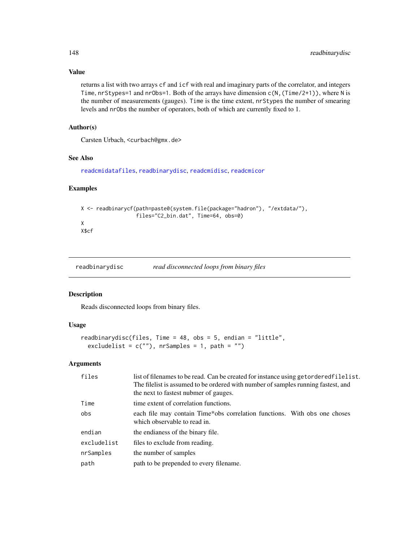### Value

returns a list with two arrays cf and icf with real and imaginary parts of the correlator, and integers Time, nrStypes=1 and nrObs=1. Both of the arrays have dimension  $c(N, (Time/2+1))$ , where N is the number of measurements (gauges). Time is the time extent, nrStypes the number of smearing levels and nrObs the number of operators, both of which are currently fixed to 1.

# Author(s)

Carsten Urbach, <curbach@gmx.de>

### See Also

[readcmidatafiles](#page-150-0), [readbinarydisc](#page-147-0), [readcmidisc](#page-149-0), [readcmicor](#page-150-0)

# Examples

```
X <- readbinarycf(path=paste0(system.file(package="hadron"), "/extdata/"),
                  files="C2_bin.dat", Time=64, obs=0)
X
X$cf
```
<span id="page-147-0"></span>readbinarydisc *read disconnected loops from binary files*

## Description

Reads disconnected loops from binary files.

# Usage

```
readbinarydisc(files, Time = 48, obs = 5, endian = "little",
  excludelist = c(""), nrSamples = 1, path = "")
```
### Arguments

| files       | list of filenames to be read. Can be created for instance using getordered filelist.<br>The filelist is assumed to be ordered with number of samples running fastest, and<br>the next to fastest nubmer of gauges. |
|-------------|--------------------------------------------------------------------------------------------------------------------------------------------------------------------------------------------------------------------|
| Time        | time extent of correlation functions.                                                                                                                                                                              |
| obs         | each file may contain Time*obs correlation functions. With obs one choses<br>which observable to read in.                                                                                                          |
| endian      | the endianess of the binary file.                                                                                                                                                                                  |
| excludelist | files to exclude from reading.                                                                                                                                                                                     |
| nrSamples   | the number of samples                                                                                                                                                                                              |
| path        | path to be prepended to every filename.                                                                                                                                                                            |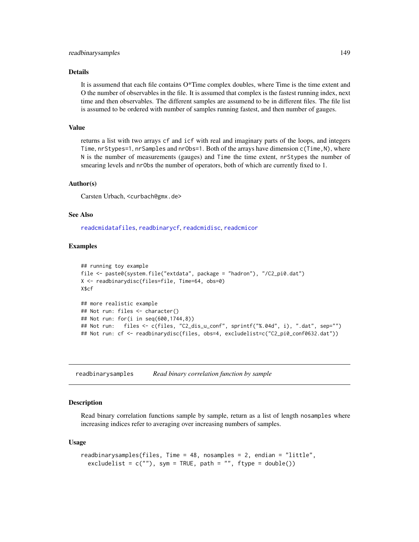#### Details

It is assumend that each file contains O\*Time complex doubles, where Time is the time extent and O the number of observables in the file. It is assumed that complex is the fastest running index, next time and then observables. The different samples are assumend to be in different files. The file list is assumed to be ordered with number of samples running fastest, and then number of gauges.

### Value

returns a list with two arrays cf and icf with real and imaginary parts of the loops, and integers Time, nrStypes=1, nrSamples and nrObs=1. Both of the arrays have dimension c(Time,N), where N is the number of measurements (gauges) and Time the time extent, nrStypes the number of smearing levels and nrObs the number of operators, both of which are currently fixed to 1.

### Author(s)

Carsten Urbach, <curbach@gmx.de>

### See Also

[readcmidatafiles](#page-150-0), [readbinarycf](#page-146-0), [readcmidisc](#page-149-0), [readcmicor](#page-150-0)

### Examples

```
## running toy example
file <- paste0(system.file("extdata", package = "hadron"), "/C2_pi0.dat")
X <- readbinarydisc(files=file, Time=64, obs=0)
X$cf
## more realistic example
## Not run: files <- character()
## Not run: for(i in seq(600,1744,8))
## Not run: files <- c(files, "C2_dis_u_conf", sprintf("%.04d", i), ".dat", sep="")
## Not run: cf <- readbinarydisc(files, obs=4, excludelist=c("C2_pi0_conf0632.dat"))
```
readbinarysamples *Read binary correlation function by sample*

### Description

Read binary correlation functions sample by sample, return as a list of length nosamples where increasing indices refer to averaging over increasing numbers of samples.

#### Usage

```
readbinarysamples(files, Time = 48, nosamples = 2, endian = "little",
 excludelist = c(""), sym = TRUE, path = "", ftype = double())
```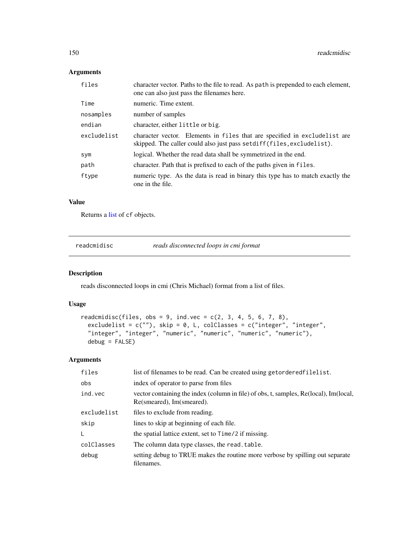# Arguments

| files       | character vector. Paths to the file to read. As path is prepended to each element,<br>one can also just pass the filenames here.                     |  |  |  |  |
|-------------|------------------------------------------------------------------------------------------------------------------------------------------------------|--|--|--|--|
| Time        | numeric. Time extent.                                                                                                                                |  |  |  |  |
| nosamples   | number of samples                                                                                                                                    |  |  |  |  |
| endian      | character, either little or big.                                                                                                                     |  |  |  |  |
| excludelist | character vector. Elements in files that are specified in excludelist are<br>skipped. The caller could also just pass set diff (files, excludelist). |  |  |  |  |
| sym         | logical. Whether the read data shall be symmetrized in the end.                                                                                      |  |  |  |  |
| path        | character. Path that is prefixed to each of the paths given in files.                                                                                |  |  |  |  |
| ftype       | numeric type. As the data is read in binary this type has to match exactly the<br>one in the file.                                                   |  |  |  |  |

#### Value

Returns a [list](#page-0-0) of cf objects.

<span id="page-149-0"></span>readcmidisc *reads disconnected loops in cmi format*

# Description

reads disconnected loops in cmi (Chris Michael) format from a list of files.

# Usage

```
readcmidisc(files, obs = 9, ind.vec = c(2, 3, 4, 5, 6, 7, 8),
 excludelist = c(""), skip = 0, L, colClasses = c("integer", "integer","integer", "integer", "numeric", "numeric", "numeric", "numeric"),
 debug = FALSE)
```
# Arguments

| files       | list of filenames to be read. Can be created using getorderedfilelist.                                             |
|-------------|--------------------------------------------------------------------------------------------------------------------|
| obs         | index of operator to parse from files                                                                              |
| ind.vec     | vector containing the index (column in file) of obs, t, samples, Re(local), Im(local,<br>Re(smeared), Im(smeared). |
| excludelist | files to exclude from reading.                                                                                     |
| skip        | lines to skip at beginning of each file.                                                                           |
| L           | the spatial lattice extent, set to Time/2 if missing.                                                              |
| colClasses  | The column data type classes, the read. table.                                                                     |
| debug       | setting debug to TRUE makes the routine more verbose by spilling out separate<br>filenames.                        |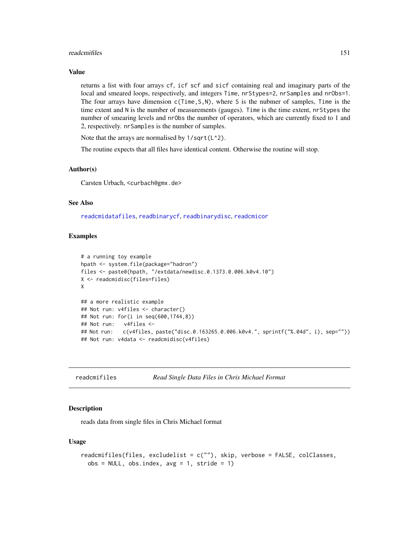#### readcmifiles that the contract of the contract of the contract of the contract of the contract of the contract of the contract of the contract of the contract of the contract of the contract of the contract of the contract

### Value

returns a list with four arrays cf, icf scf and sicf containing real and imaginary parts of the local and smeared loops, respectively, and integers Time, nrStypes=2, nrSamples and nrObs=1. The four arrays have dimension c(Time, S, N), where S is the nubmer of samples, Time is the time extent and N is the number of measurements (gauges). Time is the time extent, nrStypes the number of smearing levels and nrObs the number of operators, which are currently fixed to 1 and 2, respectively. nrSamples is the number of samples.

Note that the arrays are normalised by  $1/\sqrt{C(1^2)}$ .

The routine expects that all files have identical content. Otherwise the routine will stop.

### Author(s)

Carsten Urbach, <curbach@gmx.de>

# See Also

[readcmidatafiles](#page-150-0), [readbinarycf](#page-146-0), [readbinarydisc](#page-147-0), [readcmicor](#page-150-0)

### Examples

```
# a running toy example
hpath <- system.file(package="hadron")
files <- paste0(hpath, "/extdata/newdisc.0.1373.0.006.k0v4.10")
X <- readcmidisc(files=files)
X
## a more realistic example
## Not run: v4files <- character()
## Not run: for(i in seq(600,1744,8))
## Not run: v4files <-
## Not run: c(v4files, paste("disc.0.163265.0.006.k0v4.", sprintf("%.04d", i), sep=""))
## Not run: v4data <- readcmidisc(v4files)
```
readcmifiles *Read Single Data Files in Chris Michael Format*

### <span id="page-150-0"></span>**Description**

reads data from single files in Chris Michael format

#### Usage

```
readcmifiles(files, excludelist = c(""), skip, verbose = FALSE, colClasses,
 obs = NULL, obs.index, avg = 1, stride = 1)
```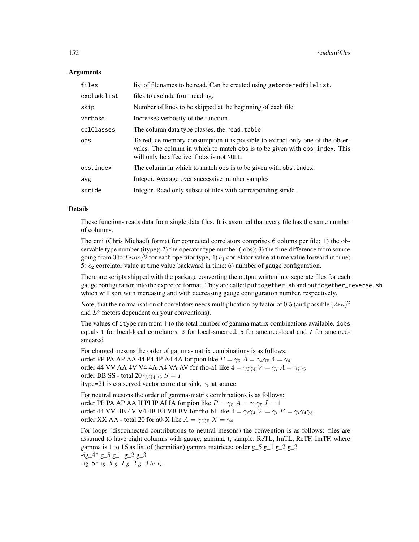#### Arguments

| files       | list of filenames to be read. Can be created using getorderedfilelist.                                                                                                                                      |
|-------------|-------------------------------------------------------------------------------------------------------------------------------------------------------------------------------------------------------------|
| excludelist | files to exclude from reading.                                                                                                                                                                              |
| skip        | Number of lines to be skipped at the beginning of each file.                                                                                                                                                |
| verbose     | Increases verbosity of the function.                                                                                                                                                                        |
| colClasses  | The column data type classes, the read. table.                                                                                                                                                              |
| obs         | To reduce memory consumption it is possible to extract only one of the obser-<br>vales. The column in which to match obs is to be given with obs. index. This<br>will only be affective if obs is not NULL. |
| obs.index   | The column in which to match obs is to be given with obs. index.                                                                                                                                            |
| avg         | Integer. Average over successive number samples                                                                                                                                                             |
| stride      | Integer. Read only subset of files with corresponding stride.                                                                                                                                               |

## Details

These functions reads data from single data files. It is assumed that every file has the same number of columns.

The cmi (Chris Michael) format for connected correlators comprises 6 colums per file: 1) the observable type number (itype); 2) the operator type number (iobs); 3) the time difference from source going from 0 to  $Time/2$  for each operator type; 4)  $c_1$  correlator value at time value forward in time; 5)  $c_2$  correlator value at time value backward in time; 6) number of gauge configuration.

There are scripts shipped with the package converting the output written into seperate files for each gauge configuration into the expected format. They are called puttogether. sh and puttogether\_reverse. sh which will sort with increasing and with decreasing gauge configuration number, respectively.

Note, that the normalisation of correlators needs multiplication by factor of 0.5 (and possible  $(2*\kappa)^2$ and  $L^3$  factors dependent on your conventions).

The values of itype run from 1 to the total number of gamma matrix combinations available. iobs equals 1 for local-local correlators, 3 for local-smeared, 5 for smeared-local and 7 for smearedsmeared

For charged mesons the order of gamma-matrix combinations is as follows: order PP PA AP AA 44 P4 4P A4 4A for pion like  $P = \gamma_5 A = \gamma_4 \gamma_5 4 = \gamma_4$ order 44 VV AA 4V V4 4A A4 VA AV for rho-a1 like  $4 = \gamma_i \gamma_4 V = \gamma_i A = \gamma_i \gamma_5$ order BB SS - total 20  $\gamma_i \gamma_4 \gamma_5 S = I$ 

itype=21 is conserved vector current at sink,  $\gamma_5$  at source

For neutral mesons the order of gamma-matrix combinations is as follows: order PP PA AP AA II PI IP AI IA for pion like  $P = \gamma_5 A = \gamma_4 \gamma_5 I = 1$ order 44 VV BB 4V V4 4B B4 VB BV for rho-b1 like  $4 = \gamma_i \gamma_4 V = \gamma_i B = \gamma_i \gamma_4 \gamma_5$ order XX AA - total 20 for a0-X like  $A = \gamma_i \gamma_5 X = \gamma_4$ 

For loops (disconnected contributions to neutral mesons) the convention is as follows: files are assumed to have eight columns with gauge, gamma, t, sample, ReTL, ImTL, ReTF, ImTF, where gamma is 1 to 16 as list of (hermitian) gamma matrices: order  $g_{5}g_{1}g_{2}g_{3}$ 

```
-ig_4* g_5 g_1 g_2 g_3
```

```
-ig_5* ig_5 g_1 g_2 g_3 ie 1,..
```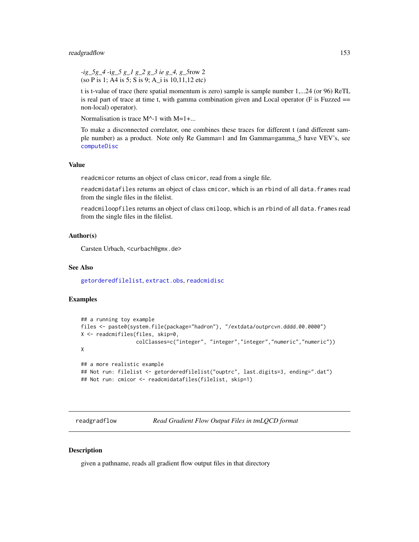#### readgradflow 153

*-ig\_5g\_4* -i*g\_5 g\_1 g\_2 g\_3 ie g\_4, g\_5*row 2 (so P is 1; A4 is 5; S is 9; A\_i is 10,11,12 etc)

t is t-value of trace (here spatial momentum is zero) sample is sample number 1,...24 (or 96) ReTL is real part of trace at time t, with gamma combination given and Local operator (F is Fuzzed == non-local) operator).

Normalisation is trace  $M^{\wedge}$ -1 with  $M=1+\dots$ .

To make a disconnected correlator, one combines these traces for different t (and different sample number) as a product. Note only Re Gamma=1 and Im Gamma=gamma\_5 have VEV's, see [computeDisc](#page-46-0)

### Value

readcmicor returns an object of class cmicor, read from a single file.

readcmidatafiles returns an object of class cmicor, which is an rbind of all data.frames read from the single files in the filelist.

readcmiloopfiles returns an object of class cmiloop, which is an rbind of all data.frames read from the single files in the filelist.

### Author(s)

Carsten Urbach, <curbach@gmx.de>

### See Also

[getorderedfilelist](#page-81-0), [extract.obs](#page-69-0), [readcmidisc](#page-149-0)

#### Examples

```
## a running toy example
files <- paste0(system.file(package="hadron"), "/extdata/outprcvn.dddd.00.0000")
X <- readcmifiles(files, skip=0,
                  colClasses=c("integer", "integer","integer","numeric","numeric"))
X
## a more realistic example
## Not run: filelist <- getorderedfilelist("ouptrc", last.digits=3, ending=".dat")
## Not run: cmicor <- readcmidatafiles(filelist, skip=1)
```
readgradflow *Read Gradient Flow Output Files in tmLQCD format*

### Description

given a pathname, reads all gradient flow output files in that directory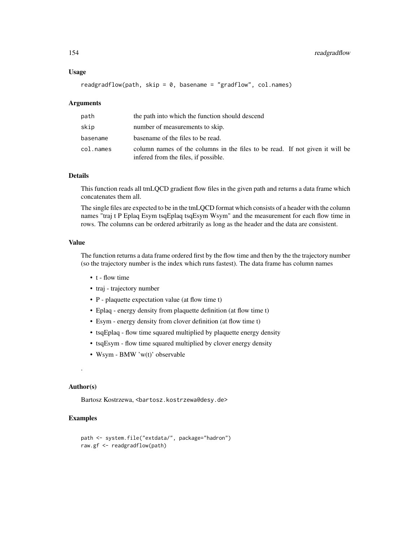#### Usage

```
readgradflow(path, skip = 0, basename = "gradflow", col.names)
```
#### Arguments

| path      | the path into which the function should descend                                                                      |
|-----------|----------------------------------------------------------------------------------------------------------------------|
| skip      | number of measurements to skip.                                                                                      |
| basename  | base ame of the files to be read.                                                                                    |
| col.names | column names of the columns in the files to be read. If not given it will be<br>infered from the files, if possible. |

### Details

This function reads all tmLQCD gradient flow files in the given path and returns a data frame which concatenates them all.

The single files are expected to be in the tmLQCD format which consists of a header with the column names "traj t P Eplaq Esym tsqEplaq tsqEsym Wsym" and the measurement for each flow time in rows. The columns can be ordered arbitrarily as long as the header and the data are consistent.

### Value

The function returns a data frame ordered first by the flow time and then by the the trajectory number (so the trajectory number is the index which runs fastest). The data frame has column names

- t flow time
- traj trajectory number
- P plaquette expectation value (at flow time t)
- Eplaq energy density from plaquette definition (at flow time t)
- Esym energy density from clover definition (at flow time t)
- tsqEplaq flow time squared multiplied by plaquette energy density
- tsqEsym flow time squared multiplied by clover energy density
- Wsym BMW 'w(t)' observable

### Author(s)

.

Bartosz Kostrzewa, <br/>bartosz.kostrzewa@desy.de>

# Examples

```
path <- system.file("extdata/", package="hadron")
raw.gf <- readgradflow(path)
```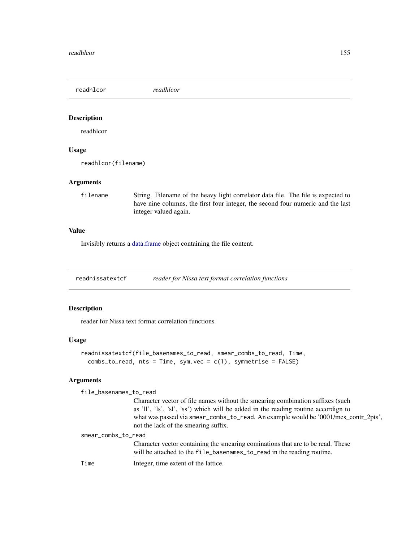readhlcor *readhlcor*

# Description

readhlcor

# Usage

readhlcor(filename)

### Arguments

filename String. Filename of the heavy light correlator data file. The file is expected to have nine columns, the first four integer, the second four numeric and the last integer valued again.

### Value

Invisibly returns a [data.frame](#page-0-0) object containing the file content.

readnissatextcf *reader for Nissa text format correlation functions*

# Description

reader for Nissa text format correlation functions

#### Usage

```
readnissatextcf(file_basenames_to_read, smear_combs_to_read, Time,
 combs_to_read, nts = Time, sym.vec = c(1), symmetric = FALSE)
```
# Arguments

file\_basenames\_to\_read

Character vector of file names without the smearing combination suffixes (such as 'll', 'ls', 'sl', 'ss') which will be added in the reading routine accordign to what was passed via smear\_combs\_to\_read. An example would be '0001/mes\_contr\_2pts', not the lack of the smearing suffix.

| smear_combs_to_read |                                                                                                                                                           |  |  |
|---------------------|-----------------------------------------------------------------------------------------------------------------------------------------------------------|--|--|
|                     | Character vector containing the smearing cominations that are to be read. These<br>will be attached to the file basenames to read in the reading routine. |  |  |
| Time                | Integer, time extent of the lattice.                                                                                                                      |  |  |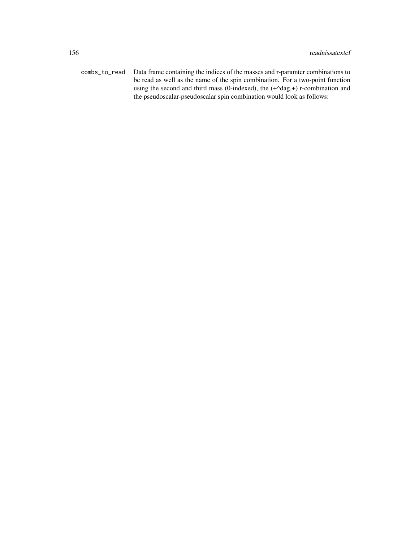combs\_to\_read Data frame containing the indices of the masses and r-paramter combinations to be read as well as the name of the spin combination. For a two-point function using the second and third mass (0-indexed), the (+^dag,+) r-combination and the pseudoscalar-pseudoscalar spin combination would look as follows: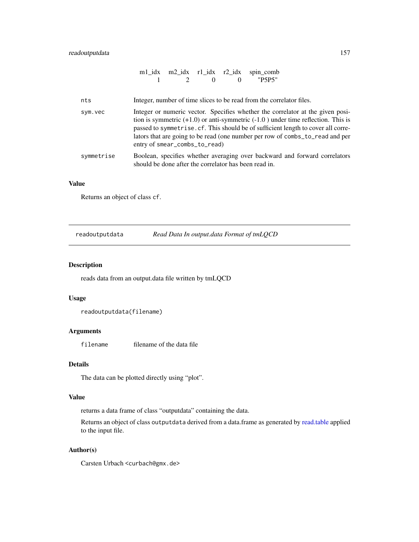# readoutputdata 157

|            |                                                       |                                                                                                                                                                                                                                                                                                                                                                               |          |          | m1_idx m2_idx r1_idx r2_idx spin_comb                                |                                                                            |
|------------|-------------------------------------------------------|-------------------------------------------------------------------------------------------------------------------------------------------------------------------------------------------------------------------------------------------------------------------------------------------------------------------------------------------------------------------------------|----------|----------|----------------------------------------------------------------------|----------------------------------------------------------------------------|
|            |                                                       |                                                                                                                                                                                                                                                                                                                                                                               | $\Omega$ | $\Omega$ | "P5P5"                                                               |                                                                            |
| nts        |                                                       |                                                                                                                                                                                                                                                                                                                                                                               |          |          | Integer, number of time slices to be read from the correlator files. |                                                                            |
| sym.vec    |                                                       | Integer or numeric vector. Specifies whether the correlator at the given posi-<br>tion is symmetric $(+1.0)$ or anti-symmetric $(-1.0)$ under time reflection. This is<br>passed to symmetrise. cf. This should be of sufficient length to cover all corre-<br>lators that are going to be read (one number per row of combs_to_read and per<br>entry of smear_combs_to_read) |          |          |                                                                      |                                                                            |
| symmetrise | should be done after the correlator has been read in. |                                                                                                                                                                                                                                                                                                                                                                               |          |          |                                                                      | Boolean, specifies whether averaging over backward and forward correlators |

## Value

Returns an object of class cf.

readoutputdata *Read Data In output.data Format of tmLQCD*

# Description

reads data from an output.data file written by tmLQCD

### Usage

```
readoutputdata(filename)
```
# Arguments

filename filename of the data file

### Details

The data can be plotted directly using "plot".

# Value

returns a data frame of class "outputdata" containing the data.

Returns an object of class outputdata derived from a data.frame as generated by [read.table](#page-0-0) applied to the input file.

# Author(s)

Carsten Urbach <curbach@gmx.de>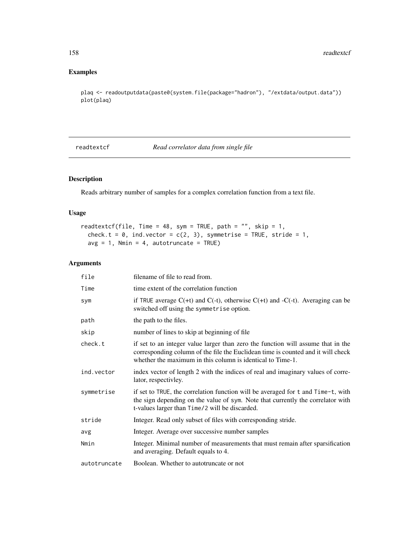# Examples

```
plaq <- readoutputdata(paste0(system.file(package="hadron"), "/extdata/output.data"))
plot(plaq)
```
readtextcf *Read correlator data from single file*

# Description

Reads arbitrary number of samples for a complex correlation function from a text file.

### Usage

```
readtextcf(file, Time = 48, sym = TRUE, path = "", skip = 1,
 check.t = 0, ind.vector = c(2, 3), symmetrise = TRUE, stride = 1,
 avg = 1, Nmin = 4, autotruncate = TRUE)
```
# Arguments

| file         | filename of file to read from.                                                                                                                                                                                                     |
|--------------|------------------------------------------------------------------------------------------------------------------------------------------------------------------------------------------------------------------------------------|
| Time         | time extent of the correlation function                                                                                                                                                                                            |
| sym          | if TRUE average $C(+t)$ and $C(-t)$ , otherwise $C(+t)$ and $-C(-t)$ . Averaging can be<br>switched off using the symmetrise option.                                                                                               |
| path         | the path to the files.                                                                                                                                                                                                             |
| skip         | number of lines to skip at beginning of file                                                                                                                                                                                       |
| check.t      | if set to an integer value larger than zero the function will assume that in the<br>corresponding column of the file the Euclidean time is counted and it will check<br>whether the maximum in this column is identical to Time-1. |
| ind.vector   | index vector of length 2 with the indices of real and imaginary values of corre-<br>lator, respectivley.                                                                                                                           |
| symmetrise   | if set to TRUE, the correlation function will be averaged for t and Time-t, with<br>the sign depending on the value of sym. Note that currently the correlator with<br>t-values larger than Time/2 will be discarded.              |
| stride       | Integer. Read only subset of files with corresponding stride.                                                                                                                                                                      |
| avg          | Integer. Average over successive number samples                                                                                                                                                                                    |
| Nmin         | Integer. Minimal number of measurements that must remain after sparsification<br>and averaging. Default equals to 4.                                                                                                               |
| autotruncate | Boolean. Whether to autotruncate or not                                                                                                                                                                                            |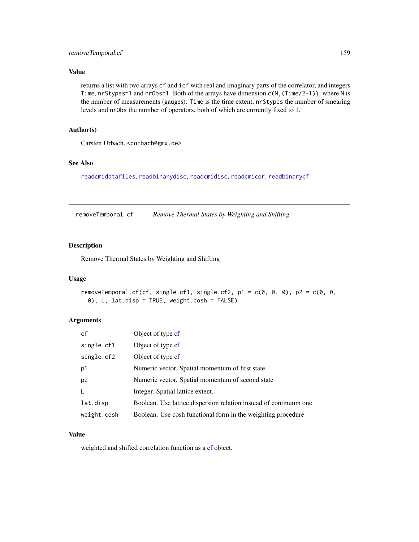### Value

returns a list with two arrays cf and icf with real and imaginary parts of the correlator, and integers Time, nrStypes=1 and nrObs=1. Both of the arrays have dimension  $c(N, (Time/2+1))$ , where N is the number of measurements (gauges). Time is the time extent, nrStypes the number of smearing levels and nrObs the number of operators, both of which are currently fixed to 1.

### Author(s)

Carsten Urbach, <curbach@gmx.de>

### See Also

[readcmidatafiles](#page-150-0), [readbinarydisc](#page-147-0), [readcmidisc](#page-149-0), [readcmicor](#page-150-0), [readbinarycf](#page-146-0)

removeTemporal.cf *Remove Thermal States by Weighting and Shifting*

### Description

Remove Thermal States by Weighting and Shifting

### Usage

```
removeTemporal.cf(cf, single.cf1, single.cf2, p1 = c(0, 0, 0), p2 = c(0, 0, 0)0), L, lat.disp = TRUE, weight.cosh = FALSE)
```
# Arguments

| cf             | Object of type cf                                                 |
|----------------|-------------------------------------------------------------------|
| single.cf1     | Object of type cf                                                 |
| single.cf2     | Object of type cf                                                 |
| p1             | Numeric vector. Spatial momentum of first state                   |
| p <sub>2</sub> | Numeric vector. Spatial momentum of second state                  |
| L              | Integer. Spatial lattice extent.                                  |
| lat.disp       | Boolean. Use lattice dispersion relation instead of continuum one |
| weight.cosh    | Boolean. Use cosh functional form in the weighting procedure      |

# Value

weighted and shifted correlation function as a [cf](#page-34-0) object.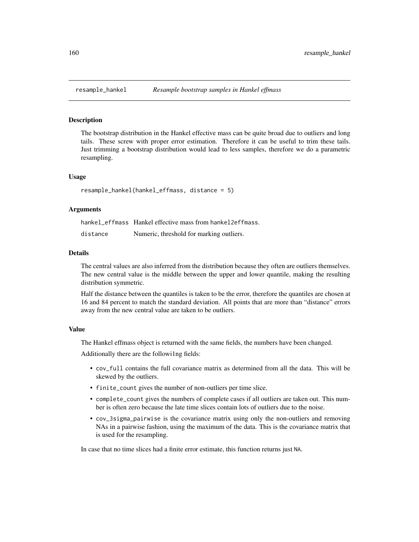# Description

The bootstrap distribution in the Hankel effective mass can be quite broad due to outliers and long tails. These screw with proper error estimation. Therefore it can be useful to trim these tails. Just trimming a bootstrap distribution would lead to less samples, therefore we do a parametric resampling.

#### Usage

resample\_hankel(hankel\_effmass, distance = 5)

#### Arguments

|          | hankel effmass Hankel effective mass from hankel 2 effmass. |
|----------|-------------------------------------------------------------|
| distance | Numeric, threshold for marking outliers.                    |

#### Details

The central values are also inferred from the distribution because they often are outliers themselves. The new central value is the middle between the upper and lower quantile, making the resulting distribution symmetric.

Half the distance between the quantiles is taken to be the error, therefore the quantiles are chosen at 16 and 84 percent to match the standard deviation. All points that are more than "distance" errors away from the new central value are taken to be outliers.

### Value

The Hankel effmass object is returned with the same fields, the numbers have been changed.

Additionally there are the followi1ng fields:

- cov\_full contains the full covariance matrix as determined from all the data. This will be skewed by the outliers.
- finite\_count gives the number of non-outliers per time slice.
- complete\_count gives the numbers of complete cases if all outliers are taken out. This number is often zero because the late time slices contain lots of outliers due to the noise.
- cov\_3sigma\_pairwise is the covariance matrix using only the non-outliers and removing NAs in a pairwise fashion, using the maximum of the data. This is the covariance matrix that is used for the resampling.

In case that no time slices had a finite error estimate, this function returns just NA.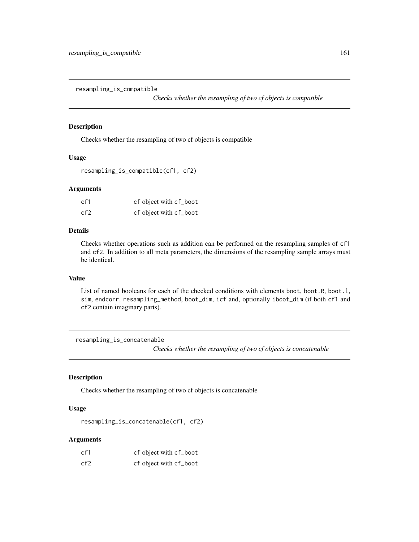<span id="page-160-0"></span>resampling\_is\_compatible

*Checks whether the resampling of two cf objects is compatible*

### Description

Checks whether the resampling of two cf objects is compatible

# Usage

```
resampling_is_compatible(cf1, cf2)
```
### Arguments

| cf1 | cf object with cf_boot |
|-----|------------------------|
| cf2 | cf object with cf_boot |

## Details

Checks whether operations such as addition can be performed on the resampling samples of cf1 and cf2. In addition to all meta parameters, the dimensions of the resampling sample arrays must be identical.

### Value

List of named booleans for each of the checked conditions with elements boot, boot.R, boot.1, sim, endcorr, resampling\_method, boot\_dim, icf and, optionally iboot\_dim (if both cf1 and cf2 contain imaginary parts).

resampling\_is\_concatenable

*Checks whether the resampling of two cf objects is concatenable*

### Description

Checks whether the resampling of two cf objects is concatenable

### Usage

resampling\_is\_concatenable(cf1, cf2)

# Arguments

| cf1  | cf object with cf_boot |
|------|------------------------|
| cf2. | cf object with cf_boot |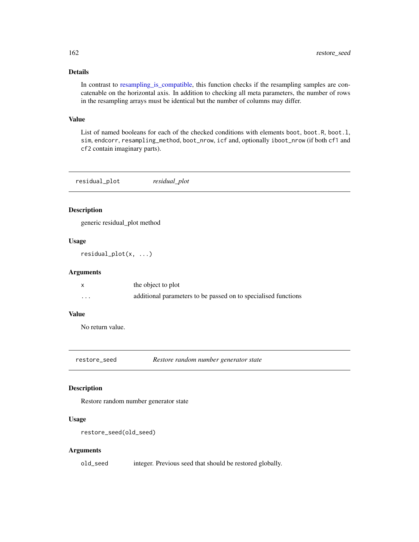# Details

In contrast to resampling is compatible, this function checks if the resampling samples are concatenable on the horizontal axis. In addition to checking all meta parameters, the number of rows in the resampling arrays must be identical but the number of columns may differ.

#### Value

List of named booleans for each of the checked conditions with elements boot, boot.R, boot.l, sim, endcorr, resampling\_method, boot\_nrow, icf and, optionally iboot\_nrow (if both cf1 and cf2 contain imaginary parts).

| residual_plot | residual plot |  |
|---------------|---------------|--|
|---------------|---------------|--|

### Description

generic residual\_plot method

# Usage

residual\_plot(x, ...)

# Arguments

|   | the object to plot                                             |
|---|----------------------------------------------------------------|
| . | additional parameters to be passed on to specialised functions |

# Value

No return value.

restore\_seed *Restore random number generator state*

# Description

Restore random number generator state

### Usage

```
restore_seed(old_seed)
```
### Arguments

old\_seed integer. Previous seed that should be restored globally.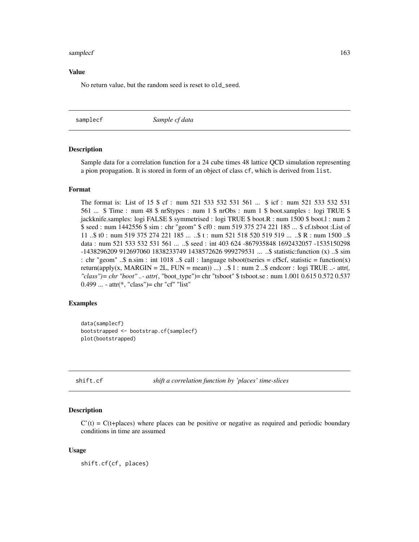#### samplecf and the sample of the sample of the sample of the sample of the sample of the sample of the sample of the sample of the sample of the sample of the sample of the sample of the sample of the sample of the sample of

#### Value

No return value, but the random seed is reset to old\_seed.

samplecf *Sample cf data*

### Description

Sample data for a correlation function for a 24 cube times 48 lattice QCD simulation representing a pion propagation. It is stored in form of an object of class cf, which is derived from list.

#### Format

The format is: List of 15 \$ cf : num 521 533 532 531 561 ... \$ icf : num 521 533 532 531 561 ... \$ Time : num 48 \$ nrStypes : num 1 \$ nrObs : num 1 \$ boot.samples : logi TRUE \$ jackknife.samples: logi FALSE \$ symmetrised : logi TRUE \$ boot.R : num 1500 \$ boot.l : num 2 \$ seed : num 1442556 \$ sim : chr "geom" \$ cf0 : num 519 375 274 221 185 ... \$ cf.tsboot :List of 11 ..\$ t0 : num 519 375 274 221 185 ... ..\$ t : num 521 518 520 519 519 ... ..\$ R : num 1500 ..\$ data : num 521 533 532 531 561 ... ..\$ seed : int 403 624 -867935848 1692432057 -1535150298 -1438296209 912697060 1838233749 1438572626 999279531 ... ..\$ statistic:function (x) ..\$ sim : chr "geom" ..\$ n.sim : int 1018 ..\$ call : language tsboot(tseries = cf\$cf, statistic = function(x) return(apply(x, MARGIN = 2L, FUN = mean)) ...) ..\$ l : num 2 ..\$ endcorr : logi TRUE ..- attr(*, "class")= chr "boot" ..- attr(*, "boot\_type")= chr "tsboot" \$ tsboot.se : num 1.001 0.615 0.572 0.537 0.499 ... - attr(\*, "class")= chr "cf" "list"

#### Examples

```
data(samplecf)
bootstrapped <- bootstrap.cf(samplecf)
plot(bootstrapped)
```
shift.cf *shift a correlation function by 'places' time-slices*

#### Description

 $C'(t) = C(t+)$  actions C'(t) = C(t+places) where places can be positive or negative as required and periodic boundary conditions in time are assumed

### Usage

shift.cf(cf, places)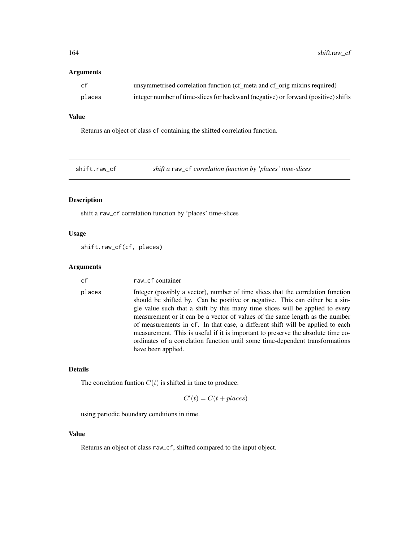### Arguments

| cf     | unsymmetrised correlation function (cf_meta and cf_orig mixins required)           |
|--------|------------------------------------------------------------------------------------|
| places | integer number of time-slices for backward (negative) or forward (positive) shifts |

# Value

Returns an object of class cf containing the shifted correlation function.

shift.raw\_cf *shift a* raw\_cf *correlation function by 'places' time-slices*

# Description

shift a raw\_cf correlation function by 'places' time-slices

# Usage

shift.raw\_cf(cf, places)

# Arguments

| cf     | raw_cf container                                                                                                                                                                                                                                                                                                                                                                                                                                                                                                                                                                                               |
|--------|----------------------------------------------------------------------------------------------------------------------------------------------------------------------------------------------------------------------------------------------------------------------------------------------------------------------------------------------------------------------------------------------------------------------------------------------------------------------------------------------------------------------------------------------------------------------------------------------------------------|
| places | Integer (possibly a vector), number of time slices that the correlation function<br>should be shifted by. Can be positive or negative. This can either be a sin-<br>gle value such that a shift by this many time slices will be applied to every<br>measurement or it can be a vector of values of the same length as the number<br>of measurements in cf. In that case, a different shift will be applied to each<br>measurement. This is useful if it is important to preserve the absolute time co-<br>ordinates of a correlation function until some time-dependent transformations<br>have been applied. |

# Details

The correlation funtion  $C(t)$  is shifted in time to produce:

$$
C'(t) = C(t + places)
$$

using periodic boundary conditions in time.

### Value

Returns an object of class raw\_cf, shifted compared to the input object.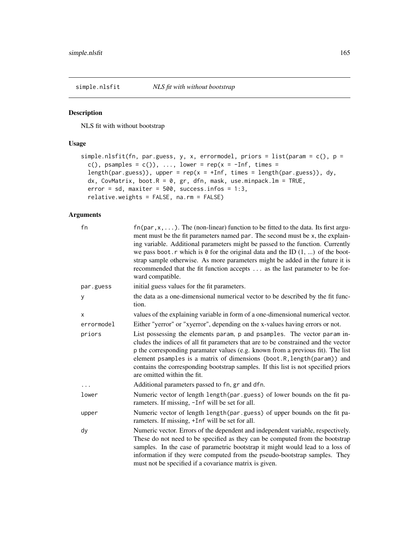<span id="page-164-0"></span>

# Description

NLS fit with without bootstrap

# Usage

```
simple.nlsfit(fn, par.guess, y, x, errormodel, priors = list(param = c(), p =
 c(), psamples = c()), ..., lower = rep(x = -Inf, times =length(par.guess)), upper = rep(x = +Inf, times = length(par.guess)), dy,
 dx, CovMatrix, boot.R = 0, gr, dfn, mask, use.minpack.lm = TRUE,
 error = sd, maxiter = 500, success.infos = 1:3,
 relative.weights = FALSE, na.rm = FALSE)
```
# Arguments

| fn         | $fn(par, x, \ldots)$ . The (non-linear) function to be fitted to the data. Its first argu-<br>ment must be the fit parameters named par. The second must be x, the explain-<br>ing variable. Additional parameters might be passed to the function. Currently<br>we pass boot. r which is $\theta$ for the original data and the ID $(1, \ldots)$ of the boot-<br>strap sample otherwise. As more parameters might be added in the future it is<br>recommended that the fit function accepts  as the last parameter to be for-<br>ward compatible. |
|------------|----------------------------------------------------------------------------------------------------------------------------------------------------------------------------------------------------------------------------------------------------------------------------------------------------------------------------------------------------------------------------------------------------------------------------------------------------------------------------------------------------------------------------------------------------|
| par.guess  | initial guess values for the fit parameters.                                                                                                                                                                                                                                                                                                                                                                                                                                                                                                       |
| У          | the data as a one-dimensional numerical vector to be described by the fit func-<br>tion.                                                                                                                                                                                                                                                                                                                                                                                                                                                           |
| X          | values of the explaining variable in form of a one-dimensional numerical vector.                                                                                                                                                                                                                                                                                                                                                                                                                                                                   |
| errormodel | Either "yerror" or "xyerror", depending on the x-values having errors or not.                                                                                                                                                                                                                                                                                                                                                                                                                                                                      |
| priors     | List possessing the elements param, p and psamples. The vector param in-<br>cludes the indices of all fit parameters that are to be constrained and the vector<br>p the corresponding paramater values (e.g. known from a previous fit). The list<br>element psamples is a matrix of dimensions (boot.R, length(param)) and<br>contains the corresponding bootstrap samples. If this list is not specified priors<br>are omitted within the fit.                                                                                                   |
|            | Additional parameters passed to fn, gr and dfn.                                                                                                                                                                                                                                                                                                                                                                                                                                                                                                    |
| lower      | Numeric vector of length length (par.guess) of lower bounds on the fit pa-<br>rameters. If missing, -Inf will be set for all.                                                                                                                                                                                                                                                                                                                                                                                                                      |
| upper      | Numeric vector of length length (par. guess) of upper bounds on the fit pa-<br>rameters. If missing, +Inf will be set for all.                                                                                                                                                                                                                                                                                                                                                                                                                     |
| dy         | Numeric vector. Errors of the dependent and independent variable, respectively.<br>These do not need to be specified as they can be computed from the bootstrap<br>samples. In the case of parametric bootstrap it might would lead to a loss of<br>information if they were computed from the pseudo-bootstrap samples. They<br>must not be specified if a covariance matrix is given.                                                                                                                                                            |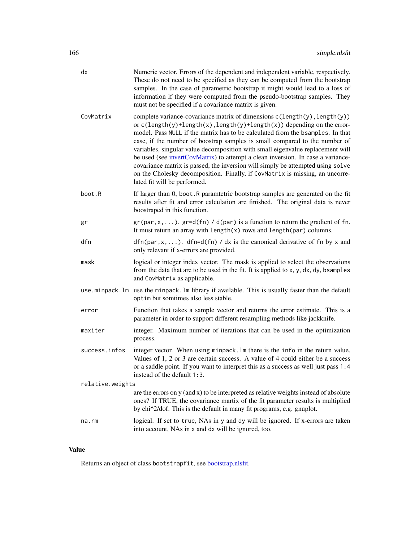|                  | dx            | Numeric vector. Errors of the dependent and independent variable, respectively.<br>These do not need to be specified as they can be computed from the bootstrap<br>samples. In the case of parametric bootstrap it might would lead to a loss of<br>information if they were computed from the pseudo-bootstrap samples. They<br>must not be specified if a covariance matrix is given.                                                                                                                                                                                                                                                                                                           |
|------------------|---------------|---------------------------------------------------------------------------------------------------------------------------------------------------------------------------------------------------------------------------------------------------------------------------------------------------------------------------------------------------------------------------------------------------------------------------------------------------------------------------------------------------------------------------------------------------------------------------------------------------------------------------------------------------------------------------------------------------|
|                  | CovMatrix     | complete variance-covariance matrix of dimensions c(length(y), length(y))<br>or $c(length(y) + length(x), length(y) + length(x))$ depending on the error-<br>model. Pass NULL if the matrix has to be calculated from the bsamples. In that<br>case, if the number of boostrap samples is small compared to the number of<br>variables, singular value decomposition with small eigenvalue replacement will<br>be used (see invertCovMatrix) to attempt a clean inversion. In case a variance-<br>covariance matrix is passed, the inversion will simply be attempted using solve<br>on the Cholesky decomposition. Finally, if CovMatrix is missing, an uncorre-<br>lated fit will be performed. |
|                  | boot.R        | If larger than 0, boot. R paramtetric bootstrap samples are generated on the fit<br>results after fit and error calculation are finished. The original data is never<br>boostraped in this function.                                                                                                                                                                                                                                                                                                                                                                                                                                                                                              |
|                  | gr            | $gr(par, x, \ldots)$ . $gr=d(fn) / d(par)$ is a function to return the gradient of fn.<br>It must return an array with $length(x)$ rows and $length(par)$ columns.                                                                                                                                                                                                                                                                                                                                                                                                                                                                                                                                |
|                  | dfn           | $dfn(par, x, \ldots)$ . dfn=d(fn) / dx is the canonical derivative of fn by x and<br>only relevant if x-errors are provided.                                                                                                                                                                                                                                                                                                                                                                                                                                                                                                                                                                      |
|                  | mask          | logical or integer index vector. The mask is applied to select the observations<br>from the data that are to be used in the fit. It is applied to x, y, dx, dy, bsamples<br>and CovMatrix as applicable.                                                                                                                                                                                                                                                                                                                                                                                                                                                                                          |
|                  |               | use minpack. Im use the minpack. Im library if available. This is usually faster than the default<br>optim but somtimes also less stable.                                                                                                                                                                                                                                                                                                                                                                                                                                                                                                                                                         |
|                  | error         | Function that takes a sample vector and returns the error estimate. This is a<br>parameter in order to support different resampling methods like jackknife.                                                                                                                                                                                                                                                                                                                                                                                                                                                                                                                                       |
|                  | maxiter       | integer. Maximum number of iterations that can be used in the optimization<br>process.                                                                                                                                                                                                                                                                                                                                                                                                                                                                                                                                                                                                            |
|                  | success.infos | integer vector. When using minpack. Im there is the info in the return value.<br>Values of 1, 2 or 3 are certain success. A value of 4 could either be a success<br>or a saddle point. If you want to interpret this as a success as well just pass 1:4<br>instead of the default 1:3.                                                                                                                                                                                                                                                                                                                                                                                                            |
| relative.weights |               |                                                                                                                                                                                                                                                                                                                                                                                                                                                                                                                                                                                                                                                                                                   |
|                  |               | are the errors on $y$ (and $x$ ) to be interpreted as relative weights instead of absolute<br>ones? If TRUE, the covariance martix of the fit parameter results is multiplied<br>by chi^2/dof. This is the default in many fit programs, e.g. gnuplot.                                                                                                                                                                                                                                                                                                                                                                                                                                            |
|                  | na.rm         | logical. If set to true, NAs in y and dy will be ignored. If x-errors are taken<br>into account, NAs in x and dx will be ignored, too.                                                                                                                                                                                                                                                                                                                                                                                                                                                                                                                                                            |

# Value

Returns an object of class bootstrapfit, see [bootstrap.nlsfit.](#page-26-0)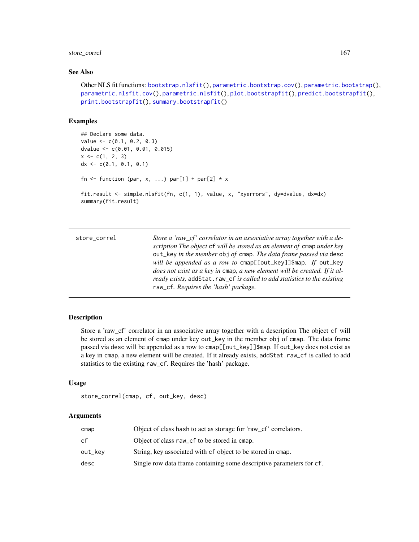# store\_correl 167

# See Also

```
Other NLS fit functions: bootstrap.nlsfit(), parametric.bootstrap.cov(), parametric.bootstrap(),
parametric.nlsfit.cov(), parametric.nlsfit(), plot.bootstrapfit(), predict.bootstrapfit(),
print.bootstrapfit(), summary.bootstrapfit()
```
# Examples

```
## Declare some data.
value \leftarrow c(0.1, 0.2, 0.3)dvalue <- c(0.01, 0.01, 0.015)
x \leq c(1, 2, 3)dx \leq c(0.1, 0.1, 0.1)fn \le function (par, x, ...) par[1] + par[2] \star x
fit.result <- simple.nlsfit(fn, c(1, 1), value, x, "xyerrors", dy=dvalue, dx=dx)
summary(fit.result)
```

| store_correl | Store a 'raw cf' correlator in an associative array together with a de-<br>scription The object of will be stored as an element of omap under key<br>out_key in the member obj of cmap. The data frame passed via desc<br>will be appended as a row to cmap[[out_key]]\$map. If out_key<br>does not exist as a key in cmap, a new element will be created. If it al-<br>ready exists, addStat.raw_cf is called to add statistics to the existing |
|--------------|--------------------------------------------------------------------------------------------------------------------------------------------------------------------------------------------------------------------------------------------------------------------------------------------------------------------------------------------------------------------------------------------------------------------------------------------------|
|              | raw_cf. Requires the 'hash' package.                                                                                                                                                                                                                                                                                                                                                                                                             |

### Description

Store a 'raw\_cf' correlator in an associative array together with a description The object cf will be stored as an element of cmap under key out\_key in the member obj of cmap. The data frame passed via desc will be appended as a row to cmap[[out\_key]]\$map. If out\_key does not exist as a key in cmap, a new element will be created. If it already exists, addStat.raw\_cf is called to add statistics to the existing raw\_cf. Requires the 'hash' package.

# Usage

```
store_correl(cmap, cf, out_key, desc)
```
### Arguments

| cmap    | Object of class hash to act as storage for 'raw cf' correlators.     |
|---------|----------------------------------------------------------------------|
| cf      | Object of class raw_cf to be stored in cmap.                         |
| out_kev | String, key associated with cf object to be stored in cmap.          |
| desc    | Single row data frame containing some descriptive parameters for cf. |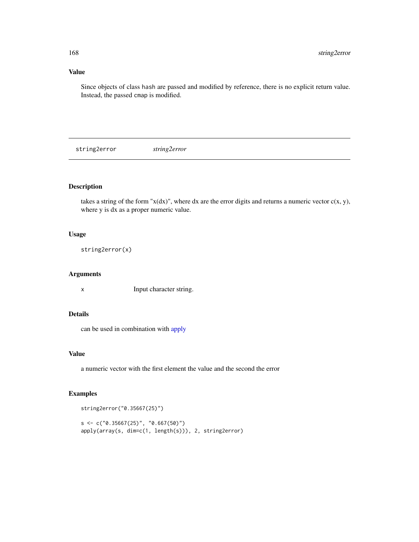# Value

Since objects of class hash are passed and modified by reference, there is no explicit return value. Instead, the passed cmap is modified.

string2error *string2error*

# Description

takes a string of the form " $x(dx)$ ", where dx are the error digits and returns a numeric vector  $c(x, y)$ , where y is dx as a proper numeric value.

## Usage

string2error(x)

# Arguments

x Input character string.

# Details

can be used in combination with [apply](#page-0-0)

### Value

a numeric vector with the first element the value and the second the error

### Examples

```
string2error("0.35667(25)")
s \leq c("0.35667(25)", "0.667(50)")apply(array(s, dim=c(1, length(s))), 2, string2error)
```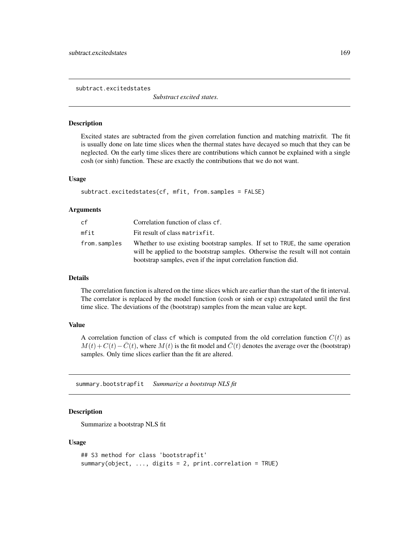subtract.excitedstates

*Substract excited states.*

# Description

Excited states are subtracted from the given correlation function and matching matrixfit. The fit is usually done on late time slices when the thermal states have decayed so much that they can be neglected. On the early time slices there are contributions which cannot be explained with a single cosh (or sinh) function. These are exactly the contributions that we do not want.

### Usage

```
subtract.excitedstates(cf, mfit, from.samples = FALSE)
```
### Arguments

| cf           | Correlation function of class cf.                                                                                                                                                                                                  |
|--------------|------------------------------------------------------------------------------------------------------------------------------------------------------------------------------------------------------------------------------------|
| mfit         | Fit result of class matrixfit.                                                                                                                                                                                                     |
| from.samples | Whether to use existing bootstrap samples. If set to TRUE, the same operation<br>will be applied to the bootstrap samples. Otherwise the result will not contain<br>bootstrap samples, even if the input correlation function did. |

# Details

The correlation function is altered on the time slices which are earlier than the start of the fit interval. The correlator is replaced by the model function (cosh or sinh or exp) extrapolated until the first time slice. The deviations of the (bootstrap) samples from the mean value are kept.

### Value

A correlation function of class cf which is computed from the old correlation function  $C(t)$  as  $M(t) + C(t) - \overline{C}(t)$ , where  $M(t)$  is the fit model and  $\overline{C}(t)$  denotes the average over the (bootstrap) samples. Only time slices earlier than the fit are altered.

<span id="page-168-0"></span>summary.bootstrapfit *Summarize a bootstrap NLS fit*

### **Description**

Summarize a bootstrap NLS fit

#### Usage

```
## S3 method for class 'bootstrapfit'
summary(object, ..., digits = 2, print.correlation = TRUE)
```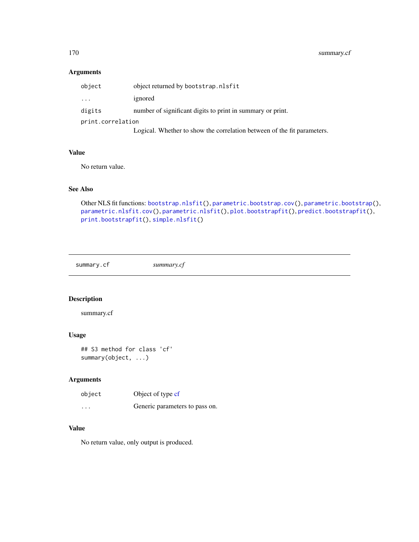# Arguments

| object            | object returned by bootstrap.nlsfit                                     |  |
|-------------------|-------------------------------------------------------------------------|--|
| $\cdot$           | ignored                                                                 |  |
| digits            | number of significant digits to print in summary or print.              |  |
| print.correlation |                                                                         |  |
|                   | Logical. Whether to show the correlation between of the fit parameters. |  |

### Value

No return value.

# See Also

```
Other NLS fit functions: bootstrap.nlsfit(), parametric.bootstrap.cov(), parametric.bootstrap(),
parametric.nlsfit.cov(), parametric.nlsfit(), plot.bootstrapfit(), predict.bootstrapfit(),
print.bootstrapfit(), simple.nlsfit()
```
summary.cf *summary.cf*

# Description

summary.cf

# Usage

## S3 method for class 'cf' summary(object, ...)

# Arguments

| object   | Object of type cf              |
|----------|--------------------------------|
| $\cdots$ | Generic parameters to pass on. |

### Value

No return value, only output is produced.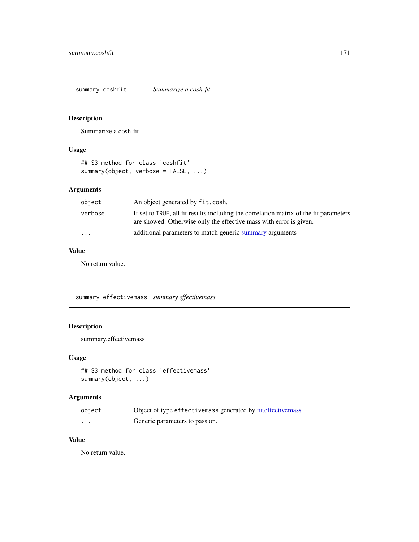summary.coshfit *Summarize a cosh-fit*

# Description

Summarize a cosh-fit

# Usage

```
## S3 method for class 'coshfit'
summary(object, verbose = FALSE, ...)
```
# Arguments

| object   | An object generated by fit.cosh.                                                                                                                             |
|----------|--------------------------------------------------------------------------------------------------------------------------------------------------------------|
| verbose  | If set to TRUE, all fit results including the correlation matrix of the fit parameters<br>are showed. Otherwise only the effective mass with error is given. |
| $\cdots$ | additional parameters to match generic summary arguments                                                                                                     |

# Value

No return value.

summary.effectivemass *summary.effectivemass*

# Description

summary.effectivemass

### Usage

```
## S3 method for class 'effectivemass'
summary(object, ...)
```
# Arguments

| object | Object of type effective mass generated by fit. effective mass |
|--------|----------------------------------------------------------------|
| .      | Generic parameters to pass on.                                 |

# Value

No return value.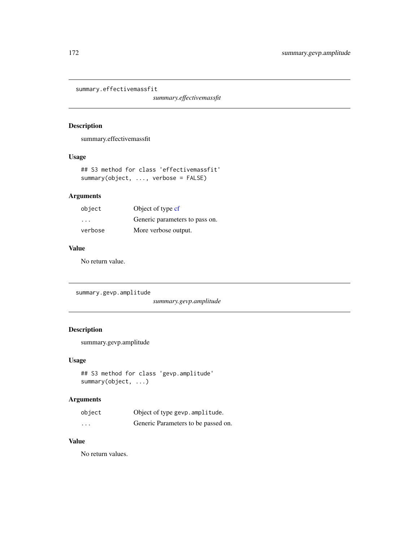summary.effectivemassfit

*summary.effectivemassfit*

# Description

summary.effectivemassfit

### Usage

```
## S3 method for class 'effectivemassfit'
summary(object, ..., verbose = FALSE)
```
# Arguments

| object  | Object of type cf              |
|---------|--------------------------------|
| .       | Generic parameters to pass on. |
| verbose | More verbose output.           |

# Value

No return value.

summary.gevp.amplitude

*summary.gevp.amplitude*

# Description

summary.gevp.amplitude

### Usage

```
## S3 method for class 'gevp.amplitude'
summary(object, ...)
```
# Arguments

| object   | Object of type gevp. amplitude.     |
|----------|-------------------------------------|
| $\cdots$ | Generic Parameters to be passed on. |

# Value

No return values.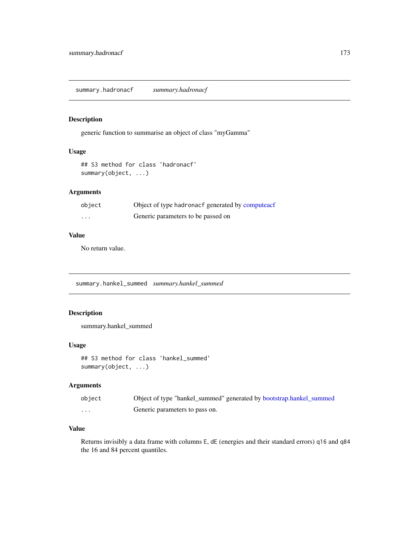summary.hadronacf *summary.hadronacf*

# Description

generic function to summarise an object of class "myGamma"

### Usage

```
## S3 method for class 'hadronacf'
summary(object, ...)
```
# Arguments

| object   | Object of type hadronacf generated by computeacf |
|----------|--------------------------------------------------|
| $\cdots$ | Generic parameters to be passed on               |

### Value

No return value.

summary.hankel\_summed *summary.hankel\_summed*

### Description

summary.hankel\_summed

### Usage

## S3 method for class 'hankel\_summed' summary(object, ...)

### Arguments

| object   | Object of type "hankel_summed" generated by bootstrap.hankel_summed |
|----------|---------------------------------------------------------------------|
| $\cdots$ | Generic parameters to pass on.                                      |

# Value

Returns invisibly a data frame with columns E, dE (energies and their standard errors) q16 and q84 the 16 and 84 percent quantiles.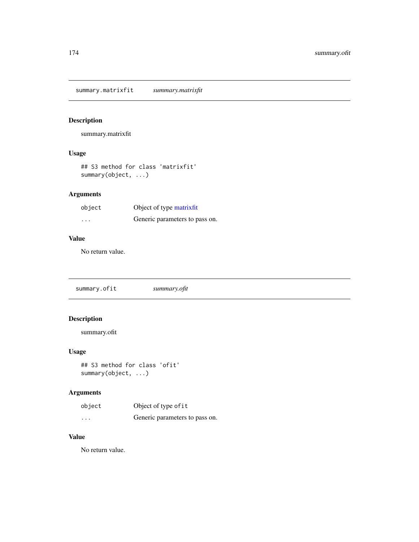summary.matrixfit *summary.matrixfit*

# Description

summary.matrixfit

# Usage

```
## S3 method for class 'matrixfit'
summary(object, ...)
```
# Arguments

| object   | Object of type matrixfit       |
|----------|--------------------------------|
| $\cdots$ | Generic parameters to pass on. |

# Value

No return value.

summary.ofit *summary.ofit*

# Description

summary.ofit

# Usage

```
## S3 method for class 'ofit'
summary(object, ...)
```
# Arguments

| object   | Object of type of it           |
|----------|--------------------------------|
| $\cdots$ | Generic parameters to pass on. |

# Value

No return value.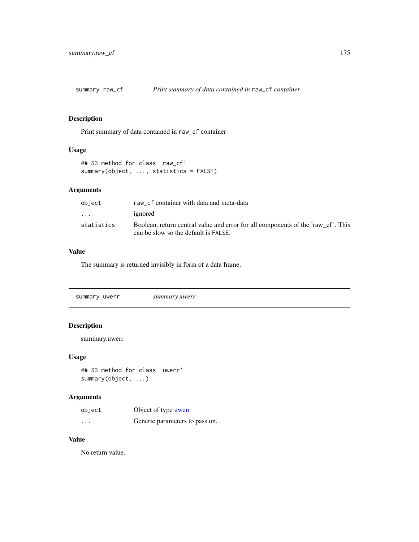# Description

Print summary of data contained in raw\_cf container

# Usage

```
## S3 method for class 'raw_cf'
summary(object, ..., statistics = FALSE)
```
# Arguments

| object     | raw_cf container with data and meta-data                                                                                 |
|------------|--------------------------------------------------------------------------------------------------------------------------|
| $\cdots$   | ignored                                                                                                                  |
| statistics | Boolean, return central value and error for all components of the 'raw cf'. This<br>can be slow so the default is FALSE. |

# Value

The summary is returned invisibly in form of a data frame.

# Description

summary.uwerr

### Usage

```
## S3 method for class 'uwerr'
summary(object, ...)
```
# Arguments

| object   | Object of type uwerr           |
|----------|--------------------------------|
| $\cdots$ | Generic parameters to pass on. |

# Value

No return value.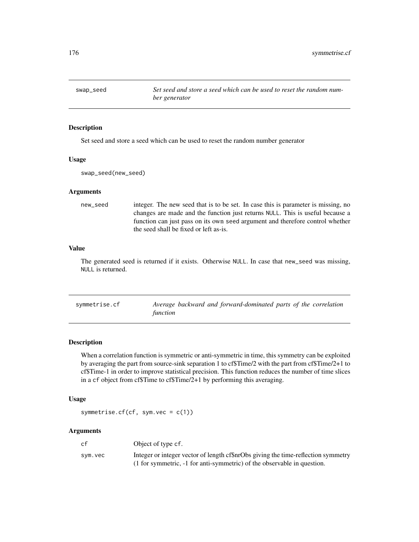# Description

Set seed and store a seed which can be used to reset the random number generator

#### Usage

swap\_seed(new\_seed)

# Arguments

new\_seed integer. The new seed that is to be set. In case this is parameter is missing, no changes are made and the function just returns NULL. This is useful because a function can just pass on its own seed argument and therefore control whether the seed shall be fixed or left as-is.

# Value

The generated seed is returned if it exists. Otherwise NULL. In case that new\_seed was missing, NULL is returned.

| symmetrise.cf | Average backward and forward-dominated parts of the correlation |
|---------------|-----------------------------------------------------------------|
|               | function                                                        |

### Description

When a correlation function is symmetric or anti-symmetric in time, this symmetry can be exploited by averaging the part from source-sink separation 1 to cf\$Time/2 with the part from cf\$Time/2+1 to cf\$Time-1 in order to improve statistical precision. This function reduces the number of time slices in a cf object from cf\$Time to cf\$Time/2+1 by performing this averaging.

# Usage

symmetrise.cf(cf, sym.vec = c(1))

### Arguments

| cf      | Object of type cf.                                                                |
|---------|-----------------------------------------------------------------------------------|
| svm.vec | Integer or integer vector of length cf\$nrObs giving the time-reflection symmetry |
|         | (1 for symmetric, -1 for anti-symmetric) of the observable in question.           |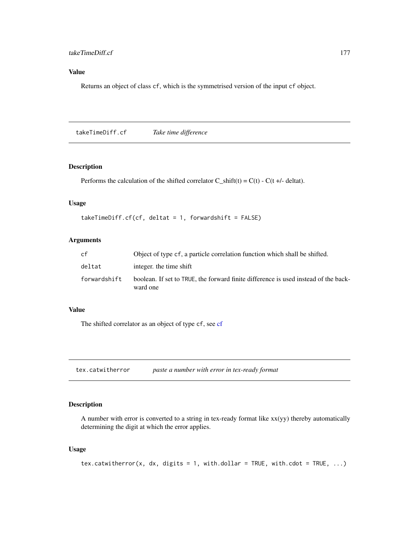# Value

Returns an object of class cf, which is the symmetrised version of the input cf object.

takeTimeDiff.cf *Take time difference*

## Description

Performs the calculation of the shifted correlator  $C_s$ shift(t) =  $C(t)$  -  $C(t +/4$ - deltat).

# Usage

```
takeTimeDiff.cf(cf, deltat = 1, forwardshift = FALSE)
```
### Arguments

| cf           | Object of type cf, a particle correlation function which shall be shifted.                      |
|--------------|-------------------------------------------------------------------------------------------------|
| deltat       | integer, the time shift                                                                         |
| forwardshift | boolean. If set to TRUE, the forward finite difference is used instead of the back-<br>ward one |

# Value

The shifted correlator as an object of type cf, see [cf](#page-34-0)

tex.catwitherror *paste a number with error in tex-ready format*

# Description

A number with error is converted to a string in tex-ready format like  $xx(yy)$  thereby automatically determining the digit at which the error applies.

# Usage

```
tex.catwitherror(x, dx, digits = 1, with.dollar = TRUE, with.cdot = TRUE, \dots)
```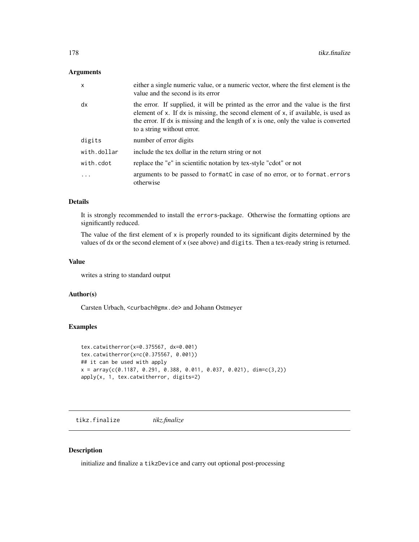# Arguments

| $\mathsf{x}$ | either a single numeric value, or a numeric vector, where the first element is the<br>value and the second is its error                                                                                                                                                                          |
|--------------|--------------------------------------------------------------------------------------------------------------------------------------------------------------------------------------------------------------------------------------------------------------------------------------------------|
| dx           | the error. If supplied, it will be printed as the error and the value is the first<br>element of x. If dx is missing, the second element of x, if available, is used as<br>the error. If $dx$ is missing and the length of $x$ is one, only the value is converted<br>to a string without error. |
| digits       | number of error digits                                                                                                                                                                                                                                                                           |
| with.dollar  | include the tex dollar in the return string or not                                                                                                                                                                                                                                               |
| with.cdot    | replace the "e" in scientific notation by tex-style "cdot" or not                                                                                                                                                                                                                                |
|              | arguments to be passed to formatC in case of no error, or to format.errors<br>otherwise                                                                                                                                                                                                          |

#### Details

It is strongly recommended to install the errors-package. Otherwise the formatting options are significantly reduced.

The value of the first element of  $x$  is properly rounded to its significant digits determined by the values of dx or the second element of x (see above) and digits. Then a tex-ready string is returned.

#### Value

writes a string to standard output

## Author(s)

Carsten Urbach, <curbach@gmx.de> and Johann Ostmeyer

# Examples

```
tex.catwitherror(x=0.375567, dx=0.001)
tex.catwitherror(x=c(0.375567, 0.001))
## it can be used with apply
x = array(c(0.1187, 0.291, 0.388, 0.011, 0.037, 0.021), dim=c(3,2))apply(x, 1, text.catwitherror, digits=2)
```
<span id="page-177-0"></span>tikz.finalize *tikz.finalize*

# Description

initialize and finalize a tikzDevice and carry out optional post-processing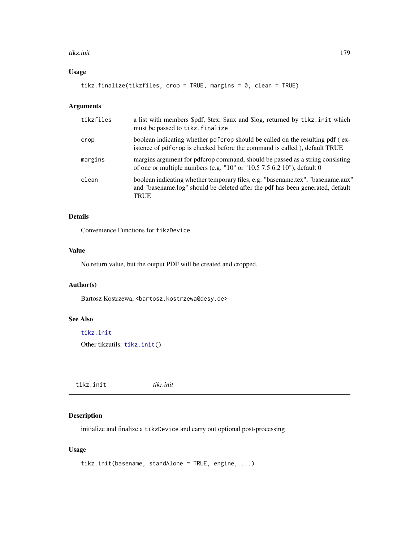#### tikz.init 179

# Usage

```
tikz.finalize(tikzfiles, crop = TRUE, margins = 0, clean = TRUE)
```
# Arguments

| tikzfiles | a list with members \$pdf, \$tex, \$aux and \$log, returned by tikz.init which<br>must be passed to tikz. finalize                                                               |
|-----------|----------------------------------------------------------------------------------------------------------------------------------------------------------------------------------|
| crop      | boolean indicating whether pdf crop should be called on the resulting pdf (ex-<br>istence of pdf crop is checked before the command is called), default TRUE                     |
| margins   | margins argument for pdfcrop command, should be passed as a string consisting<br>of one or multiple numbers (e.g. " $10$ " or " $10.5$ 7.5 6.2 $10$ "), default 0                |
| clean     | boolean indicating whether temporary files, e.g. "basename.tex", "basename.aux"<br>and "basename.log" should be deleted after the pdf has been generated, default<br><b>TRUE</b> |

# Details

Convenience Functions for tikzDevice

### Value

No return value, but the output PDF will be created and cropped.

### Author(s)

Bartosz Kostrzewa, <br/>bartosz.kostrzewa@desy.de>

### See Also

[tikz.init](#page-178-0)

Other tikzutils: [tikz.init\(](#page-178-0))

<span id="page-178-0"></span>tikz.init *tikz.init*

# Description

initialize and finalize a tikzDevice and carry out optional post-processing

# Usage

```
tikz.init(basename, standAlone = TRUE, engine, ...)
```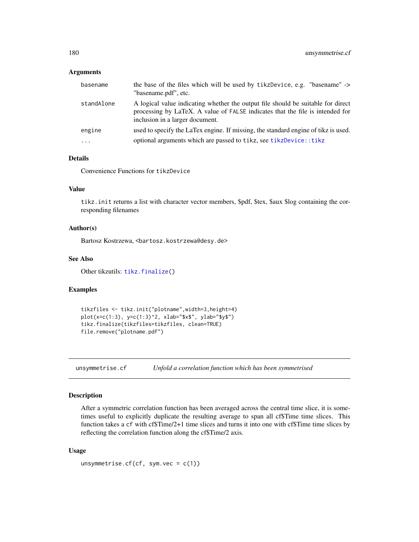### **Arguments**

| basename   | the base of the files which will be used by tikzDevice, e.g. "basename" -><br>"basename.pdf", etc.                                                                                                   |
|------------|------------------------------------------------------------------------------------------------------------------------------------------------------------------------------------------------------|
| standAlone | A logical value indicating whether the output file should be suitable for direct<br>processing by LaTeX. A value of FALSE indicates that the file is intended for<br>inclusion in a larger document. |
| engine     | used to specify the LaTex engine. If missing, the standard engine of tikz is used.                                                                                                                   |
| $\cdot$    | optional arguments which are passed to tikz, see tikzDevice:: tikz                                                                                                                                   |

# Details

Convenience Functions for tikzDevice

# Value

tikz.init returns a list with character vector members, \$pdf, \$tex, \$aux \$log containing the corresponding filenames

### Author(s)

Bartosz Kostrzewa, <bartosz.kostrzewa@desy.de>

### See Also

Other tikzutils: [tikz.finalize\(](#page-177-0))

# Examples

```
tikzfiles <- tikz.init("plotname",width=3,height=4)
plot(x=c(1:3), y=c(1:3)^2, xlab="$x$", ylab="$y$")
tikz.finalize(tikzfiles=tikzfiles, clean=TRUE)
file.remove("plotname.pdf")
```
unsymmetrise.cf *Unfold a correlation function which has been symmetrised*

# Description

After a symmetric correlation function has been averaged across the central time slice, it is sometimes useful to explicitly duplicate the resulting average to span all cf\$Time time slices. This function takes a cf with cf\$Time/2+1 time slices and turns it into one with cf\$Time time slices by reflecting the correlation function along the cf\$Time/2 axis.

### Usage

```
unsymmetrise.cf(cf, sym.vec = c(1))
```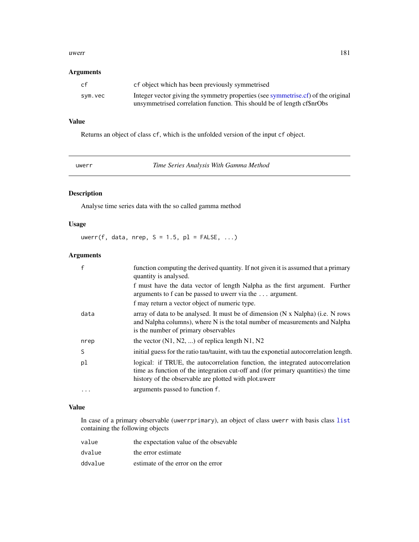#### <span id="page-180-1"></span>uwerr 181

## Arguments

| cf      | cf object which has been previously symmetrised                                   |
|---------|-----------------------------------------------------------------------------------|
| sym.vec | Integer vector giving the symmetry properties (see symmetrise.cf) of the original |
|         | unsymmetrised correlation function. This should be of length cf\$nrObs            |

# Value

Returns an object of class cf, which is the unfolded version of the input cf object.

uwerr *Time Series Analysis With Gamma Method*

# <span id="page-180-0"></span>Description

Analyse time series data with the so called gamma method

# Usage

uwerr(f, data, nrep,  $S = 1.5$ ,  $p1 = FALSE$ , ...)

# Arguments

|      | function computing the derived quantity. If not given it is assumed that a primary<br>quantity is analysed.                                                                                                                  |
|------|------------------------------------------------------------------------------------------------------------------------------------------------------------------------------------------------------------------------------|
|      | f must have the data vector of length Nalpha as the first argument. Further<br>arguments to f can be passed to uwerr via the $\dots$ argument.                                                                               |
|      | f may return a vector object of numeric type.                                                                                                                                                                                |
| data | array of data to be analysed. It must be of dimension (N x Nalpha) (i.e. N rows<br>and Nalpha columns), where N is the total number of measurements and Nalpha<br>is the number of primary observables                       |
| nrep | the vector $(N1, N2, )$ of replica length N1, N2                                                                                                                                                                             |
| S    | initial guess for the ratio tau/tauint, with tau the exponetial autocorrelation length.                                                                                                                                      |
| pl   | logical: if TRUE, the autocorrelation function, the integrated autocorrelation<br>time as function of the integration cut-off and (for primary quantities) the time<br>history of the observable are plotted with plot.uwerr |
| .    | arguments passed to function f.                                                                                                                                                                                              |

# Value

In case of a primary observable (uwerrprimary), an object of class uwerr with basis class [list](#page-0-0) containing the following objects

| value   | the expectation value of the obsevable |
|---------|----------------------------------------|
| dvalue  | the error estimate                     |
| ddvalue | estimate of the error on the error     |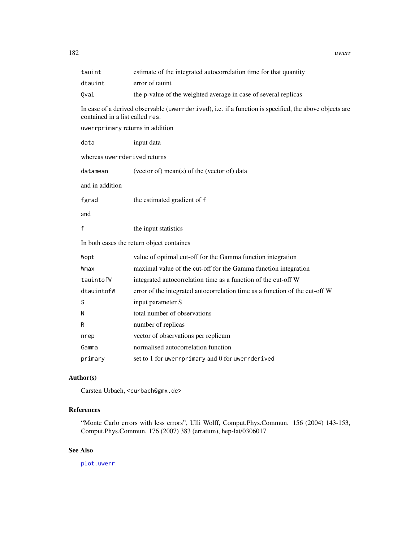<span id="page-181-0"></span>182 uwerr

| tauint                                                                                                                                    | estimate of the integrated autocorrelation time for that quantity           |  |  |  |
|-------------------------------------------------------------------------------------------------------------------------------------------|-----------------------------------------------------------------------------|--|--|--|
| dtauint                                                                                                                                   | error of tauint                                                             |  |  |  |
| Qval                                                                                                                                      | the p-value of the weighted average in case of several replicas             |  |  |  |
| In case of a derived observable (uwerrderived), i.e. if a function is specified, the above objects are<br>contained in a list called res. |                                                                             |  |  |  |
| uwerrprimary returns in addition                                                                                                          |                                                                             |  |  |  |
| data                                                                                                                                      | input data                                                                  |  |  |  |
| whereas uwerrderived returns                                                                                                              |                                                                             |  |  |  |
| datamean                                                                                                                                  | (vector of) mean(s) of the (vector of) data                                 |  |  |  |
| and in addition                                                                                                                           |                                                                             |  |  |  |
| fgrad                                                                                                                                     | the estimated gradient of f                                                 |  |  |  |
| and                                                                                                                                       |                                                                             |  |  |  |
| f                                                                                                                                         | the input statistics                                                        |  |  |  |
| In both cases the return object containes                                                                                                 |                                                                             |  |  |  |
| Wopt                                                                                                                                      | value of optimal cut-off for the Gamma function integration                 |  |  |  |
| Wmax                                                                                                                                      | maximal value of the cut-off for the Gamma function integration             |  |  |  |
| tauintofW                                                                                                                                 | integrated autocorrelation time as a function of the cut-off W              |  |  |  |
| dtauintofW                                                                                                                                | error of the integrated autocorrelation time as a function of the cut-off W |  |  |  |
| S                                                                                                                                         | input parameter S                                                           |  |  |  |
| Ν                                                                                                                                         | total number of observations                                                |  |  |  |
| R                                                                                                                                         | number of replicas                                                          |  |  |  |
| nrep                                                                                                                                      | vector of observations per replicum                                         |  |  |  |
| Gamma                                                                                                                                     | normalised autocorrelation function                                         |  |  |  |
| primary                                                                                                                                   | set to 1 for uwerrprimary and 0 for uwerrderived                            |  |  |  |

# Author(s)

Carsten Urbach, <curbach@gmx.de>

# References

"Monte Carlo errors with less errors", Ulli Wolff, Comput.Phys.Commun. 156 (2004) 143-153, Comput.Phys.Commun. 176 (2007) 383 (erratum), hep-lat/0306017

# See Also

[plot.uwerr](#page-132-0)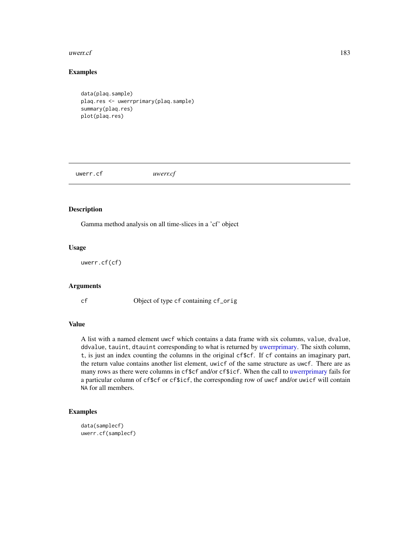#### <span id="page-182-0"></span> $uwerref$  183

# Examples

```
data(plaq.sample)
plaq.res <- uwerrprimary(plaq.sample)
summary(plaq.res)
plot(plaq.res)
```
uwerr.cf *uwerr.cf*

# Description

Gamma method analysis on all time-slices in a 'cf' object

# Usage

uwerr.cf(cf)

# Arguments

cf Object of type cf containing cf\_orig

# Value

A list with a named element uwcf which contains a data frame with six columns, value, dvalue, ddvalue, tauint, dtauint corresponding to what is returned by [uwerrprimary.](#page-180-0) The sixth column, t, is just an index counting the columns in the original cf\$cf. If cf contains an imaginary part, the return value contains another list element, uwicf of the same structure as uwcf. There are as many rows as there were columns in cf\$cf and/or cf\$icf. When the call to [uwerrprimary](#page-180-0) fails for a particular column of cf\$cf or cf\$icf, the corresponding row of uwcf and/or uwicf will contain NA for all members.

# Examples

```
data(samplecf)
uwerr.cf(samplecf)
```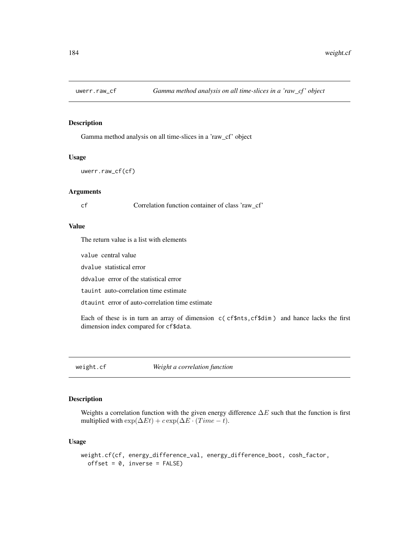<span id="page-183-1"></span>

#### Description

Gamma method analysis on all time-slices in a 'raw\_cf' object

# Usage

```
uwerr.raw_cf(cf)
```
# Arguments

cf Correlation function container of class 'raw\_cf'

#### Value

The return value is a list with elements

value central value

dvalue statistical error

ddvalue error of the statistical error

tauint auto-correlation time estimate

dtauint error of auto-correlation time estimate

Each of these is in turn an array of dimension c( cf\$nts,cf\$dim ) and hance lacks the first dimension index compared for cf\$data.

<span id="page-183-0"></span>weight.cf *Weight a correlation function*

# Description

Weights a correlation function with the given energy difference  $\Delta E$  such that the function is first multiplied with  $\exp(\Delta E t) + c \exp(\Delta E \cdot (Time - t)).$ 

#### Usage

```
weight.cf(cf, energy_difference_val, energy_difference_boot, cosh_factor,
 offset = 0, inverse = FALSE)
```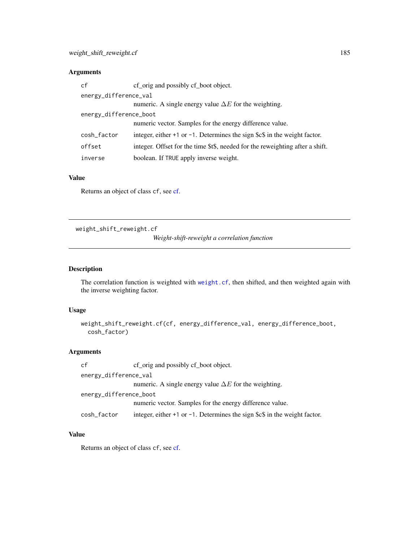# <span id="page-184-0"></span>Arguments

| cf                     | cf_orig and possibly cf_boot object.                                          |  |  |
|------------------------|-------------------------------------------------------------------------------|--|--|
| energy_difference_val  |                                                                               |  |  |
|                        | numeric. A single energy value $\Delta E$ for the weighting.                  |  |  |
| energy_difference_boot |                                                                               |  |  |
|                        | numeric vector. Samples for the energy difference value.                      |  |  |
| cosh_factor            | integer, either +1 or $-1$ . Determines the sign \$c\$ in the weight factor.  |  |  |
| offset                 | integer. Offset for the time \$t\$, needed for the reweighting after a shift. |  |  |
| inverse                | boolean. If TRUE apply inverse weight.                                        |  |  |

# Value

Returns an object of class cf, see [cf.](#page-34-0)

weight\_shift\_reweight.cf

*Weight-shift-reweight a correlation function*

# Description

The correlation function is weighted with [weight.cf](#page-183-0), then shifted, and then weighted again with the inverse weighting factor.

# Usage

```
weight_shift_reweight.cf(cf, energy_difference_val, energy_difference_boot,
  cosh_factor)
```
# Arguments

| cf                     | cf_orig and possibly cf_boot object.                                           |  |  |
|------------------------|--------------------------------------------------------------------------------|--|--|
| energy_difference_val  |                                                                                |  |  |
|                        | numeric. A single energy value $\Delta E$ for the weighting.                   |  |  |
| energy_difference_boot |                                                                                |  |  |
|                        | numeric vector. Samples for the energy difference value.                       |  |  |
| cosh_factor            | integer, either $+1$ or $-1$ . Determines the sign \$c\$ in the weight factor. |  |  |

# Value

Returns an object of class cf, see [cf.](#page-34-0)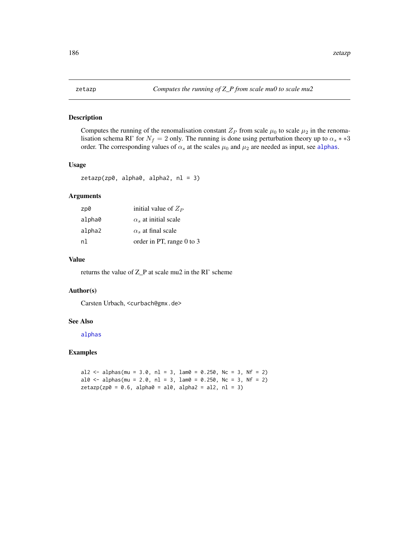# <span id="page-185-0"></span>Description

Computes the running of the renomalisation constant  $Z_P$  from scale  $\mu_0$  to scale  $\mu_2$  in the renomalisation schema RI' for  $N_f = 2$  only. The running is done using perturbation theory up to  $\alpha_s$  \* \*3 order. The corresponding values of  $\alpha_s$  at the scales  $\mu_0$  and  $\mu_2$  are needed as input, see [alphas](#page-12-0).

# Usage

```
zeta(zp0, alpha0, alpha2, nl = 3)
```
# Arguments

| zp0    | initial value of $Z_P$      |
|--------|-----------------------------|
| alpha0 | $\alpha_s$ at initial scale |
| alpha2 | $\alpha_s$ at final scale   |
| n1     | order in PT, range 0 to 3   |

# Value

returns the value of Z\_P at scale mu2 in the RI' scheme

#### Author(s)

Carsten Urbach, <curbach@gmx.de>

#### See Also

[alphas](#page-12-0)

#### Examples

```
al2 <- alphas(mu = 3.0, nl = 3, lam0 = 0.250, Nc = 3, Nf = 2)
al0 <- alphas(mu = 2.0, nl = 3, lam0 = 0.250, Nc = 3, Nf = 2)
zetazp(zp0 = 0.6, alpha0 = a10, alpha2 = a12, nl = 3)
```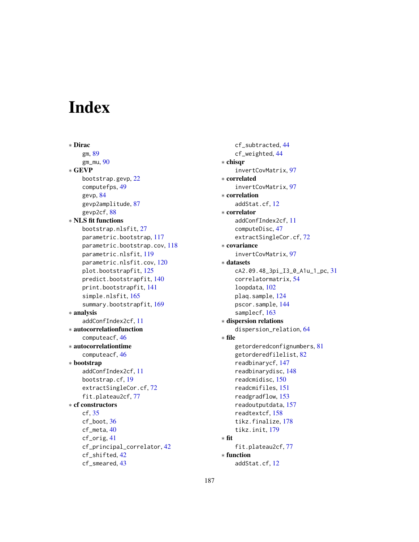# Index

∗ Dirac gm, [89](#page-88-0) gm\_mu, [90](#page-89-0) ∗ GEVP bootstrap.gevp, [22](#page-21-0) computefps, [49](#page-48-0) gevp, [84](#page-83-0) gevp2amplitude, [87](#page-86-0) gevp2cf, [88](#page-87-0) ∗ NLS fit functions bootstrap.nlsfit, [27](#page-26-0) parametric.bootstrap, [117](#page-116-0) parametric.bootstrap.cov, [118](#page-117-0) parametric.nlsfit, [119](#page-118-0) parametric.nlsfit.cov, [120](#page-119-0) plot.bootstrapfit, [125](#page-124-0) predict.bootstrapfit, [140](#page-139-0) print.bootstrapfit, [141](#page-140-0) simple.nlsfit, [165](#page-164-0) summary.bootstrapfit, [169](#page-168-0) ∗ analysis addConfIndex2cf, [11](#page-10-0) ∗ autocorrelationfunction computeacf, [46](#page-45-0) ∗ autocorrelationtime computeacf, [46](#page-45-0) ∗ bootstrap addConfIndex2cf, [11](#page-10-0) bootstrap.cf, [19](#page-18-0) extractSingleCor.cf, [72](#page-71-0) fit.plateau2cf, [77](#page-76-0) ∗ cf constructors cf, [35](#page-34-1) cf\_boot, [36](#page-35-0) cf\_meta, [40](#page-39-0) cf\_orig, [41](#page-40-0) cf\_principal\_correlator, [42](#page-41-0) cf\_shifted, [42](#page-41-0) cf\_smeared, [43](#page-42-0)

cf\_subtracted, [44](#page-43-0) cf\_weighted, [44](#page-43-0) ∗ chisqr invertCovMatrix, [97](#page-96-0) ∗ correlated invertCovMatrix, [97](#page-96-0) ∗ correlation addStat.cf, [12](#page-11-0) ∗ correlator addConfIndex2cf, [11](#page-10-0) computeDisc, [47](#page-46-0) extractSingleCor.cf, [72](#page-71-0) ∗ covariance invertCovMatrix, [97](#page-96-0) ∗ datasets cA2.09.48\_3pi\_I3\_0\_A1u\_1\_pc, [31](#page-30-0) correlatormatrix, [54](#page-53-0) loopdata, [102](#page-101-0) plaq.sample, [124](#page-123-0) pscor.sample, [144](#page-143-0) samplecf, [163](#page-162-0) ∗ dispersion relations dispersion\_relation, [64](#page-63-0) ∗ file getorderedconfignumbers, [81](#page-80-0) getorderedfilelist, [82](#page-81-0) readbinarycf, [147](#page-146-0) readbinarydisc, [148](#page-147-0) readcmidisc, [150](#page-149-0) readcmifiles, [151](#page-150-0) readgradflow, [153](#page-152-0) readoutputdata, [157](#page-156-0) readtextcf, [158](#page-157-0) tikz.finalize, [178](#page-177-0) tikz.init, [179](#page-178-0) ∗ fit fit.plateau2cf, [77](#page-76-0) ∗ function addStat.cf, [12](#page-11-0)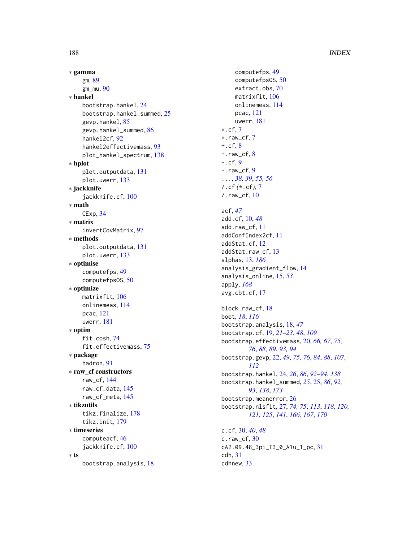## 188 INDEX

```
∗ gamma
    gm, 89
    gm_mu, 90
∗ hankel
    bootstrap.hankel, 24
    bootstrap.hankel_summed, 25
    gevp.hankel, 85
    gevp.hankel_summed, 86
    hankel2cf, 92
    hankel2effectivemass, 93
    plot_hankel_spectrum, 138
∗ hplot
    plot.outputdata, 131
    plot.uwerr, 133
∗ jackknife
    jackknife.cf, 100
∗ math
    CExp, 34
∗ matrix
    invertCovMatrix, 97
∗ methods
    plot.outputdata, 131
    plot.uwerr, 133
∗ optimise
    computefps, 49
    computefpsOS, 50
∗ optimize
    matrixfit, 106
    onlinemeas, 114
    pcac, 121
    uwerr, 181
∗ optim
    fit.cosh, 74
    fit.effectivemass, 75
∗ package
    hadron, 91
∗ raw_cf constructors
    raw_cf, 144
    raw_cf_data, 145
    raw_cf_meta, 145
∗ tikzutils
    tikz.finalize, 178
    tikz.init, 179
∗ timeseries
    computeacf, 46
    jackknife.cf, 100
∗ ts
    bootstrap.analysis, 18
```

```
computefps, 49
    computefpsOS, 50
    extract.obs, 70
    matrixfit, 106
    onlinemeas, 114
    pcac, 121
    uwerr, 181
\star.cf. 7*.raw_cf, 7
+.cf, 8
+.raw_cf, 8
-.cf, 99..., 38, 39, 55, 56
/.cf (*.cf), 7
/.raw_cf, 10
acf, 47
add.cf, 10, 48
add.raw_cf, 11
addConfIndex2cf, 11
addStat.cf, 12
addStat.raw_cf, 13
alphas, 13, 186
analysis_gradient_flow, 14
analysis_online, 15, 53
apply, 168
avg.cbt.cf, 17
block.raw_cf, 18
boot, 18, 116
bootstrap.analysis, 18, 47
bootstrap.cf, 19, 21–23, 48, 109
bootstrap.effectivemass, 20, 66, 67, 75,
         76, 88, 89, 93, 94
bootstrap.gevp, 22, 49, 75, 76, 84, 88, 107,
         112
bootstrap.hankel, 24, 26, 86, 92–94, 138
bootstrap.hankel_summed, 25, 25, 86, 92,
         93, 138, 173
bootstrap.meanerror, 26
bootstrap.nlsfit, 27, 74, 75, 113, 118, 120,
         121, 125, 141, 166, 167, 170
c.cf, 30, 40, 48
c.raw_cf, 30
cA2.09.48_3pi_I3_0_A1u_1_pc, 31
cdh, 31
```
cdhnew, [33](#page-32-0)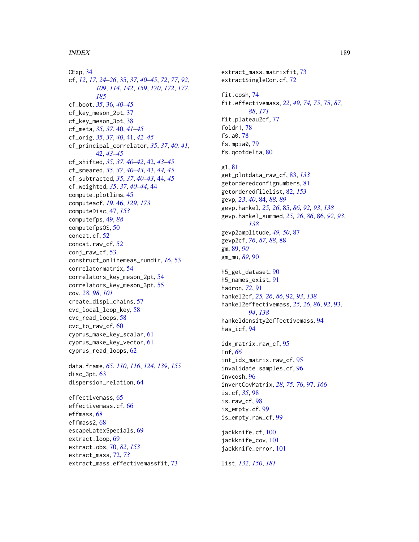#### INDEX  $189$

CExp, [34](#page-33-0) cf, *[12](#page-11-0)*, *[17](#page-16-0)*, *[24](#page-23-0)[–26](#page-25-0)*, [35,](#page-34-1) *[37](#page-36-0)*, *[40–](#page-39-0)[45](#page-44-0)*, *[72](#page-71-0)*, *[77](#page-76-0)*, *[92](#page-91-0)*, *[109](#page-108-0)*, *[114](#page-113-0)*, *[142](#page-141-0)*, *[159](#page-158-0)*, *[170](#page-169-0)*, *[172](#page-171-0)*, *[177](#page-176-0)*, *[185](#page-184-0)* cf\_boot, *[35](#page-34-1)*, [36,](#page-35-0) *[40](#page-39-0)[–45](#page-44-0)* cf\_key\_meson\_2pt, [37](#page-36-0) cf\_key\_meson\_3pt, [38](#page-37-0) cf\_meta, *[35](#page-34-1)*, *[37](#page-36-0)*, [40,](#page-39-0) *[41–](#page-40-0)[45](#page-44-0)* cf\_orig, *[35](#page-34-1)*, *[37](#page-36-0)*, *[40](#page-39-0)*, [41,](#page-40-0) *[42–](#page-41-0)[45](#page-44-0)* cf\_principal\_correlator, *[35](#page-34-1)*, *[37](#page-36-0)*, *[40,](#page-39-0) [41](#page-40-0)*, [42,](#page-41-0) *[43](#page-42-0)[–45](#page-44-0)* cf\_shifted, *[35](#page-34-1)*, *[37](#page-36-0)*, *[40–](#page-39-0)[42](#page-41-0)*, [42,](#page-41-0) *[43–](#page-42-0)[45](#page-44-0)* cf\_smeared, *[35](#page-34-1)*, *[37](#page-36-0)*, *[40–](#page-39-0)[43](#page-42-0)*, [43,](#page-42-0) *[44,](#page-43-0) [45](#page-44-0)* cf\_subtracted, *[35](#page-34-1)*, *[37](#page-36-0)*, *[40–](#page-39-0)[43](#page-42-0)*, [44,](#page-43-0) *[45](#page-44-0)* cf\_weighted, *[35](#page-34-1)*, *[37](#page-36-0)*, *[40–](#page-39-0)[44](#page-43-0)*, [44](#page-43-0) compute.plotlims, [45](#page-44-0) computeacf, *[19](#page-18-0)*, [46,](#page-45-0) *[129](#page-128-0)*, *[173](#page-172-0)* computeDisc, [47,](#page-46-0) *[153](#page-152-0)* computefps, [49,](#page-48-0) *[88](#page-87-0)* computefpsOS, [50](#page-49-0) concat.cf, [52](#page-51-0) concat.raw\_cf, [52](#page-51-0) conj\_raw\_cf, [53](#page-52-0) construct\_onlinemeas\_rundir, *[16](#page-15-0)*, [53](#page-52-0) correlatormatrix, [54](#page-53-0) correlators\_key\_meson\_2pt, [54](#page-53-0) correlators\_key\_meson\_3pt, [55](#page-54-0) cov, *[28](#page-27-0)*, *[98](#page-97-0)*, *[101](#page-100-0)* create\_displ\_chains, [57](#page-56-0) cvc\_local\_loop\_key, [58](#page-57-0) cvc\_read\_loops, [58](#page-57-0) cvc\_to\_raw\_cf, [60](#page-59-0) cyprus\_make\_key\_scalar, [61](#page-60-0) cyprus\_make\_key\_vector, [61](#page-60-0) cyprus\_read\_loops, [62](#page-61-0)

data.frame, *[65](#page-64-0)*, *[110](#page-109-0)*, *[116](#page-115-0)*, *[124](#page-123-0)*, *[139](#page-138-0)*, *[155](#page-154-0)* disc\_3pt, [63](#page-62-0) dispersion\_relation, [64](#page-63-0)

effectivemass, [65](#page-64-0) effectivemass.cf, [66](#page-65-0) effmass, [68](#page-67-0) effmass2, [68](#page-67-0) escapeLatexSpecials, [69](#page-68-0) extract.loop, [69](#page-68-0) extract.obs, [70,](#page-69-0) *[82](#page-81-0)*, *[153](#page-152-0)* extract\_mass, [72,](#page-71-0) *[73](#page-72-0)* extract\_mass.effectivemassfit, [73](#page-72-0)

extract\_mass.matrixfit, [73](#page-72-0) extractSingleCor.cf, [72](#page-71-0) fit.cosh, [74](#page-73-0) fit.effectivemass, *[22](#page-21-0)*, *[49](#page-48-0)*, *[74,](#page-73-0) [75](#page-74-0)*, [75,](#page-74-0) *[87,](#page-86-0) [88](#page-87-0)*, *[171](#page-170-0)* fit.plateau2cf, [77](#page-76-0) foldr1, [78](#page-77-0) fs.a0, [78](#page-77-0) fs.mpia0, [79](#page-78-0) fs.qcotdelta, [80](#page-79-0) g1, [81](#page-80-0) get\_plotdata\_raw\_cf, [83,](#page-82-0) *[133](#page-132-1)*

getorderedconfignumbers, [81](#page-80-0) getorderedfilelist, [82,](#page-81-0) *[153](#page-152-0)* gevp, *[23](#page-22-0)*, *[40](#page-39-0)*, [84,](#page-83-0) *[88,](#page-87-0) [89](#page-88-0)* gevp.hankel, *[25,](#page-24-0) [26](#page-25-0)*, [85,](#page-84-0) *[86](#page-85-0)*, *[92,](#page-91-0) [93](#page-92-0)*, *[138](#page-137-0)* gevp.hankel\_summed, *[25,](#page-24-0) [26](#page-25-0)*, *[86](#page-85-0)*, [86,](#page-85-0) *[92,](#page-91-0) [93](#page-92-0)*, *[138](#page-137-0)* gevp2amplitude, *[49,](#page-48-0) [50](#page-49-0)*, [87](#page-86-0) gevp2cf, *[76](#page-75-0)*, *[87,](#page-86-0) [88](#page-87-0)*, [88](#page-87-0) gm, [89,](#page-88-0) *[90](#page-89-0)* gm\_mu, *[89](#page-88-0)*, [90](#page-89-0)

h5\_get\_dataset, [90](#page-89-0) h5\_names\_exist, [91](#page-90-0) hadron, *[72](#page-71-0)*, [91](#page-90-0) hankel2cf, *[25,](#page-24-0) [26](#page-25-0)*, *[86](#page-85-0)*, [92,](#page-91-0) *[93](#page-92-0)*, *[138](#page-137-0)* hankel2effectivemass, *[25,](#page-24-0) [26](#page-25-0)*, *[86](#page-85-0)*, *[92](#page-91-0)*, [93,](#page-92-0) *[94](#page-93-0)*, *[138](#page-137-0)* hankeldensity2effectivemass, [94](#page-93-0) has\_icf, [94](#page-93-0)

idx\_matrix.raw\_cf, [95](#page-94-0) Inf, *[66](#page-65-0)* int\_idx\_matrix.raw\_cf, [95](#page-94-0) invalidate.samples.cf, [96](#page-95-0) invcosh, [96](#page-95-0) invertCovMatrix, *[28](#page-27-0)*, *[75,](#page-74-0) [76](#page-75-0)*, [97,](#page-96-0) *[166](#page-165-0)* is.cf, *[35](#page-34-1)*, [98](#page-97-0) is.raw\_cf, [98](#page-97-0) is\_empty.cf, [99](#page-98-0) is\_empty.raw\_cf, [99](#page-98-0)

jackknife.cf, [100](#page-99-0) jackknife\_cov, [101](#page-100-0) jackknife\_error, [101](#page-100-0)

list, *[132](#page-131-0)*, *[150](#page-149-0)*, *[181](#page-180-1)*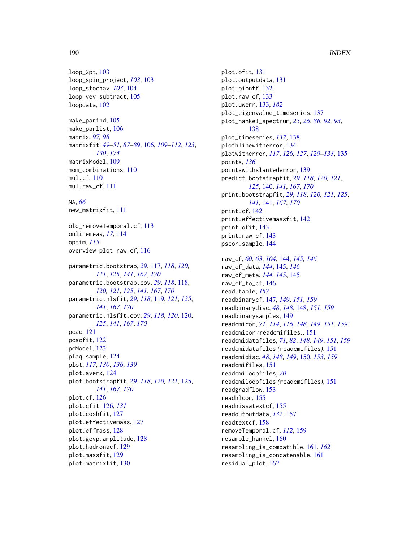loop\_2pt, [103](#page-102-0) loop\_spin\_project, *[103](#page-102-0)*, [103](#page-102-0) loop\_stochav, *[103](#page-102-0)*, [104](#page-103-0) loop\_vev\_subtract, [105](#page-104-0) loopdata, [102](#page-101-0) make\_parind, [105](#page-104-0) make\_parlist, [106](#page-105-0) matrix, *[97,](#page-96-0) [98](#page-97-0)* matrixfit, *[49](#page-48-0)[–51](#page-50-0)*, *[87](#page-86-0)[–89](#page-88-0)*, [106,](#page-105-0) *[109–](#page-108-0)[112](#page-111-0)*, *[123](#page-122-0)*, *[130](#page-129-0)*, *[174](#page-173-0)* matrixModel, [109](#page-108-0) mom\_combinations, [110](#page-109-0) mul.cf, [110](#page-109-0) mul.raw\_cf, [111](#page-110-0) NA, *[66](#page-65-0)* new\_matrixfit, [111](#page-110-0) old\_removeTemporal.cf, [113](#page-112-0) onlinemeas, *[17](#page-16-0)*, [114](#page-113-0) optim, *[115](#page-114-0)* overview\_plot\_raw\_cf, [116](#page-115-0) parametric.bootstrap, *[29](#page-28-0)*, [117,](#page-116-0) *[118](#page-117-0)*, *[120,](#page-119-0) [121](#page-120-0)*, *[125](#page-124-0)*, *[141](#page-140-0)*, *[167](#page-166-0)*, *[170](#page-169-0)* parametric.bootstrap.cov, *[29](#page-28-0)*, *[118](#page-117-0)*, [118,](#page-117-0) *[120,](#page-119-0) [121](#page-120-0)*, *[125](#page-124-0)*, *[141](#page-140-0)*, *[167](#page-166-0)*, *[170](#page-169-0)* parametric.nlsfit, *[29](#page-28-0)*, *[118](#page-117-0)*, [119,](#page-118-0) *[121](#page-120-0)*, *[125](#page-124-0)*, *[141](#page-140-0)*, *[167](#page-166-0)*, *[170](#page-169-0)* parametric.nlsfit.cov, *[29](#page-28-0)*, *[118](#page-117-0)*, *[120](#page-119-0)*, [120,](#page-119-0) *[125](#page-124-0)*, *[141](#page-140-0)*, *[167](#page-166-0)*, *[170](#page-169-0)* pcac, [121](#page-120-0) pcacfit, [122](#page-121-0) pcModel, [123](#page-122-0) plaq.sample, [124](#page-123-0) plot, *[117](#page-116-0)*, *[130](#page-129-0)*, *[136](#page-135-0)*, *[139](#page-138-0)* plot.averx, [124](#page-123-0) plot.bootstrapfit, *[29](#page-28-0)*, *[118](#page-117-0)*, *[120,](#page-119-0) [121](#page-120-0)*, [125,](#page-124-0) *[141](#page-140-0)*, *[167](#page-166-0)*, *[170](#page-169-0)* plot.cf, [126](#page-125-0) plot.cfit, [126,](#page-125-0) *[131](#page-130-0)* plot.coshfit, [127](#page-126-0) plot.effectivemass, [127](#page-126-0) plot.effmass, [128](#page-127-0) plot.gevp.amplitude, [128](#page-127-0) plot.hadronacf, [129](#page-128-0) plot.massfit, [129](#page-128-0) plot.matrixfit, [130](#page-129-0)

plot.ofit, [131](#page-130-0) plot.outputdata, [131](#page-130-0) plot.pionff, [132](#page-131-0) plot.raw\_cf, [133](#page-132-1) plot.uwerr, [133,](#page-132-1) *[182](#page-181-0)* plot\_eigenvalue\_timeseries, [137](#page-136-0) plot\_hankel\_spectrum, *[25,](#page-24-0) [26](#page-25-0)*, *[86](#page-85-0)*, *[92,](#page-91-0) [93](#page-92-0)*, [138](#page-137-0) plot\_timeseries, *[137](#page-136-0)*, [138](#page-137-0) plothlinewitherror, [134](#page-133-0) plotwitherror, *[117](#page-116-0)*, *[126,](#page-125-0) [127](#page-126-0)*, *[129](#page-128-0)[–133](#page-132-1)*, [135](#page-134-0) points, *[136](#page-135-0)* pointswithslantederror, [139](#page-138-0) predict.bootstrapfit, *[29](#page-28-0)*, *[118](#page-117-0)*, *[120,](#page-119-0) [121](#page-120-0)*, *[125](#page-124-0)*, [140,](#page-139-0) *[141](#page-140-0)*, *[167](#page-166-0)*, *[170](#page-169-0)* print.bootstrapfit, *[29](#page-28-0)*, *[118](#page-117-0)*, *[120,](#page-119-0) [121](#page-120-0)*, *[125](#page-124-0)*, *[141](#page-140-0)*, [141,](#page-140-0) *[167](#page-166-0)*, *[170](#page-169-0)* print.cf, [142](#page-141-0) print.effectivemassfit, [142](#page-141-0) print.ofit, [143](#page-142-0) print.raw\_cf, [143](#page-142-0) pscor.sample, [144](#page-143-0) raw\_cf, *[60](#page-59-0)*, *[63](#page-62-0)*, *[104](#page-103-0)*, [144,](#page-143-0) *[145,](#page-144-0) [146](#page-145-0)* raw\_cf\_data, *[144](#page-143-0)*, [145,](#page-144-0) *[146](#page-145-0)* raw\_cf\_meta, *[144,](#page-143-0) [145](#page-144-0)*, [145](#page-144-0) raw\_cf\_to\_cf, [146](#page-145-0) read.table, *[157](#page-156-0)* readbinarycf, [147,](#page-146-0) *[149](#page-148-0)*, *[151](#page-150-0)*, *[159](#page-158-0)* readbinarydisc, *[48](#page-47-0)*, *[148](#page-147-0)*, [148,](#page-147-0) *[151](#page-150-0)*, *[159](#page-158-0)* readbinarysamples, [149](#page-148-0) readcmicor, *[71](#page-70-0)*, *[114](#page-113-0)*, *[116](#page-115-0)*, *[148,](#page-147-0) [149](#page-148-0)*, *[151](#page-150-0)*, *[159](#page-158-0)* readcmicor *(*readcmifiles*)*, [151](#page-150-0) readcmidatafiles, *[71](#page-70-0)*, *[82](#page-81-0)*, *[148,](#page-147-0) [149](#page-148-0)*, *[151](#page-150-0)*, *[159](#page-158-0)* readcmidatafiles *(*readcmifiles*)*, [151](#page-150-0) readcmidisc, *[48](#page-47-0)*, *[148,](#page-147-0) [149](#page-148-0)*, [150,](#page-149-0) *[153](#page-152-0)*, *[159](#page-158-0)* readcmifiles, [151](#page-150-0) readcmiloopfiles, *[70](#page-69-0)* readcmiloopfiles *(*readcmifiles*)*, [151](#page-150-0) readgradflow, [153](#page-152-0) readhlcor, [155](#page-154-0) readnissatextcf, [155](#page-154-0) readoutputdata, *[132](#page-131-0)*, [157](#page-156-0) readtextcf, [158](#page-157-0) removeTemporal.cf, *[112](#page-111-0)*, [159](#page-158-0) resample\_hankel, [160](#page-159-0) resampling\_is\_compatible, [161,](#page-160-0) *[162](#page-161-0)* resampling\_is\_concatenable, [161](#page-160-0) residual\_plot, [162](#page-161-0)